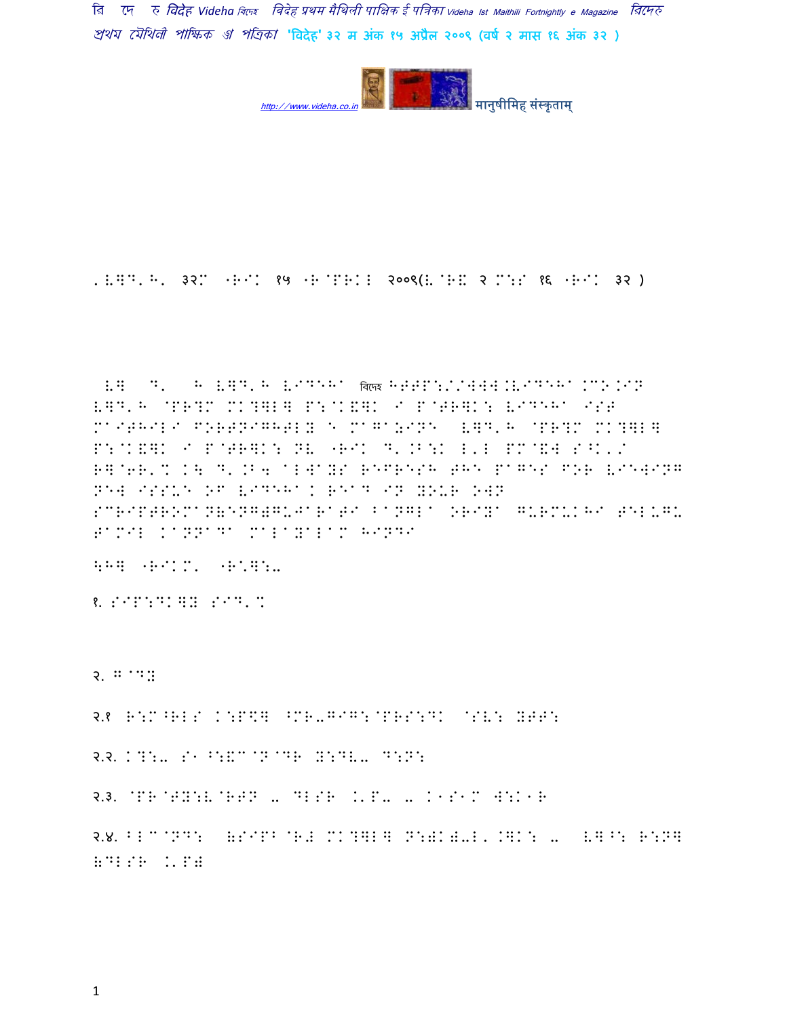

#### 'V]D'H' ३२M "RIK १५ "R@PRKL २००९(V@R& २ M:S १६ "RIK ३२ )

 $V$  DF  $U$   $\sim$  H  $V$   $\sim$  H  $V$   $\sim$  H  $V$   $\sim$  H  $V$   $\sim$  H  $V$  and  $V$  is H  $\sim$  10  $V$  in  $V$  . The  $V$   $\sim$   $V$   $\sim$   $V$   $\sim$   $V$   $\sim$   $V$   $\sim$   $V$   $\sim$   $V$   $\sim$   $V$   $\sim$   $V$   $\sim$   $V$   $\sim$   $V$   $\sim$   $V$   $\sim$   $V$   $\sim$  V]D'H @PR?M MK?]L] P:@K&]K I P@TR]K: VIDEHa IST Maithili Forther Changing Andrew State Company of Magazine Values P:@K&]K I P@TR]K: NV "RIK D'.B:K L'L PM@&W S^K'/ R]@6R'% K\ D'.B4 aLWaYS REFRESH THE PaGES FOR VIEWING NEW YOUR DEALERSHIP ISSUE OF VIOLATION SCRIPTROMaN(ENG)GUJaRaTI BaNGLa ORIYa GURMUKHI TELUGU TaMIL KaNNaDa MaLaYaLaM HINDI

 $H^1$   $\vdots$   $H^1$   $\vdots$   $H^1$   $\vdots$   $H^1$   $\vdots$   $H^1$   $\vdots$   $H^1$ 

8. SPERSON SIDE SPORT

२.  $\frac{1}{2}$   $\frac{1}{2}$ 

२.१ R:M^RLS K:P\$] ^MR-GIG:@PRS:DK @SV: YTT:

२.२. MORE STATES OF THE BEST STATES OF THE STATES OF THE STATES OF THE STATES OF THE STATES OF THE STATES OF T

२.३. MPR MEDEL MARTN - WEBSITE ON THE ANGLE AND MEDEL FR

२.४. FE T 1991 | GENER 19.E TI 99:9 | PIELELEL ISL'E L'. | ESPE BISPE builder ... and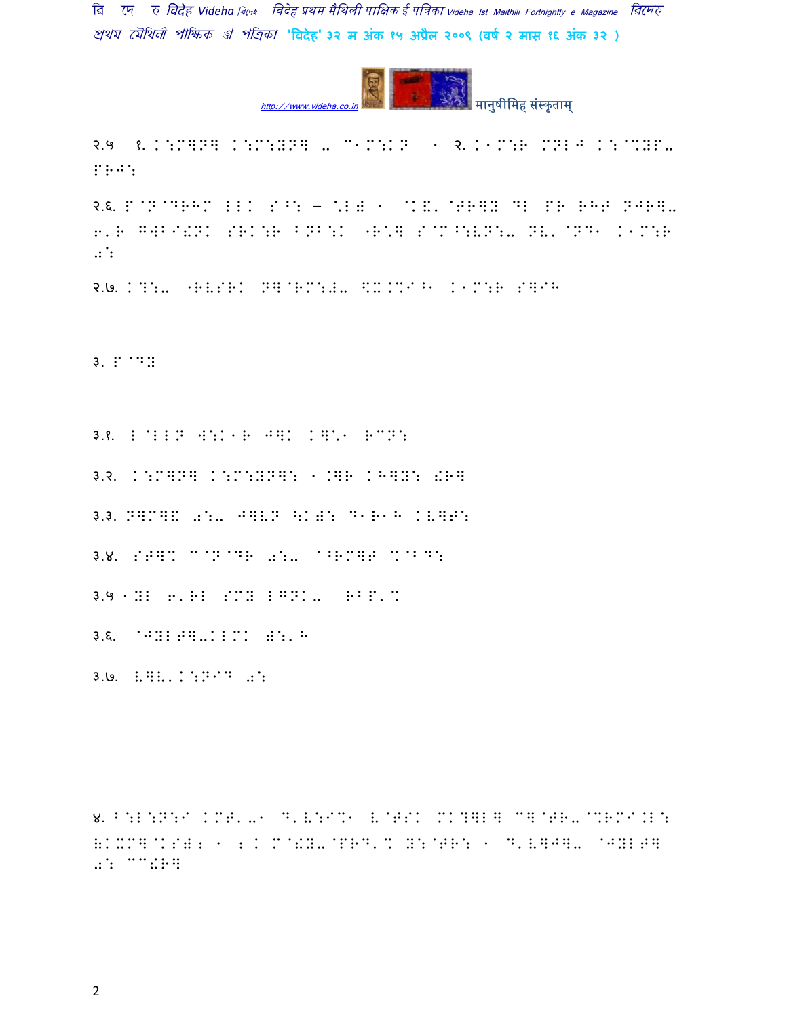

२.५ १. K:MINE (1929:228 1 78 2012:23 1 2. K:MIN: 23. KN 2013: A:M:MIN: PRJ:

२.६. P@N@DRHM LLK S^: – \*L) 1 @K&'@TR]Y DL PR RHT NJR]- 6'R GWBI!NK SRK:R BNB:K "R\*] S@M^:VN:- NV'@ND1 K1M:R  $\mathbf{a}$ :  $\mathbf{b}$ 

२.७. K?:- K. HERM: SPECERS RECORD AND THE SPECE

#### $3.$  P $\ddots$  B

3.8. E TEEP HRISH WHI CHIS BTPE

३.२. (१९७५:स) K:M:M:H:H: | (१९७८:स) K:H:H: | (१९७८:स)

3.3. NHIMHI (2012) PHEN HIMN MODEL OF DINEY

३.४. START (1971) CAN STAR (1971) CAN START

३.५ **1WEB** 19.9 HOME POINT REPORT

3.6. <sup>2</sup>9.H: HH..: HIT. Hit. <sup>H</sup>

 $3.0.$   $1.911.$   $1.911.$   $1.911.$   $1.911.$ 

४. B:L:N:I KMT'-1 D'V:I%1 V@TSK MK?]L] C]@TR-@%RMI.L: (KXM]@KS); 1 2. M@!Y-@PRD'% Y:@TR: 1 D'V]J]- @JYLT]  $\mathbf{d}$ : CCR  $\mathbf{d}$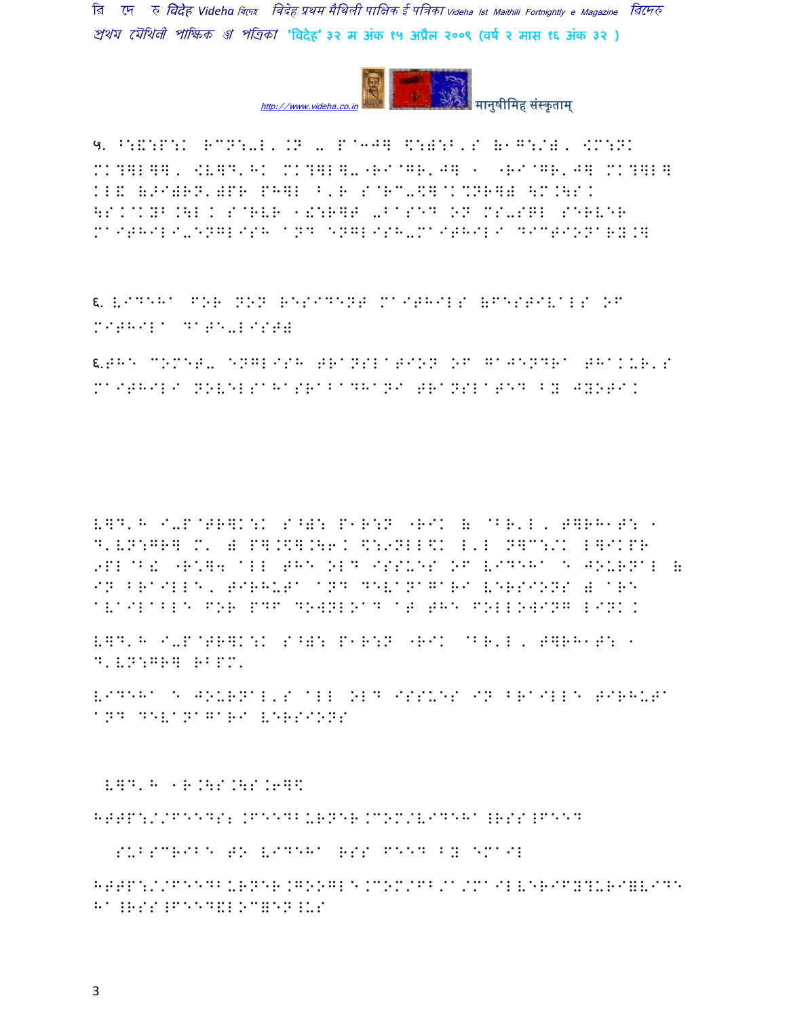HTTP://FEEDBURNER.GOOGLE.COM/FB/a/MaILVERIFY?URI=VIDE Ha\_RSS\_FEED&LOC=EN\_US

SUBSCRIBE TO VIDEO BY EMAIL ROOM AND SUIDER

HTTP://FEEDS2.FEEDBURNER.COM/VIDEHa\_RSS\_FEED

 $\Pi$  :  $\Pi$  is a set of  $\Pi$  is a set of  $\Pi$  is a set of  $\Pi$ 

VIDEHa E JOURNaL'S aLL OLD ISSUES IN BRaILLE TIRHUTa and develops and by provide

V]D'H I-P@TR]K:K S^): P1R:N "RIK @BR'L, T]RH1T: 1 D'VN:GR] RBPM'

V]D'H I-P@TR]K:K S^): P1R:N "RIK ( @BR'L, T]RH1T: 1 D'VN:GR] M' ) P].\$].\6. \$:9NLL\$K L'L N]C:/K L]IKPR 9PL@B! "R\*]4 aLL THE OLD ISSUES OF VIDEHa E JOURNaL ( IN BRaILLE, TIRHUTa aND DEVaNaGaRI VERSIONS ) aRE aVaILaBLE FOR PDF DOWNLOaD aT THE FOLLOWING LINK.

MITHILA DATE-LIST DATE ६.THE COMET- ENGLISH TRaNSLaTION OF GaJENDRa THaKUR'S

MaITHILI NOVELSaHaSRaBaDHaNI TRaNSLaTED BY JYOTI.

६. VIDEHa FOR NON RESIDENT MaITHILS (FESTIVaLS OF

५. ^:B:AP:M | BM3(ALE) (3):L'ESS-PE (1GEN) ):P | B: PAZE (1KCN:X) MK?]L]], [V]D'HK MK?]L]-"RI@GR'J] 1 "RI@GR'J] MK?]L] KLB GJYARJ.AMP PHO F.B S@PC-\$\$\SQRPG-\$2002 \S.@KYB.\L. S@RVR 1!:R]T -BaSED ON MS-SQL SERVER Maithilia - And English-Maithilia dictionary. In the State of the State of the State of the State of the State



ৱি দে <sup>হ</sup> <mark>विदेह Videha</mark> <sub>বিদেহ</sub> ৰিবলৈ *प्रथम मैथिली पाक्षिक ई पत्रिका Videha Ist Maithili Fortnightly e Magazine बिদে*হ õथम मैिथली पािक्षक ई पिñका **'**िवदेह**'** ३२ म अंक १५ अĤैल २००९ (वष र् २ मास १६ अंक ३२ )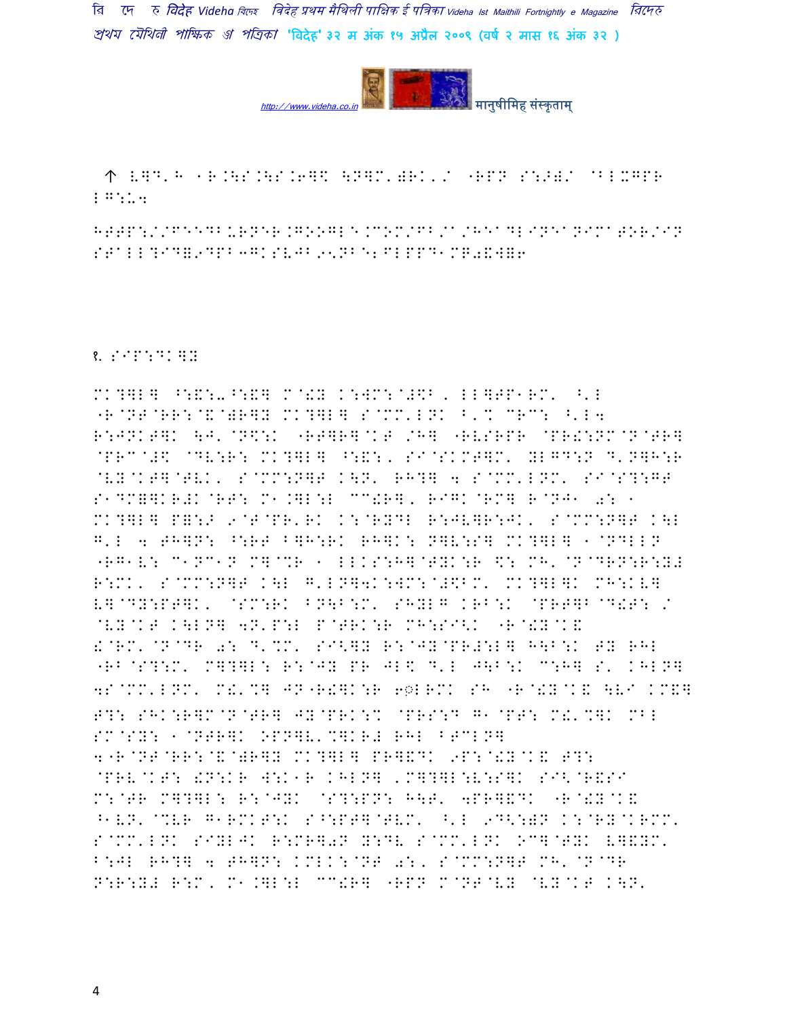

 $\uparrow$  191.  $\vdash$  18.  $\vdash$  18.  $\vdash$  18.  $\vdash$  18.  $\vdash$  18.  $\vdash$   $\vdash$   $\vdash$   $\vdash$   $\vdash$   $\vdash$   $\vdash$   $\vdash$   $\vdash$   $\vdash$   $\vdash$   $\vdash$   $\vdash$   $\vdash$   $\vdash$   $\vdash$   $\vdash$   $\vdash$   $\vdash$   $\vdash$   $\vdash$   $\vdash$   $\vdash$   $\vdash$   $\vdash$   $\vdash$   $\vdash$ LG:U4

HTTP://FEEDBURNER.GOOGLE.COM/FB/a/HEaDLINEaNIMaTOR/IN STALL?ID=9DPB3GKSVJB95NBE2FLPPD1MQ0&WEb3GKSVJB95NBE3FLPPD1MQ0&WEb3GKSVJB95NBE3FLPPD1MQ0

### $8. \pm 0.0001$   $\pm 0.0001$

MACRE REPORT OF A REPORT OF A REPORT OF A REPORT OF A REPORT OF A REPORT OF A REPORT OF A REPORT OF A REPORT O "R@NT@RR:@&@)R]Y MK?]L] S@MM'LNK B'% CRC: ^'L4 R:JNKT]K \J'@N\$:K "RT]R]@KT /H] "RVSRPR @PR!:NM@N@TR] @PRC@#\$ @DV:R: MK?]L] ^:&:, SI@SKMT]M' YLGD:N D'N]H:R MESCHEMEL SMANHE IND, PROVENCENTLICK SMANHE S1DM=]KR#K@RT: M1.]L:L CC!R], RIGK@RM] R@NJ1 0: 1 MK?]L] P=:> 9@T@PR'RK K:@RYDL R:JV]R:JK' S@MM:N]T K\L G'L 4 THAN BHO AN AIRS AN AIRS AN AIRS AN D'AIRE BHO AN AIRS AN AIRS AN AIRS AN AIRS AN AIRS AN AIRS AN AIRS A "RG1V: C1NC1N M]@%R 1 LLKS:H]@TYK:R \$: MH'@N@DRN:R:Y# R:MK' SMM:NH# (H) #.1796:18M:18V:WM: MIH:KV MH:KL V]@DY:PT]K' @SM:RK BN\B:M' SHYLG KRB:K @PRT]B@D!T: / MY@KT KOKT AN PERSON AN PERSONAL TRANSPORTER TO A RELATED A RELATIONS TO A RELATED A RELATIONS OF RELATIONS ON !@RM'@N@DR 0: D'%M' SI<]Y R:@JY@PR#:L] H\B:K TY RHL "RB@S?:MY MONTH PROFILE PROPERTY OF A REAL POST PROPERTY OF A REAL AS MONTERO, OCELOR (RR) FREEDRA SH "R@! BOON SHA" (FR) COR (REEP) OOCER T?: SHK:R]M@N@TR] JY@PRK:% @PRS:D G1@PT: M!'%]K MBL SMART REGISTER AND DER EINE STRAKE STRAKE STRAKE STRAKE STRAKE STRAKE STRAKE STRAKE STRAKE STRAKE STRAKE STRAK<br>KRAME STRAKE STRAKE STRAKE STRAKE STRAKE STRAKE STRAKE STRAKE STRAKE STRAKE STRAKE STRAKE STRAKE STRAKE STRAKE 4"R@NT@RR:@&@)R]Y MK?]L] PR]&DK 9P:@!Y@K& T?: @PRV@KT: !N:KR W:K1R KHLN] 'M]?]L:V:S]K SI<@R&SI M:@TR M]?]L: R:@JYK @S?:PN: H\T' 4PR]&DK "R@!Y@K& ^1VN'@%VR G1RMKT:K S^:PT]@TVM' ^'L 9D<:)N K:@RY@KRMM' S@MWLIBL\PANIAL\RGHAR\NGHL\P@WLIBL\P@MYLNHKNEL B:JL RH?] 4 TH]N: KMLK:@NT 0:, S@MM:N]T MH'@N@DR N:R:Y# R:M, M1.]L:L CC!R] "RPN M@NT@VY @VY@KT K\N'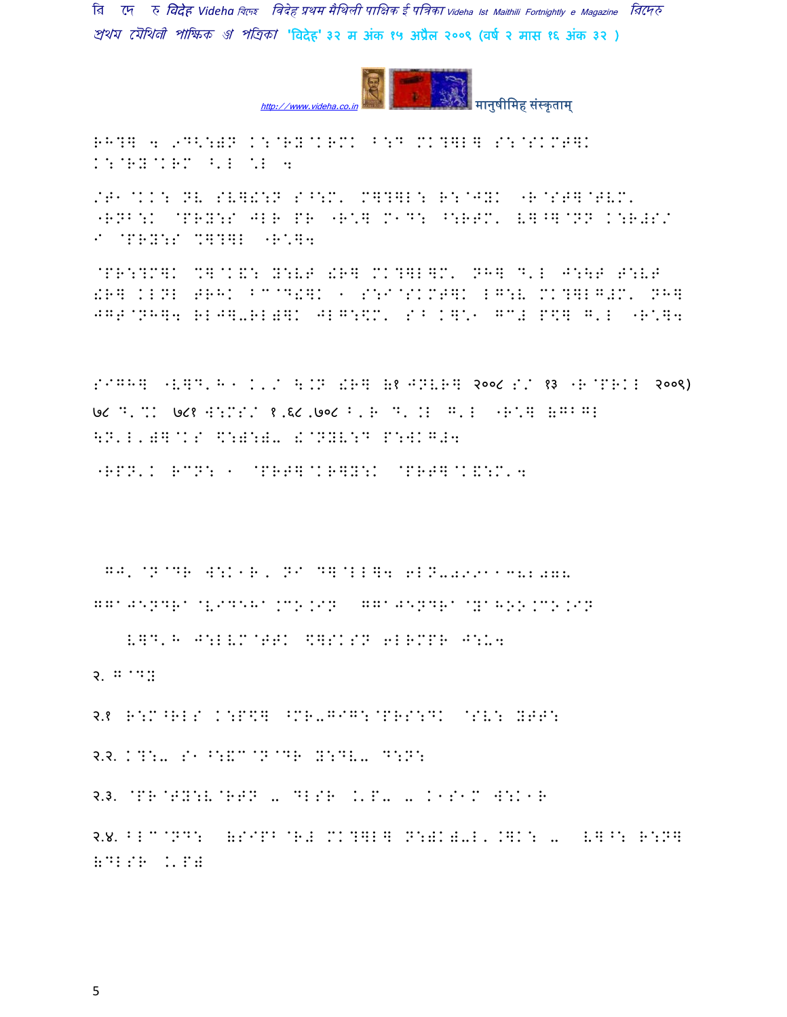

RHTH 4 9D. NH. NAME ON THE MANUSCRIP BILL STATE OF THE MANUSCRIPT OF THE MANUSCRIPT OF THE MANUSCRIPT OF THE MA  $K:$  The results of the set of the set of the set of the set of the set of the set of the set of the set of the set of the set of the set of the set of the set of the set of the set of the set of the set of the set of the

/T1@KK: NV SV]!:N S^:M' M]?]L: R:@JYK "R@ST]@TVM' "RNB:K @PRY:S JLR PR "R\*] M1D: ^:RTM' V]^]@NN K:R#S/ I @PRY:S % & MONTH & MONTH & MONTH & MONTH & MONTH & MONTH & MONTH & MONTH & MONTH & MONTH & MONTH & MONTH & M<br>2008 - Prince Andrews & Month & MONTH & MONTH & MONTH & MONTH & MONTH & MONTH & MONTH & MONTH & MONTH & MONTH<br>2

MPR:?MIK % WHO IN NORTH WHE DOCTOR HOW OR THE WAY AN ARRAIGNMENT. READ COORS (READ BCOMBAC) K 25-OCCOORD OF THE COORD PACK OPER JOHN CORNER (DE POLINEERS (PE PROSS) (S.F. 1957) (PSI GOOD PSI P, E (PROSS)

 $S^2$   $S^2$   $D^2$   $D^2$   $D^2$   $D^2$   $D^2$   $D^2$   $D^2$   $D^2$   $D^2$   $D^2$   $D^2$   $D^2$   $D^2$   $D^2$   $D^2$   $D^2$   $D^2$   $D^2$   $D^2$   $D^2$   $D^2$   $D^2$   $D^2$   $D^2$   $D^2$   $D^2$   $D^2$   $D^2$   $D^2$   $D^2$   $D^2$   $D^2$   $D^2$   $D^2$   $D^2$ ७८ D'%K ७८१ W:MS/ १,६८,७०८ B'R D'.L G'L "R\*] (GBGL \N'L')]@KS \$:):)- !@NYV:D P:WKG#4 "RPN'K RCN: 1 @PRT]@KR]Y:K @PRT]@K&:M'4

GAJ'@NG W:K1R, NI DE WESTER WEIGHT GGALENDRA GENEDIGE IN GEDEEN VAN DIE GEDEELDE GEDEELD

V:L MORT SERVICE STATE STATE STATE STATE STATE STATE STATE STATE STATE STATE STATE STATE STATE STATE STATE STA<br>De la de la de la de la de la de la de la de la de la de la de la de la de la de la de la de la de la de la d

२.  $\ddots$   $\ddots$ 

२.१ R:M^RLS K:P\$] ^MR-GIG:@PRS:DK @SV: YTT:

२.२. KIRE SHE YEAR SHE WERE

२.३. @PR@TYERTN - DRSR . N.P. 2010 - WEIGHT

२.४. में BLC CONDINER IN THE RESOLUTION OF DEPETH (PEPE huish 1. Pd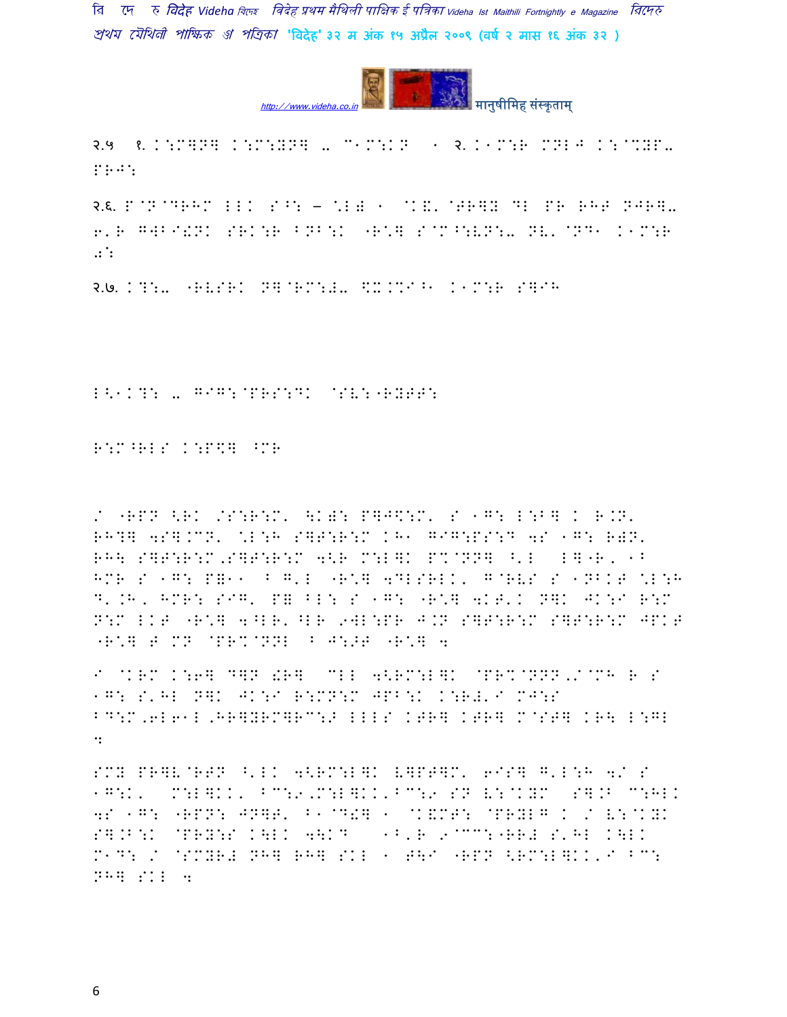

२.५ १. K:MINE (1929:228 1 78 2012:23 1 2. K:MIN: 23. KN 2013: A:M:MIN: PRJ:

२.६. P@N@DRHM LLK S^: – \*L) 1 @K&'@TR]Y DL PR RHT NJR]- 6'R GWBI!NK SRK:R BNB:K "R\*] S@M^:VN:- NV'@ND1 K1M:R  $\mathbf{d}$ :

२.७. K?:: . (RVSRK REP) (28.1979.3. KNOXYA KINAM: KYAN: SHAW

LARITA GUNGER SERIEST: GERAGHER

R:MORLS K:MORLS K:MORLS

/ THE POST RESOURCES FOR THE REPORT OF THE REPORT OF POSTS. RH?] 4S].CN' \*L:H S]T:R:M KH1 GIG:PS:D 4S 1G: R)N' RH\ S]T:R:M,S]T:R:M 4<R M:L]K P%@NN] ^'L L]"R, 1B HTR S 191 FRI S 191 SHIR 49 SHIRI G@RAY G@RYS S 100 D'. D'ALI AD'ES (ESPEL) (BB) FEST EN SAPS (ARIEN ALEVEL) D'ESD. AD SAN BSD. N:M LKT "R\*] 4^LR'^LR 9WL:PR J.N S]T:R:M S]T:R:M JPKT  $\frac{1}{2}$  T MN  $\frac{1}{2}$  T MN  $\frac{1}{2}$  T MN  $\frac{1}{2}$  T MN  $\frac{1}{2}$  T MN  $\frac{1}{2}$  T MN  $\frac{1}{2}$  T MN  $\frac{1}{2}$ 

I ROMAN CHE STRIKE BERGS ON HE SELECTED ON THE CLUMP ROOM OF STRIKE  $\mathcal{E}$ 1G: S'HL N]K JK:I R:MN:M JPB:K K:R#'I MJ:S BOY:M, LAE ARRE LIRABENDE POSTAGE (EE ERIC) LIGERE (DIGERE STERE (EE ARE) EI ARRE  $\dddot{\phantom{0}}$ 

SMY PRAKTRAT (LEI GRAMMEAI) KAPAANI, RYSA ALEMA GI S 1G:K' M:L]KK' BC:9,M:L]KK'BC:9 SN V:@KYM S].B C:HLK 4S 1G: "RPN: JN]T' B1@D!] 1 @K&MT: @PRYLG K / V:@KYK SARDER SPRYING STATES AND RELEASED ON A RELEASED ON STATES SERVICE STATES OF STATES OF STATES OF STATES OF STA M1D: / @SMYR# NH] RH] SKL 1 T\I "RPN <RM:L]KK'I BC: **NH** SIL 4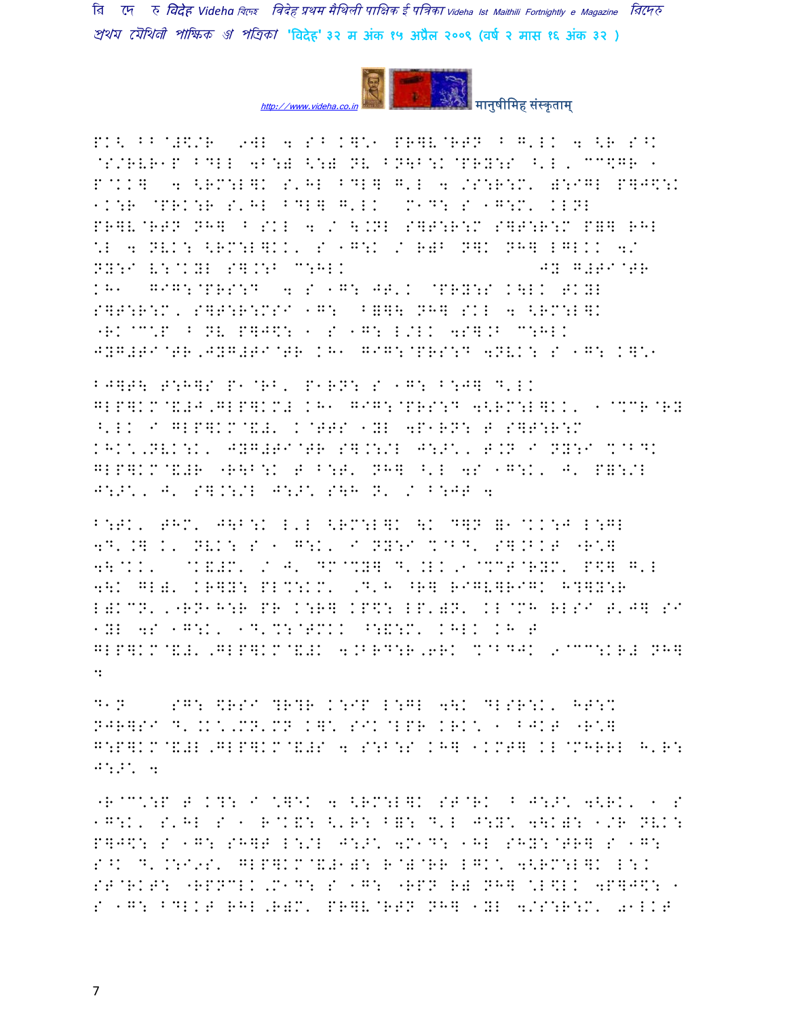

PKA BB@#\$/R 9WL 4 SPACHIN PRESERVATED A AR SON MS/REPHENT BOARD ARIGAN DES PORFAIS MEDIGES (PLESS) OM BRY H P@KK] 4 <RM:L]K S'HL BDL] G'L 4 /S:R:M' ):IGL P]J\$:K 1K:R @PRK:R S'HL BDL] G'LK M1D: S 1G:M' KLNL PR]V@RTN NH] ^ SKL 4 / \.NL S]T:R:M S]T:R:M P=] RHL \*L 4 NVK: <RM:L]KK' S 1G:K / R)B N]K NH] LGLKK 4/ NY: ISAN' IN: BELIEVE ISAN' MARE IN: A MARITRIA AN' INITIALE ANY ISAN' ISAN' ISAN' ISAN' ISAN' ISAN' ISAN' ISA KH1 GIG: PRS: D 4 S 1G: JT 10 10 10 10 10 10 10 10 10 11 SARSHID, SARSHIDS (AS) (ANH SHE SI 200 A (RESHA) "RK@C\*P ^ NV P}}; 1 S 1G: L/LK 4S].B C: L/LK 4S].B C: L/LK 4S].B C: L/LK 4S].B C: L/LK 4S].B C: L/LK 4S].B C: JOG TIME THE SANDWIGHT COMPANY OF STRING IS A NORTH STRING OF SANDWIGHT AND SANDWIGHT STRING

BJOG PORT PINES PIRT PINES IN THE TILL GLPH) MARA AH PHI MA (PA) PAPA (PRS:PR) 45.PM: HI 1. (1000-1000) ^'LK I GLP]KM@&#' K@TTS 1YL 4P1RN: T S]T:R:M KHK:NV. JYG: CHATHI JYG SA SA NY: ZHI NY: JYG SA NY: I NY: I NY: I NY: I NY: I NY: I NY: I NY: I NY: I NY: I NY GLOBE TO THE RESOURCE OF REAL PROPERTY AND HOLD TO THE SET OF THE SET OF THE SET OF THE SET OF THE SET OF THE J:>\*, J' S].:/L J:>\* S\H N' / B:JT 4

B:THI JOHN JOHN LIL CONTROL OF THE RESERVE OF THE RESERVE OF THE RESERVE OF THE RESERVE OF THE RESERVE OF THE  $\mathcal{S}$ 47. HE I. BEIN F. S FRI. K BEN TURN, PEDIR (BYE 4\@KK' @K&#M' / J' DM@%Y] D'.LK,1@%CT@RYM' P\$] G'L  $44\times$  CR)  $14\times$  CR)  $14\times$  CR)  $15\times$  CR)  $16\times$  RIGGER HRIGGER HRIGGER HRIGGER HRIGGER HRIGGER HRIGGER HRIGGER HRIGGER HRIGGER HRIGGER HRIGGER HRIGGER HRIGGER HRIGGER HRIGGER HRIGGER HRIGGER HRIGGER HRIGGER HRIGGER HRI L)KCN',"RN1H:R PR K:R] KP\$: LP')N' KL@MH RLSI T'J] SI 1YL 4S 1G:K' 1D'%:@TMKK ^:&:M' KHLK KH T GLP; COMPONENT COMPONENT COMPONENT COMPONENT COMPONENT COMPONENT COMPONENT COMPONENT COMPONENT COMPONENT COMPO  $\dddot{\phantom{1}}$ 

DN BOG: \$PASSER PORTH & GREET BARBOARD PERPENDING HEAD NJR]SI D'.K\*,MN'MN K]\* SIK@LPR KRK\* 1 BJKT "R\*] G:P]KM@&#L,GLP]KM@&#S 4 S:B:S KH] 1KMT] KL@MHRRL H'R:  $H: H \rightarrow H$ 

"R@C\*\*:P\$:P T K?: I \*]EK A?: I \*\_R ST@RK & REC. I F & REC. I ST&RK ^ T: I ST. I ST. I ST. I ST. I ST. I ST. I ST 1G:K' S'HL S 1 R@K&: <'R: B=: D'L J:Y\* 4\K): 1/R NVK: P) HE SEE THE SHIP SHOW: SHE SHOW: THE SHIP SHOW: THE SHIP SHIP SHIP SHOW: THE SHIP SHOW: TRINING SHIP SHIP SH Social Society of the control of the control of the control of the control of the control of the control of th STACHED ARE POSTED ON THE STOLEN HANDED AND DRIVE ON AN ANY HANDED. S 1G: BDLKT RHL, RHL, REAL DER ROOM HIS ANDERSON NHILL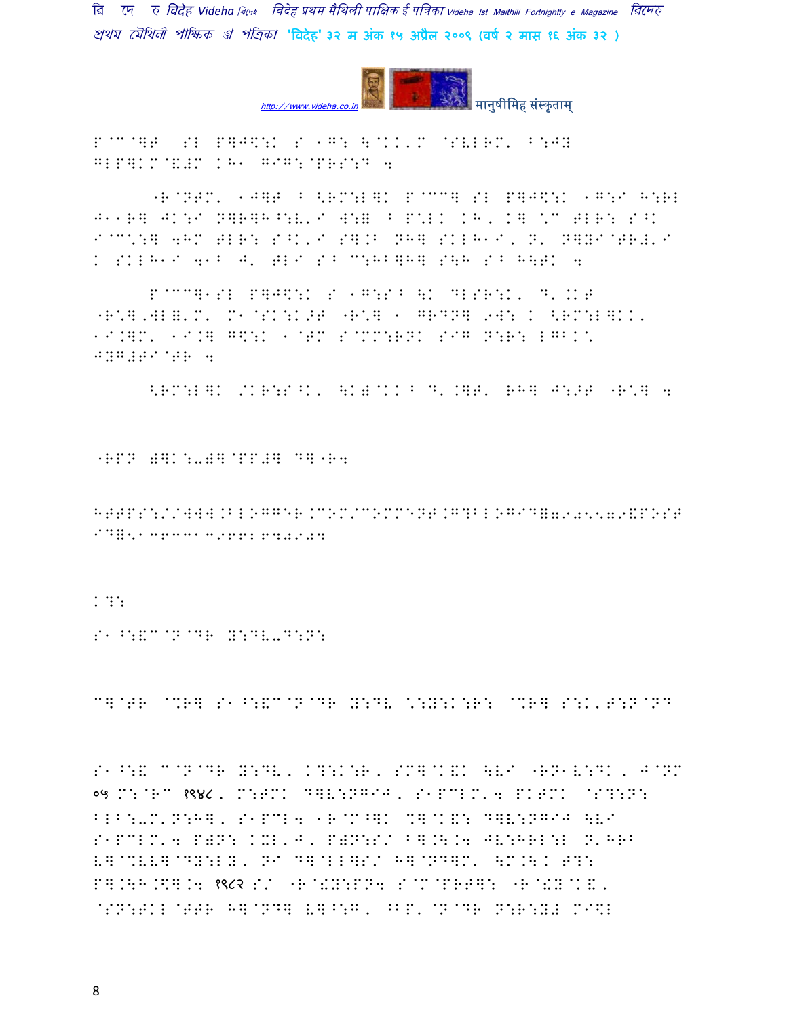

POCATOR SE PRANSE PORT ROLLY GELEN, PSAR GLEPS COMPANY AND CONSIDERED 4

 $R$  (Particle ) is the contract of the contract of the contract  $R$ JA:I HE JA:SY (PHENRISE) Y HIM (FORE) CA, CH, CM HEES KAK I@C\*:] 4HM TLR: S^K'I S].B NH] SKLH1I, N' N]YI@TR#'I K SKLHAI 41B JON SEN SAHID SHE SAHID SHI SAHID J

 P@CC]1SL P]J\$:K S 1G:S^ \K DLSR:K' D'.KT "RENN LABOR, MIL" MACSAM MILITARY (PENNY PERNY POSTAL DO SARMING RICI). 131.1. STORE RESERVE TO STORE SIGNED SIGNED SIGNED SIGNED SIGNED SIGNED SIGNED SIGNED SIGNAL SIGNAL SIGNAL SIG JYG#TI@TR 4

KRISH /KR:SA' RIENI PARA PARA 2014 | BIR

"RPN )]K:-)]@PP#] D]"R4

HTTPS://WWW.BLOGGER.COM/COMMENT.G?BLOGID=7905579&POST ID=5136331396631396631396631396631396631396631396631396631396631396

 $\mathbb{R}^n$ 

S1^:&C@N@DR Y:DV-D:N:@N\\\

C]@TR @%R] S1^:&C@N@DR Y:DV \*:Y:K:R: @%R] S:K'T:N@ND

S1^:& C@N@DR Y:DV, K?:K:R, SM]@K&K \VI "RN1V:DK, J@NM ०५ M:@RC १९४८, M:TMK D]V:NGIJ, S1PCLM'4 PKTMK @S?:N: BLB:-M'N:H], S1PCL4 1R@M^{1}, S1PCL4 1R@M^{1}, S1PC\_1R@M^{1}, S1PC\_1R@M^{1}, S1PC\_1R@M^{1} STA POS DO AN IRABANY (CODE), A JV: PADAGEO A PROBOTA ARABANG NA TANAHAN V]@%VV]@DY:LY, NI D]@LL]S/ H]@ND]M' \M.\. T?: P].\H.\$].4 १९८२ S/ "R@!Y:PN4 S@M@PRT]: "R@!Y@K&, @SN:TKL@TTR H]@ND] V]^:G, ^BP'@N@DR N:R:Y# MI\$L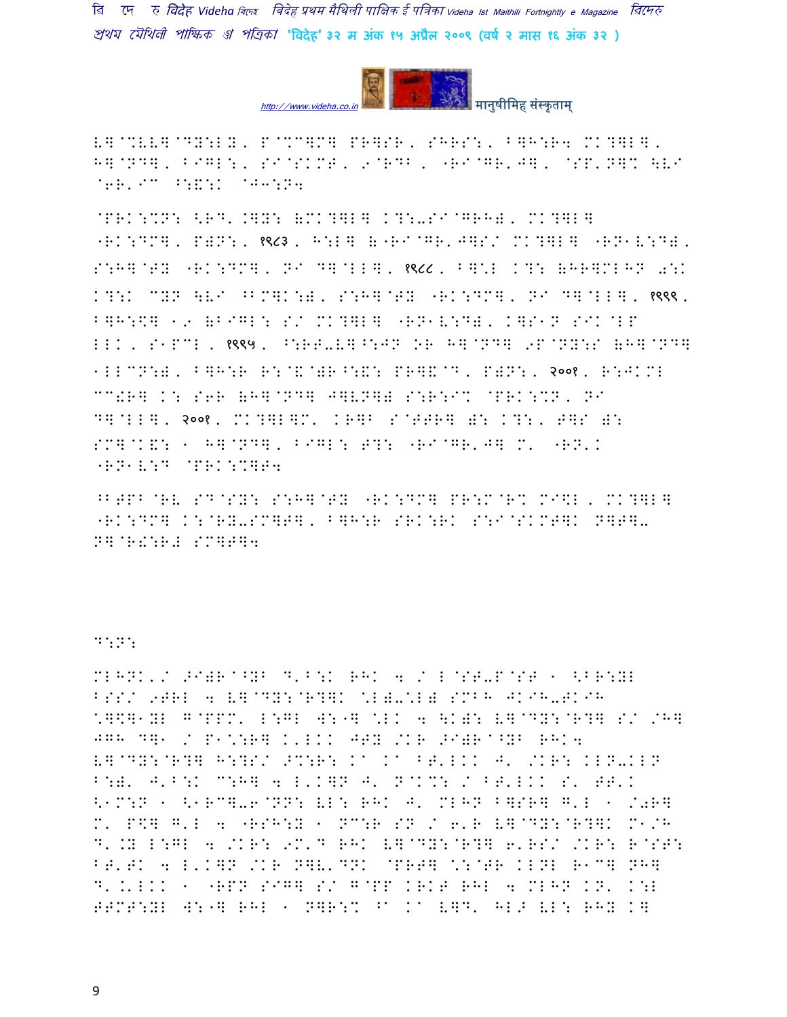

V]@%VV]@DY:LY, P@%C]M] PR]SR, SHRS:, B]H:R4 MK?]L], H]@ND], BIGL:, SI@SKMT, 9@RDB, "RI@GR'J], @SP'N]% \VI W. IC ON STREET STREET

@PRK:%N: <RD'.]Y: (MK?]L] K?:-SI@GRH), MK?]L] "RE:DATCH, PAPA, 8863, HDER BYRYTHR, HHEN CONTHER (PRINCESTA) STERRITHS (HEIGHING), DR. TH. TEER , 19866, BIRITE, ISO (HREADERD) WELC KREE CHRING RESORT IN THE SERVER SECTION OF THE RESORT OF THE SERVER OF THE TELL RESORT. B]H:\$] 19 (BIGL: S/ MK?]L] "RN1V:D), K]S1N SIK@LP LLI, SHIMI, 1999, PIRALERPHAR DROHRING DI DRIN BHRINGE 1LLCN:), B]H:R R:@&@)R^:&: PR]&@D, P)N:, २००१, R:JKML CC!R] K: S6R (H]@ND] J]VN]) S:R:I% @PRK:%N, NI DRIMER SOOR, MIRHER SARRE SARRER BY SARRY SARRY BY  $S\mathcal{D}^{\mathcal{D}}\mathcal{D}^{\mathcal{D}}\mathcal{D}^{\mathcal{D}}\mathcal{D}^{\mathcal{D}}=\mathcal{D}^{\mathcal{D}}\mathcal{D}^{\mathcal{D}}\mathcal{D}^{\mathcal{D}}\mathcal{D}^{\mathcal{D}}\mathcal{D}^{\mathcal{D}}\mathcal{D}^{\mathcal{D}}\mathcal{D}^{\mathcal{D}}\mathcal{D}^{\mathcal{D}}\mathcal{D}^{\mathcal{D}}\mathcal{D}^{\mathcal{D}}\mathcal{D}^{\mathcal{D}}\mathcal{D}^{\mathcal{D}}\mathcal{D}^{\mathcal{D$ "RN1V:D @PRK:%]T4

^BTPB@RV SD@SY: S:H]@TY "RK:DM] PR:M@R% MI\$L, MK?]L] "RE:DRITH: IS RESURTHEN , FRANK: BE:DRIT BN: POSTUTEN , PREAN. N: A SM (1999) (1999) (1999) (1999) (1999) (1999) (1999) (1999) (1999) (1999) (1999) (1999) (1999) (1999) (19<br>The SM (1999) (1999) (1999) (1999) (1999) (1999) (1999) (1999) (1999) (1999) (1999) (1999) (1999) (1999) (1999)

 $\mathcal{D}^{\mathcal{A}}\left( \mathcal{B}\right) \mathcal{D}^{\mathcal{A}}\left( \mathcal{B}\right) ,$ 

MER ROOMS IN REAR TO BE THE REFORM OF DEPATH A LOCATION OF PARTIES. THE REPORT I BSS/ 9HR 4 BUYER PRUS SHANIB SMBH 41762076 \*]\$]1YL G@PPM' L:GL W:"] \*LK 4 \K): V]@DY:@R?] S/ /H] JGH D]1 / P1\*:R] K'LKK JTY /KR >I)R@^YB RHK4 BS: 1988 1999 H: NORTH MARKET HE REAL AND MARKET HE REAL AND MARKET HE REAL AND MARKET HE REAL AND MARKET UP A F:NB:)' (A. K N:)' (MNH H) (A. B. LI NB: / BT'LK SY TT'K SY TT'K SY THE BILL SY THE SY <1M:N 1 <1RC]-6@NN: VL: RHK J' MLHN B]SR] G'L 1 /0R] M. P\$\$ A.E & ARSH:Y / PMIR R\$ / R.R L& MIR GASH: MY/H D'.Y L:GL 4 /KR: 9M'D RHK V]@DY:@R?] 6'RS/ /KR: R@ST: BT'TK 4 L'K]N /KR N]V'DNK @PRT] \*:@TR KLNL R1C] NH] D'.'LKK 1 "RPN SIG] S/ G@PP KRKT RHL 4 MLHN KN' K:L THOTH:YL WISHED:YL WILLIAMS ON THE REPORT OF THE REPORT OF THE REPORT OF THE REPORT OF THE REPORT OF THE REPORT OF THE REPORT OF THE REPORT OF THE REPORT OF THE REPORT OF THE REPORT OF THE REPORT OF THE REPORT OF THE REPOR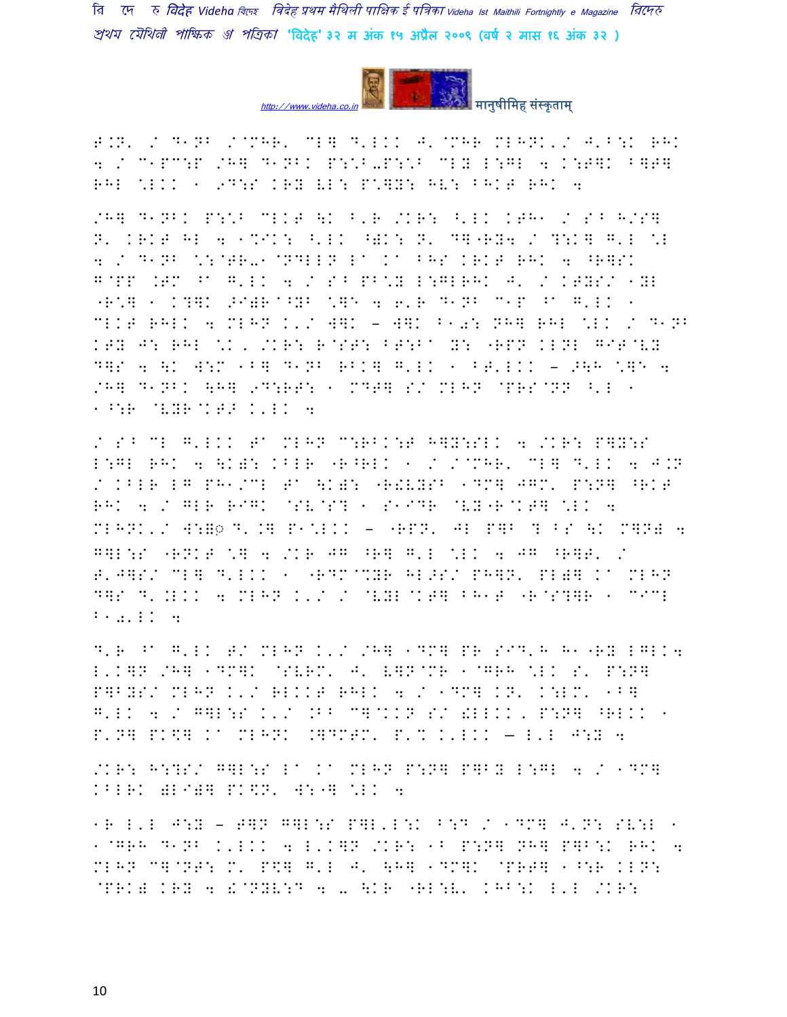

T.N' / D1NB /@MHR' CL] D'LKK J'@MHR MLHNK'/ J'B:K RHK 4 / C1PC:P /H] D1NBK P:\*B-P:\*B CLY L:GL 4 K:T]K B]T] RHL \*LECK 3 STREET IRE HET BILBER RHKT RHKT RHKT A

/H] D1NBK P:\*B CLKT \K B'R /KR: ^'LK KTH1 / S^ H/S] N' KRAT HE AN ANY NORTH HE ANNOUNCED AN INFORMATION IN THE ROAD OF THE RIGHT OF THE RIGHT OF THE RIGHT OF THE 4 / D1NB \*:@TR-1@NDLLN La Ka BHS KRKT RHK 4 ^R]SK G@PP .TM ^a G'LK 4 / S^ PB\*Y L:GLRHK J' / KTYS/ 1YL "RENE "POSTED "DAMBY FILM NEW HORSE" "PORTO" "PORTO" "POINT " CLKT RHLK 4 MLHN K'/ W]K – W]K B10: NH] RHL \*LK / D1NB KTY J: RHL \*K, /KR: R@ST: PRPN CH, PRPN KLPL GPPN B. D]S 4 \K W:M 1B] D1NB RBK] G'LK 1 BT'LKK – >\H \*]E 4 /H] D1NBK \H] 9D:RT: 1 MDT] S/ MLHN @PRS@NN ^'L 1 1^:R @VYR@KT> K'LK 4

/ S^ CL G'LKK Ta MLHN C:RBK:T H]Y:SLK 4 /KR: P]Y:S L:GL RHK 4 \K): KBLR "R^RLK 1 / /@MHR' CL] D'LK 4 J.N / KBLR LG PH1/CL Ta \K): "R!VYSB 1DM] JGM' P:N] ^RKT RHK 4 / GLR RIGK @SV@S? 1 S1IDR @VY"R@KT] \*LK 4 MLHNA'/ W:= D'. GREAR ABRIE NA WIE AR AR ABA GLE NEI A JG AG ABARE. I T'J]S/ CL] D'LKK 1 "RDM@%YR HL>S/ PH]N' PL)] Ka MLHN D]S D'.LKK 4 MLHN K'/ / @VYL@KT] BH1T "R@S?]R 1 CICL  $91.11 \pm 0.01$ 

D'R ^a G'LK T/ MLHN K'/ /H] 1DM] PR SID'H H1"RY LGLK4 L'K]N /H] 1DM]K @SVRM' J' V]N@MR 1@GRH \*LK S' P:N] P]BYS/ MLHN K'/ RLKKT RHLK 4 / 1DM] KN' K:LM' 1B] G'LI 4 / G'LK 4 / BECKN SYNCH SYNCH SYNCH SYNCH SYNCH SYNCH P'N] PK\$] Ka MLHNK .]DMTM' P'% K'LKK — L'L J:Y 4

/KR: H:?S/ G]L:S La Ka MLHN P:N] P]BY L:GL 4 / 1DM] KBERK BERGEREN DER SEINE

 $\mathcal{S}$  (Fig. ) – The state of the state of the state of the state of the state of the state of the state of the state of the state of the state of the state of the state of the state of the state of the state of the sta 1@GRH D1NB K'LKK 4 L'K]N /KR: 1B P:N] NH] P]B:K RHK 4 MLHR CA CREW C. P\$A A.I A. AHA (ACAN TEEA (AGE) 11PW @PRK) KRY 4 !@NYV:D 4 - \KR "RL:V' KHB:K L'L /KR: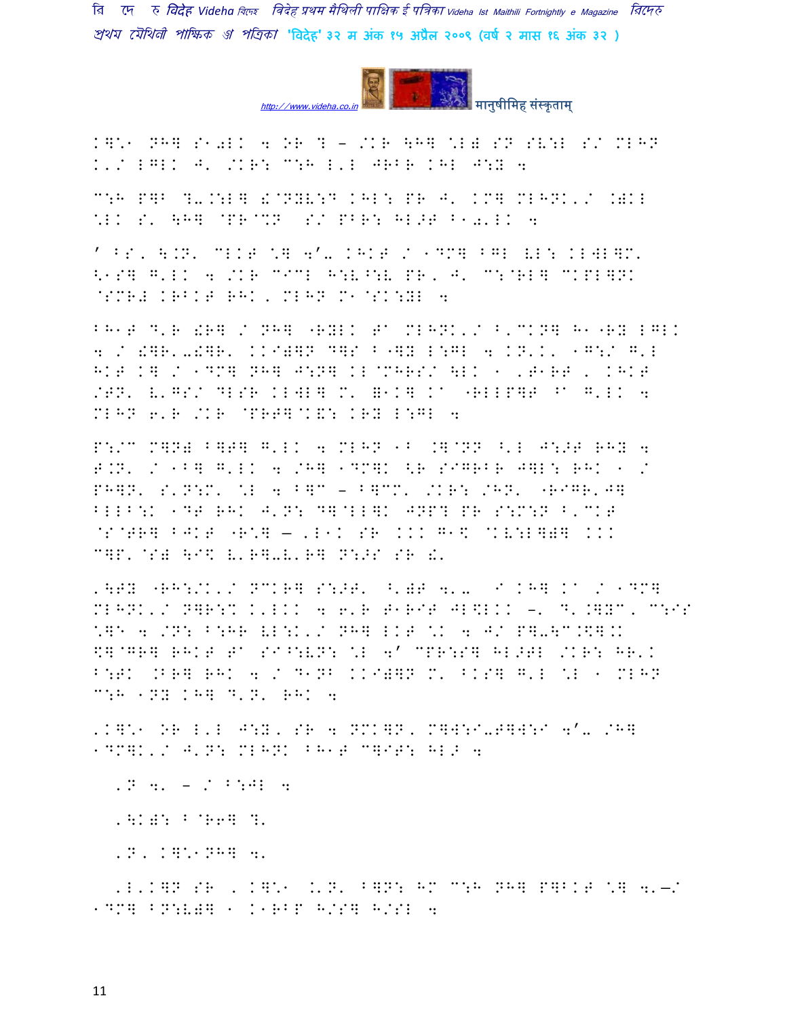

K]\*1 NH] S10LK 4 OR ? – /KR \H] \*L) SN SV:L S/ MLHN K'/ LEGLER JOURNEY TO HELL JOURNEY OF LOCKER

T:H PHP RUSHER CONDITY CHES PR 4. COMPONENT CONDITION \*LK S' \H] @PR@%N S/ PBR: HL>T B10'LK 4

 $\gamma$  and  $\gamma$  as the control of  $\gamma$  and  $\gamma$  and  $\gamma$  is the control of  $\gamma$  and  $\gamma$  and  $\gamma$ SA PORT OF A CAR CONTROLLED BY A CHANGE OF BUILDING @SMR# KRBKT RHK, MLHN M1@SK:YL 4

BHFH D'R BOLEAU (2008) (PAUL GELEID) (BOLGHADD LOCK) A CODDUR AG GELEID EAUE 4 / 288.288. (1948) 982 (983-1980) 100.1000 (982-81) HET KIN Y 1978 PHE PHREID THERS ALL 1 'S REED ' CHER /TN' V'GS/ DLSR KLWL] M' =1K] Ka "RLLP]T ^a G'LK 4 MARK 6'R /KR & PRING 1990 AND 1990 AND 1990 AND 1990 AND 1990 AND 1990 AND 1990 AND 1990 AND 1990 AND 1990 AND

PS/C MARE FARA ALL 6 MLAR 18 SAMPLE 1B 4500 BAD 6 T.N' / 1B] G'LK 4 /H] 1DM]K <R SIGRBR J]L: RHK 1 / PH]N' S'N:M' \*L 4 B]C – B]CM' /KR: /HN' "RIGR'J] BLLB:K 1DT RHK BELL-BELL, DIE STERNE JAAR DIE DIE GESTEL IN DIE SOOS DIE GESTELDE GESTELDE GESTELDE GESTELDE G  $\mathcal{L}(\mathcal{L}(\mathcal{D},\mathcal{D},\mathcal{D}))$  and  $\mathcal{L}(\mathcal{D},\mathcal{D})$  . Then  $\mathcal{L}(\mathcal{D},\mathcal{D})$  . Then  $\mathcal{L}(\mathcal{D},\mathcal{D})$ C'HEADLAIR (1989) (1989) (1989) (1989) (1989) (1989) (1989) (1989) (1989) (1989) (1989) (1989) (1989) (1989) (<br>C'HEADLAIR (1989) (1989) (1989) (1989) (1989) (1989) (1989) (1989) (1989) (1989) (1989) (1989) (1989) (1989)

:AAB: \BR:/K'/ PT:PB (1998) | 1DM A.W | 1DMB (1000) 1PM MLARIY/ NARAT ILEID A 6.R PARTA ALKOI –, D. CAO'L TIMI \*]E 4 /N: B:HR VL:K'/ NH] LKT \*K 4 J/ P]-\C.\$].K \$100 PRESS TEACHER TAN SINIS SINIS AND CRIMINAL CONTINUES. THE CONTINUES IN A SINIS AREA OF THE CONTINUES OF M B:TK .BR] RHK 4 / D1NB KKI)]N M' BKS] G'L \*L 1 MLHN TH 1NY KHI T.H. BHI 4

 $\mathcal{L}(\mathcal{L}(\mathbb{H}(\mathbb{H}(\mathbb{H}(\mathbb{H}(\mathbb{H}(\mathbb{H}(\mathbb{H}(\mathbb{H}(\mathbb{H}(\mathbb{H}(\mathbb{H}(\mathbb{H}(\mathbb{H}(\mathbb{H}(\mathbb{H}(\mathbb{H}(\mathbb{H}(\mathbb{H}(\mathbb{H}(\mathbb{H}(\mathbb{H}(\mathbb{H}(\mathbb{H}(\mathbb{H}(\mathbb{H}(\mathbb{H}(\mathbb{H}(\mathbb{H}(\mathbb{H}(\mathbb{H}(\mathbb{H}(\mathbb{H}(\mathbb{H}(\mathbb{H}(\mathbb{$ 1DM]K'/ J'N: MLHNK BH1T C]IT: HL> 4

'N 4' – / B:JL 4

 $\ldots$  : Box 300  $\ldots$  : Box 300  $\ldots$  : Box 300  $\ldots$  : Box 300  $\ldots$  : Box 300  $\ldots$  : Box 300  $\ldots$  : Box 300  $\ldots$  : Box 300  $\ldots$  : Box 300  $\ldots$  : Box 300  $\ldots$  : Box 300  $\ldots$  : Box 300  $\ldots$  : Box 300  $\ldots$  : Box 30

'N, K]\*1NH] 4'

 'L'K]N SR , K]\*1 .'N' B]N: HM C:H NH] P]BKT \*] 4'—/ 1DM] BN:V)] 1 K1RBP H/S] H/SL 4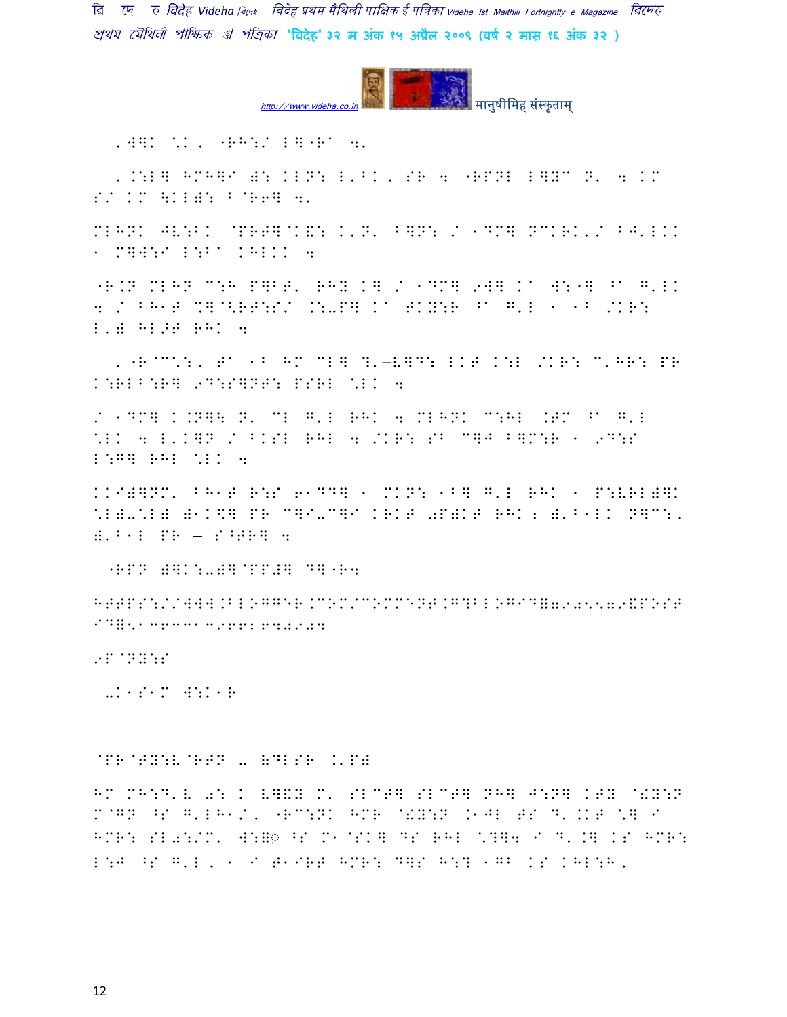

'W]K \*K, "RH:/ L]"Ra 4'

 '.:L] HMH]I ): KLN: L'BK, SR 4 "RPNL L]YC N' 4 KM  $\mathbb{R}^n \times \mathbb{R}^n \times \mathbb{R}^n \times \mathbb{R}^n \times \mathbb{R}^n \times \mathbb{R}^n \times \mathbb{R}^n$ 

MLHNA JAN JAN SERI KAN JAN SERI KAN DI BAGI DAN SERI DAN BERAHAMAN DI SERI DAN BERAHAMAN DI SERI DAN BERAHAMAN 1 M]W:I L:Ba KHLKK 4

"R.N M.N ME R.N ME R.N ME R.N MAGING AN DI PORT AN HIGH SAN WITH A GENERAL AND HIGH SAN WITH A GENERAL AND MA 4 / BH1T SESERIN SATE IN BITH PORT EN A RIVING  $L$ ,  $H$   $H$   $H$   $H$   $H$   $H$   $H$   $H$ 

 $\cdot$  . The complex contribution of the complex contribution of the complex contribution of the contribution of the c K:RLB:R] 9D:S]NT: PSRL \*LK 4

/ 1DM] K.N]\ N' CL G'L RHK 4 MLHNK C:HL .TM ^a G'L \*LK 4 L'K]N / BKSL RHL 4 /KR: SB C]J B]M:R 1 9D:S L:GHL BHL 111 4

KI) KABADIY, SI AHIT BHIT BHITTA 1 MKONI 1 MKO 1 PILE 1 BHIT 1 MCDI 2 BITI BEAGAI \*L)-\*L) )1K\$] PR C]I-C]I KRKT 0P)KT RHK; )'B1LK N]C:, )'B1L PR — S^TR] 4

"RPN )] RPN )] RPN (1999)<br>| RPN (1999) RPN (1999) RPN (1999) RPN (1999)<br>| RPN (1999) RPN (1999) RPN (1999) RPN (1999)

HTTPS://WWW.BLOGGER.COM/COMMENT.G?BLOGID=7905579&POST ID=513633139662640904

9P@NY:S

-K1S1M W:K1R

@PR@TY:V@RTN - (DLSR .'P)

HM MH:D'A WE SLOWER SLOWER SLOWER WHE WINN SLEEP SERVICE MORD AN RUE RACIO ARTISTO ADROTISED DA ALCENDA OLIGICAL N HORS SLONGOO, HABO AN OR NOTH THE RHL TORRH AT THOUR DE AORD. L:J G'UR, L, I THIRTHE HMR: DHE H:: 1 I THE L: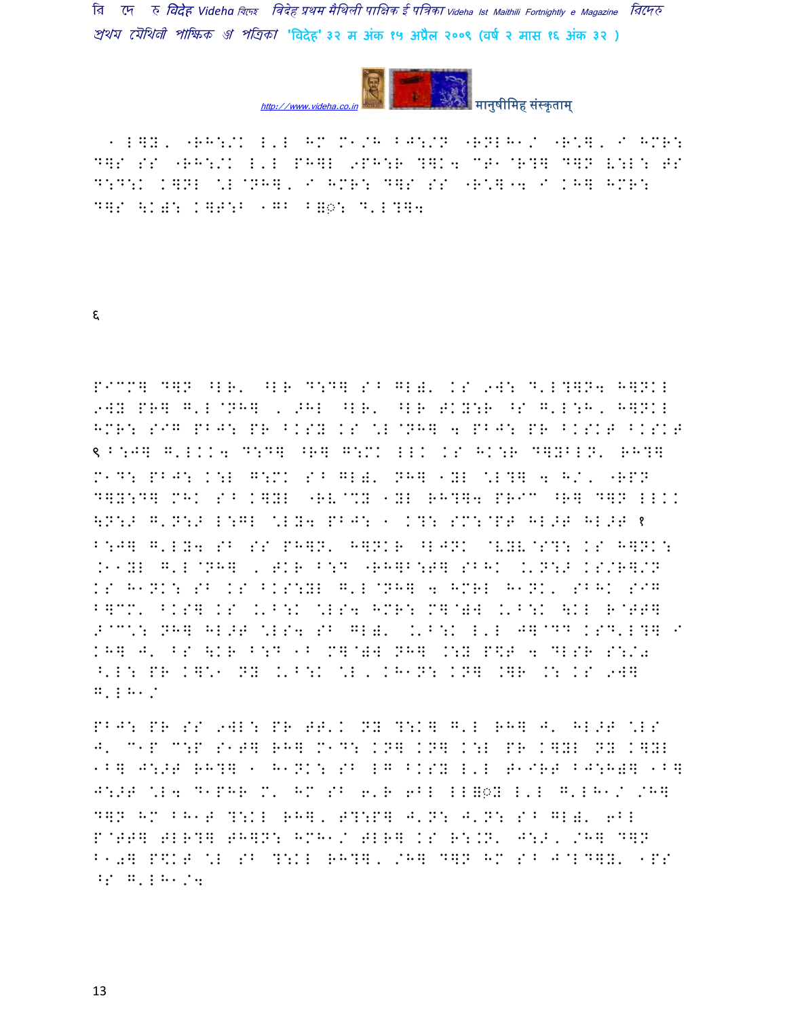ৱি দে <sup>হ</sup> <mark>विदेह Videha</mark> <sub>বিদেহ</sub> ৰিবলৈ *प्रथम मैथिली पाक्षिक ई पत्रिका Videha Ist Maithili Fortnightly e Magazine बिদে*হ õथम मैिथली पािक्षक ई पिñका **'**िवदेह**'** ३२ म अंक १५ अĤैल २००९ (वष र् २ मास १६ अंक ३२ )



 $\overline{X}$  ( )  $\overline{Y}$  ( )  $\overline{Y}$  and  $\overline{Y}$  and  $\overline{Y}$  is the subset of  $\overline{Y}$  and  $\overline{Y}$  is the subset of  $\overline{Y}$  and  $\overline{Y}$  and  $\overline{Y}$  and  $\overline{Y}$  and  $\overline{Y}$  and  $\overline{Y}$  and  $\overline{Y}$  and  $\overline{Y}$  and DARI SI RHILI 9.1 PHAL 2PHIL 4 CALA CHA PAR LIBI 0 D:D:K K]NL \*L@NH], I HMR: D]S SS "R\*]"4 I KH] HMR: DH: K):B 1GB B= DH: DH2} D, LIH:

६

PICM] D]N ^LR' ^LR D:D] S^ GL)' KS 9W: D'L?]N4 H]NKL 9WY PR] G'L@NH] , >HL ^LR' ^LR TKY:R ^S G'L:H, H]NKL HMR: SIG PBJ: PR BKSY KS \*L@NH] 4 PBJ: PR BKSKT BKSKT ९ P:JHB (R.E.C.C.A) (P:PB) (P:ME) (RECORD) (E:C.C.A) (P:C:B) (PH:RECORD) (P+PB) M1D: PBJ: K:L G:MK S^ GL)' NH] 1YL \*L?] 4 H/, "RPN D]Y:D] MHK S^ K]YL "RV@%Y 1YL RH?]4 PRIC ^R] D]N LLKK \N:> G'N:> L:GL \*LY4 PBJ: 1 K?: SM:@PT HL>T HL>T १ B:J.H.H. G'LY4 SB SS PH]N' HIS SS PHONE AND DESCRIPTION OF A SAN ASSAULT AND DESCRIPTION OF A SAN ASSAULT OF A .11YL G'L@NH] , TKR B:D "RH]B:T] SBHK .'N:> KS/R]/N KS H1NK: SB KS BKS:YL G'L@NH] 4 HMRL H1NK' SBHK SIG BATT, BKSPECK .FR .'B:K PTPR TACHE .FR .B: MI POPP >@C\*: NH] HL>T \*LS4 SB GL)' .'B:K L'L J]@DD KSD'L?] I KH, J. B. B:D 1B M. B:D 1B M. B:D 1B M. B:D 1B M. B:D 1B M. B:D 1B M. B:D 1B M. B: ^'L: PR K]\*1 NY .'B:K \*L, KH1N: KN] .]R .: KS 9W]  $H_1$  (  $H_2$  )  $H_3$ 

PBJ: PR SS 9WL: PR TT'K NY ?:K] G'L RH] J' HL>T \*LS J' C1P C:P S1T] RH] M1D: KN] KN] K:L PR K]YL NY K]YL 19 F: RIS PAGE (1990) 19 F RESIS L'ESSERCIA L'ESSERCIA DE L'ANNO 1999 L'ESSERCIA DE L'ESSERCIA DE L' J:>T \*L4 D1PHR M' HM SB 6'R 6BL LL=◌़Y L'L G'LH1/ /H] DRIJ PO PAKA RISTE BART, ARISTE PO PSTPO KATA PE BO BRET P. THRE GREEVER GREEN I ROALS GREEN IS AN ORIGINAL CARE THRI B10] B10] P\$KT (B10) P\$KT (P\$KT P\$KT P\$HD P\$HD P\$HD P\$HD DATE: IPS P\$HD DATE: IPS P\$HD DATE: IPS DATE: IPS DATE: IPS D  $\mathcal{A}$  generates  $\mathcal{A}$  and  $\mathcal{A}$  and  $\mathcal{A}$  and  $\mathcal{A}$  and  $\mathcal{A}$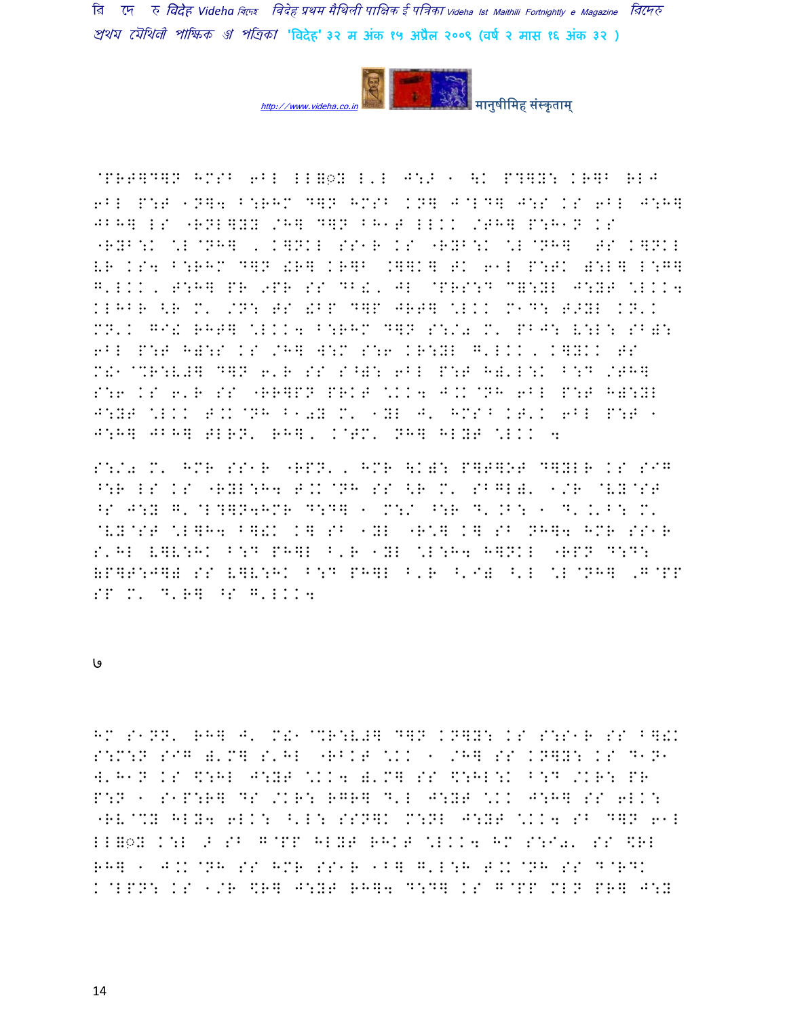

OPREPIPIO HMSB 6PL LLEWOR LLEWING HOW PRINCIPIO DEPARTMENT 6BL P:T 1N]4 B:RHM D]N HMSB KN] J@LD] J:S KS 6BL J:H] JBH] LS "RNL]YY /H] D]N BH1T LLKK /TH] P:H1N KS "RHISE" , ME "DRAN" , KILONESE "RYPH" , KRIK SHIR KS "RIB" , KRIKIN TS KINGLE VR KS4 B:RHM D]N !R] KR]B .]]K] TK 61L P:TK ):L] L:G] GROBIO G'ENR BE GBE SS DARIL @PRSIED CBEBE GEBE NEITH KLHBR START (FRAMEN START) I START (FRAMEN START) I START (FRAMEN START) I START (FRAMEN START) I START (FRAME MNY: GREE MILLE FART THE FILE TO PPP EAR SILE FOR 6BL P:T S KOREA (1995): S KRIGK, KIS KRIGK, KIS (1996): S KRIGK, KIS KRIGK, KIS K MIN MORRIER MAR ALE SO STAR ATE PRE ABLENCING CAPA S:6 KS 6'R SS "RR]PN PRKT \*KK4 J.K@NH 6BL P:T H):YL HYME MEDICAN TRACK T. FME A. PTER DELICATE THRO J:H] JBH] TLRN' RH], .@TM' NH] HLYT \*LKK 4

SS1/2 M. PTR SS1R (RPN), HMR RIBS PRERDE TROOP IS STR ^:R LS KS "RYL:H4 T.K@NH SS <R M' SBGL)' 1/R @VY@ST ^S J:Y G'@L?]N4HMR D:D] 1 M:/ ^:R D'.B: 1 D'.'B: M' @VY@ST \*L]H4 B]!K K] SB 1YL "R\*] K] SB NH]4 HMR SS1R S'L'HE VILRELIGHD OF STATE PHOTOGRAPH DI DE SAHA HROPOET (HETO) DISPITA (P]T:J]) SS V]V:HK B:D PH]L B'R ^'I) ^'L \*L@NH] ,G@PP SP M' D'ALLES AN DIRECTOR

७

HM S1NN, BHE A. MIN VIBALIE MEN COEDA DI SAPI R ST FEID S:M:N SIG )'M] S'HL "RBKT \*KK 1 /H] SS KN]Y: KS D1N1 W'HIST IS THE REPORT OF THE RESIDENCE OF THE RESIDENCE OF THE RESIDENCE OF THE RESIDENCE OF THE RESIDENCE OF T P:N 1 S1P:R] DS /KR: RGR] D'L J:YT \*KK J:H] SS 6LK: "RV@%Y HLY4 6LK: ^'L: SSN]K M:NL J:YT \*KK4 SB D]N 61L LLBOG CA: LA SB GRIEG HLGB BHCB NICKA HM SINGL SS RBE RH] 1 J.K@NH SS HMR SS1R 1B] G'L:H T.K@NH SS D@RDK KOM PRINCIPAL ZE RIGHE ANDRE BAHA (PNPH) CB POPP MLD PRINC PAR (AND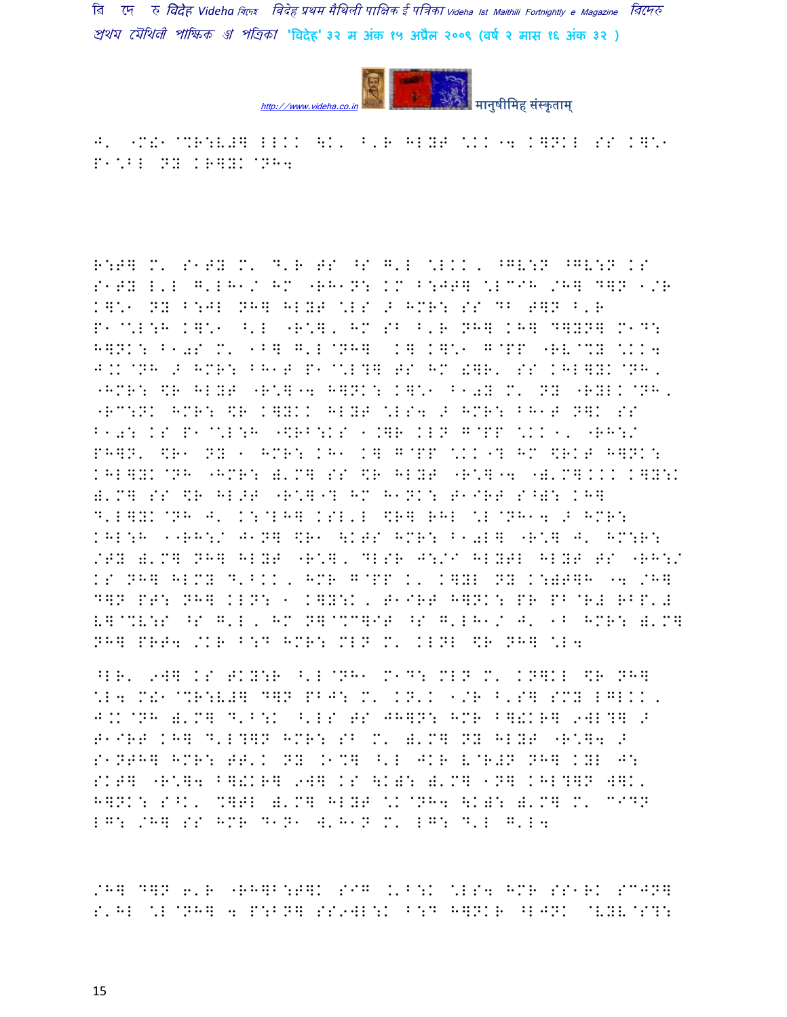

JA, "MIN TIPALAN LEIT AN, A.B HEWA MIT HE FUND SS KEY ANY P1\*BL NY KRISTON AND ANNOUNCE

R:T] M' S1TY M' D'R TS ^S G'L \*LKK, ^GV:N ^GV:N KS STY BOBIER LE GIM HE STYL GEREEN DIT OP THE HIS HIS DISTURBED THAT I DIE DISTURB KALA PI PER SE DA BERGIA DI STATISTICA DI POSTA P1@\*L:H KI#1 & HOME BY KHI\_ "REAL", HOME BY SB BYR NH DIG BYR NHI DIG BYR NH DIG BY H]NK: B10S M' 1B] G'L@NH] K] K]\*1 G@PP "RV@%Y \*KK4 J.K@NH > HMR: BH1T P1@\*L?] TS HM !]R' SS KHL]YK@NH, "HORS" RE "HEBE" (BNR) HIVE "REDIG" (BN) "FYLIB" D. "DB" (BBE) "DR)" "RC:NK HOR: RE:NHR: HER:NER KEP BHF: BH2T NHIT N B10: KS P1@\*L:H "\$RB:KS PRESS IN G@PP \*KK", "RH:// PHER, SR1 PH & PPRS (R) CE POPP AND HIMP SRN HERVS KHLADI YA "HMR: 4.74 SS \$R HLGE" (PNA (4.74))'N (ADD) )'M] SS \$R HL>T "R\*]"? HM H1NK: T1IRT S^): KH] D'L'E ROBO (TORNI) ALL'INCHE D'E COLLECTION DE L'ANNO IN L'ANNO IN L'AUTRO (NELL'AUTRO EN L'AUTRO EN KHL:H " RH:/ J1N] \$R1 \KTS HOR: B10L] "RYS HOR: B10L] "RYSES /TY )'M] NH] HLYT "R\*], DLSR J:/I HLYTL HLYT TS "RH:/ KK NHË HIMY DI KIKK, HMR GOPP KI KIYE KOMPONISHE KYL NY KO D]N PT: NH] KLN: 1 K]Y:K, T1IRT H]NK: PR PB@R# RBP'# BUTTERS ON U.S. AT UUTTER OR U.S. A. (1 ) ATER B.TU NH] PRT4 /KR B:D HMR: MLN M' KLNL \$R NH] \*L4

^LR' 9W] KS TKY:R ^'L@NH1 M1D: MLN M' KN]KL \$R NH] \*L4 M!1@%R:V#] D]N PBJ: M' KN'K 1/R B'S] SMY LGLKK, J.K@NH )'M] D'B:K ^'LS TS JH]N: HMR B]!KR] 9WL?] > TH KHA (PH) P.1988 P.265 F. J. N. 28.28 RESPONSE (PARA 2 S1NTH] HMR: TT'K NY .1%] ^'L JKR V@R#N NH] KYL J: SKTAR "R\*DRIG" PARTIES OF AN HOLD AND THE SAND ARE I HAGO SOK' , GAHE ALGA PEGHON (GAHE ALGA ALGA KON ATO) LG: /H] SS HMR D1N1 W'H1N M' LG: D'L G'L4

/H] D]N 6'R "RH]B:T]K SIG .'B:K \*LS4 HMR SS1RK SCJN]  $\mathcal{L}$  . The state of the state of the state of the state of the state of the state of the state of the state of the state of the state of the state of the state of the state of the state of the state of the state of the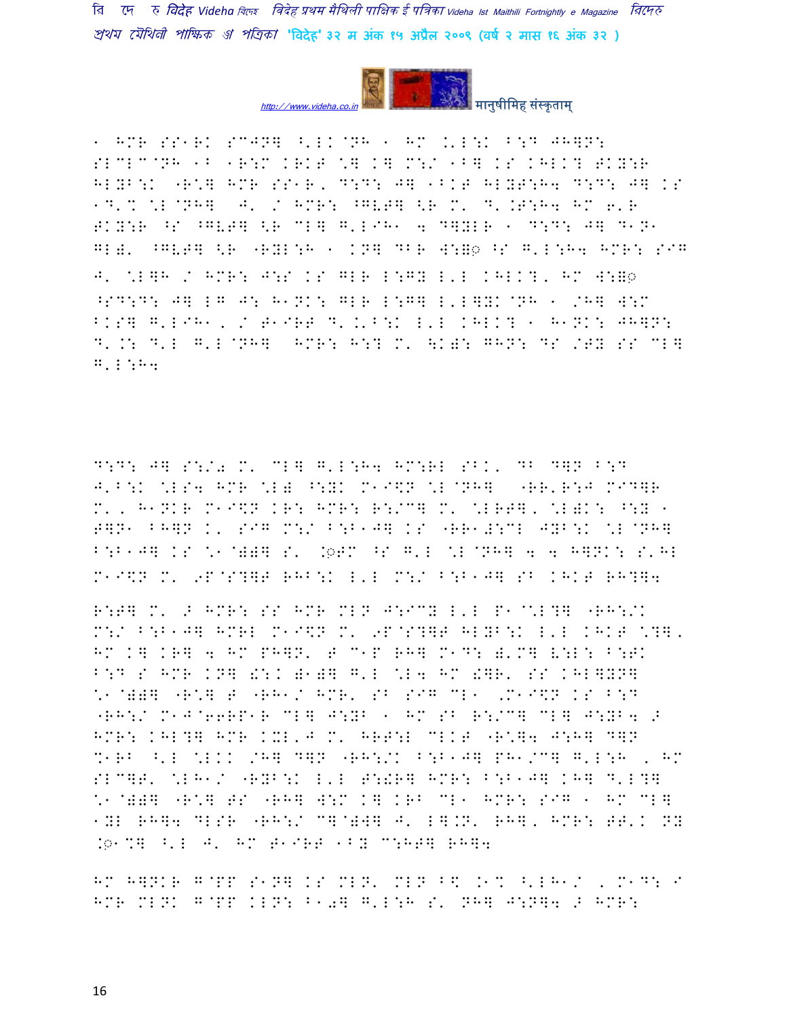http://www.videha.co.in स्ट्रीलिया के स्थानी मानुषीमिह संस्कृताम्

1 HMR SS1RK SCJN] ^'LK@NH 1 HM .'L:K B:D JH]N: SLCLC@NH 1B 1R:M KRKT \*] K] M:/ 1B] KS KHLK? TKY:R HLYB:K "R\*] HMR SS1R, D:D: J] 1BKT HLYT:H4 D:D: J] KS 1D'% \*L@NH] J' / HMR: ^GVT] <R M' D'.T:H4 HM 6'R TKY:R ^S ^GVT] <R CL] G'LIH1 4 D]YLR 1 D:D: J] D1N1 GL) ' GOLDE KE' (BILSH)' (GOL'OGE GYNS G'L'H) LYNG WYNS YVO J' \*L]H / HMR: J:S KS GLR L:GY L'L KHLK?, HM W:=◌़ ^SD:D: J] LG J: H1NK: GLR L:G] L'L]YK@NH 1 /H] W:M BKS] G'LIH1, / T1IRT D'.'B:K L'L KHLK? 1 H1NK: JH]N: D'.: D'AUTORIE, EU D'OPPRO UT PODER L'ANCHE D'OU ALDIER A PROPOS D'AD L'OBBILIZE D'OU RE  $H_1$ : Hange

# D:D: J] S:/0 M' CL] G'L:H4 HM:RL SBK' DB D]N B:D J'B:K \*LS4 HMR \*L) ^:YK M1I\$N \*L@NH] "RR'R:J MID]R M', H1NKR M1I\$N KR: HMR: R:/C] M' \*LRT], \*L)K: ^:Y 1 THIN BHE IS YAR TEN PARKAN IY ABRITI ANDEN IYONN B:B1J] KS \*1@))] S' .◌़TM ^S G'L \*L@NH] 4 4 H]NK: S'HL MISN MORE SON MANUEL BURGER AND THE SALE AND DESCRIPTION

R:T] M' > HMR: SS HMR MLN J:ICY L'L P1@\*L?] "RH:/K M:/ B:B1J] H. B:B1J] H. B:B1J] H. B:B1J] H. B:B1J] H. B:B1J] H. B:B1J] H. B:B1J] H. B:B1J] H. B:B1J] H. B:B1J] HM K] KR] 4 HM PH]N' T C1P RH] M1D: )'M] V:L: B:TK B:D S HAMP CORE (1991) (1991-1992) F. E. (1991-1992) (1991-1992) SS KHL (1991-1992) (1991-1992) (199 \*1@))] "R\*] T "RH1/ HMR' SB SIG CL1 ,M1I\$N KS B:D "RH:/ M1J@66RP1R CL] J:YB 1 HM SB R:/C] CL] J:YB4 > HMR: CHETA HMR COBLA M. HRRNE MECH (RYAN ANHA DAR %1RB ^'L \*LKK /H] D]N "RH:/K B:B1J] PH1/C] G'L:H , HM SLC]T' \*LH1/ "RYB:K L'L T:!R] HMR: B:B1J] KH] D'L?] \*1@))] "R\*] TS "RH] W:M K] KRB CL1 HMR: SIG 1 HM CL] 1YL RH]4 DLSR "RH:/ C]@)W] J' L].N' RH], HMR: TT'K NY .◌़1%] ^'L J' HM T1IRT 1BY C:HT] RH]4

HM HENKR GODD SYDE CY MID, MID B B .1% .1% .1% .1% .1% .1% .1% HMR MLNK G@PP KLN: B10] G'L:H S' NH] J:N]4 > HMR: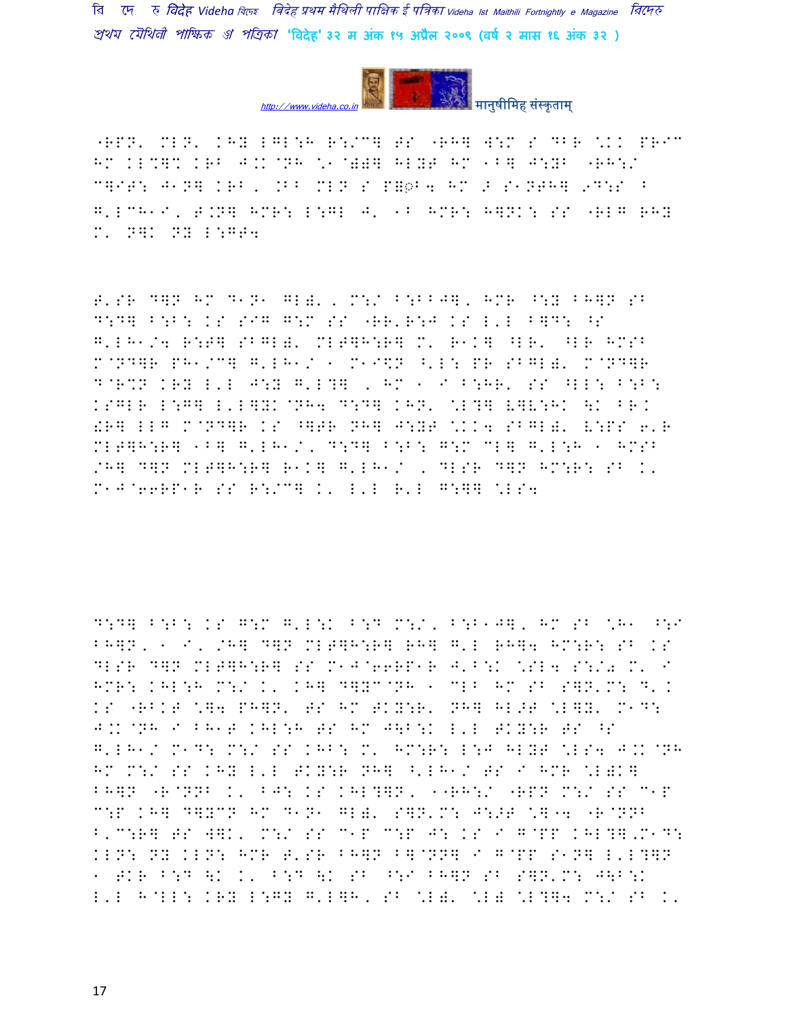

"RPN' MLN' KHY LGL:H R:/C] TS "RH] W:M S DBR \*KK PRIC HM KL%]% KRB J.K@NH \*1@))] HLYT HM 1B] J:YB "RH:/ THAND ANDER LEE . OFFICIER S PHONG HM & SNOWHER STAND B.ETHION, BIDE AMERICAN A. ICH AMRICANEDI II 1B HER BAB M' N' L'HERE (1999) (1999) (1999) (1999) (1999) (1999) (1999) (1999) (1999) (1999) (1999) (1999) (1999) (1999)

T'SR D]N HM D1N1 GL)', M:/ B:BBJ], HMR ^:Y BH]N SB D:DE B:B: KS SIG G:M SS "RRY"R: SS "RRYR:J KS SIG "RESERVED "RESERVED "RESERVED "RESERVED "RESERVED "RESERVED G'LHA/4 RYEN SPRIE, MERNYEN M. RAIN HE, HE AMSB M@ND]R PH1/C] G'LH1/ 1 M1I\$N ^'L: PR SBGL)' M@ND]R DARS DO ROSSER EN LIGIOS DE L'ANNIS I DE L'ANNO 1999, IL VISTO DE L'ANNO 1991 DE L'A KSGLR L:G] L'L]YK@NH4 D:D] KHN' \*L?] V]V:HK \K BR. !R] LLG M@ND]R KS ^]TR NH] J:YT \*KK4 SBGL)' V:PS 6'R MLTERSH:RI 1B:B:B:D: D:DIR B:B: B:B: D:B:B:B:B:B:B: G:B:B: /H] D]N MLT]H:R] R1K] G'LH1/ , DLSR D]N HM:R: SB K' M1J@66RP1R SS R:/C] K' L'L R'L G:]] \*LS4

D:D] B:B: KS G:M G'L:K B:D M:/, B:B1J], HM SB \*H1 ^:I BHQ, 1 I, 7 I, 1999 THI, 2001 RHI RH G. BHQ, ST. SB KS K DESR DER DEFANSEN SS MIJGEREIGE ALFAD NIEG SALA DIE DI HMR: KHL:H M:/ K' KH] D]YC@NH 1 CLB HM SB S]N'M: D'. KS "RBKT#" (1948) AS HM BKING, JPH PEJA (1911) MYTH J.K@NH I BH1T KHL:H TS HM J\B:K L'L TKY:R TS ^S B. EARLY TRING TO SEE IN THE SOME HOME HERE CERE AND THE HM M:/ SS KHY L'L TKY:R NH] ^'LH1/ TS I HMR \*L)K] BH]N "R@NNB K' BJ: KS KHL?]N, ""RH:/ "RPN M:/ SS C1P T:P KHE PHITE AT PHP PHE SHILT: PASS PHE SHAP HOTER B'C'HER: BECHROL TAN EE THE TAN AN IE A PORT INFORMATION KLIN: NY KLAN: HMR T'SR BHIN' BI GARD A BHIN' I GARD I LINN 1 TKR B:D \K K' B:D \K SB ^:I BH]N SB S]N'M: J\B:K L'L H@LL: KRY L:GY G'L]H, SB \*L)' \*L) \*L?]4 M:/ SB K'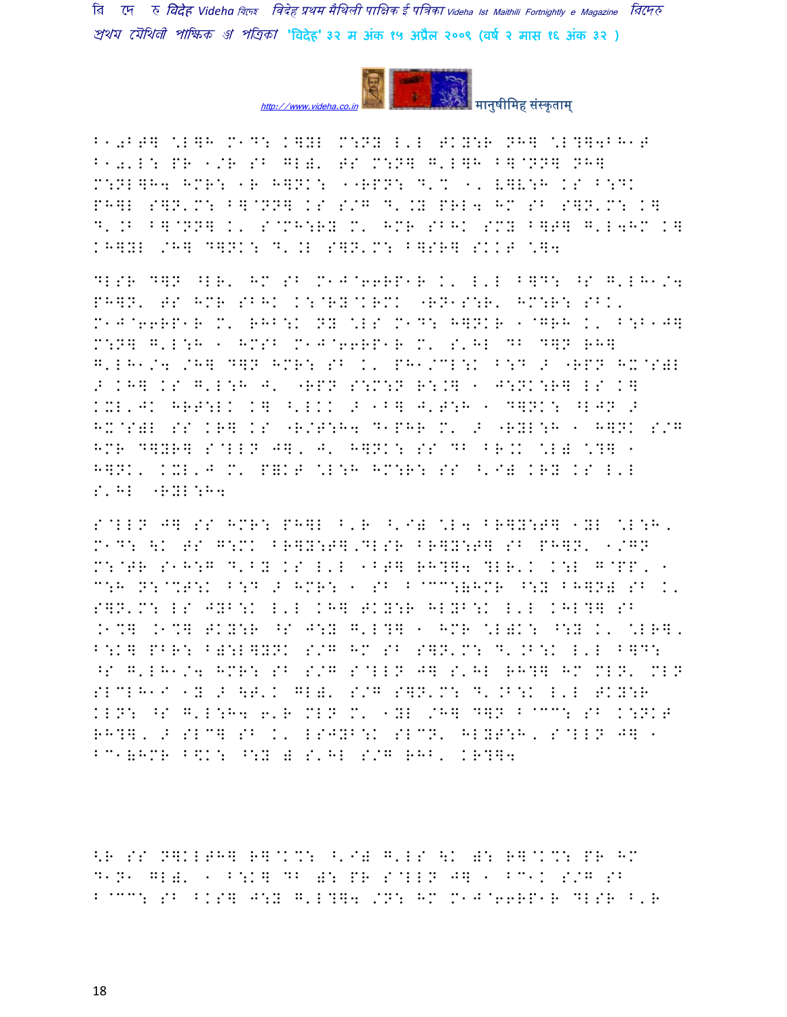िव दिन दि<mark>विदेह Videha</mark> <sub>विफर</sub> विदेह प्रथम मैथिली पाक्षिक ई पत्रिका <sub>Videha</sub> Ist Maithili Fortnightly e Magazine *वि*दिन्ह õथम मैिथली पािक्षक ई पिñका **'**िवदेह**'** ३२ म अंक १५ अĤैल २००९ (वष र् २ मास १६ अंक ३२ )



B10BT] \*L]H M1D: K]YL M:NY L'L TKY:R NH] \*L?]4BH1T B10'L: PR 10'L: PR 10'L: PR 20'LE B, PR 1999 CHE 209 MINE HMR: 1R HEN: "PROVE D'X " RENE DE L'EST PH]L S]N'M: B]@NN] KS S/G D'.Y PRL4 HM SB S]N'M: K] D'.B B]@NN] K' S@MH:RY M' HMR SBHK SMY B]T] G'L4HM K] KH]YL /H] D]NK: D'.L S]N'M: B]SR] SKKT \*]4

DESR DEEL EEN POST WAT GREEFE KONSTITUTE EEN DE EEN DE PH]N' TS HMR SBHK K:@RY@KRMK "RN1S:R' HM:R: SBK' DNA GHEERN BY DUIT BAAIS DOOR ALS MILDIG ARD ARREST BY KOREAN IN LITE AAR HAR. MYSE ALIAN KONZER MANGEREEN MIJ SINE DA DARI RHI G'LE PAUSA (USPE) (PED) PODE ECHNICLI (B'ERN DOS ECHNICLES D'ADE DE DESERTE DE SESEN > KH] KS G'L:H J' "RPN S:M:N R:.] 1 J:NK:R] LS K] KXI: LAN HREN: LONG (LINK: LAN) ANG ANG ANG PANGANG ANG APO HX SOLET OOK "CHRIJOON" (HINGHAM MY PHR MOL) OP "HHIE NA "HIRRI" OON PUR HOR DRIERR SOLLIER HR, J. HINK: SS DRIERR FR, DRIE NIE DAAR H HARD, ISB, A D. PEDA NEGA ADGAN YE KI KAT DAR DE KETE ST. REAL THEORY

SS MEERS HART SPECIES HET BRITISHED AND A STRIKE HET BRITISHED AND THE START OF THE UNION OF THE UNION OF THE M1D: \K TS G:MK BR]Y:T],DLSR BR]Y:T] SB PH]N' 1/GN M: GR S1H:G D. BI KE LI 1994 RH?A ?LR.K KY G@PP, 1 T:H SB:T:H: P:B S BTE: 1 SB B@CC:BED: P:B FHER: 20 C STADY: DIN INS JYB: NO. LO. EN LORA DIN DIN HE DE NO. LO. EN LORE TA SPE  $\mathcal{L} \subset \mathcal{L}$  . The set of  $\mathcal{L} \subset \mathcal{L}$  is the set of  $\mathcal{L} \subset \mathcal{L}$  . Then  $\mathcal{L} \subset \mathcal{L}$ B:K] PBR: B):L]YNK S/G HM SB S]N'M: D'.B:K L'L B]D: ^S G'LH1/4 HMR: SB S/G S@LLN J] S'HL RH?] HM MLN' MLN SLCLAND I DALL HEN SOM SHENDE AN DIE LIGE BIGH KLAN: G'ALINA 6'R MLAN M' 1919 (BEAR BANN M' 1YL 2 RH?], > SLC] SB K' LSJYB:K SLCN' HLYT:H, S@LLN J] 1 BC1(HMR) B K: HIS SON BOOK RHB' KRY

RE SS NACHARA RANCH RISA ALLE AN WHIPPING TRIAN DNI GROU IN BISKO SALLA JE SE SALLA JE SALAH SALAH SI SEBESARAN DI SEBESARAN DI SEBESARAN DI SEBESARAN DI SEBE BOOT BESIDE AND MINIMAL AND DOCTOR HERE THE RIGH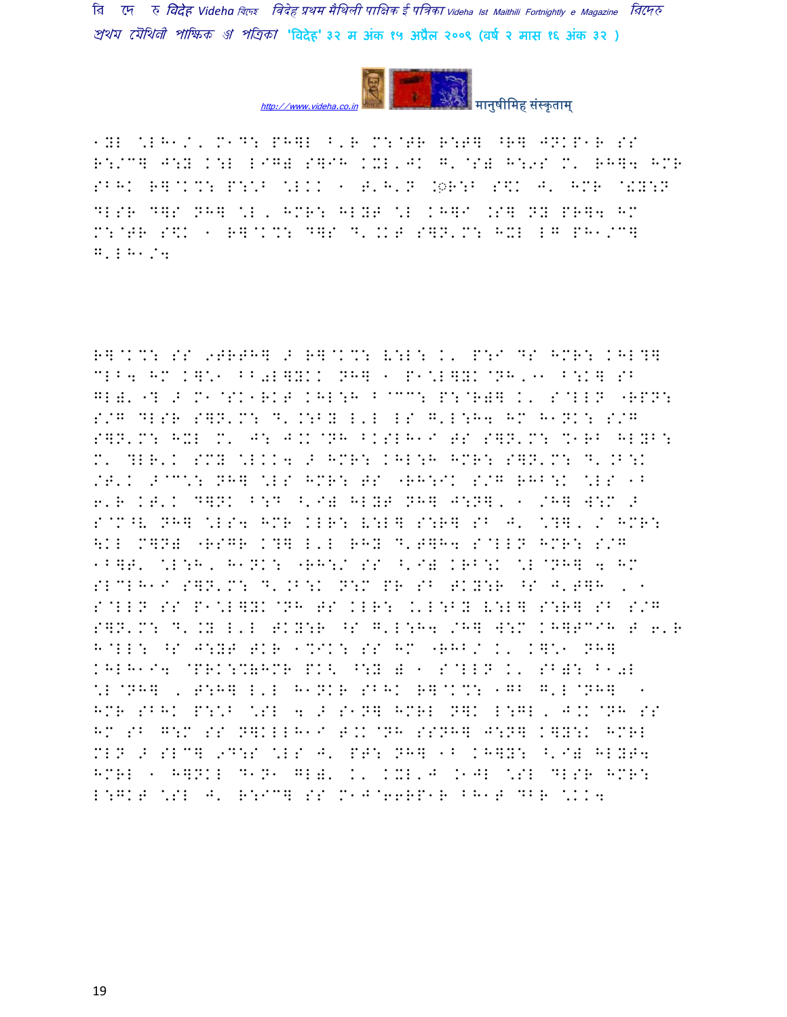

1YL \*LH1/, M1D: PH]L B'R M:@TR R:T] ^R] JNKP1R SS R:/CA P:B C:H (PRE PARA DIE) P: AN CPE P:NS CO. PPAR PCP SBHK R]@K%: P:\*B \*LKK 1 T'H'N .◌़R:B S\$K J' HMR @!Y:N DLSR D]S NH] \*L, HMR: HLYT \*L KH]I .S] NY PR]4 HM M:@TR S\$K 1 R]@K%: D]S D'.KT S]N'M: HXL LG PH1/C]  $H_1$  (  $H_2$  )  $H_3$  (  $H_4$  )

## R]@K%: SS 9TRTH] > R]@K%: V:L: K' P:I DS HMR: KHL?] TERA HO CHO PRAEHOLO DHE 2 P201HOLODH, 22 POLE 27 GL)'"? > M1@SK1RKT KHL:H B@CC: P:@R)] K' S@LLN "RPN: S/G DLSR S]N'M: D'.:BY L'L LS G'L:H4 HM H1NK: S/G SANTI HI: W. HI: J.K. MI: J.K. HI: H.K. HI: SANTI TS S M' ?LR'K SMY \*LKK4 > HMR: KHL:H HMR: S]N'M: D'.B:K /T'K >@C\*: NH] \*LS HMR: TS "RH:IK S/G RHB:K \*LS 1B 6'R KT'K D]NK B:D ^'I) HLYT NH] J:N], 1 /H] W:M > S@M^V NH] \*LS4 HMR KLR: V:L] S:R] SB J' \*?], / HMR:  $\tilde{H}$  . Thus a set of  $\tilde{H}$  is the solution of  $\tilde{H}$  is the solution of  $\tilde{H}$ 1B]T' \*L:H, H1NK: "RH:/ SS ^'I) KRB:K \*L@NH] 4 HM SLCLH1I S]N'M: D'.B:K N:M PR SB TKY:R ^S J'T]H , 1 SOME BURGER SS PLACE AND THE SERVICE BY VIOLENCE IN SERVICE SERVES SOME SAN MINISTER SIN'N TANGGAN DI MANGA KANG MANGA KALENDAR SA SA GALENGA MANGA KANG MANGA MANGA KANG MANGA MANGA HOL: ES J: FE J: FE SE HAN "RHBIL" HOL: HE FE DI LINI DELLI DE REFE KHLH1I4 @PRK: (HMR PKHLHI) 1 SML PKHLHI 2 SML PKHLHI 2 SML PKHLHI 2 SML PKHLHI 2 SML PKHLHI 2 SML PKHLHI  $\Lambda$ E: 1984 ,  $\Lambda$  . His HH (E), E (A) (B) B (SF H) (BHC) 1GB (SF H) 1GB (SF HE) HMR SBHK P:t: SIN 4 J S1N B HMRL BEK P:HE . AN MAR SS HM SB GRI SS NHILLHAN S N MA SSNHH SRNH I HIRI ANNE MLD - SLCH MALL - SPEED - SLC IN FOR HE SPEED - IN STATISTICAL PHOTOGRAPH HMRL 1 H]NKL D1N1 GL)' K' KXL'J .1JL \*SL DLSR HMR: L:GRIE SIE JAL BIETH II DE TRANGER BHAND MIB SILE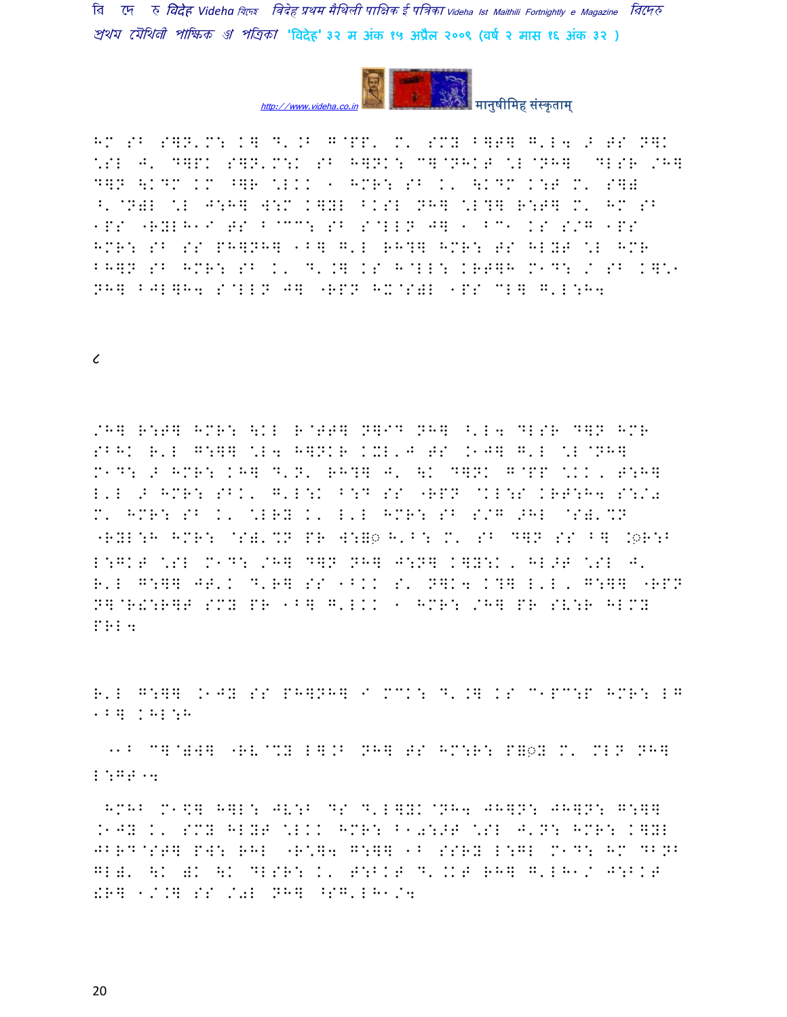

HM SB S]N'M: K] D'.B G@PP' M' SMY B]T] G'L4 > TS N]K \*SL J' D]PK S]N'M:K SB H]NK: C]@NHKT \*L@NH] DLSR /H] D]N \KDM KM ^]R \*LKK 1 HMR: SB K' \KDM K:T M' S]) ^'@N)L \*L J:H] W:M K]YL BKSL NH] \*L?] R:T] M' HM SB 1PS "RYLH1I TS B@CC: SB S@LLN J] 1 BC1 KS S/G 1PS HMR: SB SS PH]NH] 1B] G'L RH?] HMR: TS HLYT \*L HMR BHQ: SB HMR: SB K' D'. OR CE HAIR: CRARE MANA CAN CHL. NH] BJL]H4 S@LLN J] "RPN HX@S)L 1PS CL] G'L:H4

८

/H] R:T] HMR: \KL R@TT] N]ID NH] ^'L4 DLSR D]N HMR SBHK R'L G:] #1999 (SBHK R'HD: B'L CHE AN BE (SHIP) HE (SHIP) #1 D'A PAS (DE ASTARA) D'A HIDRE, A D'ARTHRI ANN AIR D'AN D'AON D'AIR D'AN GRAINNE AIR D'AN D'AN D'AN GRAINNE AIR L'L > HMR: SBK' G'L:K B:D SS "RPN @KL:S KRT:H4 S:/0 MY HMR: SB KY KY MER KY LIL HMR: SB S/G S/G SHL MS  $\sim$  PHI HMR:  $\sim$  My H, TH with H  $\sim$  H  $\sim$  H  $\sim$  H  $\sim$  H  $\sim$  10  $\sim$  H  $\sim$  10  $\sim$ L:GKT \*SL M1D: /H] D]N NH] J:N] K]Y:K, HL>T \*SL J' R'L GRINN AR'L GYRNE YN YN LYKK SYN LYN LLE LONINN ART NA THE SMY PROVIDED AND SOMETHING TO STAND AND THE STANDARD ON THE SUITE OF STANDARD AND THE SUITE OF STANDARD ON THE STANDARD ONLY THE STANDARD ONLY THE STANDARD ONLY THE STANDARD ONLY THE STANDARD ONLY THE STANDARD ONLY PRP :

R'L G:]] .1JY SS PH]NH] I MCK: D'.] KS C1PC:P HMR: LG 1B] KHL:H

 $19.3$  "Higher (PE CID FOR PHONE RIGHT FOR THE NHOLD  $\mathcal{L}$ Little and

 HMHB M1\$] H]L: JV:B DS D'L]YK@NH4 JH]N: JH]N: G:]] .1JY K' SMY HLYT \*LKK HMR: B10:>T \*SL J'N: HMR: K]YL JBRD@ST] PW: RHL "R\*]4 G:]] 1B SSRY L:GL M1D: HM DBNB GRI AN SENIOK DI TERBATAN DI RATA DI DI BAHAN PILEPAN ATTI DE RH 1/18 RI 28 /01 000 100.000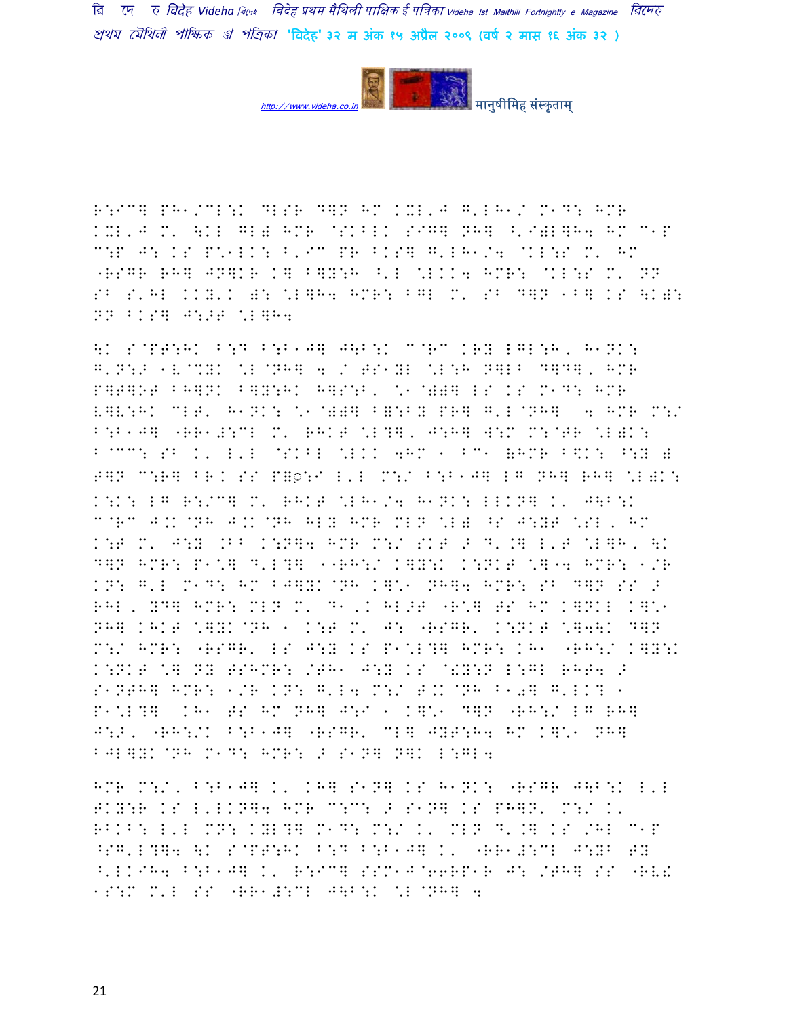

R:IC] PH1/CL:K DLSR D]N HM KXL'J G'LH1/ M1D: HMR K MI N'AL'AN MI NI MI NI MI NI MI NI MI NI MI NI MI NI MI NI MI NI MI NI MI NI MI NI MI NI MI NI MI NI MI NI M C:P J: KS P. C: ST PR BASIS AND A HOME PROPERTY AND A HOME PROPERTY AND A HOME PROPERTY AND A HOME PROPERTY AND "RESTRE GRAN (PIPE) BOOK ROBINS AND CLOCK AND BOOK ON DISCOVERING SB STAR STILL AN MERR PORN FREST, SB DRO FRESH DI RIAN NN BKSIN BKSIN BKSIN

 $\mathbb{R}$  , and the probability of  $\mathbb{R}$  is defined by  $\mathbb{R}$  ,  $\mathbb{R}$  in the probability  $\mathbb{R}$ G'N:> 1V@%YK \*L@NH] 4 / TS1YL \*L:H N]LB D]D], HMR PIDERE BHINK BHOSHI (PHESE), NA MOOD DE LA MARS PIDE V]V:HK CLT' H1NK: \*1@))] B=:BY PR] G'L@NH] 4 HMR M:/ B:B1J] "RR1#:CL M' RHKT \*L?], J:H] W:M M:@TR \*L)K: B@CC: SB KI BI YEN B KEI 4HM 1 BC: BHM FRIS HE B T]N C:R] BR. SS P=◌़:I L'L M:/ B:B1J] LG NH] RH] \*L)K: K:K: LG R:MI M. BHKE MBHZ #PHKI: LLOG ALLA CORC P.K. CHANNEL CHANNEL CHANNEL HOW HER SELL AT K:T M' J:Y .BB K:N]4 HMR M:// SKT 2010 10:00 10:00 10:00 10:00 10:00 10:00 10:00 10:00 10:00 10:00 10:00 10:00 D]N HMR: P1\*] D'L?] ""RH:/ K]Y:K K:NKT \*]"4 HMR: 1/R KORS BIJE OD PS BIJ BJO PARIE OD BJO DRUG DARRE BODES SPO PRID SS DI RHL, YDD HMR: MIR M, M' DI, RIGH, HMR HM KN KONSTANT NHE CHIL NHIL MAN KIGH TO HI HEAR (AND SGREET THE MS: "ROBS" (BERBEL 12 ASS) LE JE DE SI: Y KORA DI RHI "LA "RHIS" K:NKT \* NY TSHMR: /TH1 J:Y KS @ NY TSHMR: /T S1NTH] HMR: 1/R KN: G'L4 M:/ T.K@NH B10] G'LK? 1 P:1198 (PH) AT RT PRE RH: IS NO. 198 (AND ):IR PRE J:>, "RH:/K B:B1J] "RSGR' CL] JYT:H4 HM K]\*1 NH] BJLE WAS STRIKE MOVING AND STRIKE STRIKE

HMR M:/, B:B1J] K' KH] S1N] KS H1NK: "RSGR J\B:K L'L TKY:R KS L'LKN]4 HMR C:C: > S1N] KS PH]N' M:/ K' RBKB: L'L MN: KYL?] M1D: M:/ K' MLN D'.] KS /HL C1P  $\{A,B,C,B\}$  and all  $\{A,B,C,D\}$  are solved by  $\{A,B,C,D\}$  . The second binding  $\{A,B,C,D\}$ ^'LKIH4 B:B1J] K' R:IC] SSM1J@66RP1R J: /TH] SS "RV! 1S:M M'L SS "RR1#:CL J\B:K \*L@NH] 4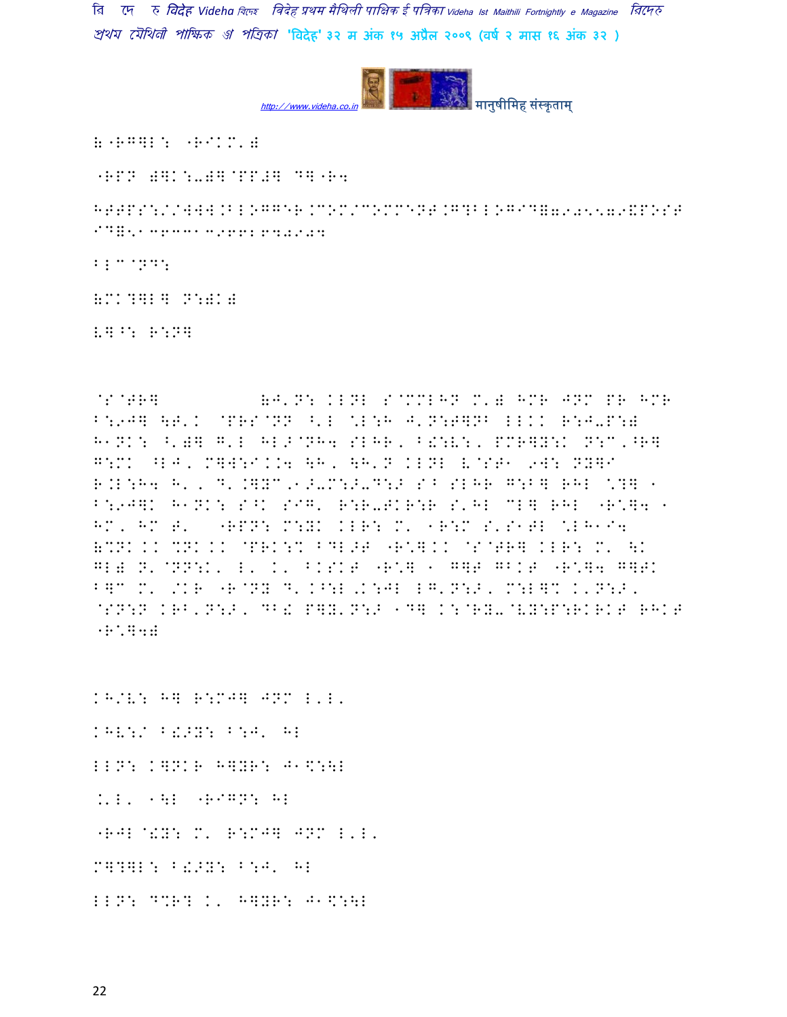

 $\vdots$   $\vdots$   $\vdots$   $\vdots$   $\vdots$   $\vdots$   $\vdots$   $\vdots$ 

 $R$  ,  $R$  ,  $R$  ,  $R$  ,  $R$  ,  $R$  ,  $R$  ,  $R$  ,  $R$  ,  $R$  ,  $R$  ,  $R$  ,  $R$  ,  $R$  ,  $R$  ,  $R$  ,  $R$  ,  $R$  ,  $R$  ,  $R$  ,  $R$  ,  $R$  ,  $R$  ,  $R$  ,  $R$  ,  $R$  ,  $R$  ,  $R$  ,  $R$  ,  $R$  ,  $R$  ,  $R$  ,  $R$  ,  $R$  ,  $R$  ,  $R$  ,  $R$  ,

HTTPS://WWW.BLOGGER.COM/COMMENT.G?BLOGID=7905579&POST ID=513633139662640904

BLC POSTS

(MK?]L] N:)K)

1971 P178

@S@TR] (J'N: KLNL S@MMLHN M') HMR JNM PR HMR B:10-AB: BB: 10 (1883) 1880 (P. E. M. 1896) A. STERBER (EEI) 10: B14.814. H1NK: ^')] G'L HL>@NH4 SLHR, B!:V:, PMR]Y:K N:C,^R] G:MA O: MA ALL, O DE ESPIGOLE EN L'A HALJ, DI COO DE L'A CHANL VA ESTIGEERO R.L:H4 H', D'.]YC,1>-M:>-D:> S^ SLHR G:B] RHL \*?] 1 B:0JAR: R-RIG' R:R-TKR: RGBLA:R BGB R:RE "R#" RHE "B514 1 HM, HM TE, "PERMITTED CIEN CONTROL FER CONTROL CITY (%NK.. %NK.. %NK.. @PREST "ROOM") #PRAISE "RY "RENT "RENT" "RENT" "RENT GL) AN MONT "REAL" IN STRIKT "RATH" "REAL" "REAL" (1990) IN GREAT "REAL" (1991) IN G BET T. VIE 'B'TE T. L'A LG'E LES PAR L'INEET LLTAR. @SN:N KRB'N:>, DB! P]Y'N:> 1D] K:@RY-@VY:P:RKRKT RHKT  $R$ 

KH/V: H] R:MJ] JNM L'L' **KHU:// BEIL:// B:// HE:// HE:// HE:// HE:// HE:// HE:// HE:// HE:// HE:// HE:// HE:// HE:// HE:// HE:// HE://** LLN: CANIE HANG H. WING  $\ldots$  .  $\ldots$  . Hence  $\ldots$ "RJL@!Y: M' R:MJ] JNM L'L' M]?]L: B!>Y: B:J' HL LLPN: PTRT I. (PHIRM: PHIMR)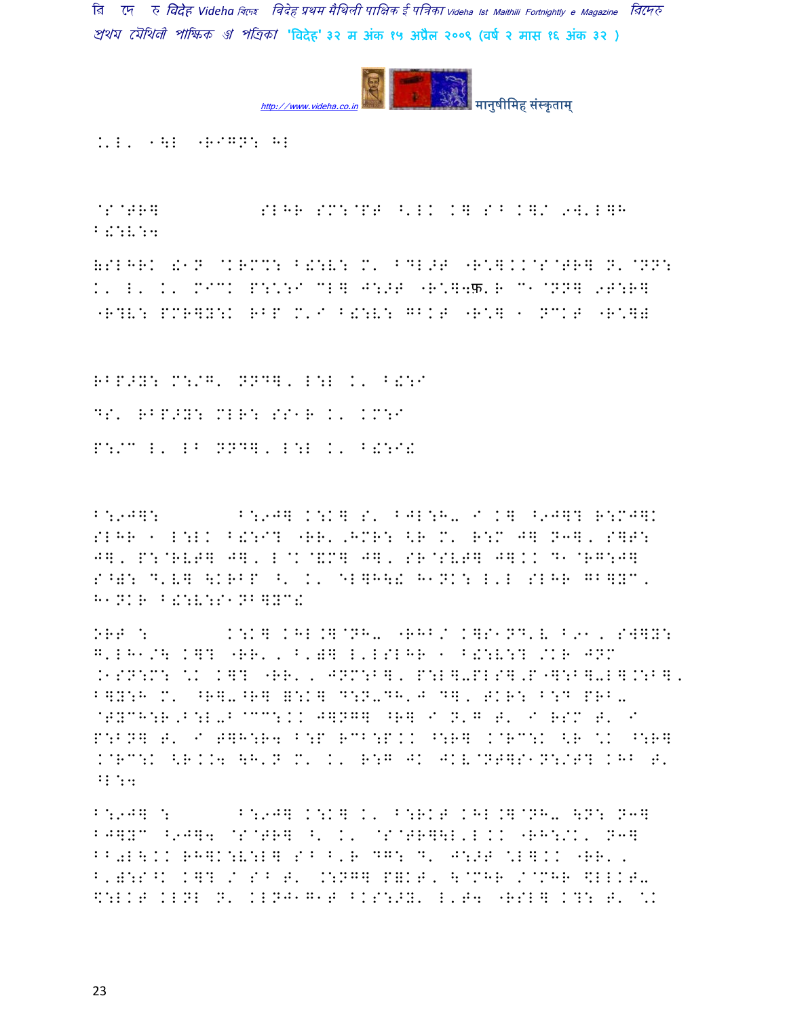

 $L: \longrightarrow H$  :  $H \rightarrow H$ 

DE TRIPE SLOH SLOH STERE BETWEEN THE SLIGHT OF BUILDING SERIES B!:V:4

(SLHRK !1N @KRM%: B!:V: M' BDL>T "R\*]..@S@TR] N'@NN: K' L' K' MICK PERSON PER ANJE (BRIEGE BONDER DENER  $R$  results and the matrix of the state  $R$  and  $R$  is given the set  $R$ 

RBP: MINDS, MORTH, LIE K. PER DS' REPORT OF THE STATE OF THE STATE OF THE STATE OF THE STATE OF THE STATE OF THE STATE OF THE STATE OF THE S P:/C L' LB NND], L:L K' B!:I!

B:9JA##1 B:9J]: B:9JA## 1 112# 312 | B:4H:9HL: A:1 # | B:4### | B:174#1  $S1999 \times 1000$  for the series of the series of  $R$  and  $R$  and  $R$  and  $R$ J], P:@RVT] J], L@K@&M] J], SR@SVT] J].. D1@RG:J] SO FAIRS ON EL HISPANY (F. L. S.), COLL SHE GBD AN DILINE (EL)HOUSE HISPANY GET HINNE HITH BEEL BEEL BEEL

ORT : K:K] KHL.]@NH- "RHB/ K]S1ND'V B91, SW]Y: G'L'E AR VIAIL (1999). "A'LE L'E LE BELIA B'AN C'AILE EN D'AN GERMANY I VIAIL ANN AN D'AIL .1SN:M: \*K K]? "RRI, J. SN:M: PROTHER, P. P. B. P. B. P. B. P. B. B. B. D. B. B. D. B. B. D. B:H BIGHT ON THE MELTING ON THE MISSING OF THE LOCAL DISTRIBUTION OF THE LOCAL DISTRIBUTION OF THE LOCAL DISTR @TYCH:R,B:L-B@CC:.. J]NG] ^R] I N'G T' I RSM T' I P:BN] T: P: P: PH:R4 B:P: P: P: RIC: P:P: RO: RIC: K & RO: P:P: .@RC:K <R..4 \H'N M' K' R:G JK JKV@NT]S1N:/T? KHB T'  $\mathcal{H}:A\rightarrow A$ 

B:9J] : B:9J] K:K] K' B:RKT KHL.]@NH- \N: N3] BJANDY (PARNE SESPEN P. L. SESPENHELICI (PARSILL PAR BOL: RHIK: D'ARRI, DECERT ET POLITICI DE PRIME POLITICI DE DECITI DE BELLON. "PRESENTE B'):S^K K]? / S^ T' .:NG] P=KT, \@MHR /@MHR \$LLKT- \$:LLF KLND BKS: KLND-PHF FOR HAND BKS: HANDER ON BKS: TO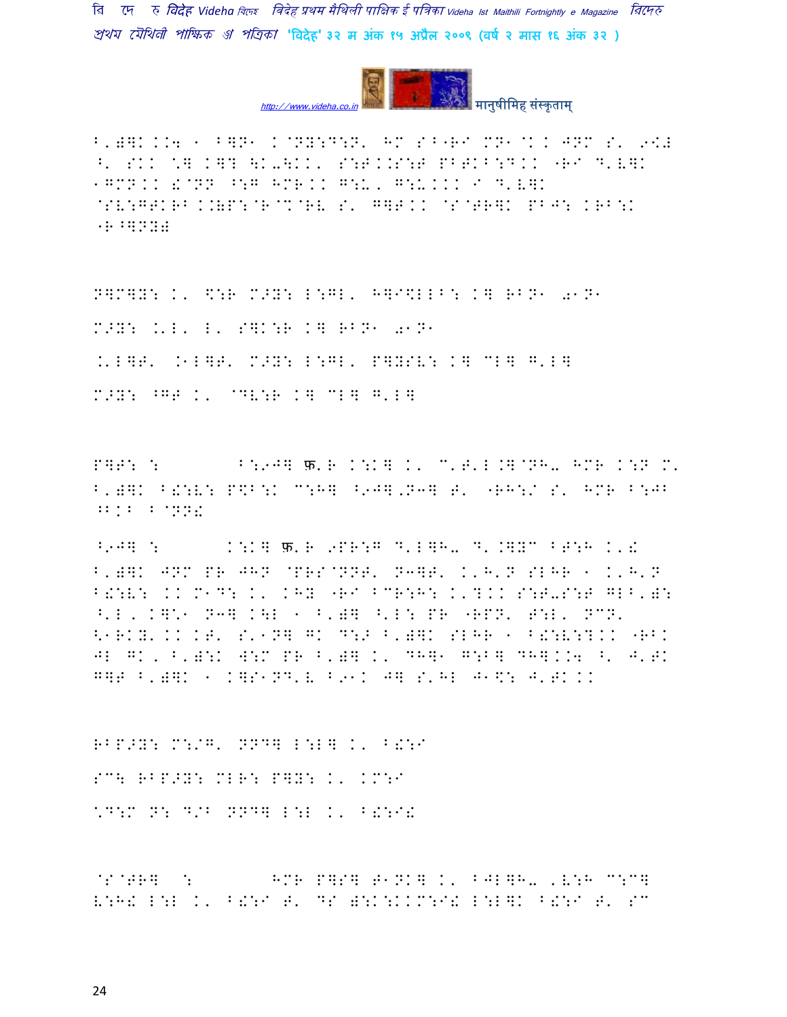

B.ANY:D:N FREE CORDONAL AT PROPER CONSTRUCTS. SO  $\{X_n\}_{n\in\mathbb{N}}$  (see the security of problems from property or problems for 1GMN.. !@NN ^:G HMR.. G:U, G:U... I D'V]K @SV:GTKRB..(P:@R@%@RV S' G]T.. @S@TR]K PBJ: KRB:K  $R$   $\ddots$   $R$   $\ddots$   $R$   $\ddots$   $R$   $\ddots$ 

NATHAN II RIB TAAN 1948. KAAN HIKU HISLI HI M>Y: .'L' L' S]K:R K] RBN1 01N1 .'L]T' .1L]T' M>Y: L:GL' P]YSV: K] CL] G'L] M>Y: ^GT K' @DV:R K] CL] G'L]

PART : B:9J] REPORT FOR THE CONTROL CONTROL AND CONTROL B.181 BE:K: PD:K: MAN B:H,PH: B. HAN: K. HMR B:H  $\mathcal{B}(\mathcal{B})$  by a subset of  $\mathcal{B}(\mathcal{B})$ 

^9J] : K:K] फ़'R 9PR:G D'L]H- D'.]YC BT:H K'! B', AND AND AND MONDAY COMPATING TO ALTERNATIVE CONT BEILS IN MATH IN THE HER PTEAK INTITY FOR EXECTE THE WAY ^'L, K]\*1 N3] K\L 1 B')] ^'L: PR "RPN' T:L' NCN' RKY BOLDONIC CONTROL SOMETIME TO THE RELATED THE HISTORY OF GENERAL CONTROL. JAL AN 1 GENERAL BELIAUSE IN DARK AN DER DARING BILLANDI GREET BELIEVE STEER DIE STAATSTE STEER GESTELDE STEER

RBP: MORE PRODUCED IN THE RESIDENCE OF A STRAIGHT CONTINUES.  $\mathcal{S}$  , and the scale of  $\mathcal{S}$  , and  $\mathcal{S}$  , and  $\mathcal{S}$  , and  $\mathcal{S}$  , and  $\mathcal{S}$  , and  $\mathcal{S}$ \*D:M N: D/B NND] L:L K' B!:I!

@S@TR] : HMR P]S] T1NK] K' BJL]H- 'V:H C:C] V:H! L:L K' B!:I T' DS ):K:KKM:I! L:L]K B!:I T' SC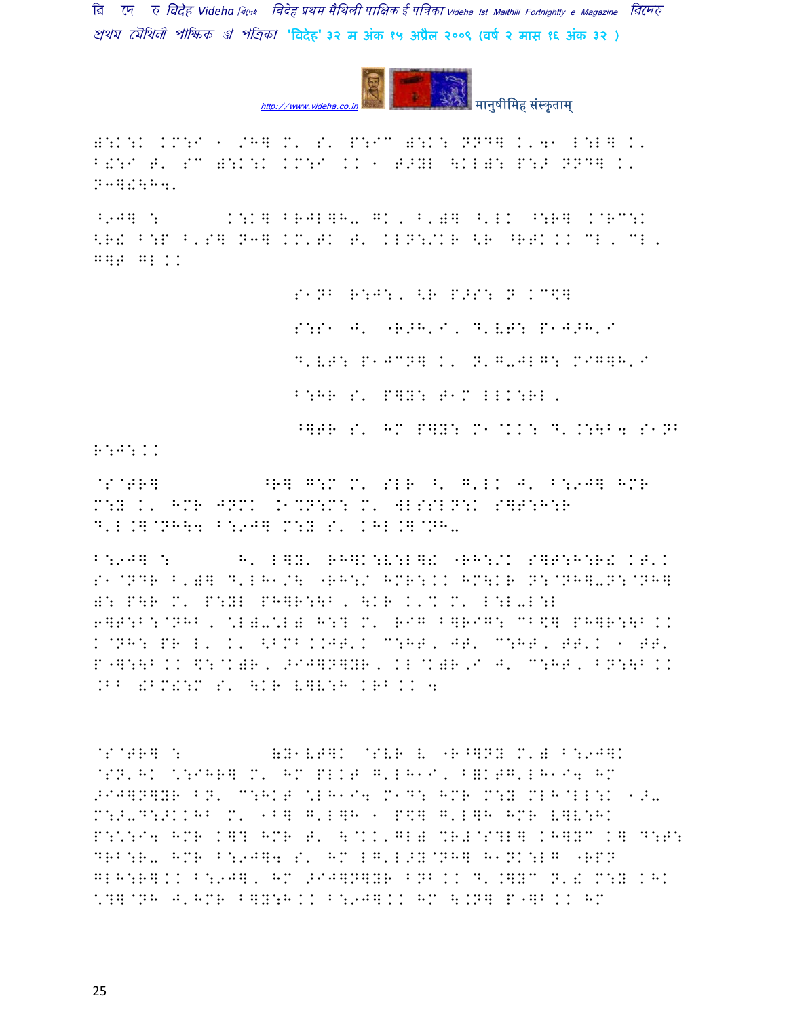

):K:K KM:I 1 /H] M' S' P:IC ):K: NND] K'41 L:L] K' B!:I T' SC ):K:K KM:I .. 1 T>YL \KL): P:> NND] K'  $13.444441$ 

^9J] : K:K] BRJL]H- GK, B')] ^'LK ^:R] .@RC:K RED PER PORT PARTICULE OF A SERIES OF HER CLIPS OF A Bay St.

> SNB R:H:, SP PACE 2 (2008) S:S1 J' "RIGHT", T. BER PORTH, C D'IE: PATH () RAGAIN (2000) B:HR S' PHIN HAT BICHEL, ^]TR S' HM P]Y: M1@KK: D'.:\B4 S1NB

**R:A:** 

@S@TR] ^R] G:M M' SLR ^' G'LK J' B:9J] HMR M:Y K' HMR JNMK .1%N:M: MY WHIPE .1%N:MI D'L.]@NH\4 B:9J] M:Y S' KHL.]@NH-

B: NORTH (NET LATER LATER SERVED NE HE LATERNIAN SERVEN SERVED STATES SN MORDR BY, BONDR BY, HANSIL HORIST HORIST AND MORDRED MANUFACTURE ): P\R M' P:YL PH]R:\B, \KR K'% M' L:L-L:L 6]T:B:@NHB, \*L)-\*L) H:? M' RIG B]RIG: CB\$] PH]R:\B.. KONH: PR L' K' K'T'KIHA. TIHA, HA, TIHA, AR. JA. YT, J P-9160 II C: D: NAD, JP-92938, KLO BN: N B, TGG (FOGG II .BB !BM!:M S' \KR V]V:H KRB.. 4

@S@TR] : (Y1VT]K @SVR V "R^]NY M') B:9J]K @SN'HK \*:IHR] M' HM PLKT G'LH1I, B=KTG'LH1I4 HM >IJ]N]YR BN' C:HKT \*LH1I4 M1D: HMR M:Y MLH@LL:K 1>- M:B.MY:D:+P M. PP\$ M.ESH P PRS M.ESH AMR ESHIP P:\*:I4 HMR K]? HMR T' \@KK'GL) %R#@S?L] KH]YC K] D:T: DRB:R- HMR B:9J]4 S' HM LG'L>Y@NH] H1NK:LG "RPN BEAGEBOO FGLABL: AD: JAPABEBE FDFOO PLOBED DLE DGB OAD \*?]@NH J'HMR B]Y:H.. B:9J].. HM \.N] P"]B.. HM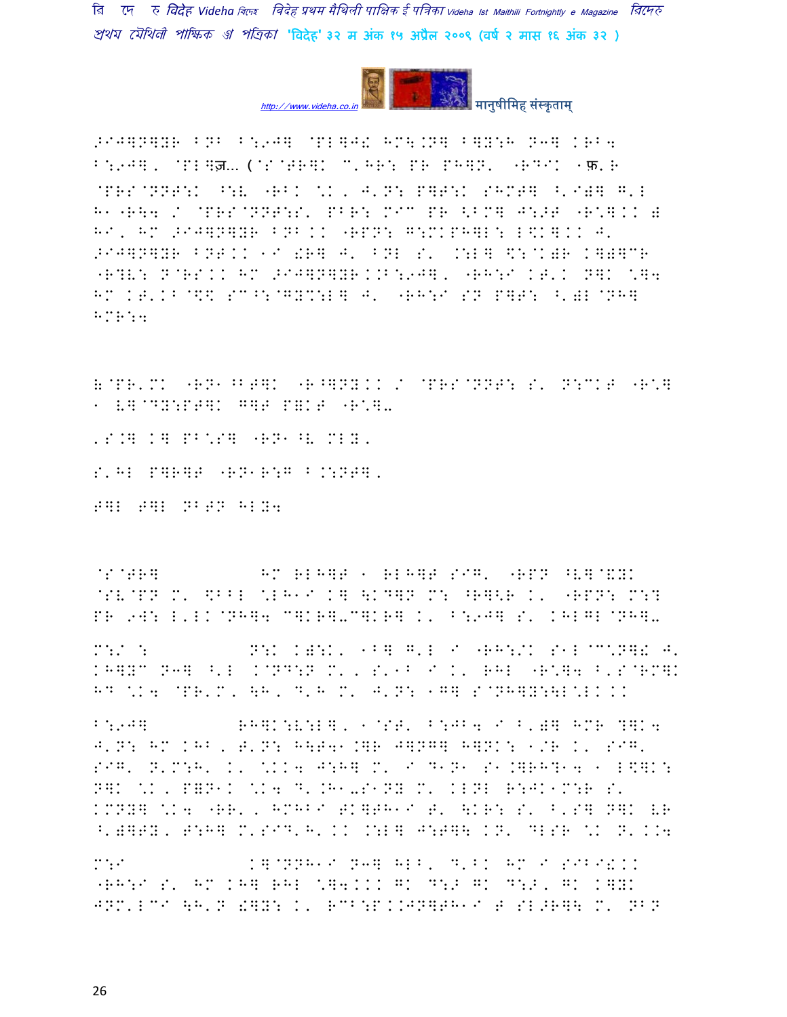

>IJ]N]YR BNB B:9J] @PL]J! HM\.N] B]Y:H N3] KRB4 B:9J], @PL]ज़... (@S@TR]K C'HR: PR PH]N' "RDIK 1फ़'R @PRS@NNT:K ^:V "RBK \*K, J'N: P]T:K SHMT] ^'I)] G'L Ho GRAN IN THE TRANSLY PRESS IN THE SPIRE AND PRINCIPLE ( HI, HM >IJ]N]YR BNB.. "RPN: G:MKPH]L: L\$K].. J' >IJ]N]YR BNT.. 1I !R] J' BNL S' .:L] \$:@K)R K])]CR "RETER" D'IRECT (AV ) AZ ANGURENT RISHAL, "RHIR" (B.T. DAI) (194  $\#T$  ,  $\#T$  ,  $\#T$  ,  $\#T$  ,  $\#T$  ,  $\#T$  ,  $\#T$  ,  $\#T$  ,  $\#T$  ,  $\#T$  ,  $\#T$  ,  $\#T$  ,  $\#T$  ,  $\#T$  ,  $\#T$  ,  $\#T$  ,  $\#T$  ,  $\#T$  ,  $\#T$  ,  $\#T$  ,  $\#T$  ,  $\#T$  ,  $\#T$  ,  $\#T$  ,  $\#T$  ,  $\#T$  ,  $\#T$  ,  $\#T$ HMR:4

(@PRESURD) - RN21-RT (@RN1-RN1-R2000). SY NY. PRENC' PROPERTY AN INDEXERNED 1 V]@DY:PT]K G]T P=KT "R\*]-

 $\sim$  The parameter  $\sim$  The parameter  $\sim$ 

S' HI PHINE SHIP "RING" "RING",

THE TELEVISION OF THE TELEVISION

@S@TR] HM RLH]T 1 RLH]T SIG' "RPN ^V]@&YK @SV@PN M' \$BBL \*LH1I K] \KD]N M: ^R]<R K' "RPN: M:? PR 9W: L'LK@NH]4 C]KR]-C]KR] K' B:9J] S' KHLGL@NH]-

M:/ : N:K K):K' 1B] G'L I "RH:/K S1L@C\*N]! J' KH]YC N3] ^'L .@ND:N M', S'1B I K' RHL "R\*]4 B'S@RM]K HO AND A MIRICA HE WORK ON HIS PROPERTY OF THE MONEY OF LANGUARY OF THE MINIMUM OF THE MINIMUM OF THE UNION OF

B:9J] RH]K:V:L], 1@ST' B:JB4 I B')] HMR ?]K4 J'N: HM KHB, T'N: H\T41.]R J]NG] H]NK: 1/R K' SIG' SIG' N'AO AIRE AN ANN SIG' A' I D' I D' I D' I D' I D' I D' I D' N]K \*K, P=N1K \*K4 D'.H1-S1NY M' KLNL R:JK1M:R S' KOTA SE KAMA TARI, HITA TANG TANG PALANG TANG IKAN SA TANG IKAN SA SA SA SA TANG IKAN SA SA SA SA SA SA SA SA ^')]] THE RESPONSE RECORDS TO A SUBSEXT A SHARE TO DUING THE RELATION OF LIGHTING TO DRIVE THE RELATION TO DRI

M:I K]@NNH1I N3] HEBER HOMES DESCRIPTION OF A SIBIL. "HH:I S' HT I HE RHL (184111 MI) MIR MI MIR, MI (1831 JADI LEITY (AR) D'ALBERT I L'ATTERE L'OPDBARK Y AT SE DABBROIT, COP D'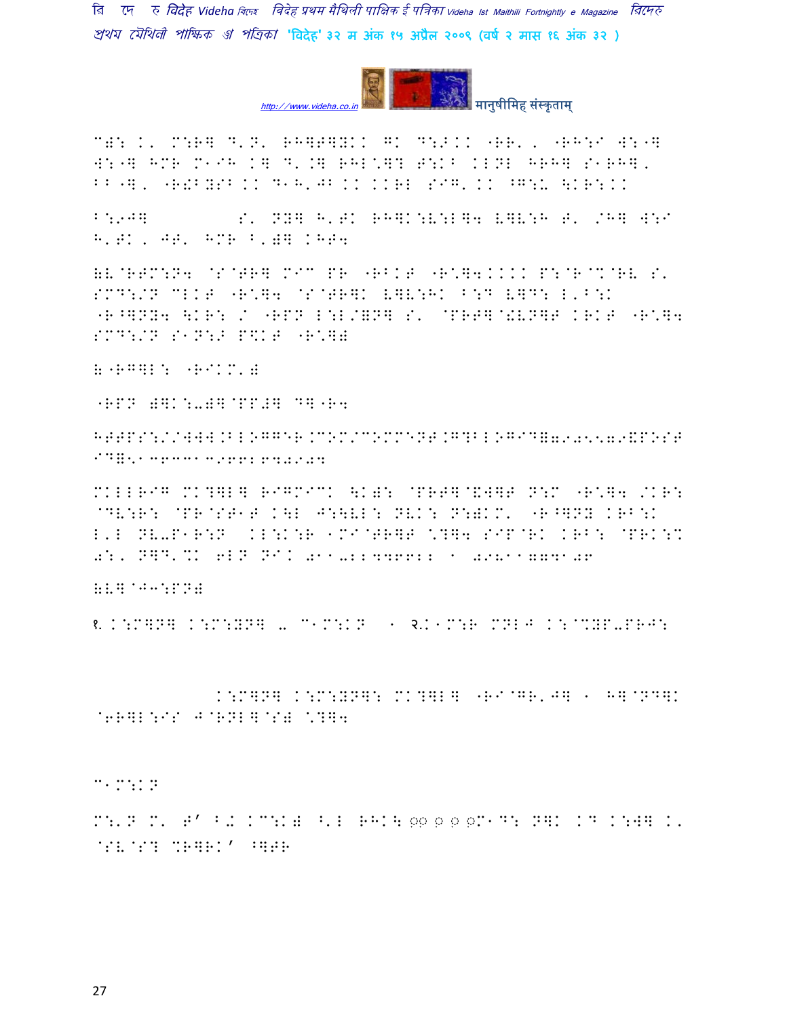

CAS C): MYRE C, R. PREPERT OR CONFIDENT (PRINT C) W: HOR MINIH KILDE RHISHI BILI DI.I RHHE S1RHE, BB" HE , "HEREBER II" HOW, HE II IIBE (EVAL II) (AASTERII)

B:9J] S' NY] H'TK RH]K:V:L]4 V]V:H T' /H] W:I H.H., HR, HTR B.AN (HP)

(BE TRACTORY) (SOMER ROCK PR "PRACES") ARIZANIC COLORIENT TRE "RIC" SMOR:/N CLATH "RTHE "RELESS AND PROVINCE BILL  $R^2$  . For a set of the state  $R^2$  and  $R^2$  . The state  $R^2$  and  $R^2$  are  $R^2$ SMOR:/SAMBA PRIS (RATH)

("RG) ("RIKM") ("RIKM") ("RIKM") ("RIKM") ("RIKM") ("RIKM") ("RIKM") ("RIKM") ("RIKM") ("RIKM") ("RIKM") ("RI

 $R$  , and  $R$  , and  $R$  , and  $R$  , and  $R$  , and  $R$  , and  $R$  , and  $R$  , and  $R$  , and  $R$  , and  $R$  , and  $R$  , and  $R$  , and  $R$  , and  $R$  , and  $R$  , and  $R$  , and  $R$  , and  $R$  , and  $R$  , and  $R$  , and  $R$  , and  $R$ 

HTTPS://WWW.BLOGGER.COM/COMMENT.G?BLOGID=7905579&POST ID=513633139662640904

MAKLERIG MAKES MAKES MAKES MAKES AND DERESTING AND DERESTING AND DERESTING AND DERESTING AND AN ARCHEOLOGIES O OVERSEN OVER NORFAR OCHE I ANEREEN DER DE DENEDOLIGIE FROM OCHENNO L'E SALIFARIT (11919) ATV GRAR (184 PVP) RE (184 PRESS) 0:, NEW COUPLER NO. 011-22466621 1098111-224466

(V]@J3:PN)

१. K:M]N] K:M:YN] - C1M:KN 1 २.K1M:R MNLJ K:@%YP-PRJ:

 $K: \mathbb{R} \to \mathbb{R}$  , we have the set of  $\mathbb{R} \to \mathbb{R}$  is the set of  $\mathbb{R} \to \mathbb{R}$  is the set of  $\mathbb{R} \to \mathbb{R}$ @6R]L:IS J@RNL]@S) \*?]4

C1M:KN

M:'N M' T' B+ KC:KI' B+ KOO FOR THE RHOOD OF THE COMPUTER OF THE CONTROL RESIDENCE.  $\mathcal{L}$  . The state  $\mathcal{L}$  is a state  $\mathcal{L}$  is a state  $\mathcal{L}$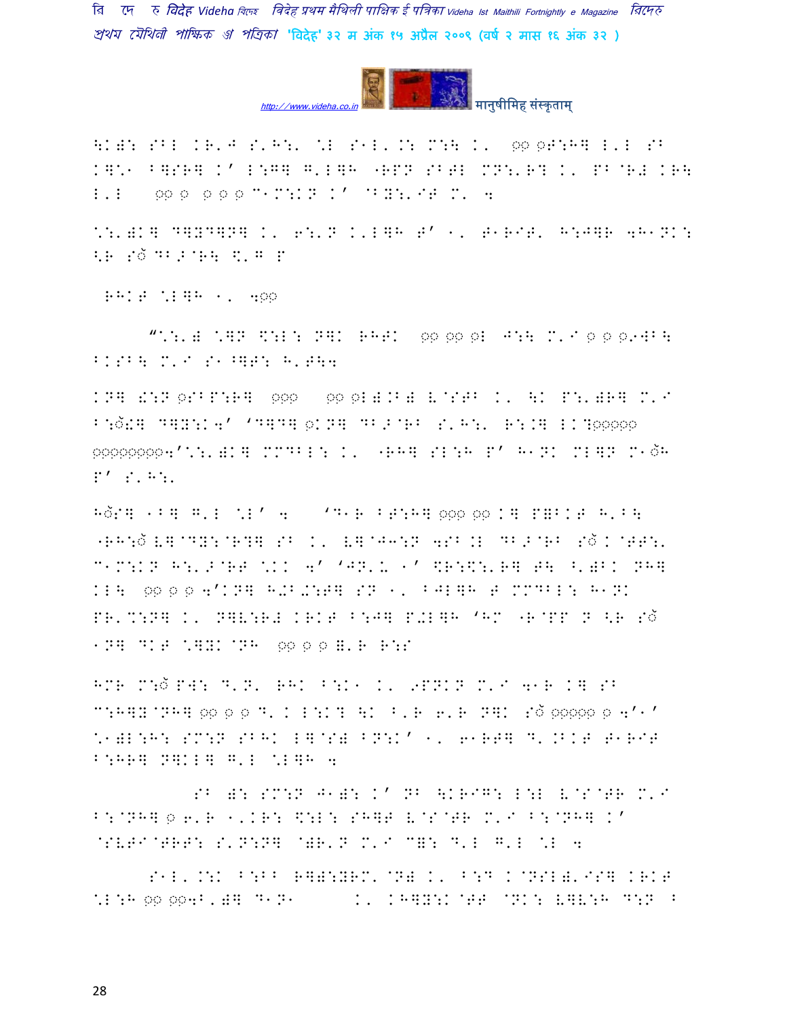

 $\mathrm{K}$ : SBL  $\mathrm{K}$  SPL  $\mathrm{K}$  ,  $\mathrm{K}$  ,  $\mathrm{K}$  ,  $\mathrm{K}$  ,  $\mathrm{K}$  ,  $\mathrm{K}$  ,  $\mathrm{K}$  ,  $\mathrm{K}$  ,  $\mathrm{K}$  ,  $\mathrm{K}$  ,  $\mathrm{K}$  ,  $\mathrm{K}$  ,  $\mathrm{K}$  ,  $\mathrm{K}$  ,  $\mathrm{K}$  ,  $\mathrm{K}$  ,  $\mathrm{K}$  ,  $\mathrm{K}$  ,  $\mathrm{K}$  ,  $\mathrm{K}$ KAL BERG K' L:GA GREET SRIP SBERGHET MAN SBERGE  $L: L \rightarrow \varrho \varrho / \varrho / \varrho / \varrho$  of the control of  $L$  and  $\varrho$  and  $\varrho$ 

\*:')K] D]YD]N] K' 6:'N K'L]H T' 1' T1RIT' H:J]R 4H1NK: th forth the theory

RHKT \*L]H 1' 4◌़◌़

"Win # CHP KGBG PHI BRBI cop op of HGB C. Mo o over Bo BKSB STORY STORY STORY

KNE KNIP OFFITIER LOOD LOOD BILFE KINNER (WAS THE BERLING  $B\subset\mathbb{R}$  Define the state  $\mathbb{R}$  of the state state  $\mathbb{R}$  , and the state state state  $\mathbb{R}$ ◌़◌़◌़◌़◌़◌़◌़◌़4'\*:')K] MMDBL: K' "RH] SL:H P' H1NK ML]N M1◌ॅH P' S'H:'

HoॅSH (FFH) Bile (1870) All on NH Bo FatebH pop pp 1 H (FBF1 B) Bilf B "RH:ČIE VIE GRIE SPOS. IE VANIMAS VI DROMAD SČI GAN. CH: KN H: KN H: KN H: KN H: KN H: KN H: KN H: KN H: H: KN H: H: H: H: TO H: H: H: H: H: H: H: H: H: H: H: H: H  $K\to\infty$   $\wp$   $\wp$   $\to$   $K\to\pi$  +  $\pi$  . Then the  $T$  is the  $T$  th  $\pi$  is the  $T$  of  $\pi$ PR'%:NIPE (1) PHEIBE (1918) PHEIB PLIER NAM (1918) PHOTO PHILIP RESID  $+74$  TRE 1411  $775$  op p p H.F R:S

HMR M:◌ॅ PW: D'N' RHK B:K1 K' 9PNKN M'I 41R K] SB  $T$ ih#I TP+# oo o o P. L:KIT & P. F.H .F.F P#I (30 oooo o 4'1' \*1)L:H: SM:N SBHK L]@S) BN:K' 1' 61RT] D'.BKT T1RIT B:HR] NH118 H.

 SB ): SM:N J1): K' NB \KRIG: L:L V@S@TR M'I B: TO FER STORE STATE STATE OF THE CONTRIGHT OF @SVTI@TRT: S'N:N] @)R'N M'I C=: D'L G'L \*L 4

 S1L'.:K B:BB R]):YRM'@N) K' B:D K@NSL)'IS] KRKT \*L:H ◌़◌़ ◌़◌़4B')] D1N1 K' KH]Y:K@TT @NK: V]V:H D:N ^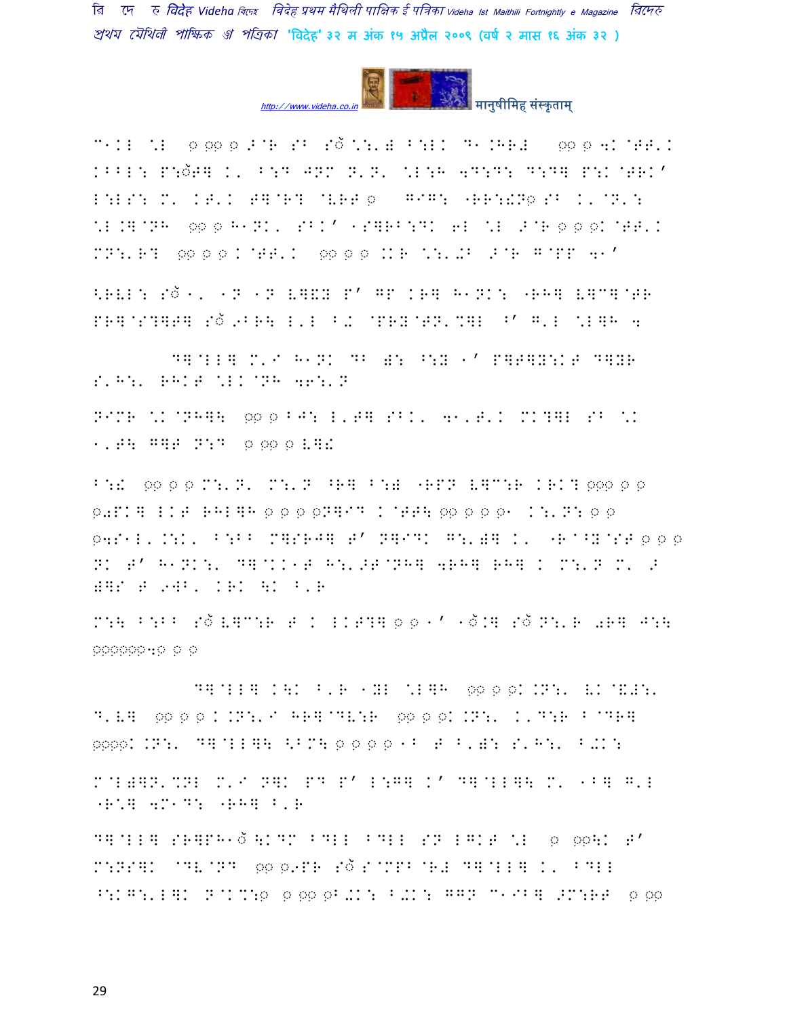

CHI TEO SOS SOB SOB STATE OF STATE OF SPECIAL SOLICITION OF SALE KBBL: P:ÒFH K.: P:D" ADD: D.D. NIER ATHT: THT P:N:NFK' LISE: MI KT'K THE SECOND CONTRACT CONTRACTOR OF SALES OF THE SB AND SB KING SB KING  $\mathcal{N}$ E (1975  $\mathcal{S}$  op of HHINK). Set is a set for the form of  $\mathcal{N}$  is  $\mathcal{S}$  of  $\mathcal{S}$  . The  $\mathcal{S}$ MN:'R? ÖP O O COMPELIO OO O O CIRC THILE CATHER THIS HEAT

RIELE SOOR (NORTH ALTER SEE TRACHE CHARLING) SOOR HET GEREEM SAN HINDIGE PRA SORABA PÕISERA ELE EID SPRYDER, TAE EE KILE SLAAR A

DATELE DI KINK DI JAN 1991 (PIE ): KT DAPATELE DATER S'H: RHMT MILTH 46:2  $H^1$ MIMP  $H^1$   $\infty$   $\mathfrak{g}\mathfrak{g}\mathfrak{g}$  and  $H^1$  satisfies the  $H^1$  satisfies  $H^1$  .

 $1:BT$   $H:BT$   $D:Q$   $QQ$   $Q$   $L:BT$ 

 $B: B: B \times S \times S \times S \times S$  and  $B: B: B: B \times S \times S \times S \times S \times S$  . Then  $B: B: B \times S \times S \times S \times S$  is  $C \times S \times S$  $Q$  $B$  in the compact results of  $Q$  is  $Q$  is  $Q$  in  $Q$  in  $Q$  in  $\mathbb{R}$  in  $\mathbb{R}$  is  $Q$  in  $Q$  in  $Q$  in  $Q$  in  $Q$  in  $Q$  in  $Q$  in  $Q$  in  $Q$  in  $Q$  in  $Q$  in  $Q$  in  $Q$  in  $Q$  in  $Q$  in  $Q$  in  $Q$  in  $Q$  in  $Q$  $\circ$ 4:Moll.:K' B:B' B:B:B' B:A' BEAT, "B:BEAT, WHEN SATHING  $\circ \circ$ NK TH' HINT HIS MONTH IN THE MILNING WAS ARRESTED FOR A MARKET OF THE MILK WAS ARRESTED FOR A MILK WAS ARRESTED )]S T 9WB' KRK \K B'R

 $T16$  (First or Solution Fourier Company)  $\sigma$  ,  $\sigma$  is  $\sigma$  . So  $\sigma$  is the company of  $\sigma$  $\rho \rho \rho \rho \rho \rho \cdot \rho$   $\rho$   $\rho$ 

DECEED AND BIR THE SOON OF WHICH THAT D'VIET : OO O O I IPA.'I HAT TRIAB : OO O OI IPA. II.TAB F TRET  $\wp \wp \wp$ s.N:' Die Little vir besteht besteht besteht besteht besteht besteht besteht besteht besteht besteht besteht besteht besteht besteht besteht besteht besteht besteht besteht besteht besteht besteht besteht besteht

D' TE BADEL MORE (IN) K' NI DARET PORT EN ARABITET (IN) I PARTIES EN ALLIED ALLE "R\*] 4M1D: "RH] B'R

 $D$ BOLLER STRIPHION BOLL BOLL BOLL BDLL BOLL SN LGKT BOLL SN LGKT FOR LANGT  $B$ MISH @DV@ND @DV@ND SQUAD CONDITION OF CONDITIONS  $\{E_1, E_2, E_3, E_4\}$  ,  $\mathbb{R}^3$  ,  $\mathbb{C}^3$  ,  $\mathbb{C}^3$  ,  $\mathbb{C}^3$  ,  $\mathbb{C}^3$  ,  $\mathbb{C}^3$  ,  $\mathbb{R}^3$  ,  $\mathbb{R}^3$  ,  $\mathbb{C}^3$  ,  $\mathbb{C}^3$  ,  $\mathbb{C}^3$  ,  $\mathbb{C}^3$  ,  $\mathbb{C}^3$  ,  $\mathbb{C}^3$  ,  $\mathbb{C}^3$  ,  $\$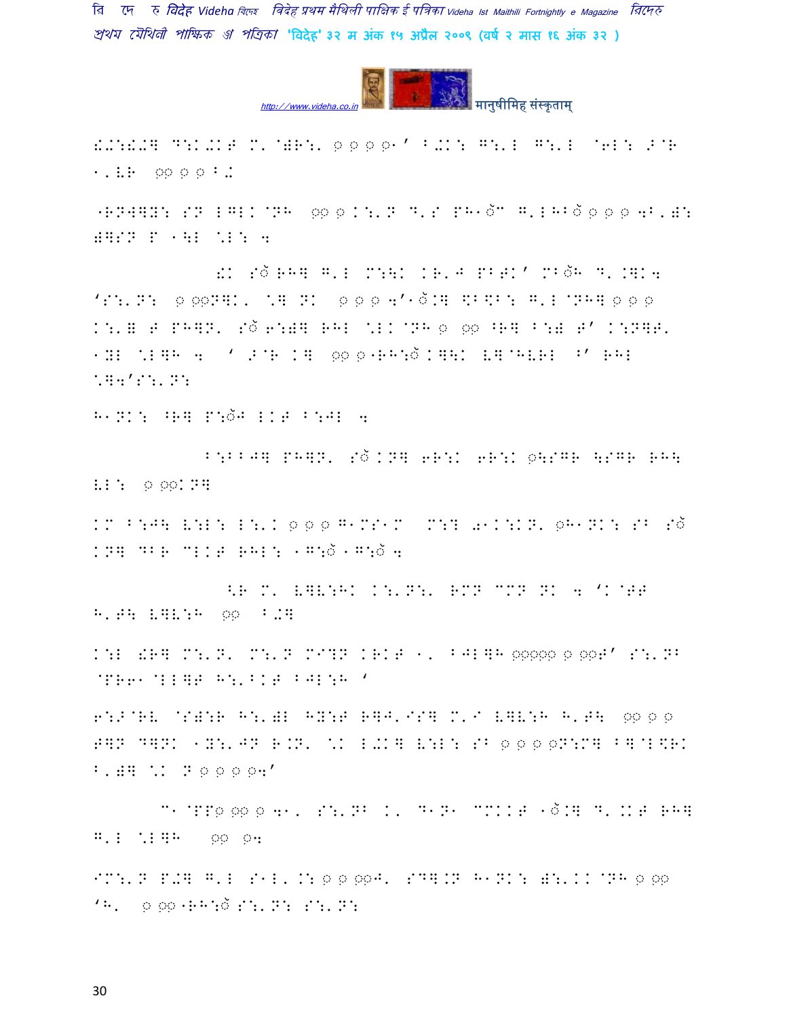

!+:!+] D:K+KT M'@)R:' ◌़ ◌़ ◌़ ◌1़ ' B+K: G:'L G:'L @6L: >@R  $\cdot$  . I.F  $\circ$  00 0 0  $\cdot$  . I.

"RNWEIG: SN EALL WAY QOONG. PHIT PHIỜT A: EAPŎOOO HI. BY  $\#$  Henry (F)  $\rightarrow$  H:  $\%$  H:  $\rightarrow$ 

!K :Ö###'#.: Tik (B.#'PF#!''M')@' P. MI. 'S:'N: ◌़ ◌़◌़N]K' \*] NK ◌़ ◌़ ◌़ 4'1◌ॅ.] \$B\$B: G'L@NH] ◌़ ◌़ ◌़ T R: B: P (PHB)N' SỐ 6:188 (PHE) TIN TIH Q (QQ) FHB (P RB) B/) I RIBBB. 1YL \*L]H 4 ' >@R K] ◌़◌़ ◌़"RH:◌ॅ K]\K V]@HVRL ^' RHL  $1.44$ 's:' $1.34$ :

H.H.N. PH P:ÒP LIP B:HL 4

 $B: B \to B$  and  $B \to B$  is the state  $\overline{B}$  of  $\overline{B}$  . The set  $\overline{B}$  are stated for  $\overline{B}$  $E: Y \times \mathfrak{g}$   $\varphi\varphi$ :  $H$ 

 $k$  B:  $k$  and  $k$  and  $k$  is the  $\beta$  such and  $\beta$  of  $\beta$  of  $\beta$  of  $\beta$  such satisfacts of  $\beta$  satisfacts of  $\beta$  satisfacts of  $\beta$  satisfacts of  $\beta$  satisfacts of  $\beta$  satisfacts of  $\beta$  satisfacts of  $\beta$  satisf KNA: DER CHATHE: 1G:

RR MY WHICH CONSTRUCTS TO A STORE  $H$ .  $H$ H $H$   $H$   $\mathbb{R}$   $\mathbb{R}$   $\mathbb{R}$   $\mathbb{R}$   $\mathbb{R}$   $\mathbb{R}$   $\mathbb{R}$   $\mathbb{R}$   $\mathbb{R}$   $\mathbb{R}$   $\mathbb{R}$   $\mathbb{R}$   $\mathbb{R}$   $\mathbb{R}$   $\mathbb{R}$   $\mathbb{R}$   $\mathbb{R}$   $\mathbb{R}$   $\mathbb{R}$   $\mathbb{R}$   $\mathbb{R}$   $\mathbb{R}$   $\mathbb{R$ 

K:L SEE TELT, TELT THIR IEIF H. FHIER OOOOO O OOF' SELTH @PR61@LL]T H:'BKT BJL:H '

6:>@RV @S):R H:')L HY:T R]J'IS] M'I V]V:H H'T\ ◌◌़ ़ ◌़ ◌़ THE THE STILL OF RISK IN RIGHT REPORTS ON THE REPORT  $B:HH^{-1}H^{-1}H^{-1}H^1QQQQQQ+U$ 

CH CHEO OO O HHI SINI CH CH LI CH CH COLLER HÒIGE CH LINE AHG  $H$ . :  $L$  :  $H$   $H$   $\rightarrow$   $QQ$   $Q$   $H$ 

IM:'N P+] G'L S1L'.: ◌़ ◌़ ◌़◌़J' SD].N H1NK: ):'KK@NH ◌़ ◌़◌़ 'H' ଠ ♡ :F+:0 F: F: F: F: F: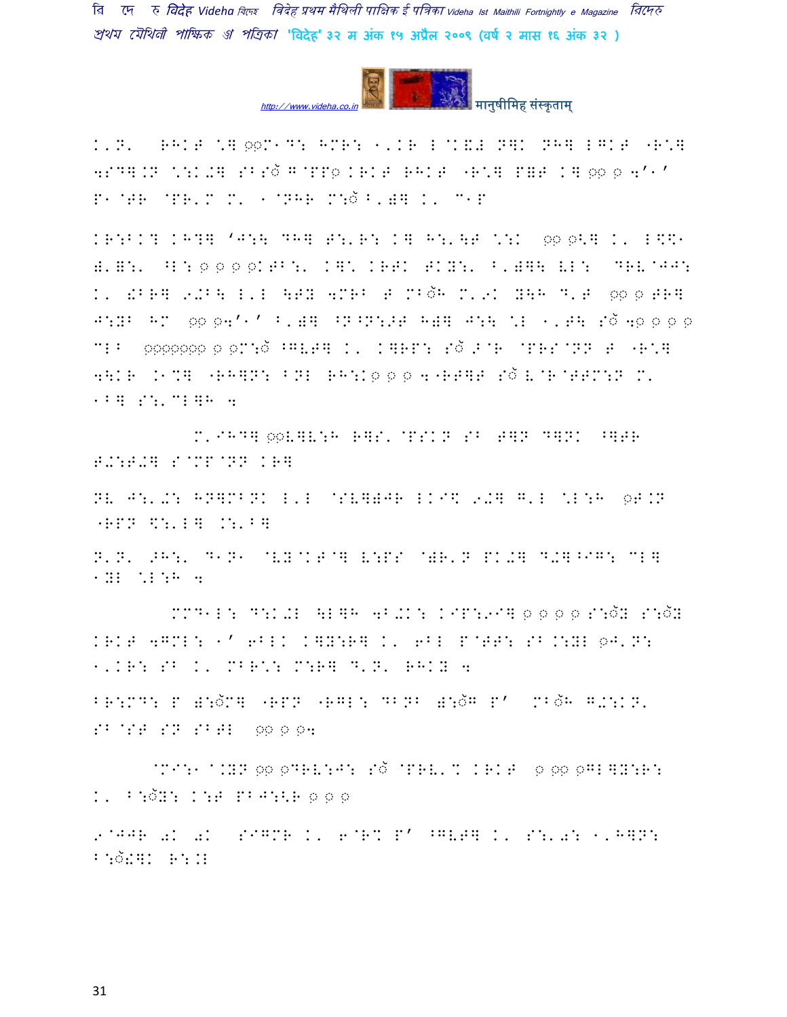

K'N' RHKT YESSY TI HTEI YILE I MER THI THE ERIF "BYE 4SD].N \*:K+] SBS◌ॅ G@PP◌़ KRKT RHKT "R\*] P=T K] ◌़◌़ ◌़ 4'1' P1@TR @PR'M M' 1@NHR M:◌ॅ B')] K' C1P

KR:BK? KH?] 'J:\ DH] T:'R: K] H:'\T \*:K ◌◌़ ़ ◌़<] K' L\$\$1 )'=:' ^L: ◌़ ◌़ ◌़ ◌़KTB:' K]\* KRTK TKY:' B')]\ VL: DRV@JJ:  $K$  is the vire fift and and throw Miss  $\mathbb{R}$  and  $\mathbb{R}$   $\mathbb{R}$   $\mathbb{R}$   $\mathbb{R}$   $\mathbb{R}$   $\mathbb{R}$   $\mathbb{R}$   $\mathbb{R}$   $\mathbb{R}$   $\mathbb{R}$   $\mathbb{R}$   $\mathbb{R}$   $\mathbb{R}$   $\mathbb{R}$   $\mathbb{R}$   $\mathbb{R}$   $\mathbb{R}$   $\mathbb{R}$   $\mathbb{R$  $H^1$  HM  $\sim$   $\frac{1}{2}$   $\frac{1}{2}$   $\frac{1}{2}$   $\frac{1}{2}$   $\frac{1}{2}$   $\frac{1}{2}$   $\frac{1}{2}$   $\frac{1}{2}$   $\frac{1}{2}$   $\frac{1}{2}$   $\frac{1}{2}$   $\frac{1}{2}$   $\frac{1}{2}$   $\frac{1}{2}$   $\frac{1}{2}$   $\frac{1}{2}$   $\frac{1}{2}$   $\frac{1}{2}$   $\frac{1}{2}$   $\frac{1}{2}$   $\frac{1}{2$ CLB ေလ့လွလွလွလွ လွ လုိက္ေတာ္အေန ေသာင္း အေျခအေျခ ေခ်ာ္ေတာ္ေတာ္ ေမးျခားေ  $\mathcal{A}\mathcal{A}$  . In the constraint  $\mathcal{A}$  is a positive  $\mathcal{A}$  and  $\mathcal{A}$  and  $\mathcal{A}$  is a positive  $\mathcal{A}$  . 19 S: CLIP 4

M'IHD @SHERR BEN TRIP SHOW THE THIN  $T_{\rm eff}$  ,  $T_{\rm eff}$  is the second function of  $T_{\rm eff}$ 

NV J:'+: HN]MBNK L'L @SV])JR LKI\$ 9+] G'L \*L:H ◌T.N ़ "RPN \$:'L] .:'B]

N'N' >H:' D1N1 @VY@KT@] V:PS @)R'N PK+] D+]^IG: CL] 1WH \* L:H 4

 MMD1L: D:K+L \L]H 4B+K: KIP:9I] ◌़ ◌़ ◌़ ◌़ S:◌ॅY S:◌ॅY KRIE AFDEN (6 BREI 1983AR I. 6PE) POBEN YR DYB (04.3N) 1'KR: SB K' MBR\*: M:R] D'N' RHKY 4

BR:MD: P ):◌ॅM] "RPN "RGL: DBNB ):◌ॅG P' MB◌ॅH G+:KN'  $S^{\sharp}$  SN  $S^{\sharp}$  SN  $S^{\sharp}$  SN  $S^{\sharp}$  and  $S^{\sharp}$   $S^{\sharp}$   $S^{\sharp}$   $S^{\sharp}$   $S^{\sharp}$   $S^{\sharp}$   $S^{\sharp}$   $S^{\sharp}$   $S^{\sharp}$   $S^{\sharp}$   $S^{\sharp}$   $S^{\sharp}$   $S^{\sharp}$   $S^{\sharp}$   $S^{\sharp}$   $S^{\sharp}$   $S^{\sharp}$   $S^{\sharp}$   $S^{\sharp}$   $S^{\sharp}$   $S^{\sharp}$   $S^{\sharp}$ 

MI:T: THE OO OFFERT TO MIRE. TO FITT O OO OFFERTER K: P:ČIN KNE PRANE 000

9@JJR 0K 0K SIGMR K' 6@R% P' ^GVT] K' S:'0: 1'H]N: B: SH: H: H: H: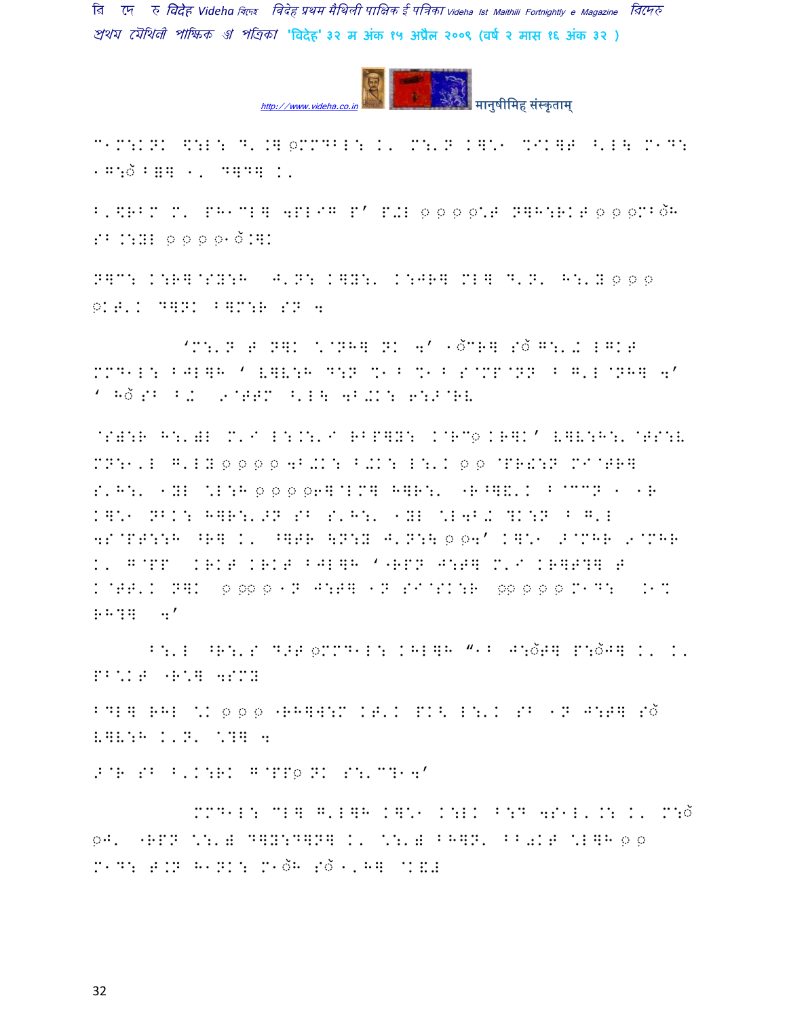

C1M:KNK \$:L: D'.] ◌MMDBL: K' M:'N ़ K]\*1 %IK]T ^'L\ M1D:  $1-\frac{1}{2}$  B=  $\frac{1}{2}$  become  $\frac{1}{2}$  and  $\frac{1}{2}$ 

B's RBF M' M' PHICLE AFLICH FY FILE OOO ONE PHPIBIE OOOC"TÔH  $\mathcal{S}^{\sharp}$  . This p p p p  $\phi$  (#1)

NATE C: SEA SYBSH JINA, PSI CABBS, II C: SAEA IN HIT AI, Y, INS, BI Q Q Q  $\Sigma$  . The distribution of  $\Sigma$ 

'M::J # FH: 17P# F: 4' 1ČT## fŏ"H.CG#C# MMD1L: BJL]H ' V]V:H D:N %1^ %1^ S@MP@NN ^ G'L@NH] 4' ' Hồ SB BH CHO START CHO ABH HOLD I BHACHE

OSENE PALENTIK IN DIK PRIMI I NETO CHTIK LULARA MESH. MON: LE C'ALE B'LO Q'Q'HE KIN BHAIN: BHAIN Q'Q' MEHAND MONTREB S'H:' 1YL \*L:H ◌़ ◌़ ◌़ ◌6]@LM] H]R: ़ ' "R^]&'K B@CCN 1 1R KA: YANG HAR:YO YA SI SI SA SI SI SI SI SI SI SI  $43^\circ$  Transfer (Fig. ) (The  $43^\circ$  Alternative polynomials  $\sim$  True  $\sim$  True K' G@PP KRKT KRKT KRKT BJLJ  $K^{\prime}$  ,  $K^{\prime}$  ,  $K^{\prime}$  ,  $\mathbb{R}$  is the conduct of  $\mathbb{R}$  ,  $\mathbb{R}$  is  $\mathbb{R}$  ,  $\mathbb{R}$  and  $\mathbb{R}$  is the conduct of  $\mathbb{R}$  . The conduct of  $\mathbb{R}$  is  $\mathbb{R}$  ,  $\mathbb{R}$  is the conduct of  $\mathbb{R}$  ,  $\math$  $H^2$  4'  $H^2$  4'

 $B:U$   $\vdash$   $B:U$ :  $\vdash$   $B:U$   $\vdash$   $B:U$ :  $\vdash$   $B:U$   $\vdash$   $B:U$   $\vdash$   $B:U$   $\vdash$   $B:U$   $\vdash$   $B:U$   $\vdash$ PPATE "BATE" 42MY

BDL BRL AN OOO HHHHN NEW THAT HIS REACTOR SOME V]V:H K'N' \*?] 4

>@R SB B'K:RK G@PP◌़ NK S:'C?14'

MMD: CLIECH: CHIL: CHILIGE GELLINI.  $\wp$ 4, "APPN (No.d) MH26MH2H (1) (No.d) FAH2, FFG19 (NO.H)  $\wp$   $\wp$ MID: T.N HING: T.N HING: T.N HING: T.N HING: T.N HING: T.N HING: T.N HING: T.N HI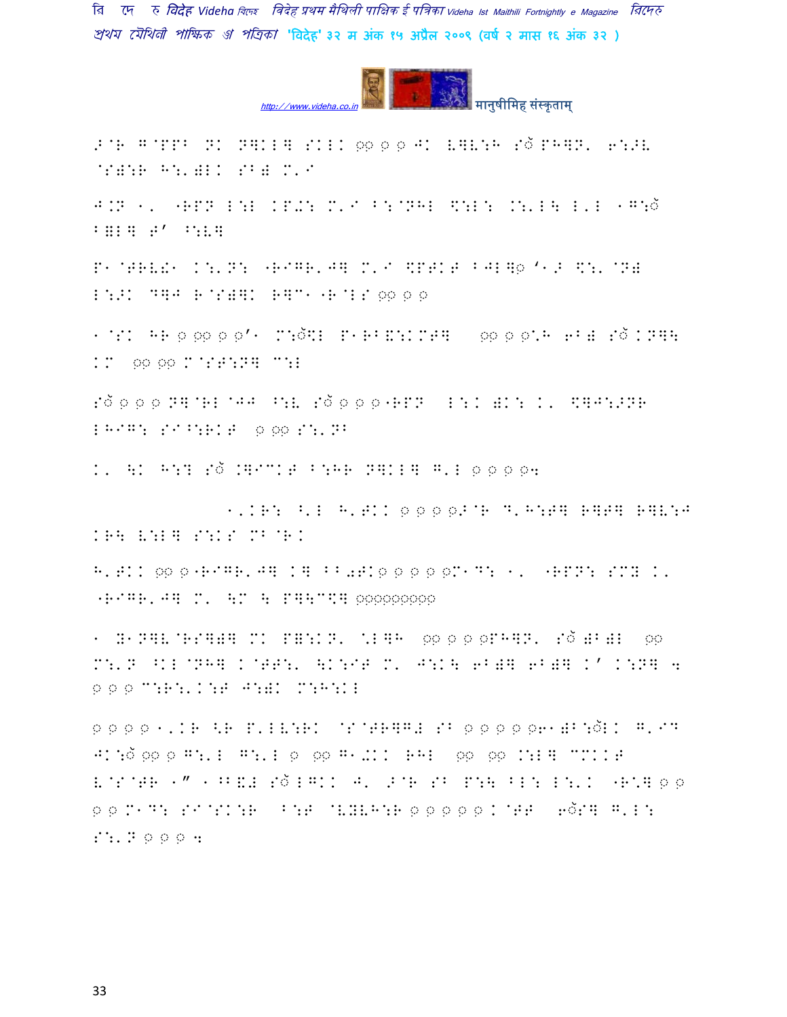

 $P$  G G G FOR THE R GALL STRIP OF STRIPS OF A STRIP OF STRIPS OF STRIPS OF STRIPS OF STRIPS OF STRIPS OF STRIPS OF STRIPS OF STRIPS OF STRIPS OF STRIPS OF STRIPS OF STRIPS OF STRIPS OF STRIPS OF STRIPS OF STRIPS OF STRIPS @S):R H:')LK SB) M'I

J.N 1' "RPN L:L KP+: M'I B:@NHL \$:L: .:'L\ L'L 1G:◌ॅ BEE F' CHIE

P: "BRUE" (1 K: PR) (B2MB, AN I) M'I \$PRIGHT BHND NO \$: "DI \$  $E:K$  Phence  $K$  and  $K$  and  $K$  and  $K$   $\mathbb{R}$   $\mathbb{R}$   $\mathbb{R}$   $\mathbb{R}$   $\mathbb{R}$   $\mathbb{R}$   $\mathbb{R}$   $\mathbb{R}$   $\mathbb{R}$   $\mathbb{R}$   $\mathbb{R}$   $\mathbb{R}$   $\mathbb{R}$   $\mathbb{R}$   $\mathbb{R}$   $\mathbb{R}$   $\mathbb{R}$   $\mathbb{R}$   $\mathbb{R}$   $\mathbb{R}$ 

1@SK HR ◌़ ◌़◌़ ◌़ ◌़'1 M:◌ॅ\$L P1RB&:KMT] ◌़◌़ ◌़ ◌़\*H 6B) S◌ॅ KN]\  $k$   $\mathbb{R}^n$   $\rightarrow$   $\mathbb{R}^n$   $\rightarrow$   $\mathbb{R}^n$   $\rightarrow$   $\mathbb{R}^n$   $\rightarrow$   $\mathbb{R}^n$   $\rightarrow$   $\mathbb{R}^n$   $\rightarrow$   $\mathbb{R}^n$ 

ST view of the state of the South Company of the South Company of the South South Association of the South South S  $E^{\text{L}}$   $E^{\text{L}}$   $E^{\text{L}}$   $E^{\text{L}}$   $E^{\text{L}}$   $E^{\text{L}}$   $E^{\text{L}}$   $E^{\text{L}}$   $E^{\text{L}}$   $E^{\text{L}}$ 

 $K$   $\mathbb{R}$   $\mathbb{R}$   $\mathbb{R}$   $\mathbb{R}$   $\mathbb{R}$   $\mathbb{R}$   $\mathbb{R}$   $\mathbb{R}$   $\mathbb{R}$   $\mathbb{R}$   $\mathbb{R}$   $\mathbb{R}$   $\mathbb{R}$   $\mathbb{R}$   $\mathbb{R}$   $\mathbb{R}$   $\mathbb{R}$   $\mathbb{R}$   $\mathbb{R}$   $\mathbb{R}$   $\mathbb{R}$   $\mathbb{R}$   $\mathbb{R}$   $\mathbb{R}$ 

 1'KR: ^'L H'TKK ◌़ ◌़ ◌़ ◌़>@R D'H:T] R]T] R]V:J  $K$  , and  $K$  is the set of the set of the set of the set of the set of the set of the set of the set of the set of the set of the set of the set of the set of the set of the set of the set of the set of the set of the set

H'TKK ◌◌़ ़ ◌़"RIGR'J] K] BB0TK◌़ ◌़ ◌़ ◌़ ◌M1D: 1' "RPN: ़ SMY K' "RIGR'J] M' \M \ P]\C\$] ◌़◌़◌़◌़◌़◌़◌़◌़◌़

1 YO HE PEL TERTHER (TIM PERIOR) (NERP) OR ROSPIPHER (PÖ APAH) OR M:'N ^KL@NH] K@TT:' \K:IT M' J:K\ 6B)] 6B)] K' K:N] 4 ppp C:R:K:TH: H:H: C:R:K:B

◌़ ◌़ ◌़ ◌़ 1'KR <R P'LV:RK @S@TR]G# SB ◌़ ◌़ ◌़ ◌़ ◌़61)B:◌ॅLK G'ID  $H: \tilde{\mathcal{O}}$  op o  $H: H: H: \mathcal{O}$  so  $\mathcal{O}(\mathcal{O})$  and  $\mathcal{O}(\mathcal{O})$  and  $\mathcal{O}(\mathcal{O})$  . Let  $H: \mathcal{O}(\mathcal{O})$ BOS TRE 10 10 PER STREET IN STREET PRESERVED THAT PER SPIRE ◌़ ◌़ M1D: SI@SK:R B:T @VYVH:R ◌़ ◌़ ◌़ ◌़ ◌़ K@TT 6◌ॅS] G'L:  $\mathcal{S}: \mathcal{S} \times \mathcal{S} \times \mathcal{S} \times \mathcal{S}$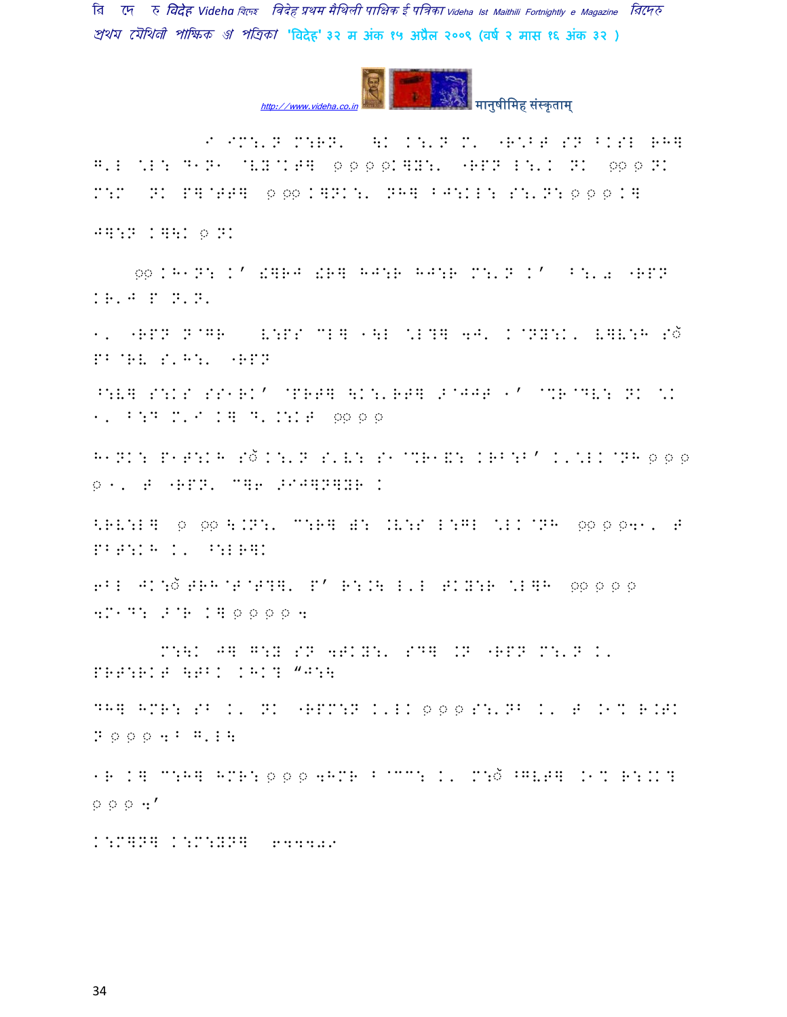

 I IM:'N M:RN' \K K:'N M' "R\*BT SN BKSL RH] B. E MINT WHAT MENT HE OOO ON HENT AND HIM ON OUR M:M NH: PH NHH OOR NHI: PHE BHI:H: Sh.PiooolH

 $H:U:U:U\to V$ 

pp:PH(P) IX EART ERA HT:R HT:R M:R M:A (F) RICE (R) KR'J P N'N'

 $1$  . The State of the Control of the Control of the Society of the Society of the Society of the Society of the Society of the Society of the Society of the Society of the Society of the Society of the Society of the Soci PB@RV S'H:' "RPN

^:V] S:KS SS1RK' @PRT] \K:'RT] >@JJT 1' @%R@DV: NK \*K 1' B:D M'I KIT D'E ST. DIE FOR OO

HHINK: PHESIF YÖ MELIK: SILETY MIHHINK: PHESIK MILLE MIHHOOO  $\wp$  .  $\psi$  -RPN, "He Standard (

 $R:K:K:K:K \to \mathbb{R}$  , where  $R:K:K:K:K:K:K \to \mathbb{R}$  , we consider  $\mathbb{R}^n$  ,  $\mathbb{R}^n$ PBT:KH K' K' KH KH K'

6BL JK:◌ॅ TRH@T@T?]' P' R:.\ L'L TKY:R \*L]H ◌़◌़ ◌़ ◌़ ◌़  $4T^2$   $4T^2$   $3T^2$   $4T^2$   $4T^2$   $9QQQQ+$ 

 M:\K J] G:Y SN 4TKY:' SD] .N "RPN M:'N K' PRETH:RKT \TBK KHK

DH] HMR: SB K' NK "RPM:N K'LK ◌़ ◌़ ◌़ S:'NB K' T .1% R.TK  $P \circ \circ \circ \circ \cdot \cdot \cdot$   $H$ ,  $H$ 

1R K] C:H] HMR: ◌़ ◌़ ◌़ 4HMR B@CC: K' M:◌ॅ ^GVT] .1% R:.K?  $\wp$   $\wp$   $\cdot$   $\cdot$   $\prime$ 

K:M:M:M:W:M:M:M:W:M:M:M: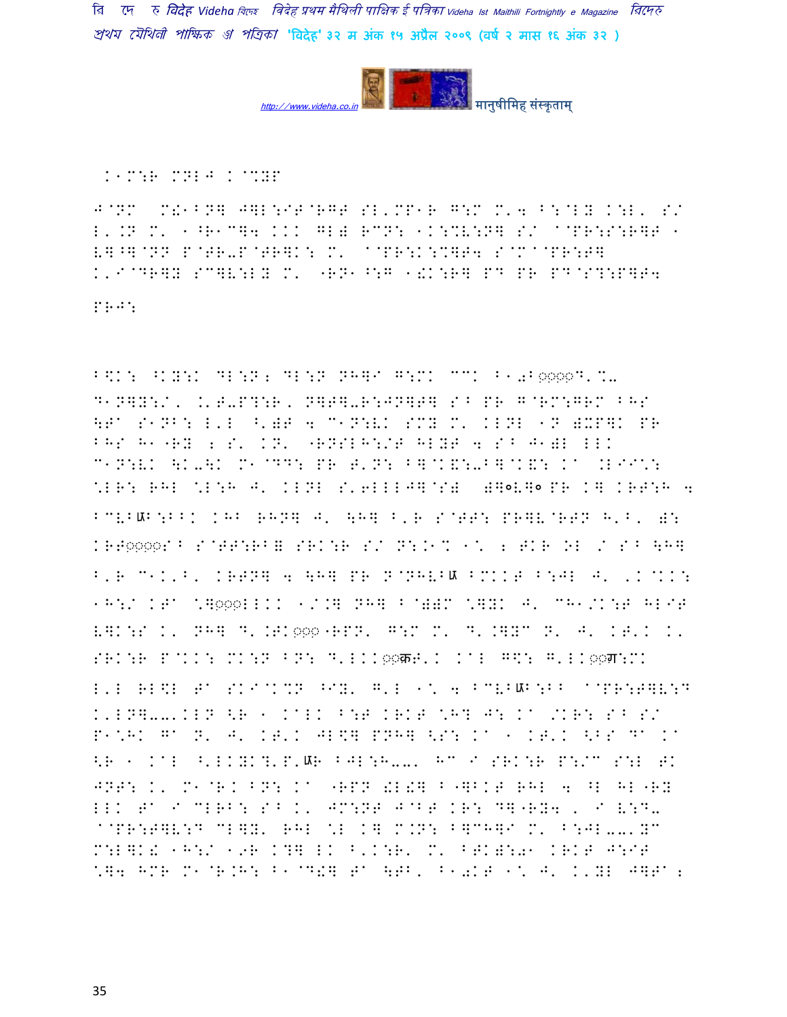35

B\$K: B: DR: DR: DR: DR: DR:N HI G: MAN COMPOSED: DR: NE DN PROST, . . . . BUEGSE, . PRERUESPREE EN PORTE POSTERED FRE  $\overline{H}$ en sin Stadius in Sullae (Australia) Serbia (Mill 1999) yang meneriman per BHS H2 (BC) ; K. (CR. 1992) RNSLAHOR (HOR LI PA A) LLC C1N:VK \K-\K M1@DD: PR T'N: B]@K&:-B]@K&: Ka .LII\*: \*LE: RHL \*L: H: H: M: SE (PE: H: P: F: H: H: Mi Sichlin) )] )] )] )] (P: H: Kentin (H: H: Se P: P: H BCVG;BEKING: COLORED BYRGE HOW HIS PROPERTY IS A SERIES OF PRINTING HIS PROPERTY IS A SERIES OF DISTURBANCE OF KRT◌़◌़◌़◌़S^ S@TT:RB= SRK:R S/ N:.1% 1\* ; TKR OL / S^ \H] B'R CHILE, IBBBE 4 ARE PR POREBWITIE BIGG BY, JI 'KI' 1H:/ KTa \*]◌़◌़◌़LLKK 1/.] NH] B@))M \*]YK J' CH1/K:T HLIT KAI NE IL CAPA COLIEI OOO (BIPN) AND DI. CALIFART COLIEI COLIEI  $SFR$  and  $R$  is the contract of the contract  $SFR$  and  $R$  and  $R$  and  $R$  are  $T$  and  $T$  and  $T$  are  $T$  . The contract of  $R$  and  $R$  are  $T$  and  $R$  are  $T$  and  $R$  are  $T$  and  $R$  are  $T$  and  $T$  are  $T$  and  $T$  are L'E RESERVAN N NORTH GYL PLESS AN BOUNDARY SOMERNESS K'L'ESPELLLISSE (REPORTSE) I KALK BESPORT FROM I KRYT VISA (SO S/S/S/S P1\*HK GD B. A. 19.1 APROPHORIC KITY (19.1 KFF BD 11 R BIL: KONTE 1 KALE DIGEN BILIKE (F. HE I SRKII S. H. T. H. S. S. B. D. B. D. S. TKI:R S. B. T. S. D JNT: K' M1@R. BN: Ka "RPN !L!] B"]BKT RHL 4 ^L HL"RY LLK Ta I CLRB: S^ K' JM:NT J@BT KR: D]"RY4 ' I V:D- @@PR:T]V:D CL]Y' RHL \*L K] M.N: B]CH]I M' B:JL--'YC M:LA: 1H:/ 19R (ALI) L. L. B. M. BELEW (BIK: 1H: \*]4 HMR M1@R.H: B1@D!] Ta \TB' B10KT 1\* J' K'YL J]Ta;

PRJ:

J@NM M!1BN] J]L:IT@RGT SL'MP1R G:M M'4 B:@LY K:L' S/ L'. N MONT 10 MESSIN'S CONTROLLER ET ANNO 1812-1K: NORTH 1K: NORTH 1K: RIT 1K: RIT 1K: RIT 1K: RIT 1K: RIT 1K: V]^]@NN P@TR-P@TR]K: M' @@PR:K:%]T4 S@M@@PR:T] K'I SCAPE AND Y SCAPE AND STRIKE AND THE POST POST POST PROPERTY.

K1M:R MNLJ K@%YP



ৱি দে <sup>হ</sup> <mark>विदेह Videha</mark> <sub>বিদেহ</sub> ৰিবলৈ *प्रथम मैथिली पाक्षिक ई पत्रिका Videha Ist Maithili Fortnightly e Magazine बिদে*হ õथम मैिथली पािक्षक ई पिñका **'**िवदेह**'** ३२ म अंक १५ अĤैल २००९ (वष र् २ मास १६ अंक ३२ )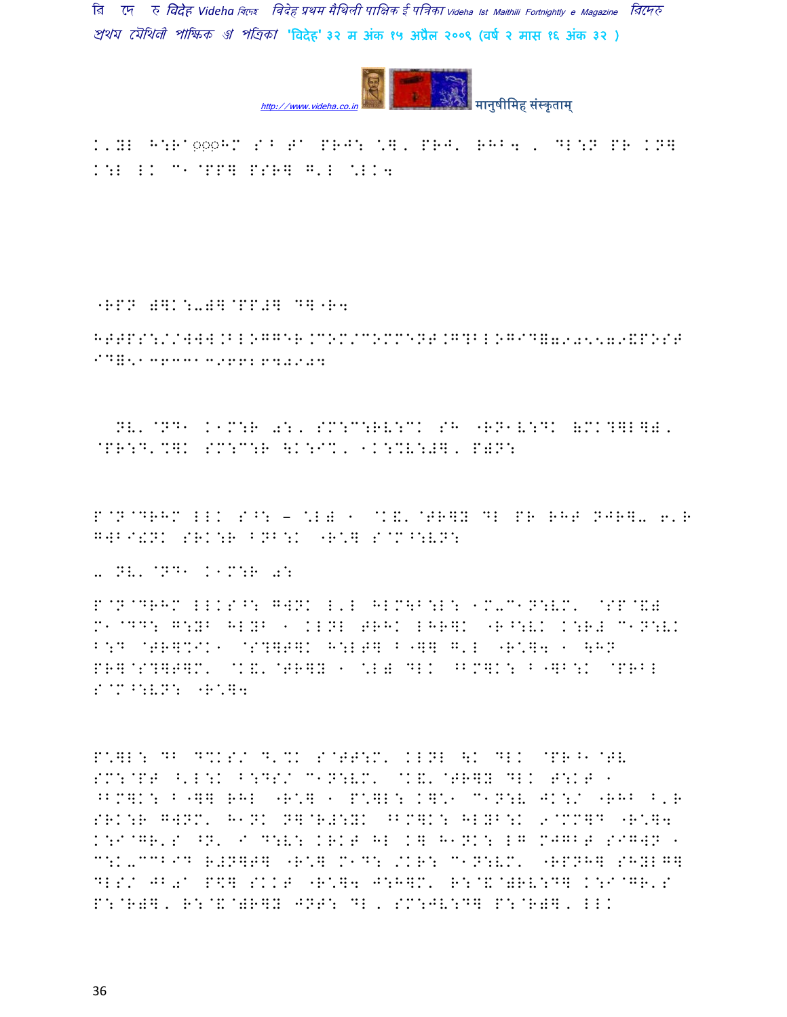

K.H: PGP'OOOPT STERT TRAG (NR) TRA, RHF4 , MRG2 TR KNR K:L LK C1@PP] PSR] G'L \*LK4

 $R$  ,  $R$  ,  $R$  ,  $R$  ,  $R$  ,  $R$  ,  $R$  ,  $R$  ,  $R$  ,  $R$  ,  $R$  ,  $R$  ,  $R$  ,  $R$  ,  $R$  ,  $R$  ,  $R$  ,  $R$  ,  $R$  ,  $R$  ,  $R$  ,  $R$  ,  $R$  ,  $R$  ,  $R$  ,  $R$  ,  $R$  ,  $R$  ,  $R$  ,  $R$  ,  $R$  ,  $R$  ,  $R$  ,  $R$  ,  $R$  ,  $R$  ,  $R$  ,

HTTPS://WWW.BLOGGER.COM/COMMENT.G?BLOGID=7905579&POST ID=513633139662640904

NN, 'NV' (1971) and SM:C:RV:RN1V: SH "RN-ENV: BM:RHIRE. @PR:D'%]K SM:C:R \K:I%, 1K:%V:#], P)N:

P@N@DRHM LLK S^: – \*L) 1 @K&'@TR]Y DL PR RHT NJR]- 6'R GWBI SRK:R BI SPINI SRKE:R MONTH

- NV'@ND1 K1M:R 0:

POT PORT LESS PARAGE LES PETRAIES AT L'UNIVERSITY DE CHAMILE D: CRRS RSB) REB: KLOEDE ERROLERPRO (ROMERED) SERE B:D @TR] [CONTRACT DECISION AND THE LATER CONTRACT DECISION OF THE LATER DECISION OF THE LATER DECISION OF THE PRESCRIBED. TO B. SERGE & S.E. MED ARTHER A AGAINST TERRI SOMETHER SECTION

P\*]L: DB D%KS/ D'%K S@TT:M' KLNL \K DLK @PR^1@TV SM:@PT ^'L:K B:DS/ C1N:VM' @K&'@TR]Y DLK T:KT 1 ^BM]K: B"]] RHL "R\*] 1 P\*]L: K]\*1 C1N:V JK:/ "RHB B'R SRC:R GWYN GWYN YA GRIEG SYNAL HINK WANDAT GRIEG K:I@GR'S A:I@GR'S ALL'EST AND AND SIGNED SIGNED SIGNAL CONTROL AND I DISPLACE SIGNAL AND I C:K-CCBID R#N]T] "R\*] M1D: /KR: C1N:VM' "RPNH] SHYLG] DRS/ JOBOS PRESIDE "ROBER PREPRO PARTICULAR DE SAN PRESIDENCIAL P:@R)], R:@&@)R]Y JNT: DL, SM:JV:D] P:@R)], LLK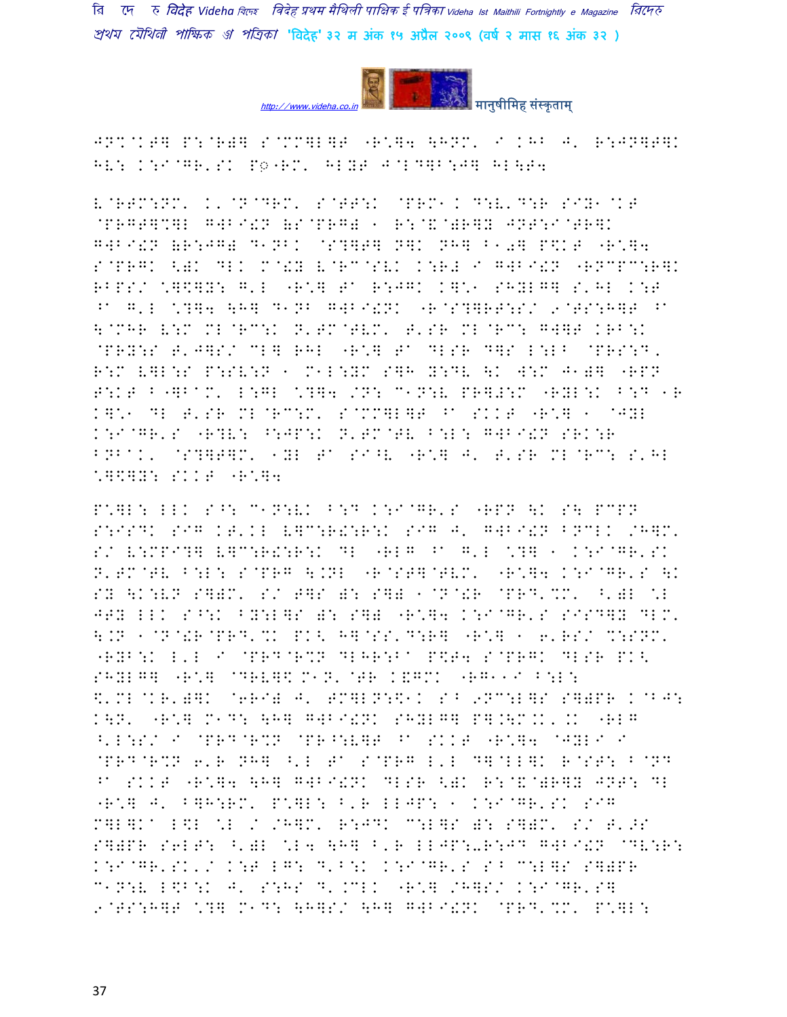

JANS SOME PERMIT POSSED AT THE SAMPLE AND I SOME AND I REPORT HI: K:IMMELI TO HT. HINA 471781548 HINA

V@RTM:NM' K'@N@DRM' S@TT:K @PRM1. D:V'D:R SIY1@KT @PRGT]%]L GWBI!N (S@PRG) 1 R:@&@)R]Y JNT:I@TR]K GWBI!N (R:JG) D1NBK @S?]T] N]K NH] B10] P\$KT "R\*]4 SOPRARD (RAD) MEDIUM MORCAS KIRM MEDIUM NAAR IN PARINGER (AARMEMNAARD RBPS/ \*DHISH R.B. GRIB R. BYLG, 1912 SHIPH R.H. (192 ^a G'L \*?]4 \H] D1NB GWBI!NK "R@S?]RT:S/ 9@TS:H]T ^a  $\ddot{\rm m}$  , the main view of the main view of the main view of the main view of the main view of the main view @PRY:S T'J]S/ CL] RHL "R\*] Ta DLSR D]S L:LB @PRS:D, R:M V]L:S P:SV:N 1 M1L:YM S]H Y:DV \K W:M J1)] "RPN BALE B"BUT, EARL ATH, ARE THREE PRINT (RIEAL FAR (B) KAL TE SR PE TE NETER SE TRANSVENSE "RELEVANCE "RANGE K:I@GR'S "ROW: DESTINGER" B: JP: JP: JP: GWBI:N B:L: GWBI:N B:L: GWBI:N SRK: GWBI: BNBAK' @S?]THANDLOGIE AND INTERNATIONAL ARTICLES \*\*\*\*\*\*\*\*\*\*\*\*\*\*\*\*\*\*\*\*\*\*\*\*\*\*\*\*\*\*\*\*\*

P\*]L: LLK S^: C1N:VK B:D K:I@GR'S "RPN \K S\ PCPN SIGK SIGK SIGN SIGNED AND SIGN SIGNED SIGNED AND SIGNED AND SIGNED AND SIGNED AND SIGNED AND SIGNED AND SIGNED S/ C:R:R:B:C:R:R:R:M: H: A:B:P:P:R:R:K Y:R:K MB.F: N'TM@TV B:L: S@PRG \.NL "R@ST]@TVM' "R\*]4 K:I@GR'S \K SY \K:VN S])M' S/ T]S ): S]) 1@N@!R @PRD'%M' ^')L \*L JTY LLK S^:K BY:L]S ): S]) "R\*]4 K:I@GR'S SISD]Y DLM' \.N 1@N@!R@PRD'%K PK< H]@SS'D:R] "R\*] 1 6'RS/ %:SNM' "RYB:K L'L I @PRD@R%N DLHR:Ba P\$T4 S@PRGK DLSR PK< SHYLG] "R\*] @DRV]\$ M1N'@TR K&GMK "RG11I B:L: \$'ML@KR')]K @6RI) J' TM]LN:\$1K S^ 9NC:L]S S])PR K@BJ: K\N' R\*] M1D: \H] M1D: \H] M1D: \H] M1D: \H] M1D: \H] M1D: \H] M1D: \H] M1D: \H] M1D: \H] M1D: \H] M1D: \  $L: S \to T$  . The decay discrete  $\mathcal{P}(X)$  and  $\mathcal{P}(X)$ @PRD@R%N 6'R NH] ^'L Ta S@PRG L'L D]@LL]K R@ST: B@ND ^a SKKT "R\*]4 \H] GWBI!NK DLSR <)K R:@&@)R]Y JNT: DL "R\*] J' B]H:RM' P\*]L: B'R LLJP: 1 K:I@GR'SK SIG M]L]Ka L\$L \*L / /H]M' R:JDK C:L]S ): S])M' S/ T'>S SABER SALAN (LBL) NEW ARA (LR) ELAPNIEN PAR SID (MENRY K: GRY CREW KIN LOCK CONSTRUCT OF DISTURBANCE OF DISTURBANCE OF DISTURBANCE. THE DISTURBANCE OF DISTURBANCE OF CHE BERG: H. PARP S. CLEAR HAR DREP. CANSRE. PR 9@TS:H]T \*?] M1D: \H]S/ \H] GWBI!NK @PRD'%M' P\*]L: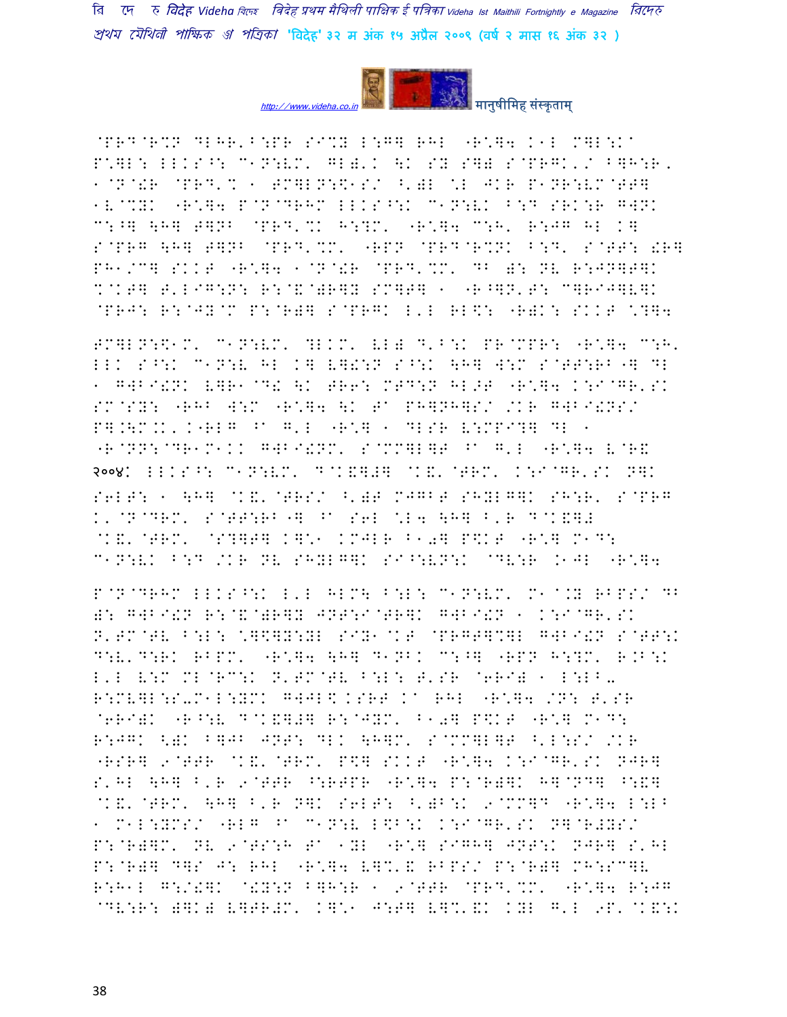ৱি দে <sup>হ</sup> <mark>विदेह Videha</mark> <sub>বিদেহ</sub> ৰিবলৈ *प्रथम मैथिली पाक्षिक ई पत्रिका Videha Ist Maithili Fortnightly e Magazine बिদে* õथम मैिथली पािक्षक ई पिñका **'**िवदेह**'** ३२ म अंक १५ अĤैल २००९ (वष र् २ मास १६ अंक ३२ )

http://www.videha.co.in स्ट्रीया स्ट्रेलिया मानुषीमिह संस्कृताम्

@PRD@R%N DLHR'B:PR SI%Y L:G] RHL "R\*]4 K1L M]L:Ka P\*]L: LLKS^: C1N:VM' GL)'K \K SY S]) S@PRGK'/ B]H:R, 1@N@!R @PRD'% 1 TM]LN:\$1S/ ^')L \*L JKR P1NR:VM@TT] 1 V STATISTIC POD RATION STATISTICS IN DIE REGISSION VAN DIE REGISSION VAN DIE REGISSION VAN DIE REGISSION VAN<br>1 DE POLITIES VAN DIE REGISSION VAN DIE REGISSION VAN DIE REGISSION VAN DIE REGISSION VAN DIE REGISSION VAN D C:\H] ARB @BRD' (PER,C:\H:BI,\\AB:BA\C:H',\B:AR\H| CB S@PRG \H] T]NB @PRD'%M' "RPN @PRD@R%NK B:D' S@TT: !R] PH1/C] SKKT "R\*]4 1@N@!R @PRD'%M' DB ): NV R:JN]T]K  $\mathcal{P}$  To a result in the small small  $\mathcal{P}$  is a result in the small  $\mathcal{P}$ @PRJ: R:@JY@M P:@R)] S@PRGK L'L RL\$: "R)K: SKKT \*?]4

TM]LN:\$1M' C1N:VM' ?LKM' VL) D'B:K PR@MPR: "R\*]4 C:H' LLK S^:K C1N:V HL K] V]!:N S^:K \H] W:M S@TT:RB"] DL 1 GWBI!NK V]R1@D! \K TR6: MTD:N HL>T "R\*]4 K:I@GR'SK SM SYMBOL (PHP) (ROMO) PHORE (ROM BY MERRIPHEN / 2018) RHB PHONO PACHECO I DE ROSTO AL 1 DE ROSTO I DE ROSTO DE LA "R@NN:@DR1M1KK GWBI:NM' S@MMLGWBI:NM' S@MMLGWBI:NM' S@MMLGWBI:NM' S@MMLGWBI:NM' S@MMLGWBI:NM २००४: EECEPE TRIPEL, FOURBER ONE, GRET, CEROPELED PBI S6LT: 1 \H] @K&'@TRS/ ^')T MJGBT SHYLG]K SH:R' S@PRG K'@NDRM' SATT:RB" SA S6L "B'AT' SA S6L "B'A' B'A' DA S6L "B'A' B'A' DA @K&'@TRM' @S?]T] K]\*1 KMJLR B10] P\$KT "R\*] M1D: CH:VA B:D / RINA: VI SHYLG]K SHYLGIK SIYING SHYLGIK SIYING AT NING ABOVE AT A SHING A SHING A SHING A SHING A

P@N@DRHM LLKS^:K L'L HLM\ B:L: C1N:VM' M1@.Y RBPS/ DB ): GWBI!N R:@&@)R]Y JNT:I@TR]K GWBI!N 1 K:I@GR'SK N'T MONT ANN AN DER AN DER STRAND HER DER STRAND HER DER STRAND HER DER STRAND HER DER STRAND HER DER STRAND H D:V'D:RK RBPM' "R\*]4 \H] D1NBK C:^] "RPN H:?M' R.B:K L'E L'AT ME MANI AL SUN BIGGIO DE L'ARCE (1911) R:MIL:S-MAL: S-MANIE KONFRON (PRESS) (POSSED) (PSRT KA RH @6RI)K "ROMANIA" (ROMANIA" (ROMANIA" B10) B10] P\$KT "ROMANIA" (ROMANIA" B10] P\$KT "ROMANIA" (ROMANIA" B10] P\$<br>P\$KT "ROMANIA" (ROMANIA" (ROMANIA" B10] P\$KT "ROMANIA" (ROMANIA" E P\$KT "ROMANIA" (ROMANIA" E P\$KT "ROMANIA" R:JAK KAL PAP ANA: MI SAMIL I CONARD A LIGH (I) "REPART DE TARA ("TO DIL TARATIL") PARA ("PIL") A "ARITRA" ("TAR") PART "RAFAR" S'HL \H] B'R 9@TTR ^:RTPR "R\*]4 P:@R)]K H]@ND] ^:&] @K&'@TRM' \H] B'R N]K S6LT: ^')B:K 9@MM]D "R\*]4 L:LB 1 MIL:YMS-1987 "REGERT "POLITIC PAREL "ERRETAT" "DIGORE PROGRES" DIGENERATION P: THARD, JOR, STARTER AT SIGH (SPINR) PORPHY ADAPT) DARRY SIGHT P:@R)] D]S J: RHL "R\*]4 V]%'& RBPS/ P:@R)] MH:SC]V R:H1L G:/!]K @!Y:N B]H:R 1 9@TTR @PRD'%M' "R\*]4 R:JG @DV:R: )]K) V]TR#M' K]\*1 J:T] V]%'&K KYL G'L 9P'@K&:K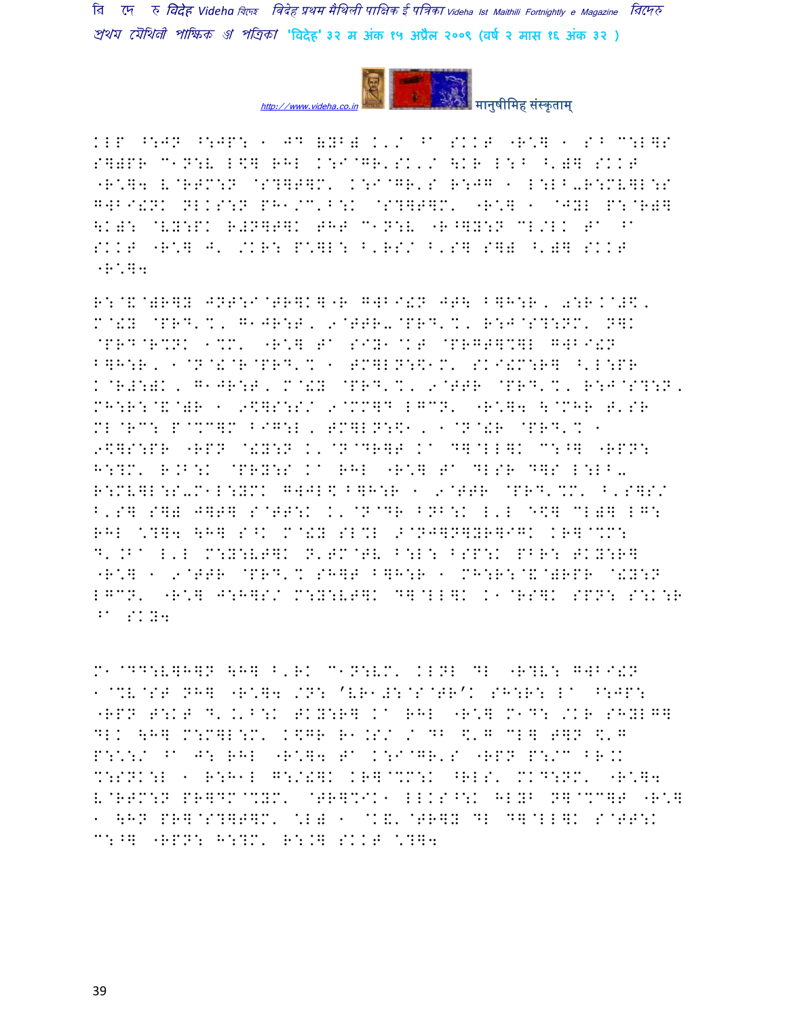

KLP (PEAR (PEARN ) (ASK BOFB (LIS (P) 2019 (PEAR ) 2 F SNERE SABER TVRE ERA RHL CATHRIELI I ACR LEAT CLAAR COURT  $R$  , and the second second interest in the second second interest in the second second in the second second second second second second second second second second second second second second second second second second s GWBI!NK NLKS:N PH1/C'B:K @S?]T]M' "R\*] 1 @JYL P:@R)] \K): @VY:PK R#N]T]K THT C1N:V "R^]Y:N CL/LK Ta ^a SKKT "R\*] J' /KR: P\*]L: B'RS/ B'S] S]) ^')] SKKT  $\mathcal{A}:\mathbb{R}^{n}\times\mathbb{R}^{n}\rightarrow\mathbb{R}^{n}$ 

R: NIMERE ROBER GREEN HAR BERG BERG PERSENT IN DER DOUBLI MO NO STRIMES IN MARKET AND THE RIGHTS IN THE PROPERTY OF THE UNION OF TRANSPORTATION OF TRANSPORTATION OF THE @PRD@R%NK 1%M' "R\*] Ta SIY1@KT @PRGT]%]L GWBI!N BURGE STRIKTETER, T. 1 SETURIST, SI TETURIST I SKILME K@R#:)K, G1JR:T, M@!Y @PRD'%, 9@TTR @PRD'%, R:J@S?:N, MH:R:@&@)R 1 9\$]S:S/ 9@MM]D LGCN' "R\*]4 \@MHR T'SR ML@RC: POSTER RACE: POSTER PRODUCED IN BIGGET AND A 9\$]S:PR "RPN @!Y:N K'@N@DR]T Ka D]@LL]K C:^] "RPN: H:?M' R.B:K @PRY:S Ka RHL "R\*] Ta DLSR D]S L:LB-R:ML#1 GENZ: FGHZ: #4#FR F#PSB (FCP)#BB (MBPD'NY, FCPBEZ B'S] S]) J]T] S@TT:K K'@N@DR BNB:K L'L E\$] CL)] LG: RHL \*\*\*HRL \*\*\* MONDATHL \*\*\*\*\*\*\*\*\*\*\*\*\*\*\*\*\*\*\*\*\*\*\*\*\*\*\*\*\*\*\*\*\*\* D'. B'. B'. B'. D'. BERERI D'. BERTH. P'AR'A PRIME D'ERRA DE BARR "R\*] 1 9@TTR @PRD'% SH]T B]H:R 1 MH:R:@&@)RPR @!Y:N LGCN, "RANG" ANAGEN DAGALEGN SGGLIGH SPN: SYSTEM SPN: SAR  $\mathcal{P} = \mathcal{P} \cup \mathcal{P}$ 

D: CRREBBER BHB B.B. C.HIN. CERE RE GHILE BHFCER 1@%V@ST NH] "R\*]4 /N: 'VR1#:@S@TR'K SH:R: La ^:JP: "RPN T:KT D'.'B:K TKY:R] Ka RHL "R\*] M1D: /KR SHYLG] DEC ARE CASHIAS, CRAR REGIS / DR R.A.DIA ### ### K.A P:\*:/ ^a J: RHL "R\*]4 Ta K:I@GR'S "RPN P:/C BR.K %:SNK:L 1 R:H1L G:/!]K KR]@%M:K ^RLS' MKD:NM' "R\*]4  $\mathbb{R}$  (Product Product Construction ) and  $\mathbb{R}$  in the set of  $\mathbb{R}$  is the set of  $\mathbb{R}$  . The set of  $\mathbb{R}$ 1 \HN PR]@S?]T]M' \*L) 1 @K&'@TR]Y DL D]@LL]K S@TT:K C:^] "RPN: H:?M' R:.] SKKT \*?]4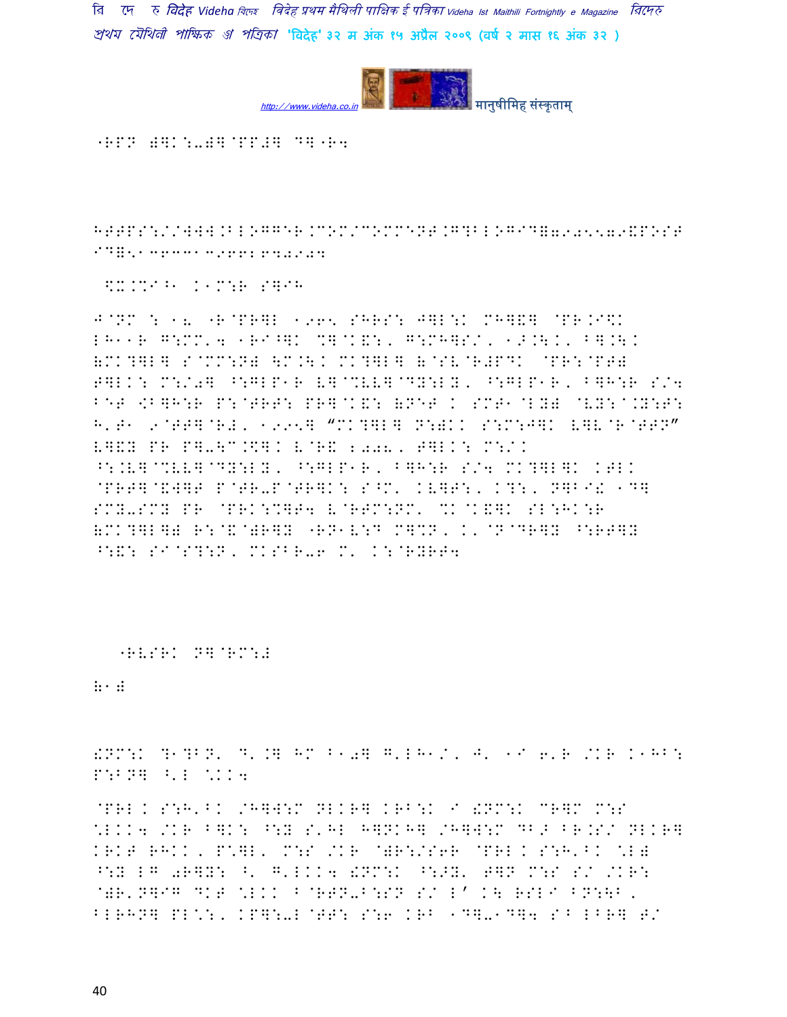

 $R$  , and the problem in the participation of  $R$  and  $R$  and  $R$  are problem in the participation of  $R$ 

HTTPS://WWW.BLOGGER.COM/COMMENT.G?BLOGID=7905579&POST ID=513631396631396631396631396631396631396631396631396

 $3X.$ I $1X.$ I $1X.$ I $1X.$ I $1X.$ I $1X.$ I $1X.$ I $1X.$ 

J@NM : 18 "R@PR]L 1965 SHRS: J]L:K MH]&] @PR.I\$K LH11R G:MM'4 1RI^]K %]@K&:, G:MH]S/, 1>.\., B].\.  $\mathcal{M}$  , and the proposition of  $\mathcal{M}$  , and  $\mathcal{M}$  is the proposition of  $\mathcal{M}$  (see Fig. ). The proposition of  $\mathcal{M}$ THE DISCORT CONFIDENTIAL CONSIDERED AND CONFIDENTIAL CONTINUES. BET CONSIDERED TO PRINCIPLY AND A SOCIAL MANAGEMENT CONSIDER H'T1 9@TT]@R#, 1995] "MK?]L] N:)KK S:M:J]K V]V@R@TTN" V]&Y PR P]-\C.\$]. V@R& 2008, T]LK: M:/. ^:.V]@%VV]@DY:LY, ^:GLP1R, B]H:R S/4 MK?]L]K KTLK @PRT]@&W]T P@TR-P@TR]K: S^M' KV]T:, K?:, N]BI! 1D] SMY-SMY PR @PRK:%]T4 V@RTM:NM' %K@K&]K SL:HK:R (MK?]L]) R:@&@)R]Y "RN1V:D M]%N, K'@N@DR]Y ^:RT]Y \*: MY KYSTER AND MANUSCRIPS

"RVSR" (1999) (1999) (1999) (1999) (1999) (1999) (1999) (1999) (1999) (1999) (1999) (1999) (1999) (1999) (1999)

 $\mathbb{R}^2$  :  $\mathbb{R}^2$ 

!NM:K ?1?BN' D'.] HM B10] G'LH1/, J' 1I 6'R /KR K1HB: P:BN] ^'L \*KK4

@PRL. S:H'BK /H]W:M NLKR] KRB:K I !NM:K CR]M M:S  $\Lambda$ E of the control of the state of the system of the state  $\mu$  and  $\mu$  and  $\mu$  and  $\mu$ KRK RHKK, PRINCIP RHKK, PRINCIP RHKK, PRINCIP RHKK, PRINCIP RHKK, PRINCIP RHKK, PRINCIP RHKK, PRINCIP RHKK, PR ^:Y LG 0R]Y: ^' G'LKK4 !NM:K ^:>Y' T]N M:S S/ /KR:  $\Gamma$ BB), DRIKR (PDB), SN DED DKT SHDIN-SIDK SIDK SON SLI BN: SN SPIS SIDK:  $\Gamma$ BLEHN PLYS:, CERNIE SEEN SYN CHA (FRIE SREE SO LEFH)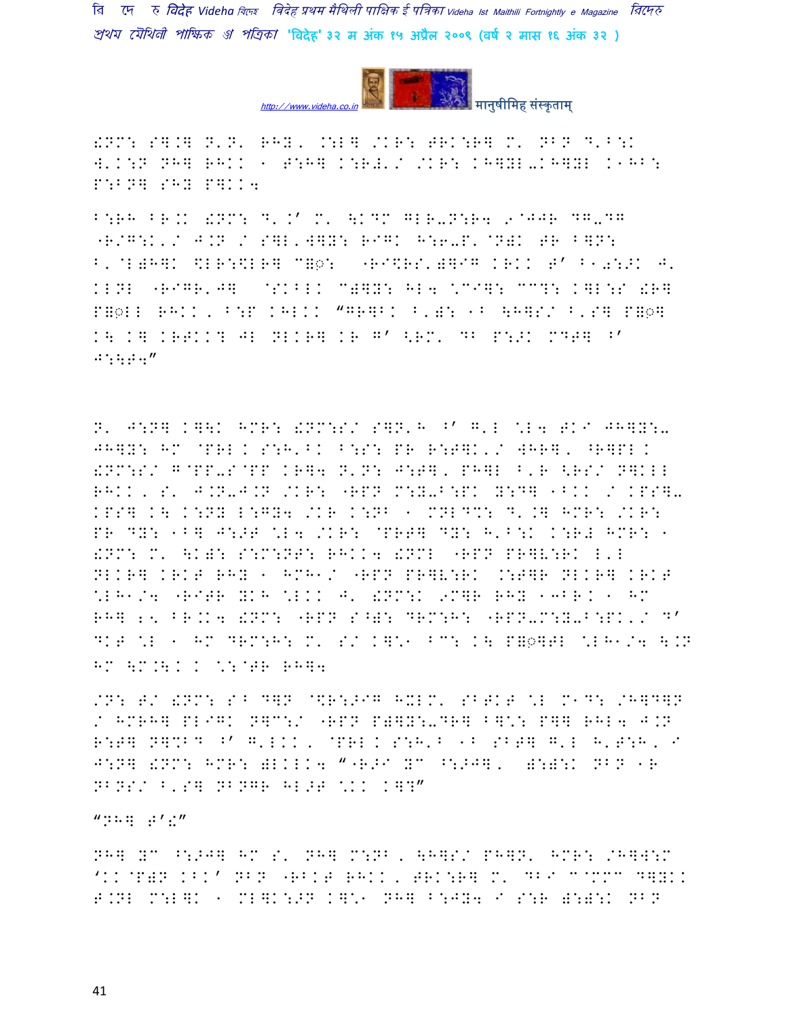

!NM: S].] N'N' RHY, .:L] /KR: TRK:R] M' NBN D'B:K WELCH NHE RHOOT TO REAR OCHER, IN INSTANCE IN ARREST OCHER IN P:BN] SHY P]KK4

B:RH BR.K END: D'.Y N.M: MINT GLRENH: 2000 PORT "R/G:K'/ J.N / S]L'W]Y: RIGK H:6-P'@N)K TR B]N: B. HARR: BERGHEM MAG: "ARMHELANAM IBIL"AY PRANJI A. KLAND "RIGR'S RIGHT" @SKBLK CONSTRUCTS CONSTRUCTS AND STREET PHOII RHKK, B:P KHIKK "GREEN BLANK "BHEKK BLANK PHON KA KARTKAR KRISKAR KARTKAR DA PISANG PISANG PISANG PISA  $\ldots$   $\ldots$   $\ldots$   $''$ 

N' JENE LEE FIR SINDEN PER FOM H. N'H BYM AREIN. JHRBO PO MPRE D'ESP, PO POES PR ROBBED, D'APRRE, PRAPE D !NM:S/ G@PP-S@PP KR]4 N'N: J:T], PH]L B'R <RS/ N]KLL RHKK, S' J.N-J.N /KR: "RPN M:Y-B:PK Y:D] 1BKK / KPS]- KRISTING I KRISTING I KRISTING I DIREKTOR DI DIREKTOR DI DIREKTOR DI DIREKTOR DI DIREKTOR DI DIREKTOR DI DIRE PR DY: 1B] J:>T \*L4 /KR: @PRT] DY: H'B:K K:R# HMR: 1 !NM: M' \K): S:M:NT: RHKK4 !NML "RPN PR]V:RK L'L NLIPA IRIA PAD ("PTP)/ (PPT PRAINE) INAAR JEIRA IRIA \*LH1/4 "RITR YKH \*LKK J' !NM:K 9M]R RHY 13BR. 1 HM RH] 25 BR.K4 !NM: "RPN S^): DRM:H: "RPN-M:Y-B:PK'/ D' DRIE ON HORM: PROTEET OOK SOON BOARD FOR DIE BEWONE ON HANDELIK IN D HM \M.\. K \*:@TR RH]4

/N: T/ !NM: S^ D]N @\$R:>IG HXLM' SBTKT \*L M1D: /H]D]N / HMRH] PLIGK N]C:/ "RPN P)]Y:-DR] B]\*: P]] RHL4 J.N R:THE DECEMBER OF GILCO OF THE CONSTRUCTION OF THE HOLD GOLD GO AND SAFEKER J:N] !NM: HMR: )LKLK4 ""R>I YC ^:>J], ):):K NBN 1R NBNS/ BYSK HLVER HEVE AND THE WARREN

 $\mathbf{w}^{\mathbf{w}} \mathbf{1} \mathbf{1} \mathbf{1} \mathbf{1} \mathbf{1} \mathbf{1} \mathbf{1} \mathbf{1} \mathbf{1} \mathbf{1} \mathbf{1} \mathbf{1} \mathbf{1} \mathbf{1} \mathbf{1} \mathbf{1} \mathbf{1} \mathbf{1} \mathbf{1} \mathbf{1} \mathbf{1} \mathbf{1} \mathbf{1} \mathbf{1} \mathbf{1} \mathbf{1} \mathbf{1} \mathbf{1} \mathbf{1} \mathbf{1} \mathbf{1} \mathbf{1} \mathbf{1} \mathbf{1} \mathbf$ 

NH] YC ^:>J] HM S' NH] M:NB, \H]S/ PH]N' HMR: /H]W:M 'KOO' N KBAK' OF FORD AS A REAL ASSOCIATED AND TRANSPORTED THE REAL DISCUSSION OF PERFORMATION OF TRANSPORTED O T.N. M: N. M. M. M. M. M. M. M. M. M. M. M. M. H. S. (1998): T. A. (1994): T. D. D. D. (1994): T. D. D. D. (19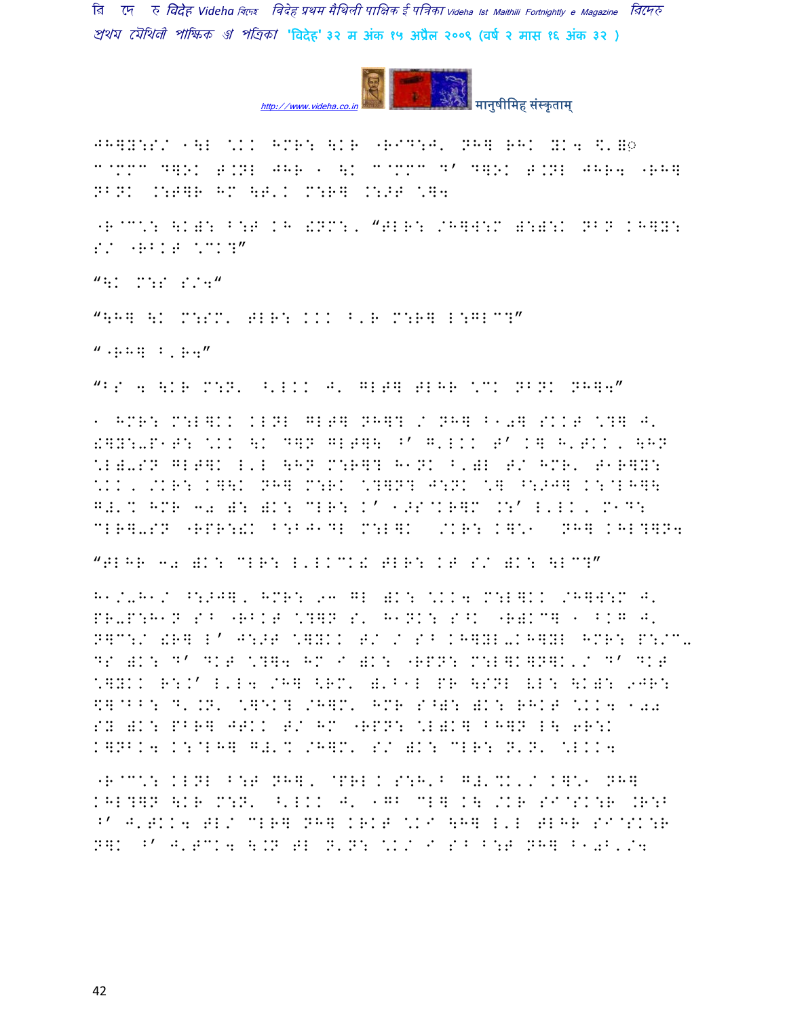

JHANIY: SH (NI) POBN RIB (BYTH), PHR BHK NID: SL ND COMMO DESI BICH PAR 1 BI COMMO D' DESI BICH PARRY (PAR NBN .: THE RIMAN .: THE SAME SHE

"R@C\*: \K): B:T KH !NM:, "TLR: /H]W:M ):):K NBN KH]Y:  $S^*$   $\rightarrow$   $R^*$   $\rightarrow$   $R^*$   $\rightarrow$   $R^*$   $\rightarrow$   $R^*$ 

 $W$   $\vdots$   $\vdots$   $\vdots$   $\vdots$   $\vdots$   $\vdots$   $\vdots$ 

"HHE BI TRATE WHIPS IN THE TRANSPORT

 $W$  . pair  $B = \frac{1}{2}$  by  $\frac{1}{2}$ 

"BS 4 AND TAR, AND IN ALCOHOLING HE ARE NOT TRIPLE THRACK

1 HOR: MILLET ON LETTE PER PER THE WORKER FOR HIS STORE AND HE !]Y:-P1T: \*KK \K D]N GLT]\ ^' G'LKK T' K] H'TKK, \HN \*L)-SN GLT]K L'L \HN M:R]? H1NK B')L T/ HMR' T1R]Y:  $N_{\rm s}$  (  $N_{\rm s}$  )  $N_{\rm s}$  and  $N_{\rm s}$  is the set of  $N_{\rm s}$  in the set of  $N_{\rm s}$  is the set of  $N_{\rm s}$  and  $N_{\rm s}$  is the set of  $N_{\rm s}$ G#'% HMR 30 ): )K: CLR: K' 1>S@KR]M .:' L'LK, M1D: CLR]-SN "RPR:!K B:BJ1DL M:L]K /KR: K]\*1 NH] KHL?]N4

MARSHED AND ALLER SOME REPORTED THE SAME REPORT OF SAME REPORT.

H1/LH1/ SERAH, HMR: 24 ME BOA MILL MIBO (PRHAMM A) PR-P:H1N S^ "RBKT \*?]N S' H1NK: S^K "R)KC] 1 BKG J' N]C:/ !R] L' J:>T \*]YKK T/ / S^ KH]YL-KH]YL HMR: P:/C-DS )K: D' DKT \*?]4 HM I )K: "RPN: M:L]K]N]K'/ D' DKT \*]YKK R:.' L'L4 /H] <RM' )'B1L PR \SNL VL: \K): 9JR: \$\$P\$\$ B.D. DR. DERIS ZABIL AMB SABY: BIG BALE MILH FALL SY )K: PBR] JTKK T/ HM "RPN: \*L)K] BH]N L\ 6R:K K]NBK4 K:@LH] G#'% /H]M' S/ )K: CLR: N'N' \*LKK4

 $R$  . The contribution of the contribution of the signal  $R$  is the set of the set of the  $R$  of the  $R$ KHLIBAR HIN DINA CHILI ILI ALCHAR MERCIN DIN SKIM SKIMIN N ^' J'TKK4 TL/ CLR] NH] KRKT \*KI \H] L'L TLHR SI@SK:R NAI CAM ALAMIA A IN AHONI, PICAI AI SON A NA AN PARA A GALI SA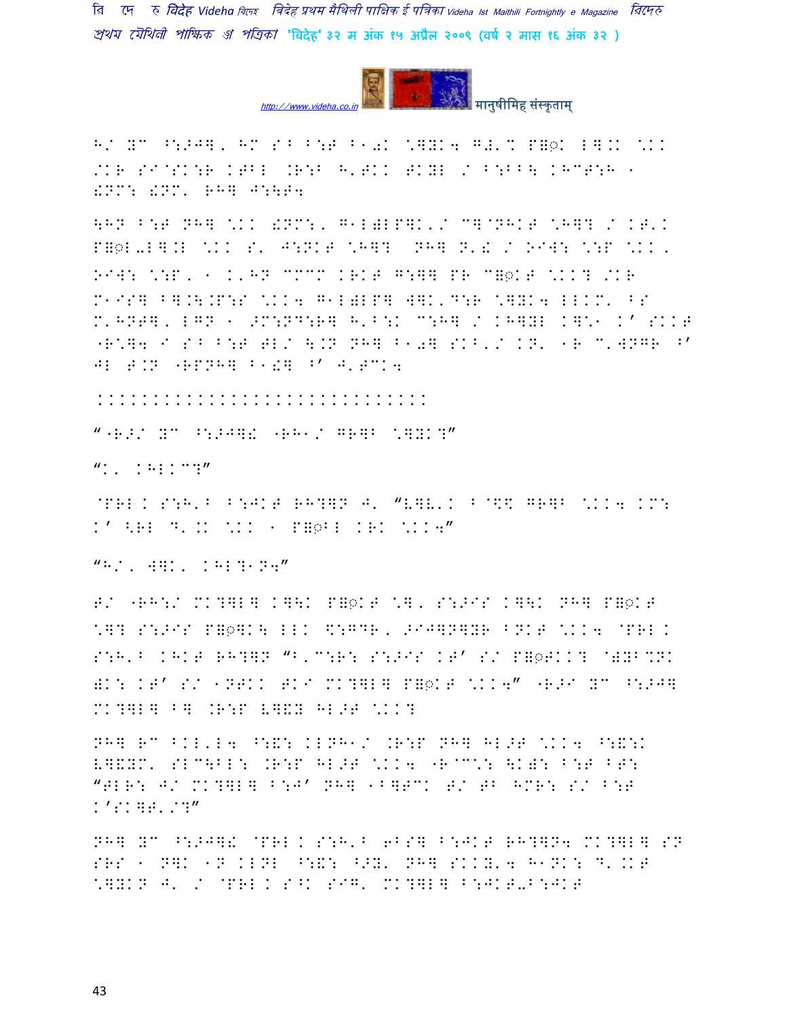

H/ YC OS B:T B10K \*I ST B10K \*INC \*INC \*INC \*INC \*INC \*INC \*I /KR SI@SK:R KTBL .R:B H'TKK TKYL / B:BB\ KHCT:H 1 !NM: !NM' RH] J:\T4

\HN B:T NH] \*KK !NM:, G1L)LP]K'/ C]@NHKT \*H]? / KT'K PHONE AND THE LIST OF A STATE OF THE PERSON OF A STATE OF LIST. OPER CHILL IN CHRISTINE GHE HARR THOMAS (CONTROL) DY KER OF BLOEDEN COOLS OF FEBREER (HROUGHER CHRONE BEOUT) OF E M.AGAR. LAGN 1 SMIRGIA A.KIL MIAR / KAROL KRISTI / SKILA  $\mathcal{A}\oplus\mathcal{A}\oplus\mathcal{A}$  is the set of  $\mathcal{A}\oplus\mathcal{A}$  and  $\mathcal{A}\oplus\mathcal{A}$  and  $\mathcal{A}\oplus\mathcal{A}$  and  $\mathcal{A}\oplus\mathcal{A}$ JUL T.N "APPRAH" B1: 20 JUL T.A. ANG A

..............................

""ROW ROW RESOURCE TO A REAL PROPERTY TO A REAL PROPERTY AND REAL PROPERTY AND REAL PROPERTY AND REAL PROPERTY

 $W'$   $\vdots$   $X'$   $X'$   $X'$   $X'$   $X''$ 

@PRL. S:H'B B:JKT RH?]N J' "V]V'K B@\$\$ GR]B \*KK4 KM: K' RH JR D'ONI (FROME IBI NILA"

 $W_H$ , When  $H$ ,  $H$ 

 $T$  ,  $R$  and  $R$  is the contract of  $R$  and  $R$  is the contract of  $R$  . Since  $R$  is  $K$ \*]? S:>IS P=◌़]K\ LLK \$:GDR, >IJ]N]YR BNKT \*KK4 @PRL. SSHIP KHKT RHTHR MEITHE SSIPE KHKT SY SI PHONIC MOTHER TRI  $R: \mathbb{R}^n \times \mathbb{R}^n \times \mathbb{R}^n \times \mathbb{R}^n \times \mathbb{R}^n \times \mathbb{R}^n \times \mathbb{R}^n \times \mathbb{R}^n \times \mathbb{R}^n \times \mathbb{R}^n \times \mathbb{R}^n \times \mathbb{R}^n \times \mathbb{R}^n \times \mathbb{R}^n \times \mathbb{R}^n \times \mathbb{R}^n \times \mathbb{R}^n \times \mathbb{R}^n \times \mathbb{R}^n \times \mathbb{R}^n \times \mathbb{R}^n \times \mathbb{R}^n$ MK?]L] B] .R:P V]&Y HL>T \*KK?

NH] RC BKL'L4 ^:&: KLNH1/ .R:P NH] HL>T \*KK4 ^:&:K V]&YM' SLC\BL: .R:P HL>T \*KK4 "R@C\*: \K): B:T BT: WHILE: J. M. TITHE FIRM THE 1988 HENR: S. H. HIMRI 2007  $M'$ :  $M'$   $M''$ 

DHA GO 'SARABE' SEHI D'ESH. PO'R ER 'PASA BH?BDA OD BAI B:JKD SRS 1 NA KRONIN A KLANL OG HARA 1991. I NHAH SKO HLIGI A SHEKAY A SKAY OG HI \*]YKN J' / @PRL. S^K SIG' MK?]L] B:JKT-B:JKT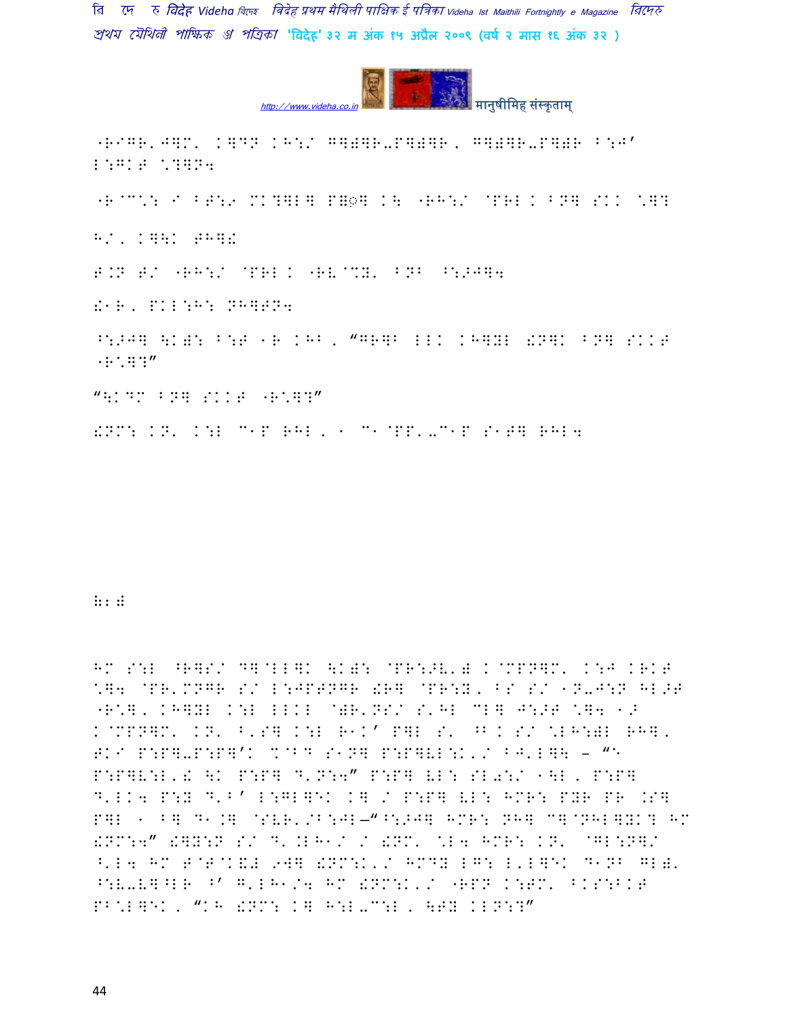

"RIGR'J]M' K]DN KH:/ G])]R-P])]R, G])]R-P])R B:J'  $\frac{1}{2}$ ,  $\frac{1}{2}$ ,  $\frac{1}{2}$ ,  $\frac{1}{2}$ ,  $\frac{1}{2}$ ,  $\frac{1}{2}$ ,  $\frac{1}{2}$ ,  $\frac{1}{2}$ ,  $\frac{1}{2}$ ,  $\frac{1}{2}$ ,  $\frac{1}{2}$ 

 $R$  and the set of  $R$  and  $R$  are  $R$  . If  $R$  is the contribution of  $R$  is the set of  $R$ 

H, K, K, H, K, H, K, H, K, H, K, H, K, H, K, H, K, H, K, H, K, H, K, H, K, H, K, H, K, H, K, H, K, H, K, H, K,

T.N T/ "RH:/" AND T.N T/ "RH:/" AND T.N T/ "RH:/" RH:/" RH:/" RH:/"

!1R, PKL:H: NH]TN4

^:>J] \K): B:T 1R KHB, "GR]B LLK KH]YL !N]K BN] SKKT  $R^2$  and  $R^2$  . The set of  $R^2$ 

 $\mathcal{N}$   $\mathcal{L}$   $\mathcal{L}$   $\mathcal{L}$   $\mathcal{L}$   $\mathcal{L}$   $\mathcal{L}$   $\mathcal{L}$   $\mathcal{L}$   $\mathcal{L}$   $\mathcal{L}$   $\mathcal{L}$   $\mathcal{L}$   $\mathcal{L}$   $\mathcal{L}$   $\mathcal{L}$   $\mathcal{L}$   $\mathcal{L}$   $\mathcal{L}$   $\mathcal{L}$   $\mathcal{L}$   $\mathcal{L}$   $\mathcal{L}$   $\mathcal{L}$   $\mathcal{$ 

!NM: KN' K:L C1P RHL, 1 C1@PP'-C1P S1T] RHL4

## $\mathbb{R}$ :  $\mathbb{R}$

HM S:L ^R]S/ D]@LL]K \K): @PR:>V') K@MPN]M' K:J KRKT  $\Lambda$ H $\alpha$  ) of the system is the system of the system in the system in the system in the system in the system in the system in the system in the system in the system in the system in the system in the system in the system "RENN LOI RAGGE" I NE OE EI LE COGEL DEL PILOTE POT AN ANCHE NIA 4 1 1 KAMPARIMA MIRAM MANJAMI PANA KE PANGANG KANYA BANG SAHIL SERIKA KE SI SI SI SANG SAHIL RHANG, SANG SAHIL RHANG THIS POSSESSED BY THE POSSESSED BOOK AND A RELEASED BY THE POSSESSED BY A RELEASED BY THE UNITS PART OF THE UNI P:P:P:L':L': L':L': P:L':P:L':P:L': P:L': P:L': L': L': L': L': L': P:L': P:L': P D'LA P: POR D'EL FIN A REPRAISSE DE L'OCHER PRESSONAIRE DE PRODUCTE DE L'OCHER PRESSONAIRE DE L'OCHER . PHIL 1 BB D1.18 MILH. 20141-101.000 HMR: NHI CHO CHICOGEOUS HM !NM:4" !]Y:N S/ D'.LH1/ / !NM' \*L4 HMR: KN' @GL:N]/ ^'L4 HM T@T@K&# 9W] !NM:K'/ HMDY LG: L'L]EK D1NB GL)' ^:V-V]^LR ^' G'LH1/4 HM !NM:K'/ "RPN K:TM' BKS:BKT PB\*LEX, "KH CHI, LANGE HI, HI, HO HO LINE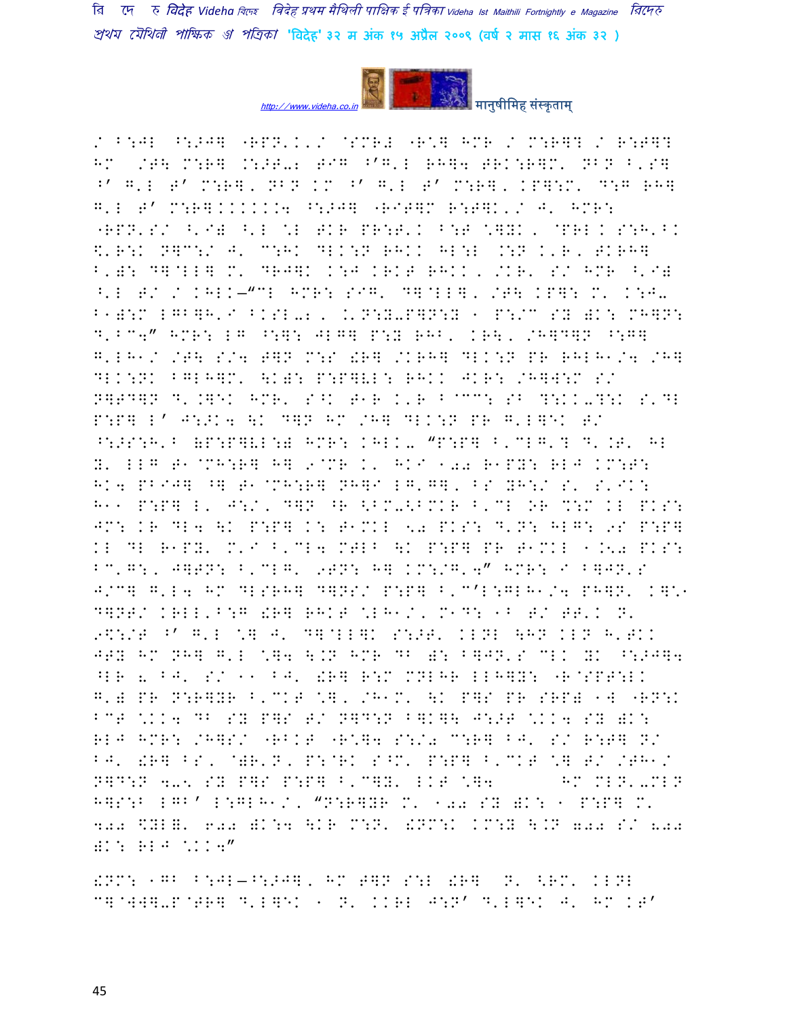

/ B:JL ^:>J] "RPN'K'/ @SMR# "R\*] HMR / M:R]? / R:T]? HM / MER /MYRE / MYRELE / BYP, PYP, E. (BRPH) BER YERD, / DRIB P, PIR  $\mathcal{F}^{\mathcal{F}}$  (Fig. To M:R], NBN  $\mathcal{F}$  (Fig. To  $\mathcal{F}^{\mathcal{F}}$  ,  $\mathcal{F}^{\mathcal{F}}$ ):  $\mathcal{F}^{\mathcal{F}}$  ,  $\mathcal{F}^{\mathcal{F}}$  ,  $\mathcal{F}^{\mathcal{F}}$  ,  $\mathcal{F}^{\mathcal{F}}$  ,  $\mathcal{F}^{\mathcal{F}}$  ,  $\mathcal{F}^{\mathcal{F}}$  ,  $\mathcal{F}^{\mathcal{F}}$  ,  $\mathcal{F$ B.: 8/ THUILING MARR ARGUM REND, AN AURI "RPN'S/" R. KE (R. E. M. P. R. PRYS. S. MAR (AND), "THE COMPANY \$'R:K N]C:/ J' C:HK DLK:N RHKK HL:L .:N K'R, TKRH] B'): D]@LL] M' DRJ]K K:J KRKT RHKK, /KR' S/ HMR ^'I) ^'L T/ / KHLK—"CL HMR: SIG' D]@LL], /T\ KP]: M' K:J-B1):M LGB]H'I BKSL-2, .'N:Y-P]N:Y 1 P:/C SY )K: MH]N: D'ACHA HORS E CHORE LE CHE EN RHB' ANN I LO BH (1994) PHENIC G'LH1/ /T\ S/4 T]N M:S !R] /KRH] DLK:N PR RHLH1/4 /H] DRECHER BGLAUCHEN BEREICHEN BEI DIE HEIT VLANGEN DER N]TD]N D'.]EK HMR' S^K T1R K'R B@CC: SB ?:KK-?:K S'DL PAPA L' JALANA AN TAR AN NAG MINAR PR ALIGNI BI ^:>S:H'B (P:P]VL:) HMR: KHLK- "P:P] B'CLG'? D'.T' HL Y, LEEF BY THANKE ARE A THE 100 AND A GUESS HER REPORTED HEA PRIJAR, PRIJA, MASAR, BSRAIJ RI, BROG, PRIJAR, DEL VELIJE H11 P:P:PH B. P:P.C. PHR PHONE CLUB BY KITH DE THING BY PKS JM: KR DL4 \K P:P] K: T1MKL 50 PKS: D'N: HLG: 9S P:P] KL PH'EAL IVY' MYTH THA HI PAPE PR FYTI Y DU PITH BC'S:, JOURNAL BY MANY BOOK OF THE SAME HAVE A STATE OF THE SAME HAVE A STATE OF THE SAME HAVE A STATE OF THE JACHT GOLF HOLD DE KERREI DAERE COLEERE IR CHO SARE RY CHI B'RADO, ICCES KI DRIGGE I BEELFAR RHE BRIG NEHT IN DY THAN HIT GENERIC DI 9\$:10:14 FM #LEL NH #LL FH (EEH) SYNARI NE HE ARP NE HUR DI JTY HOW DARK HIS NEW HOD DON'T HOW DAY ARREST ON THE UNION ON HAMPY ^LR 8 BJ' S/ 11 BJ' !R] R:M MNLHR LLH]Y: "R@SPT:LK G.) PR PRESENT AN MISSING AN INC. AN IPEN TE SPEED AND ARRAY BCT #KKAKA DB SY PERSONE PINE AND SY NOT HIS RLJ HMR: /H]S/ "RBKT "R\*]4 S:/0 C:R] BJ' S/ R:T] N/ BA, BBB' P: 2 (MBC) P: P: P: P: P: PHI P: THIT B'C D:N 5-45 SY PORT PINT FOR THE SYSTEM OF A SYSTEM AND DEVICATED HEND IM KINNED S. MPHHEE T. Saa 20 BIN STREET. 400 \$YALE, and Altertity Mill (2001) CONTRACT and Alternation  $E: Y: E: H \to V, Y: Y: W$ 

!NM: 1GB B:JL—^:>J], HM T]N S:L !R] N' <RM' KLNL CATRA DE CARA D'ALEAN D'A D'EL DIL RED ANN KOMPLEAN D'ALDAIS D'AN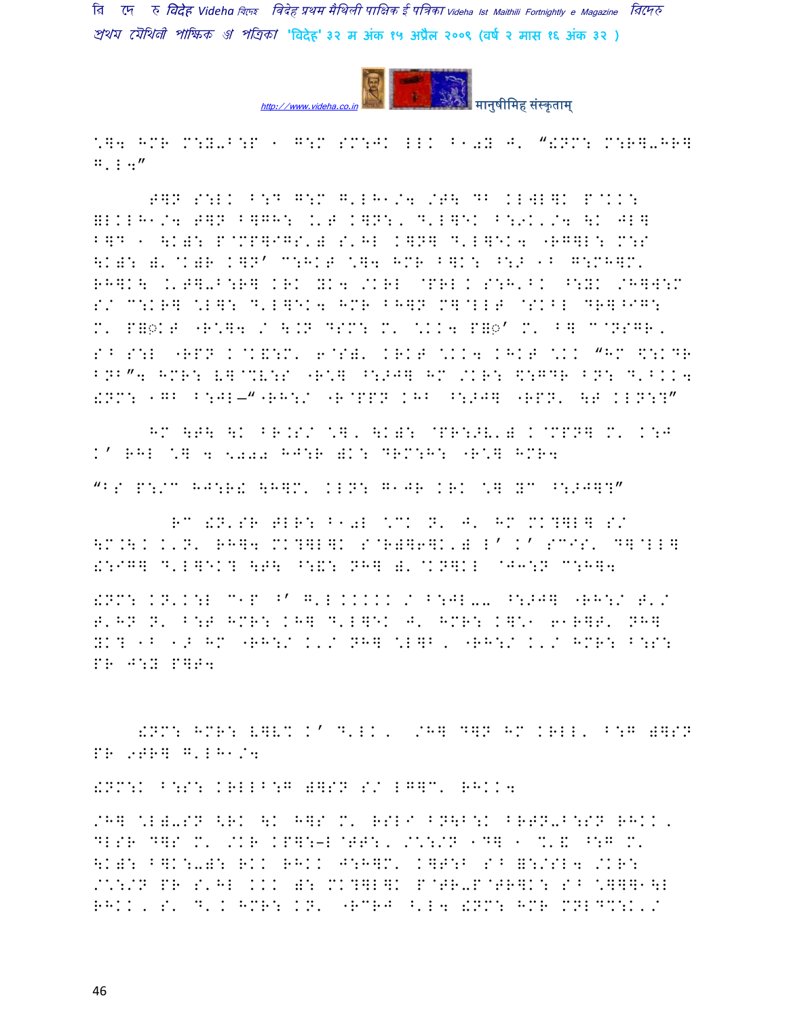

\*]4 HMR M:Y-B:P 1 G:M SM:JK LLK B10Y J' "!NM: M:R]-HR]  $\mathbb{G}$ ,  $\vdots$   $\mathbb{G}$ 

THE SINE OF A RIGHT HIS BACKER OF A RIGHT OF THE CONTROL =LKLH1/4 T]N B]GH: .'T K]N:, D'L]EK B:9K'/4 \K JL] B]D 1 \K): P@MP]IGS') S'HL K]N] D'L]EK4 "RG]L: M:S \K): )'@K)R K]N' C:HKT \*]4 HMR B]K: ^:> 1B G:MH]M' RHIK . SHIPHIK YK BIR ZIR MPRI SIN KI YAK ZHAN S/ C:KR] \*L]: D'L]EK4 HMR BH]N M]@LLT @SKBL DR]^IG: MY PHONE (RENGER & RENT MINISTRY MINE PHONE MOVING MINIST  $S^{\rm t}$  so see a set of the state of the state  $K$  and  $K$   $\mathbb{R}$   $\mathbb{R}$   $\mathbb{R}$   $\mathbb{R}$   $\mathbb{R}$   $\mathbb{R}$   $\mathbb{R}$   $\mathbb{R}$   $\mathbb{R}$   $\mathbb{R}$   $\mathbb{R}$   $\mathbb{R}$   $\mathbb{R}$   $\mathbb{R}$   $\mathbb{R}$   $\mathbb{R}$   $\mathbb{R}$   $\mathbb{R}$  BNB"4 HMR: ESMILER (BRS) FRAGS BN /KRE SHRIB BNB: DYS !NOTE : ## | # Quara B:JL=" (B:JL) | Represent to the Construction of the Construction of the Construction of t

HO (ABR) AD (FROED OR): ADBAC OPRAGUL BOD OPPGROUND DAY K' RHI YE A 5000 HANR BIN MRTIHI (RYE ATRA

 $N:$  P:/C H-B:R HHI. (199) We have the constraints  $\mathcal{E}$ 

RC : BILD: B10L \*CH N' J' HM MK? \M.\. K'N' RH]4 MK?]L]K S@R)]6]K') L' K' SCIS' D]@LL] !:IG] D'L]EK? \T\ ^:&: NH] )'@KN]KL @J3:N C:H]4

!NM: KN'K:L C1P ^' G'L..... / B:JL-- ^:>J] "RH:/ T'/ T'HN N' B:T HMR: KH] D'L]EK J' HMR: K]\*1 61R]T' NH] YK? 1B 1> HM "RH:/ K'/ NH] \*L]B, "RH:/ K'/ HMR: B:S: PR J:Y P]T4

 !NM: HMR: V]V% K' D'LK, /H] D]N HM KRLL' B:G )]SN PR 9TR] G'LH1/4

!NM:K B:S: KRLLB:G )]SN S/ LG]C' RHKK4

/H] \*L)-SN <RK \K H]S M' RSLI BN\B:K BRTN-B:SN RHKK, DLSR D]S M' /KR KP]:–L@TT:, /\*:/N 1D] 1 %'& ^:G M'  $K$  -since  $K$  and  $K$  and  $K$  is equal on  $K$  . The solution of  $K$  is solved in  $K$  , such as  $K$ /\*:/N PR S'HL KKK ): MK?]L]K P@TR-P@TR]K: S^ \*]]]1\L RHICK, SY, MR. I HORS COR, (HRTBH) RIEN GOODS HOR OOPEMONIST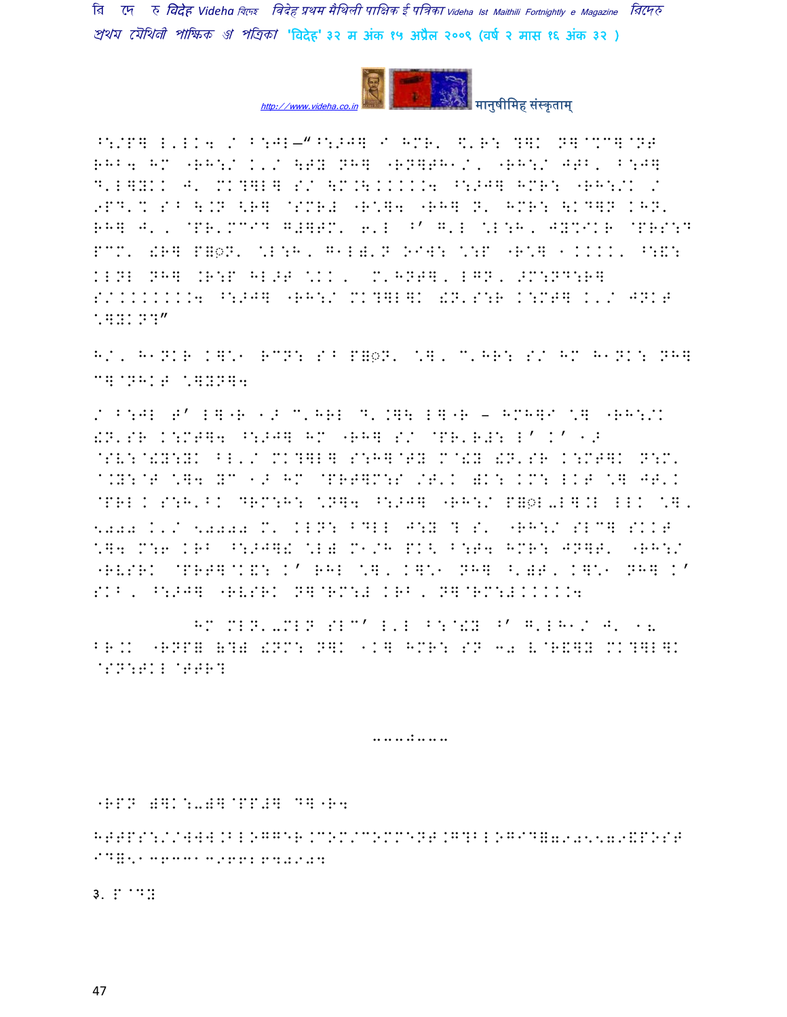

^:/P] L'LK4 / B:JL—"^:>J] I HMR' \$'R: ?]K N]@%C]@NT RHB4 HM "RH:/ K'/ \TY NH] "RN]TH1/, "RH:/ JTB' B:J] D'L'E AGOSTO (ALL'OTO AAREA) ALENO ADITALIO DI LEGIONALE ADIANE (APARADO CONT 9PD'% S^ \.N <R] @SMR# "R\*]4 "RH] N' HMR: \KD]N KHN' RHI J, . MPR'MC'S BARRI, R.E. FX B.E. MENS, JOURNEY MERNE PCMY AND PHON, MINH, GHILD NAME WIN AND PICE PICE. THEY KLNL NH] .R:P HL>T \*KK, M'HNT], LGN, >M:ND:R] S/.......4 ^:>J] "RH:/ MK?]L]K !N'S:R K:MT] K'/ JNKT \*]YKN?"

H/, H1NKR K]\*1 RCN: S^ P=◌़N' \*], C'HR: S/ HM H1NK: NH] C]@NHKT \*]YN]4

/ Z:J. TEAT - HEAT - HEAT - TO, THE - TO, CHEAT EAT AF - HOTHAIR - CARD AB THE TOO INDER INTERACHIER ROOMBREIN IN MEERSEN EN IN SO @SV:@!Y:YK BL'/ MK?]L] S:H]@TY M@!Y !N'SR K:MT]K N:M' @.Y:@T \*]4 YC 1> HM @PRT]M:S /T'K )K: KM: LKT \*] JT'K  $\mathcal{P}(\mathbb{P}\text{-}\mathbb{P}\text{-}\mathbb{P}\text{-}\mathbb{P}\text{-}\mathbb{P}\text{-}\mathbb{P}\text{-}\mathbb{P}\text{-}\mathbb{P}\text{-}\mathbb{P}\text{-}\mathbb{P}\text{-}\mathbb{P}\text{-}\mathbb{P}\text{-}\mathbb{P}\text{-}\mathbb{P}\text{-}\mathbb{P}\text{-}\mathbb{P}\text{-}\mathbb{P}\text{-}\mathbb{P}\text{-}\mathbb{P}\text{-}\mathbb{P}\text{-}\mathbb{P}\text{-}\mathbb{P}\text{-}\mathbb{P}\text{-}\mathbb{P}\text{-}\mathbb{P}\text{-}\mathbb{P}\text{-}\mathbb{P}\$ 5000 K'/ 50000 M' KLN: BDLL J:Y ? S' "RH:/ SLC] SKKT \*]4 M:6 KRB ^:>J]! \*L) M1/H PK< B:T4 HMR: JN]T' "RH:/ "RVSRK @PRT]@K&: K' RHL \*], K]\*1 NH] ^')T, K]\*1 NH] K' SKB, A:: PISRAH (ABESPE) (PHOIPOIE (1947), PHOIPOIE (1111)

HM MENUDI SE SEMILI SLOGI SLOGI SLEDINI SLOGI BR.K "PRED BRE GRUN RAK "KR PUBN 28 PG & PRAK UNIVERSI @SN:TKL@TTR?

---0---

"RPN )] RPN (1999) (1999) (1999) (1999) (1999) (1999) (1999) (1999) (1999) (1999) (1999) (1999) (1999) (1999) (

HTTPS://WWW.BLOGGER.COM/COMMENT.G?BLOGID=7905579&POST ID=513633139662640904

 $3.$   $P^{\prime}$   $P^{\prime}$   $P^{\prime}$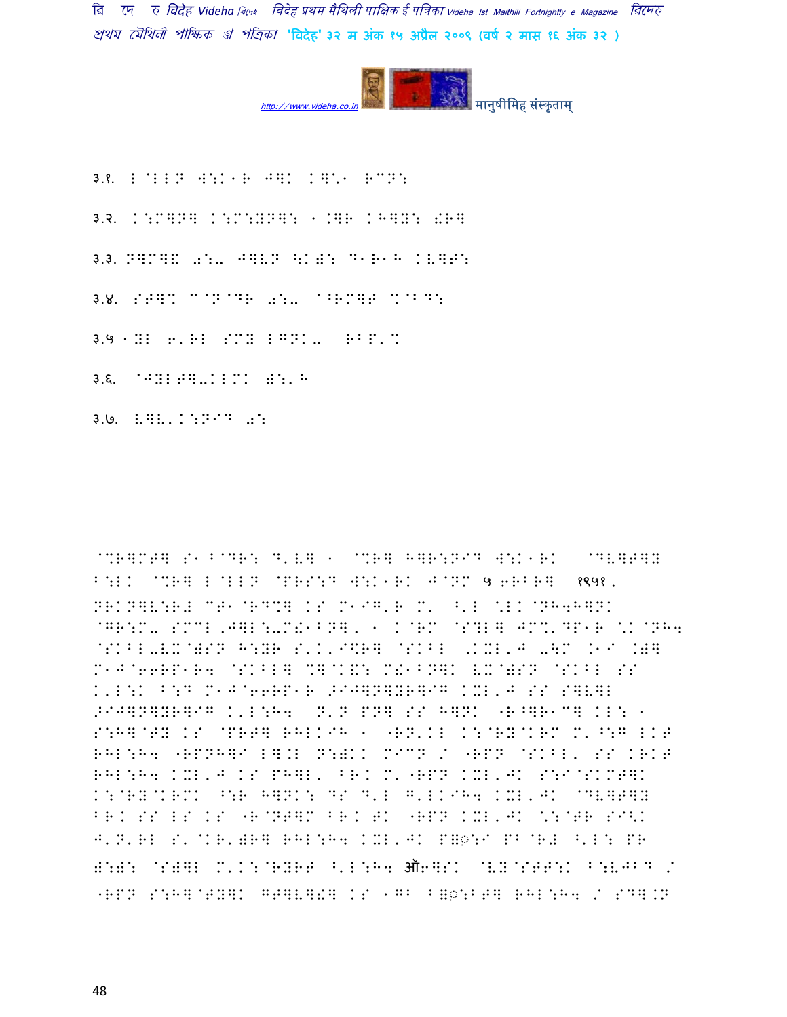

- 3.8. E TEEP HEN F HEN I RON FORE
- ३.२. (१९७९: १९७९: १९७९: १९९९: १९९९: १९९९: १९९९
- ३.३. NHTHE GALL PHEN HIGH THEFF CENT
- ३.४. START CONDITANT STEP OF THE CONDITA
- ३.५ (HE 60.9) (PTH 8971. 899) (PTH
- 3.6. <sup>2</sup> (400) 3:4. At  $H$  (400)  $\frac{1}{2}$  (400)  $\frac{1}{2}$  (400)  $\frac{1}{2}$
- $3.0.$   $1.911.$   $1.911.79$   $1.11$

@%R]MT] S1^@DR: D'V] 1 @%R] H]R:NID W:K1RK @DV]T]Y B:LK @%R] L@LLN @PRS:D W:K1RK J@NM ५ 6RBR] १९५१, NRKN]V:R# CT1@RD%] KS M1IG'R M' ^'L \*LK@NH4H]NK @GR:M- SMCL,J]L:-M!1BN], 1 K@RM @S?L] JM%'DP1R \*K@NH4 OSC PELLED OBSCRIPENSE SOLO, KRIBRI I OSC PELLICO DEL PRILLERO I DE RIJ I 18R. M1J@66RP1R4 @SKBLE\_MENTER\_MANAGER\_MANAGER\_MANAGER\_ K'L:K B:D M1J@66RP1R >IJ]N]YR]IG KXL'J SS S]V]L >IJ]N]YR]IG K'L:H4 N'N PN] SS H]NK "R^]R1C] KL: 1 SSERING IS MERR RHLVE 1 "RNIE IN GROOF DIT HE EIR RHL:H4 "RPNH]I L].L N:)KK MICN / "RPN @SKBL' SS KRKT RHIGHA: DIBLY DE PHBL: FRD DLYRFR DIBLYD EGY SKUPHD K:@RY@KRMK ^:R H]NK: DS D'L G'LKIH4 KXL'JK @DV]T]Y BR. SS LS KS LS KS 1989 (PRO BR. THE SIDE SIDE AN INSTART) J'N'RL S'@KR')R] RHL:H4 KXL'JK P=◌़:I PB@R# ^'L: PR ):): @S)]L M'K:@RYRT ^'L:H4 ऑ6]SK @VY@STT:K B:VJBD / "RPIC STARE TROUGHT (PRODUCT) SOME PROCESSED BESIGNED IN STORIC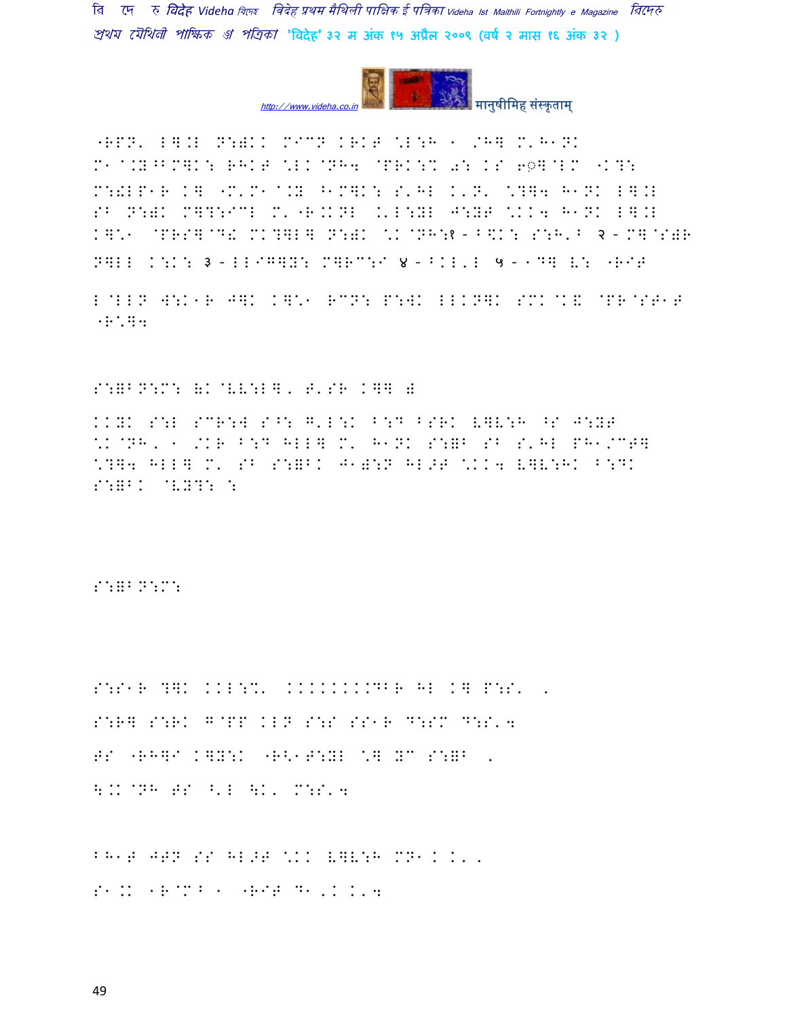

"RPN' L].L N:)KK MICN KRKT \*L:H 1 /H] M'H1NK MA THE REPORT RHORE TO ME THE SECOND ORDER TO A CONSTRUCT TO A CONTROL AND MODEL IN THE SECOND DESCRIPTION OF THE UNION OF THE UNION OF THE UNION OF THE UNION OF THE UNION OF THE UNION OF THE UNION OF THE UNION OF THE UNIO M:!LP1R K] "M'M1@.Y ^1M]K: S'HL K'N' \*?]4 H1NK L].L SB N:)K M]?:ICL M'"R.KNL .'L:YL J:YT \*KK4 H1NK L].L KAL MERSEMA MITHER PART NIMPAR - FRIN PART R - MENGRE  $N$ Hill (NI) 3 - Llighning (Mirch)  $8 - 3$  . Llius  $9 - 100$  Rite  $R$ 

L@LLN W:K1R J]K K]\*1 RCN: P:WK LLKN]K SMK@K& @PR@ST1T  $\mathcal{A}:\mathbb{R}^{n}\rightarrow\mathbb{R}^{n}$ 

 $\cdot$  :  $\cdot$  :  $\cdot$  :  $\cdot$  :  $\cdot$  :  $\cdot$  :  $\cdot$  :  $\cdot$  :  $\cdot$  :  $\cdot$  :  $\cdot$  :  $\cdot$  :  $\cdot$  :  $\cdot$  :  $\cdot$  :  $\cdot$  :  $\cdot$  :  $\cdot$  :  $\cdot$  :  $\cdot$  :  $\cdot$  :  $\cdot$  :  $\cdot$  :  $\cdot$  :  $\cdot$  :  $\cdot$  :  $\cdot$  :  $\cdot$  :  $\cdot$  :  $\cdot$  :  $\cdot$  :  $\cdot$ 

KKYK S:L SO: G'LESSE S: G'L: G'L: K SO: FSRK VI:H BSRK VI: H GYSBE \*K@NH, 1 /KR B:D HLL] M' H1NK S:=B SB S'HL PH1/CT] \*?]4 HLL] M' SB S:=BK J1):N HL>T \*KK4 V]V:HK B:DK S:=BK @VY?: :

S:=BN:M:

STAR RESOLUTION AND CONSIDERED ARRANGEMENT OF STAR ... S:R] S:RK G@PP KLN S:S SS1R D:SM D:S'4 HI ARHE CHIN ARABIE (H.H. FIH) . \.K@NH TS ^'L \K' M:S'4

BH1T SS HER SS HERT TO STATE THAT IS A SNAMA 1R@MANA 1R@MANA 1 1 (1, K)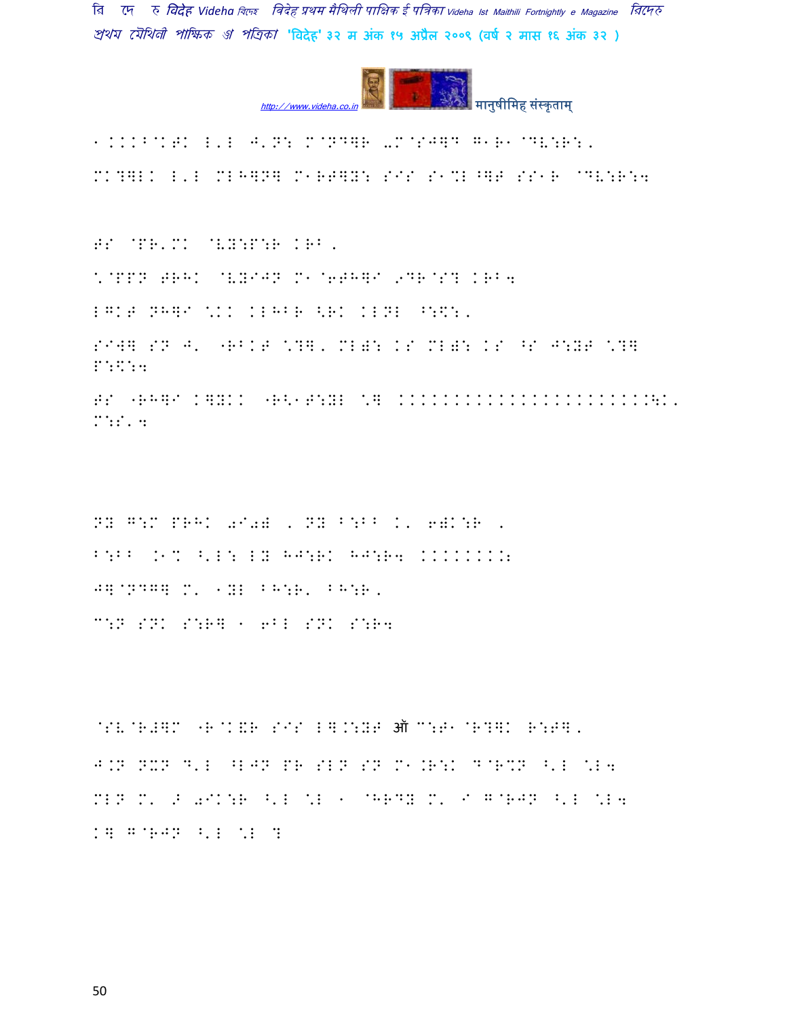

1...^@KTK L'L J'N: M@ND]R -M@SJ]D G1R1@DV:R:, MANAGE OF MANAGE OF SISTEM STATES OF STREET STATES OF STREET

FS MPLIC MERRIE CHAL \*@PPN TRHK @VYIJN M1@6TH]I 9DR@S? KRB4 LAGK NHA NI SERE ART IEN (ART) SIWAR SIWA, SHIWA NIR, MLAN IS MLAN IS AN ANDA NIR P: Pine TS "RH]I K]YKK "R<1T:YL \*] .......................\K'  $T: \mathbb{R} \rightarrow \mathbb{R}$ 

NY G:M PRHK 0I0) , NY B:BB K' 6)K:R , B:BB .1% ^'L: LY HJ:RK HJ:R4 ........2 J]@NDG] M' 1YL BH:R' BH:R, C:N SNK S:R] 1 6BL SNK S:R4

OSCAR DE READERS IN THE SIGN SINGLE SIS LIGHT OF THE SIGNER SIGNAL READERS IN THE SIGN OF THE SIGN OF THE SIGN OF THE SIGN OF THE SIGN OF THE SIGN OF THE SIGN OF THE SIGN OF THE SIGN OF THE SIGN OF THE SIGN OF THE SIGN OF J.N NXN D'L ^LJN PR SLN SN M1.R:K D@R%N ^'L \*L4 MER MI A GRIEF RESERVE MORTE MI PORTRER RESERVE **CH BORD CONSTRUCT**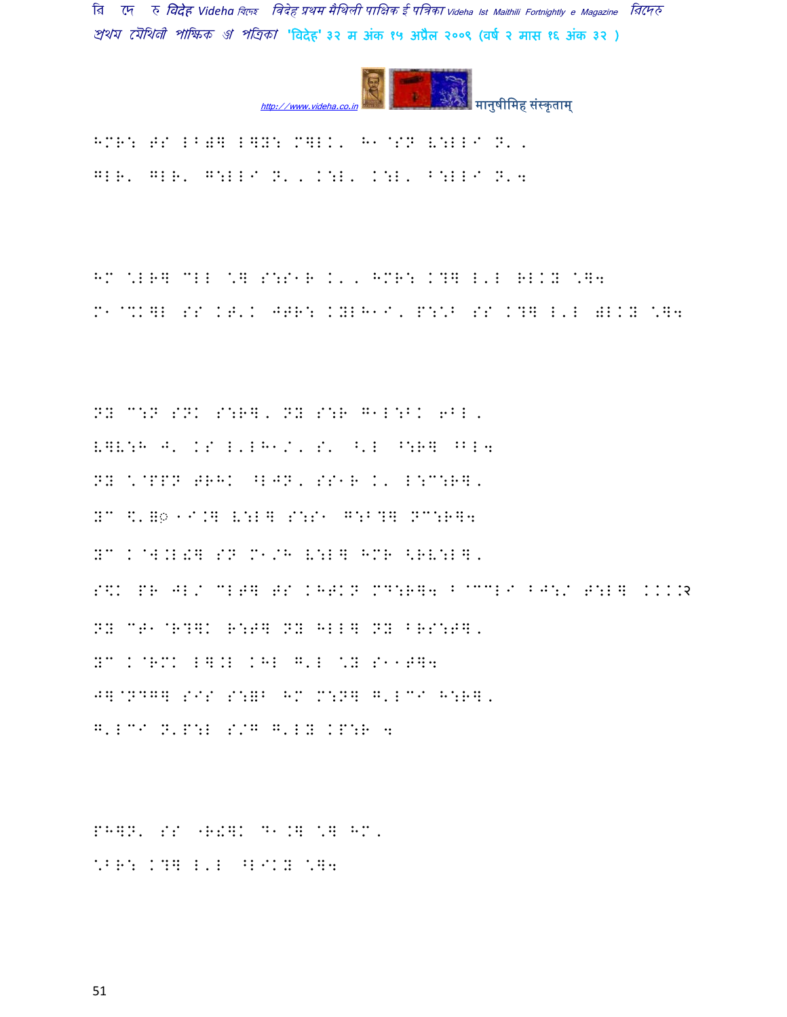

HMR: TS LB)] L]Y: M]LK' H1@SN V:LLI N', GLR, GLR, GMIR' S. LINE, INE, PALES S.A.

HM MIRE TEE NE STAR BOOK, HMRT COE ELE BECO NEW MANIS KONTROLL SO KARA SS KRIMA SS KONTROLL I SS KONTROLL I LA

NY COS SOUTH SERVICE BELONG STRING EARTH AN IS ENERGY SINGLE PRESSURE NY \*@PPN TRHK ^LJN, SS1R K' L:C:R],  $E''(T;H) \times E''(T;H)$  is the state of the state  $F''(T;H)$ YC K@W.L!] SN M1/H V:L] HMR <RV:L],  $S^1$  , the distribution of  $S^1$  is the contribution of  $S^1$  . The contribution of  $S^1$ NY CT1@R?]K R:T] NY HLL] NY BRS:T], WC KWARMA LI KAMA LI KAMA LI KAMA LI KAMA LI KAMA LI KAMA LI KAMA LI KAMA LI KAMA LI KAMA LI KAMA LI KAMA LI K J]@NDG] SIS S:=B HM M:N] G'LCI H:R], G'LC' N'ALC' SAN HAIR ANN H

PHEN, SS (REED D-18 NE NEW \*BR: K?] L'L ^LIKY \*]4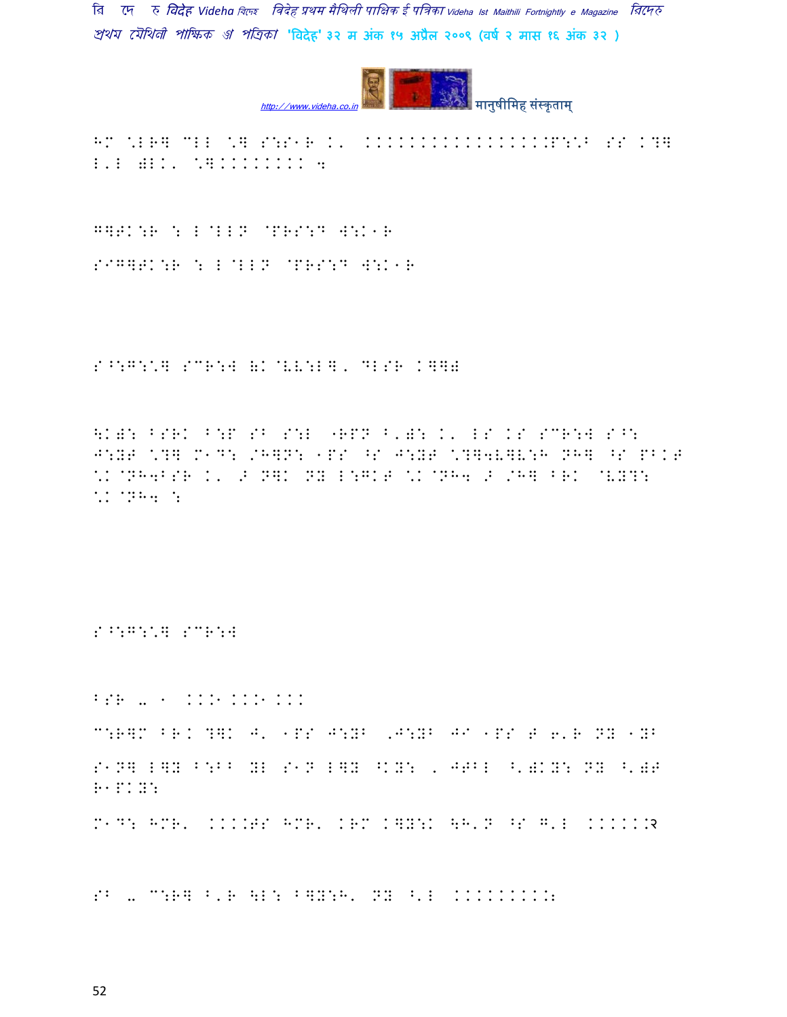

HM TERR TEE THE STATER IS SISTING IN LIGHT CONTINUES AT 1988 L'E ALLES MESSINE A

BAR:R : L@LLN @PRS:D W:K1R SIGNED IN THE SIGNED WILL SEE

SOMETHE SCRIPT BIOLENE KONFIDENT KAR

\K): BSRK B:P SB S:L "RPN B'): K' LS KS SCR:W S^: HYSE NSE DATE VARTE AFF OF HYSE NTREENED TAR OF FUR \*K@NH4BSR K' > N]K NY L:GKT \*K@NH4 > /H] BRK @VY?:  $\mathcal{M}$  :  $\mathcal{M}$  :  $\mathcal{M}$  :  $\mathcal{M}$ 

SONS SCRIPT

BSR - 1 ...1...1...

C:R]M BR. ?]K J' 1PS J:YB ,J:YB JI 1PS T 6'R NY 1YB S1N] L]Y B:BB YL S1N L]Y ^KY: , JTBL ^')KY: NY ^')T R1PKY:

MAND: HMR, ....TS HMR HMR, ....TS HMR KRAM KRAM HAR KRISTING

SB - C:R] B'R - C:R] B'R - C:R] B'R - C:R] B'R - C:R] B'R - C:R] B'R - C:R] B'R - C:R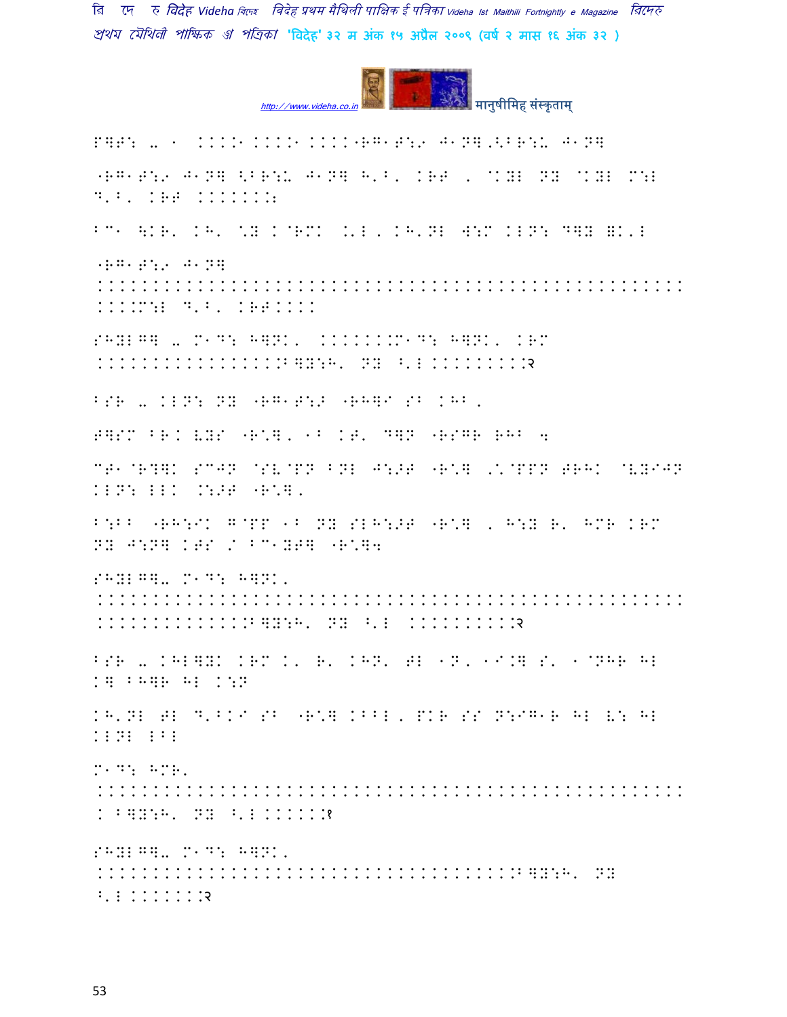

P]T: - 1 ....1....1...."RG1T:9 J1N],<BR:U J1N] "RANGER" AND ROBERT AND ALL CHANN THAT DE TO BE THE D'E KRISTINIAN EN L'ANGER . BC1 \KREW ... KH' KHI \*Y KAN KAN KANG ... KH'NL WE ... ANG TANG ... DI SANG ... DI SANG ...  $R$ . **RG1T:**  $R$  J10  $\overline{R}$ ..................................................... ....M:L D'B' KRT.... SHYLGI - MID: HIS SHYLGI - MID: HIS SHYLGI - MID: HIS SHYLGI - MID: HIS SHYLGI - MID: HIS SHYLGI - MID: HIS SH .................B]Y:H' NY ^'L.........२ BSR - KLN: NY "RON-RHID" RESERVED AND I THE BRAIN SHOWS "REAL THE SHOWS HAD A CT1. STRIKE STRIKE STRIKE STRIKE STRIKE STRIKE STRIKE STRIKE STRIKE STRIKE STRIKE STRIKE STRIKE STRIKE STRIKE KLN: LLK .:>T "R\*], B:BB "RH:IK G@PP 1B NY SLH:>T "R\*] , H:Y R' HMR KRM NY HOURS AND A FOUNDATION SHYLG]- M1D: H]NK' ..................................................... ..............B]Y:H' NY ^'L ..........२ BSR - KHRM K' R' KHL) I R' KHL, 1999 I R' KHN' TH' K' KHN' TH' K' KHN' TH' K' KHN' TH' TH' TH' TH' TH' TH' TH' **THE HUR HE THE** KH'NL TL D'BEL, D'ANN STANDAR SOM I STANDAR SS NIGHT STANDARD HAR STANDARD HAR STANDARD HAR STANDARD HAR STAND **KLAUGHT** M1D: HMR' .....................................................  $I:HHH.$  BY:  $H:CH.$ SHIRGHER SHYLG ......................................B]Y:H' NY  $\cdot$ .............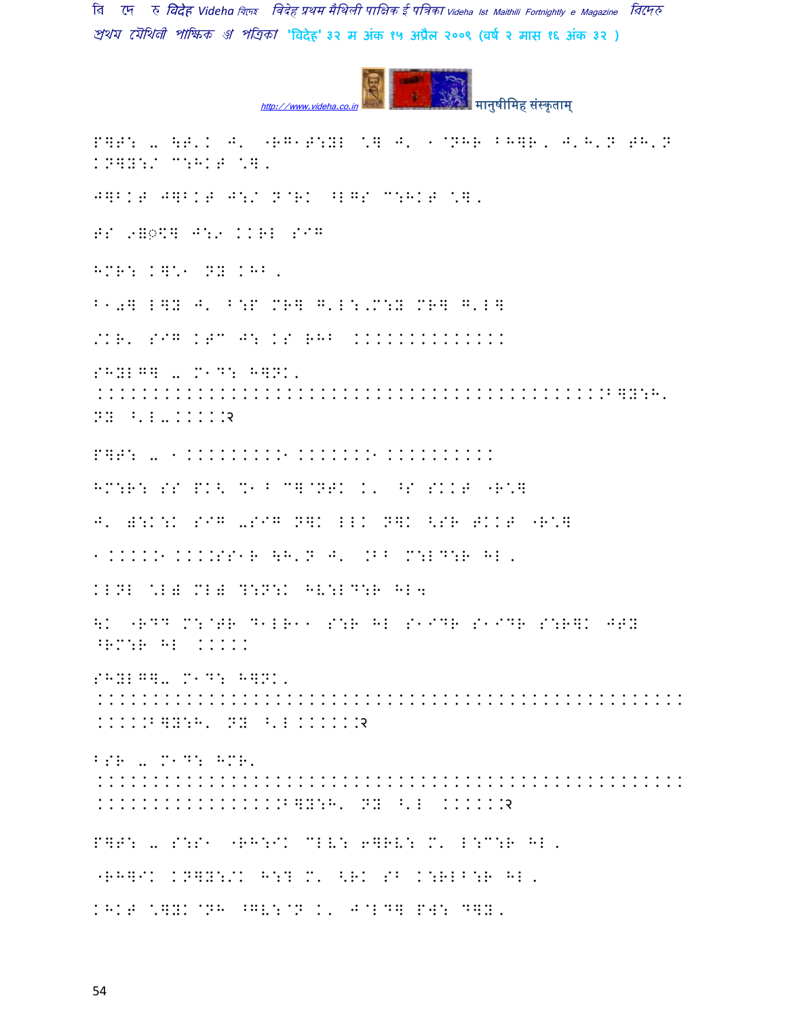

PART & RESOURT PROPERTY ON ASSOCIATE PART OF A STATE OF A KNAME . C:HKT \* C:HKT JEBKT J:// HORK J:// DOBT \* HE \* TO HKT # (NB) THE SECRET SIGNAL SIGNAL SIGNAL SIGNAL SIGNAL SIGNAL SIGNAL SIGNAL SIGNAL SIGNAL SIGNAL SIGNAL SIGNAL SIGNAL S HMR: K]\*1 NY KHB, B10] B:P AN BOAT MARSHALL MARSHALL /KR' SIG KTC J: KS RHB .............. SHIRGH - MINDS HIRLS ..............................................B]Y:H' NY ^'L-.....२ P]T: - 1.........1.......1.......... HT:R: SS PKK TH THIRE I, AN SKIR ARIT JA, BINTIN PAR WEAR PROTEEN PROTECTED AND MOST 1.....1....SS1R \H'N J' .BB M:LD:R HL, KLNL \*L) ML) ?:N:K HV:LD:R HL4 \K "RDD M:@TR D1LR11 S:R HL S1IDR S1IDR S:R]K JTY ^RM:R HL ..... SHIRGING TO THE BUILDING ..................................................... .....B]Y:H' NY ^'L......२ BSR - MID: HMR'S ..................................................... .................B]Y:H' NY ^'L ......२ PART : SIN THE SINGLE RANGE IN THE SINGLE IN "RH]IK KN]Y:/K H:? M' <RK SB K:RLB:R HL, KHKT \*]YK@NH \*]YK@NH \*]YK@NH \*]YK@NH \*]YK@NH \*]YK@NH \*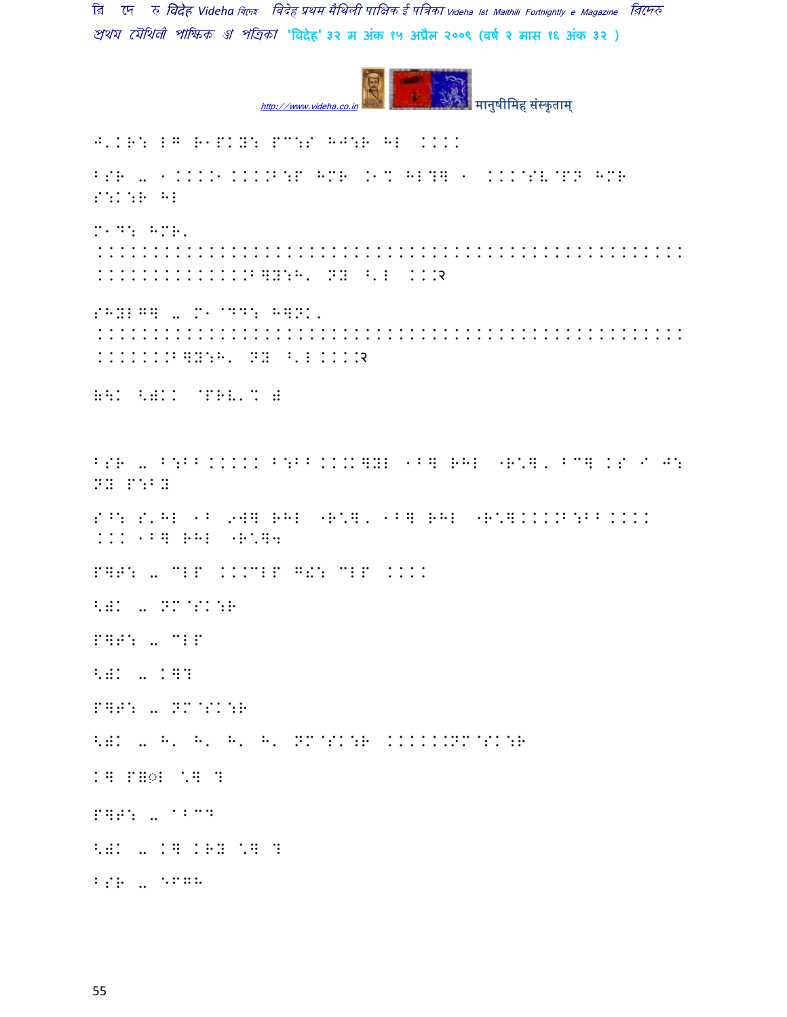

H. CAR: LG AND BOILEY POST HAND ALL . COLO BSR - 1....1....B:P HMR .1% HL?] 1 ...@SV@PN HMR S:K:R HL M1D: HMR' ..................................................... ..............B]Y:H' NY ^'L ...२ SHYLG] - M1@DD: HIGH-..................................................... .......B]Y:H' NY ^'L....२  $\#H$  ( $\#H$ ) )  $\#H$   $\#H$  ( $\#H$ ) B:BB... B:BB.... B:BB.... B:BB... B:BB... B:BB... B:BB... B:BB... B:BB... NY P:BY S^: S'HL 1B 9W] RHL "R\*], 1B] RHL "R\*]....B:BB.... ... 1B] RHL "R\*]4 P)T: - CLP G! - CLP G! - CLP G! - CLP G! - CLP G! - CLP G! - CLP G! - CLP G! - CLP G! - CLP G! - CLP G! - CLP G <)K - NM@SK:R PHP: . TIP <)K - K]? PHP: 2005 TO 110 <)K - H' H' H' H' NM@SK:R ......NM@SK:R  $I = P = P = P = P = P = P$ PHIL ACCOUNT <)K - K] KRY \*] ? BSR - EFGH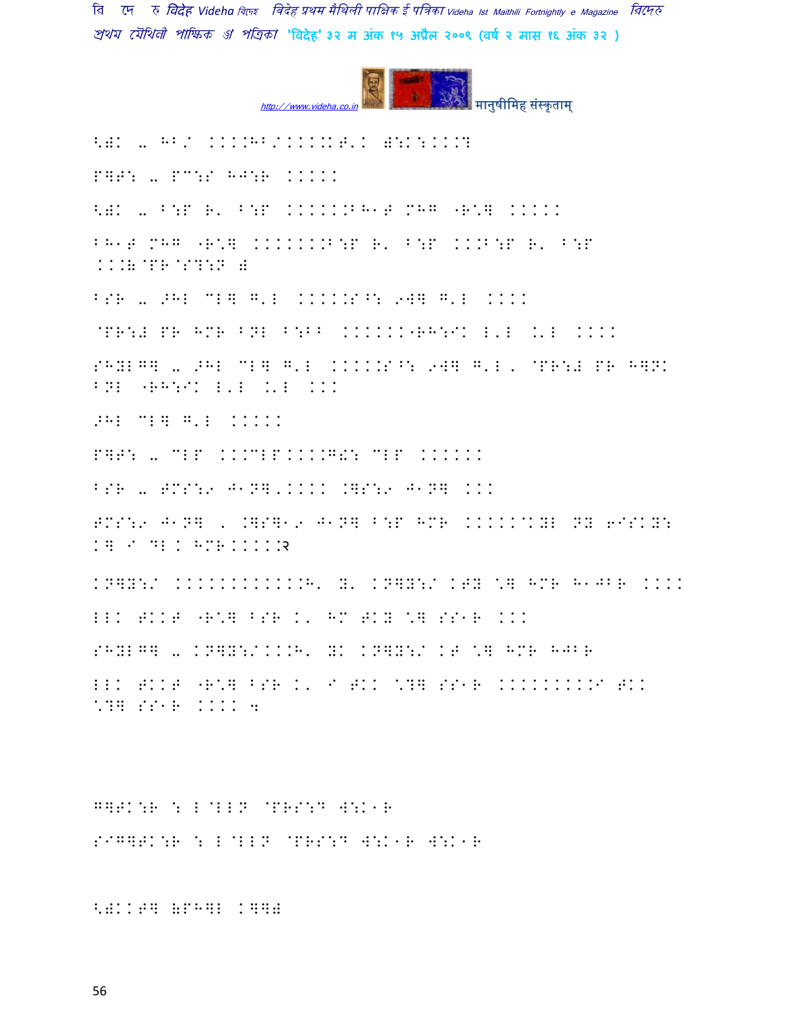

<)K - HB/ ....HB/....KT'K ):K:...? P]T: - PC:S HJ:R ..... KAD A: PRE B: PRE COOLDING THE GROEN COOL BH1T MHG "R\*] .......B:P R' B:P ...B:P R' B:P ...(@PR@S?:N ) BSR - >HL CL] G'L .....S^: 9W] G'L .... @PR:# PR HMR BNL B:BB ......"RH:IK L'L .'L .... SHYLG] - >HL CL] G'L .....S^: 9W] G'L, @PR:# PR H]NK BNL "RHING" E.E . NE . NE >HL CL] G'L ..... P]T: - CLP ...CLP....G!: CLP ...... BSR - TMS:9 J1N],.... .]S:9 J1N] ... TMS:9 J1N] , .]S]19 J1N] B:P HMR .....@KYL NY 6ISKY: K] I DL. HMR.....२ KN]Y:/ ............H' Y' KN]Y:/ KTY \*] HMR H1JBR .... LLK THAT THE REAL PROPERTY STATE AND THE STATE OF STATE AND INTERFERING TO A REAL PROPERTY OF STATE AND INTERFERING TO SHILG] - KNILLER SHYLGI - KONING ANG HIMP LLK TKKT "R\*] BSR K' I TKK \*?] SS1R .........I TKK \*?] SS1R .... 4

GREEN CONSTRUCTS OF CONSTRUCTION SIGNER SIGNER SIGNER SIGNER SIGNER SIGNER

<)KKT] (PH]L K]])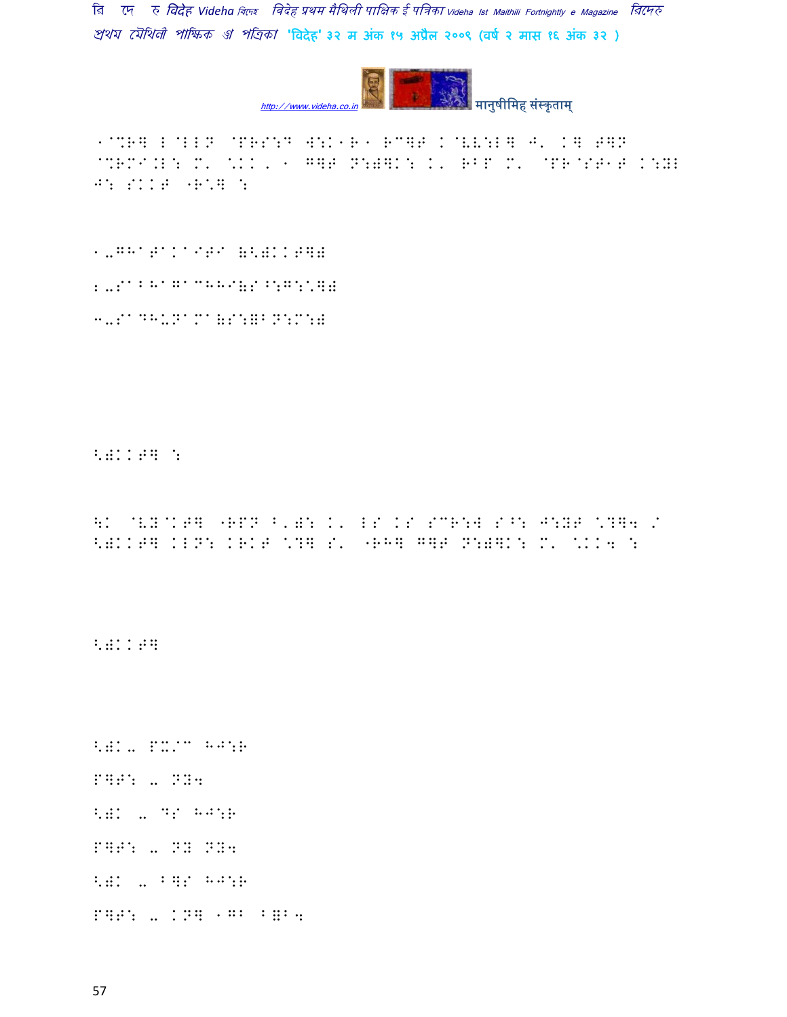

 $\sim$  MH I CHIP CHEMP ANOTH PRIDE COLLNIR ALOCE ARE @%RMI.L: M' \*KK, 1 G]T N:)]K: K' RBP M' @PR@ST1T K:YL H: SKIP (RTR) :

1-GHaTaKaITI (<)KKT])  $\overline{2}$  .  $\overline{2}$  and  $\overline{3}$  are the constant in the constant in the constant in the constant in the constant in the constant in the constant in the constant in the constant in the constant in the constant in the cons

 $\sim$ SaDHUNAMA) S: BaDHUNAMA

KHILPH 3

\K @VY@KT] "RPN B'): K' LS KS SCR:W S^: J:YT \*?]4 / KADI AN I KUNI KUNI KUNI ANG PUA PIANG INI NIGA G

 $K:U \to W$ 

K#: PX/C H#W PHP: 2001 <)K - DS HJ:R

PHONE REPORT

<)K - B]S HJ:R

PHP: 20198-08-18-1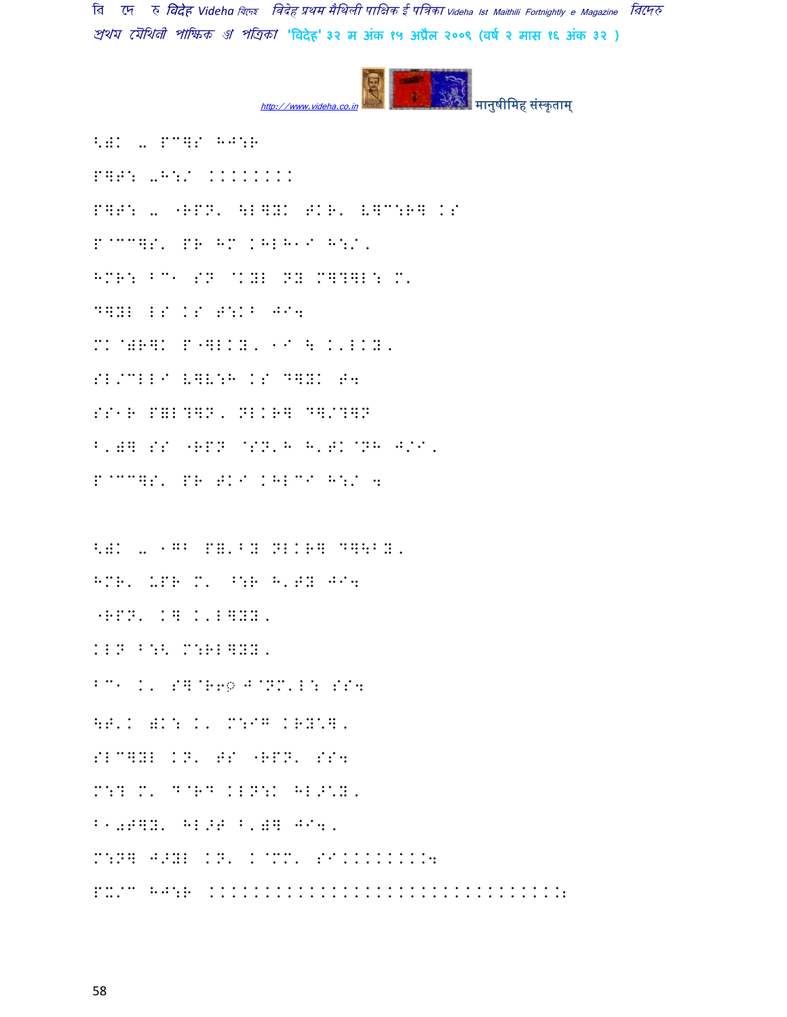

**K - R - POST HD: R - POST - POST - POST - POST - POST - POST - POST - POST - POST - POST - POST - POST - POST** Philippine and the second product of the second product of the second product of the second product of the second product of the second product of the second product of the second product of the second product of the secon PAPE & "PPP," REAGN POP, AATGPA OF P@CC]S' PR HM KHLH1I H:/, HTR: BC1 SN MIL NY THIRE E **BEE I: LS HII: WA** MK@BRITERSON ROLLER SL/CLI V:H KS DIY V:H KS D SS1R PHILIPS CONTROL DISTUR B')] SS "RPN @SN'H H'TK@NH J/I, P@CC]S' PR TKI KHLCI H:/ 4

 $K_{\rm eff}$  -  $K_{\rm eff}$  -  $K_{\rm eff}$  is the state of  $K_{\rm eff}$  is the state of  $K_{\rm eff}$ HMR' UPR M' UPR M' HI "RPN' K] K'L]YY, KLN B:< M:RL]YY, BC1 K' SHOPPA HOPPIER SS4 \T'K )K: K' M:IG KRY\*], SLC REPORT TO THE REPORT OF THE REPORT OF THE REPORT OF THE REPORT OF THE REPORT OF THE REPORT OF THE REPORT O M:? M' D@RD KLN:K HL>\*Y, B10TH: HIST BI4H APAI M:N] J>YL KN' K@MM' SI........4 PX/C HJ:R ................................2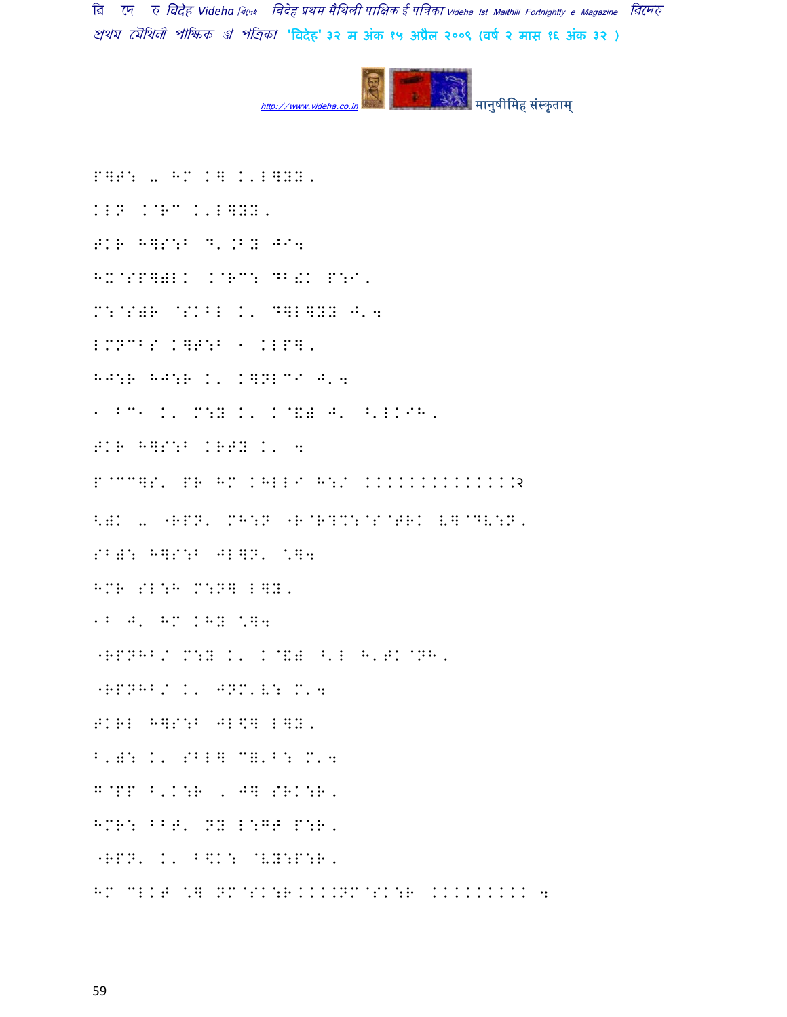

PRINT REPORT OF THE PRINT REPORT OF THE PRINT REPORT OF THE PRINT REPORT OF THE PRINT REPORT OF THE PRINT REPORT OF THE PRINT REPORT OF THE PRINT REPORT OF THE PRINT REPORT OF THE PRINT REPORT OF THE PRINT REPORT OF THE PR KLN . RC K'LIGHT. TKR H]S:B D'.BY JI4 HIMPERS . THIS RECORD M:@S)R @SKBL K' D]L]YY J'4 LOCAL LOCAL LOCAL LOCAL LOCAL LOCAL LOCAL LOCAL LOCAL LOCAL LOCAL LOCAL LOCAL LOCAL LOCAL LOCAL LOCAL LOCAL LO HAND HAND II (404) HINE MAY HIM 1 BC1 K' MI K' K' KEMANG ANG PARTITI TKR H]S:B KRTY K' 4 POUTHER PR HU KHELL HAR SILLIIISISSION K BI - "RPN' MHYS" (PORTHE VICTOR) NATURES SB: HIS: 4142. 144 HMR SL:H M:N] L]Y, 19 J. HT (1831) 1941 "RPNHB/ M:Y K' K@&) ^'L H'TK@NH, "RPNHB/ K' JANUARY TKRL HISSEN HISSEN B', B'): CHE, M'H, P'A' CLA G@PP B'K:R , J] SRK:R, HTBT' BETWEEN THE TIME "RPN' K' B\$K: "B\$K: "P:R, "P:R, "P:R, "P:R, "P:R, "P:R, "P:R, "P:R, "P:R, "P:R, "P:R, "P:R, "P:R, "P:R, "P:R, HM CHILA NA PROVINCIA ILIPOTENIA (ILIPOTENTIA)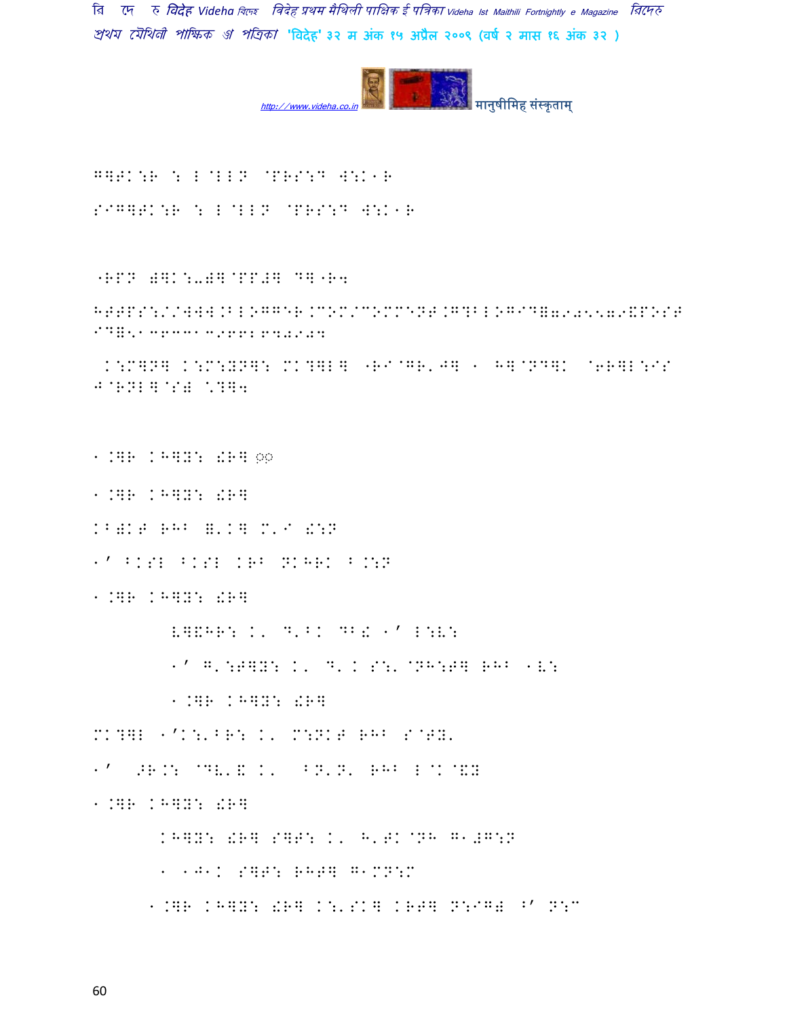

WHEN:R : LOCKER MENSION SIGHED IN A BOARD OPPERTUNING

"RPN )]K:-)]@PP#] D]"R4

HTTPS://WWW.BLOGGER.COM/COMMENT.G?BLOGID=7905579&POST ID=513633139662640904

K:MINI: MARINE MINI: MARINE MARINE MARINE MARINE J@RNL]@S) \*?]4

1.1R CHER: 2PH 00

1. THE CONSIL CONSI

KRED BROWN ENDER THE STATE STATE

1' BKSL BKSL KRB NKHRK B.:N

1.]R KH]Y: !R]

EARTH: K' D'AT D'BK - 7 FART

1' G:THE DO TO THE THE 1995 BALL LET

1.]R KH]Y: !R]

MK?)L 1999 SOME REPORT OF SALE SAN ARTICLE IN THE SALE SAN ARTICLE IN THE SALE SAN ARTICLE IN THE SALE OF SALE

1' >R.: @DV'& K' BN'N' RHB L@K@&Y

1. Property and the second property of the second property and the second property of the second property and <br>References and the second property and the second property and the second property and the second property and

KH]Y: !R] S]T: K' H'TK@NH G1#G:N

1 1J1K S]T: RHT] G1MN:M

1.]R KH]Y: !R] K:'SK] KRT] N:IG) ^' N:C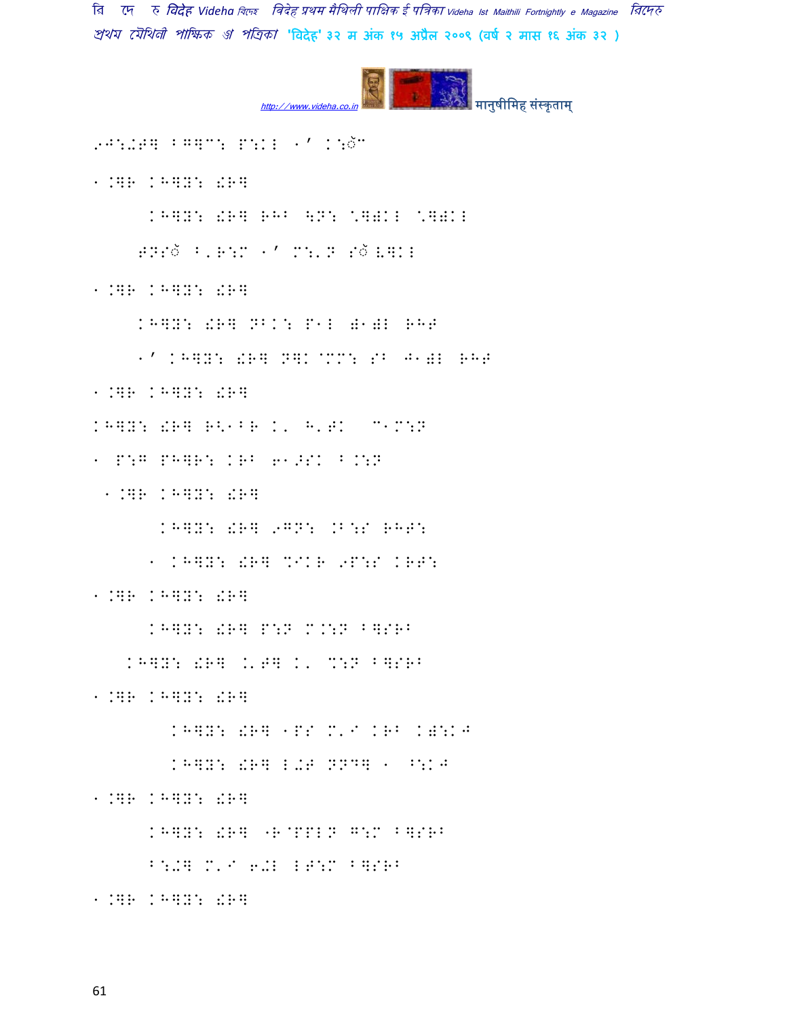

9J:+T] BG]C: P:KL 1' K:◌ॅC

1.]R KH]Y: !R]

KHARD RHB BHG ARD NAWN: NAWN!

HTE THE REAL THAT ENDING

1.]R KH]Y: !R]

KH]Y: !R] NBK: P1L )1)L RHT

1' KH]Y: !R] N]K@MM: SB J1)L RHT

1.]R KH]Y: !R]

KHER KHERVIE KY HYS CONTRO

1 P:G PHER: ME 81301 B.N.

1.]R KH]Y: !R]

KHARA 200 SHIRI 200 SHIRI

1 KH]Y: !R] %IKR 9P:S KRT:

1.]R KH]Y: !R]

KH]Y: !R] P:N M.:N B]SRB

KH]Y: !R] .'T] K' %:N B]SRB

1.1R KHIR KHI

 KH]Y: !R] 1PS M'I KRB K):KJ **THEY: NND END NUMBER 1973** 1.]R KH]Y: !R]

KH]Y: !R] "R@PPLN G:M B]SRB

B:tH T.P BIB BBT FANK

1.]R KH]Y: !R]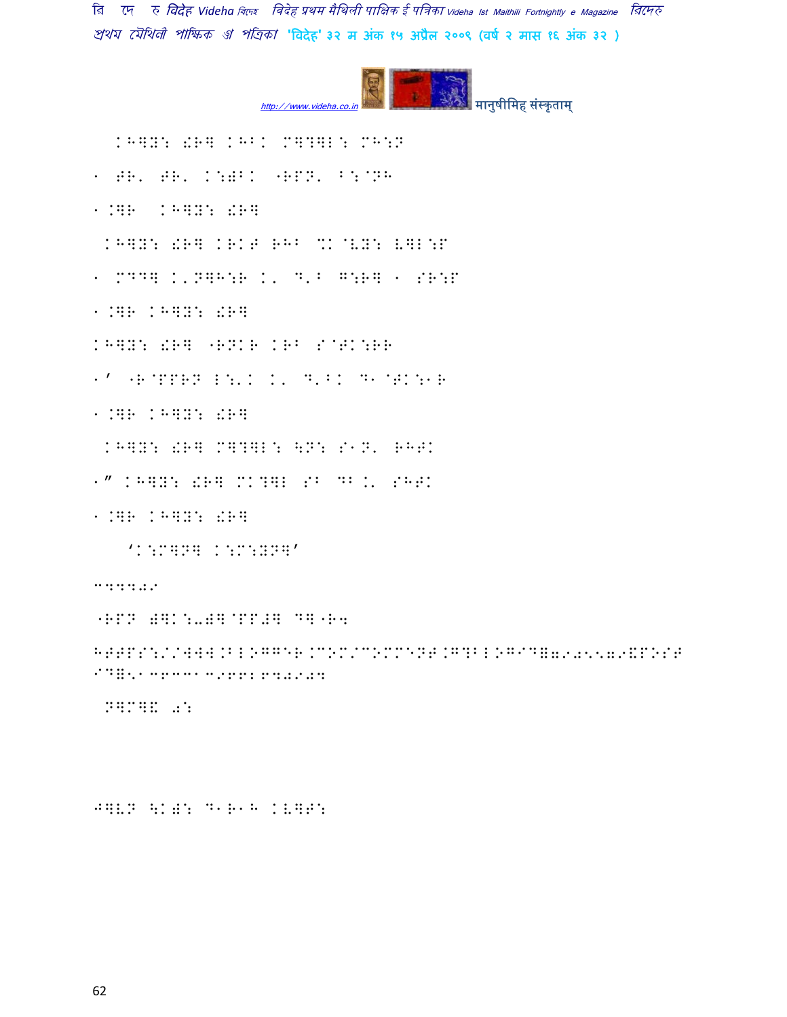

**KHAY: NHBK MINING MANU** 

1 TR' TR' K:)BK "RPN' B:@NH

1.]R KH]Y: !R]

KHARR & RHB %KD# & RHB %KOV (PDF) & RHB %K

1 MDD] K'N]H:R K' D'B G:R] 1 SR:P

1.]R KH]Y: !R]

KH]Y: !R] "RNKR KRB S@TK:RR

1' "R@PPRN L:'K K' D'BK D1@TK:1R

1.]R KH]Y: !R]

KHIY: :RI: TITIL: SIN' RHTK

1" KH]Y: !R] MK?]L SB DB.' SHTK

1.]R KH]Y: !R]

**W:M:M:W:W:W:WE** 

344409

"RPN )]K:-)]@PP#] D]"R4

HTTPS://WWW.BLOGGER.COM/COMMENT.G?BLOGID=7905579&POST ID=513633139662640904

NAMES OF STREET

J]VN \K): D1R1H KV]T: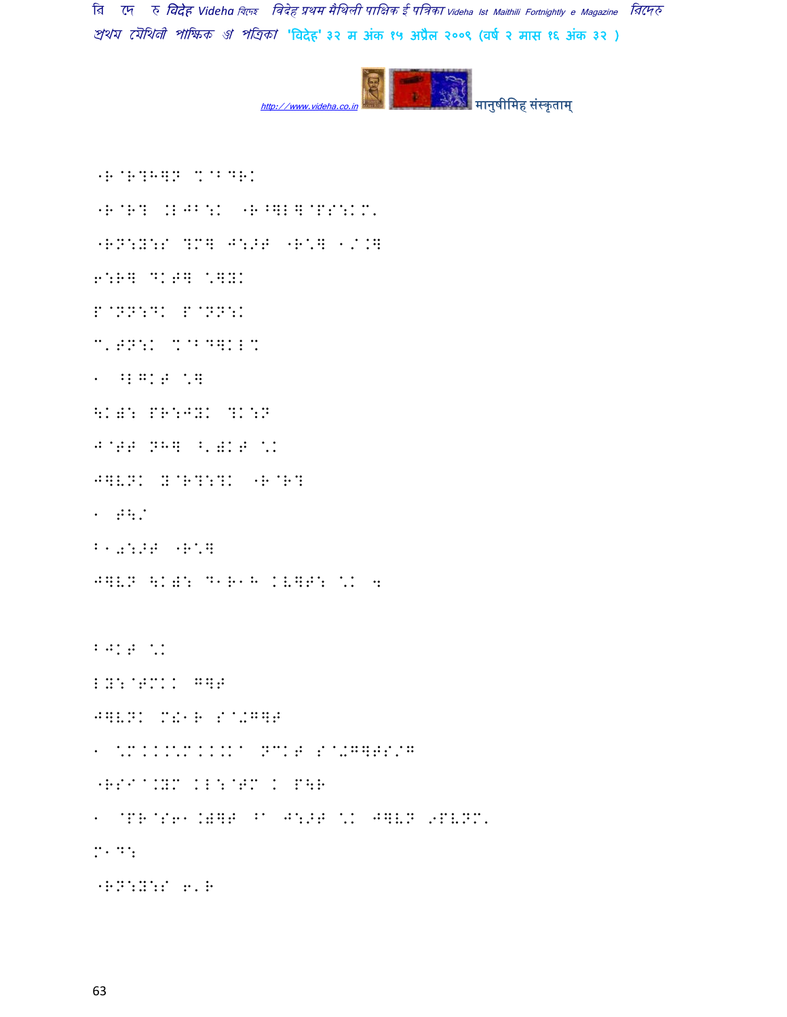

"R@R?H]N %@BDRK HENRY .LOWERCH "ROBERT "ROBERT" "RN:S ?M PO "RN: "PO "RN: "PO "RN: "PO "RN: "PO "RN: "PO "RN: "PO "RN: "PO "RN: "PO "RN: "PO "RN: "PO "RN: "PO 6:RH TI RH (888) P@NN:DK P@NN:K CONSERVATION CONTINUES. 1 ^LGKT \*] \K): PR:JYK ?K:N J@TT NH] ^')KT \*K JUNK BORTH YEAR  $1 - \frac{1}{2}$  $\mathbb{R}^n$  . The  $\mathbb{R}^n$  and  $\mathbb{R}^n$  are  $\mathbb{R}^n$  . The  $\mathbb{R}^n$ JUNE RING TO BOOK INTERNATION  $\mathbb{R}^n$  -  $\mathbb{R}^n$  -  $\mathbb{R}^n$  -  $\mathbb{R}^n$ LY:@TMKK G]T J]VNK M!1R S@+G]T 1 \*M...\*M...Ka NCKT S@+G]TS/G "RSI@.YM KL:@TM KL:@TM KL:@TM KL:@TM KL:@TM KL:@TM KL:@TM KL:@TM KL:@TM KL:@TM KL:@TM KL:@TM KL:@TM KL:@TM KL:@ 1 @PR@S61.)]T ^a J:>T \*K J]VN 9PVNM'  $\mathbb{C} \cdot \mathbb{R}$ : "RN:S 6'R.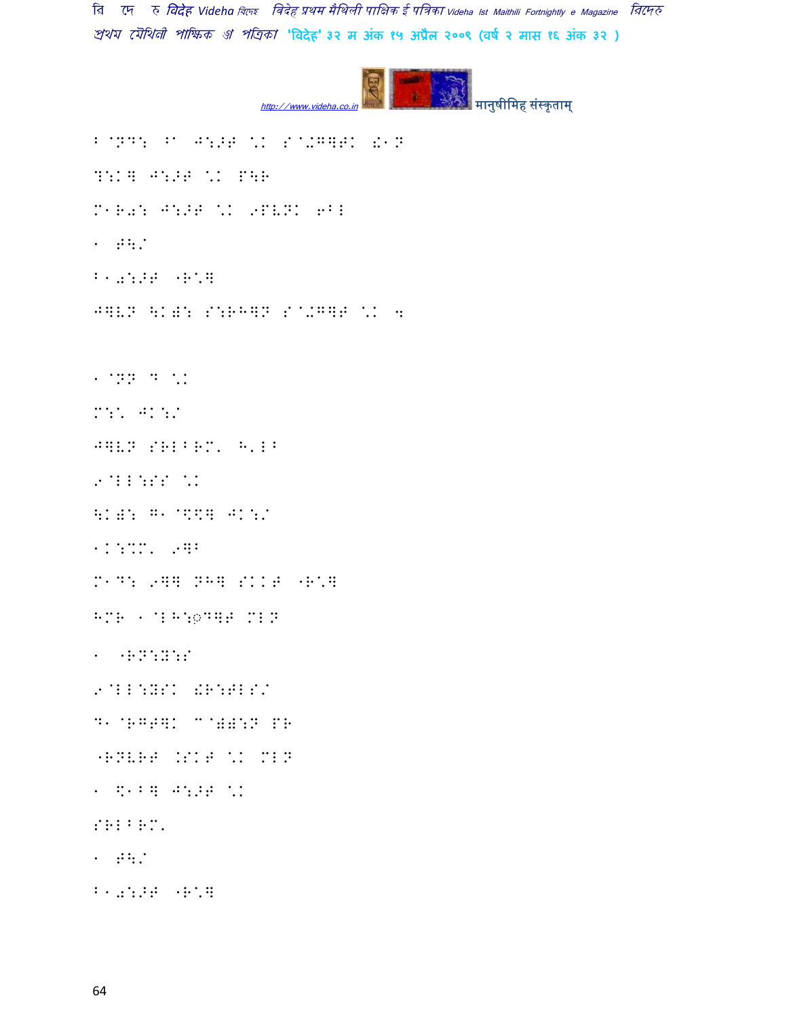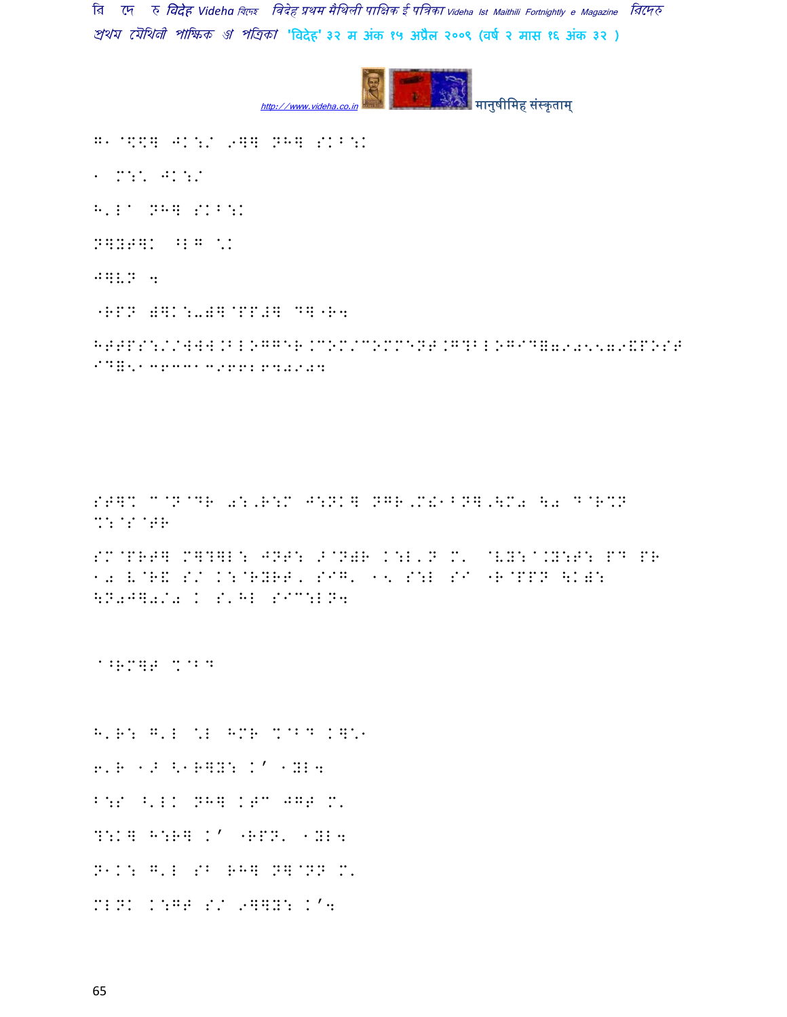

G10 THE G10 SKB SHE SKB:

1 M:\* JK:/

H'La NHE SKB:

NAME THAT THE SET

 $\frac{1}{2}$ 

"RPN 89111.49 TP18 "PPH

HTTPS://WWW.BLOGGER.COM/COMMENT.G?BLOGID=7905579&POST ID=513633139662640904

 $S$  is the contract of  $\mathcal{S}$  . The contract of  $\mathcal{S}$  is the contract of  $\mathcal{S}$  is the contract of  $\mathcal{S}$ %:@S@TR

SM PREFUNCTION SOME DIRECT PROVIDING AN INCOME PROPERTY AND RELEASED FOR THE RELEASED PROPERTY AND RELEASED PR 10 R: 10 R: S/ K: 15 TO 10 ROOM & S/PRO 15 S: L ST "ROOM AN OUTLING ALL SIG \N0J]0/0 K S'HL SIC:LN4

@^RM]T %@BD

H. BY WE WE WON'T THIS 6. F 13 19 19 11 17 1114 B:S  $5.5$  NH  $1.5$  MM  $\cdot$  MH  $\cdot$  MM  $\cdot$ TELE PARE IV (RPN) (RPH) N1K: G'L SB RH] N]@NN M' MLNK K:GT SAN SHEER IN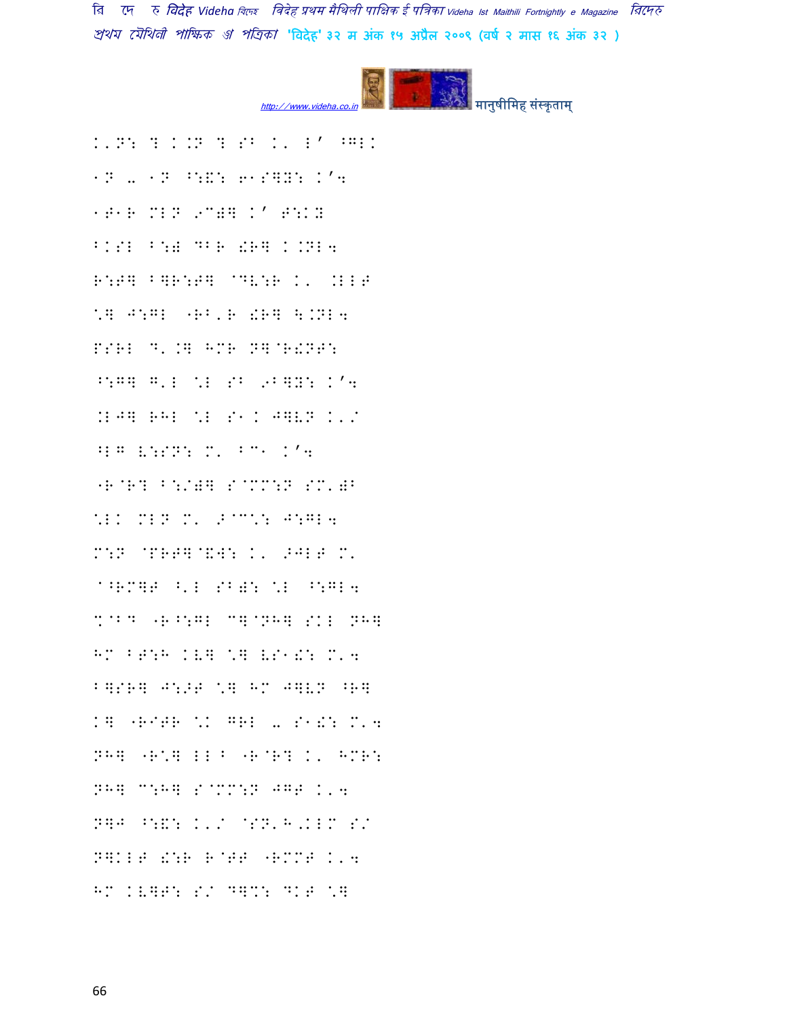

KATHE KATHE SE SA KE KATHE KATHE S 1N - 1N ^:&: 61S]Y: K'4 1911 - 1T1R MANUEL 17 (1911) BKSL BKSL BR HIM I CHA R:T] B]R:T] @DV:R K' .LLT \*] J:GL "RB'R !R] \.NL4 PSRL D. DE RIR NE NEDRE \*GBB B.E (SB 9B)Y: GREEN (74 .LJ] RHL \*L S1. J]VN K'/ BE EAST TO BCH INA "R@R? B:/)] S@MM:N SM')B  $\mathbb{R}^n$  . The  $\mathbb{R}^n$  defined as  $\mathbb{R}^n$  ,  $\mathbb{R}^n$ MY:N @PRT\_PRT\_PRT\_PRT\_PRT\_ MARME ALL SPEA NE PARES %@BD "R^:GL C]@NH] SKL NH] HM BT:H KV] \*] VS1!: M'4 BBSR J: HO SR HO JH J \* KA "RITR" (1991) NASA SERING SERING SERING SERING SERING SERING SERING SERING SERING SERING SERING SERING SERI NH] "R\*] LL^ "R@R? K' HMR: **NHE C:HE SOMME AWE CON** NAJ PRESIDENTAS SERIKA SERIKAN PACIF CHE POSS (PROTECTIVE  $\frac{1}{2}$  ,  $\frac{1}{2}$  ,  $\frac{1}{2}$  ,  $\frac{1}{2}$  ,  $\frac{1}{2}$  ,  $\frac{1}{2}$  ,  $\frac{1}{2}$  ,  $\frac{1}{2}$  ,  $\frac{1}{2}$  ,  $\frac{1}{2}$  ,  $\frac{1}{2}$  ,  $\frac{1}{2}$  ,  $\frac{1}{2}$  ,  $\frac{1}{2}$  ,  $\frac{1}{2}$  ,  $\frac{1}{2}$  ,  $\frac{1}{2}$  ,  $\frac{1}{2}$  ,  $\frac{1$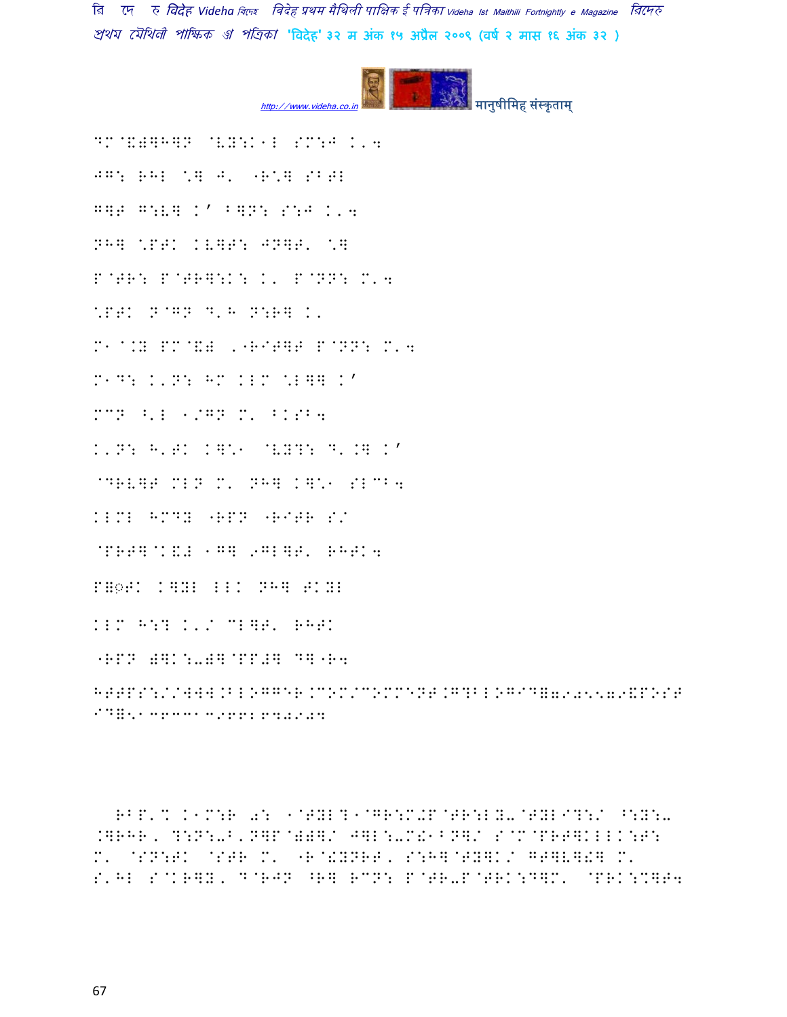

DM & CHILD & CHILD & CHILD & CHILD JG: RHL THL SBTLE FREE BHF BALA IV FARY PYR ILA  $11.11$   $1.11$   $1.11$   $1.11$   $1.11$   $1.11$   $1.11$   $1.11$   $1.11$   $1.11$ P@TR: P@TR]:K: K' P@NN: M'4 \*PTK N@GN D'H N:R] K' M1@.Y PM@&) ,"RIT]T P@NN: M'4 M1D: K'N: HM KLM \*L]] K' MCN AND AND MANUSCRIPT K'N: H'TK K]\*1 @VY?: D'.] K' **MILLE MIT MANUFATH STRAINS** KLML HMDY "RITR SAN STRAIN "RITR SAN @PRT]@K&# 1G] 9GL]T' RHTK4 P=◌़TK K]YL LLK NH] TKYL KIT HI: KALMANI RHTK  $H$  (RPN )]  $H$  (RPN )]  $H$  (RPN )]  $H$  (RPN )]  $H$  (RPN )]  $H$ HTTPS://WWW.BLOGGER.COM/COMMENT.G?BLOGID=7905579&POST ID=513633139662640904

 RBP'% K1M:R 0: "@TYL?"@GR:M+P@TR:LY-@TYLI?:/ ^:Y:- .]RHR, ?:N:-B'N]P@))]/ J]L:-M!1BN]/ S@M@PRT]KLLK:T:  $T_{\rm s}$  and the strain of the strain signals of the second  $T_{\rm s}$ S', PEO S' MI BABBO, DA MBARY, PAR C'HIN SE MERLE MERI NA PARTICO O MERI NA BERA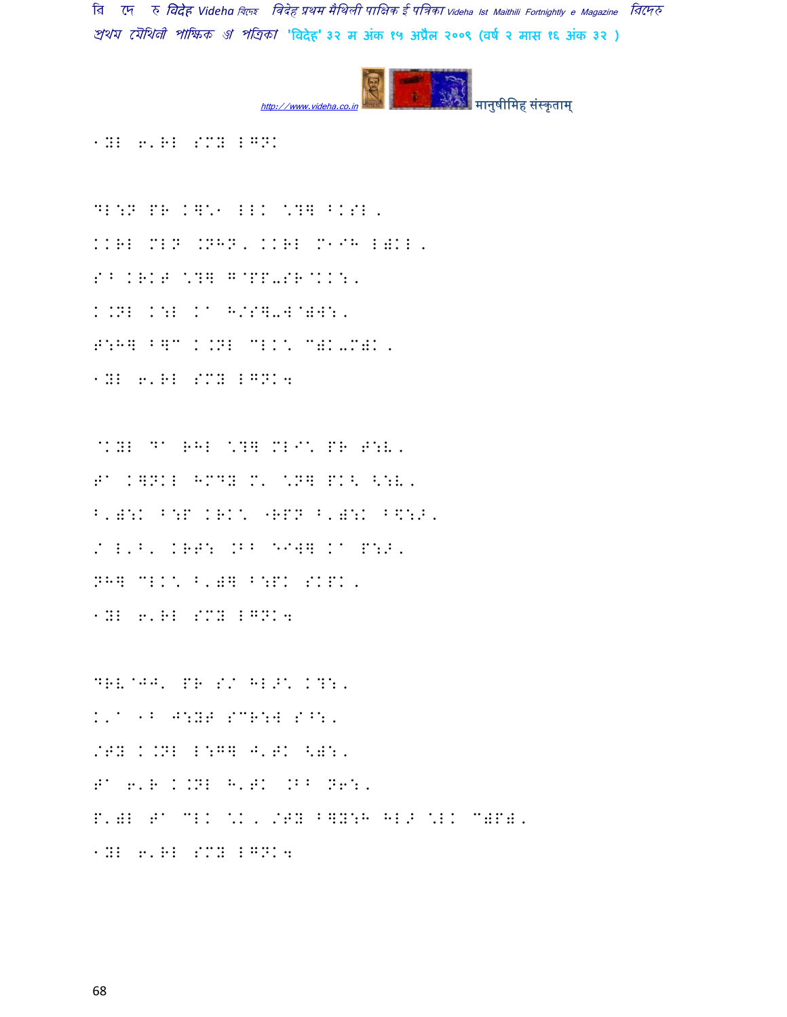

1YL 6'RL SMY LGNK

DR:N PR KING \*\*\* LLK \*XHR \*\*\*\* KKRL MED .NHH .NHHN .NHIH L SO KREAT THE FORMAL SERIES. K.NR K.NL KOMO PASELA MERRI, T:H] B]C K.NL CLK\* C)K-M)K, 1919 - 1920 - 1930 - 1930 - 1930 - 1930 - 1930 - 1930 - 1930 - 1930 - 1940 - 1940 - 1940 - 1940 - 1940 - 1940<br>1940 - 1940 - 1940 - 1940 - 1940 - 1940 - 1940 - 1940 - 1940 - 1940 - 1940 - 1940 - 1940 - 1940 - 1940 - 1940

@KYL Da RHL \*?] MLI\* PR T:V, FA KARDE HOME MY ANN PORTAGE. B'):K B:P KRK\* "RPN B'):K B\$:>, / L'B' KRT: .BB EIW] Ka P:>, NH TELA BIGH BYE, ELELI 1911 6'RL SMY LGNA

DRV: 000 (100 M) PR S/ HL- $K$  , the scale  $K$  scale  $K$  is the scale  $K$ /TY K.NL L:G] J'TK <):, Ta 6'R K.NL H'TK .BB N6:, P.A. P' TA CLASS AN PRINCIPAL TANK 1919 - 1919 - 1919 - 1919 - 1919 - 1920 - 1920 - 1920 - 1920 - 1920 - 1920 - 1920 - 1920 - 1920 - 1920 - 1920<br>1920 - 1920 - 1920 - 1920 - 1920 - 1920 - 1920 - 1920 - 1920 - 1920 - 1920 - 1920 - 1920 - 1920 - 1920 - 1920

68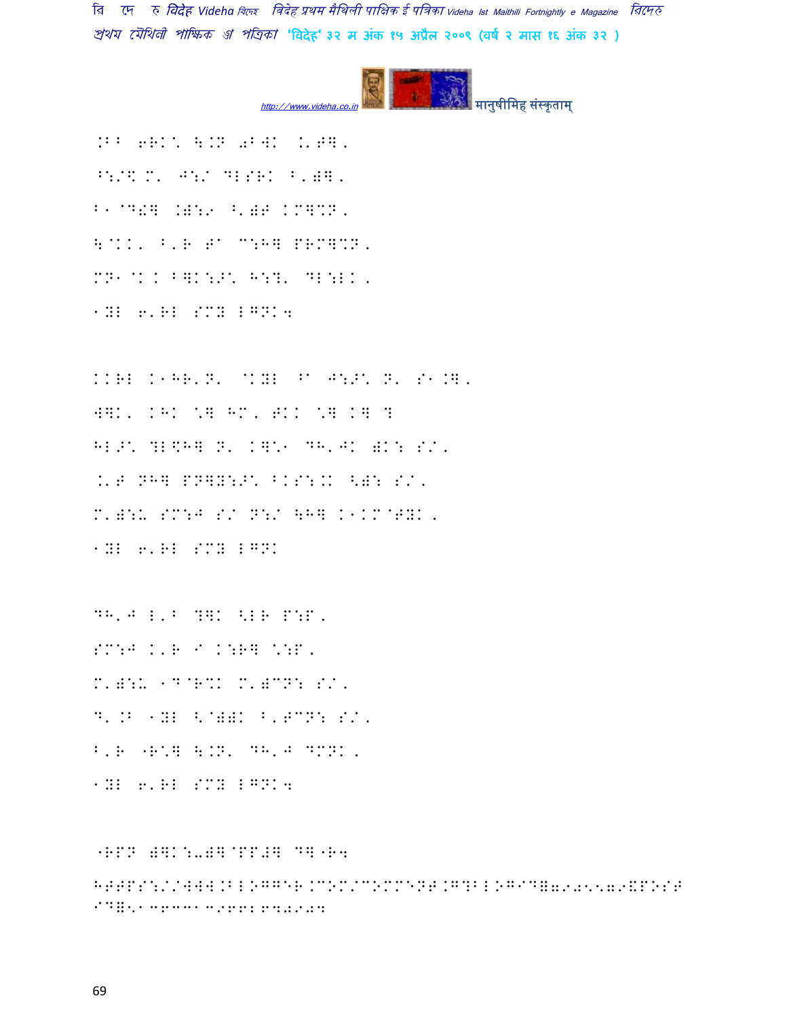

 $B = \frac{1}{2}$  . But the  $B = \frac{1}{2}$  . And  $B = \frac{1}{2}$ ^:/\$ M' J:/ DLSRK B')], B1@D:000 .):1:0 .):0 .):1:0 . \@KK' B'R Ta C:H] PRM]%N, MNING COMPANY OF THE CONTROL OF THE CONTROL OF THE CONTROL OF THE CONTROL OF THE CONTROL OF THE CONTROL OF THE 1911 - 1912 - 1913 - 1914 - 1915 - 1916 - 1917 - 1918 - 1919 - 1919 - 1919 - 1919 - 1919 - 1919 - 1919 - 1919

KKRL KHRING MORE AN SHIPLING WAS CITED. WHEN  $\mathbb{R}$  is the set of the set of the set of the set of the set of the set of the set of the set of the s HL>\* ?L\$H] N' K]\*1 DH'JK )K: S/, .T. A SPAR PORTHON STATE CONSTRUCT M's Same Company of the Same Company of the Same Company of the Same Company of the Same Company of the Same C 1911 6'RL SMY SMY LG

DH, A LL P TH, ALE PHP, SM:J K'R I K:R] \*:P,  $\mathbf{W}$  ,  $\mathbf{H}$  ,  $\mathbf{H}$  ,  $\mathbf{W}$  ,  $\mathbf{H}$  ,  $\mathbf{W}$  ,  $\mathbf{H}$  ,  $\mathbf{H}$  ,  $\mathbf{H}$  ,  $\mathbf{H}$  ,  $\mathbf{H}$  ,  $\mathbf{H}$  ,  $\mathbf{H}$  ,  $\mathbf{H}$  ,  $\mathbf{H}$  ,  $\mathbf{H}$  ,  $\mathbf{H}$ D'.B 1YE SAME SANG SA B'R "R\*D" DH'J DH'J DH'J DH'J DH'J 1YL 6'RL SMY LGNK4

 $R$  ,  $R$  ,  $R$  ,  $R$  ,  $R$  ,  $R$  ,  $R$  ,  $R$  ,  $R$  ,  $R$  ,  $R$  ,  $R$  ,  $R$  ,  $R$  ,  $R$  ,  $R$  ,  $R$  ,  $R$  ,  $R$  ,  $R$  ,  $R$  ,  $R$  ,  $R$  ,  $R$  ,  $R$  ,  $R$  ,  $R$  ,  $R$  ,  $R$  ,  $R$  ,  $R$  ,  $R$  ,  $R$  ,  $R$  ,  $R$  ,  $R$  ,  $R$  , HTTPS://WWW.BLOGGER.COM/COMMENT.G?BLOGID=7905579&POST ID=513633139662640904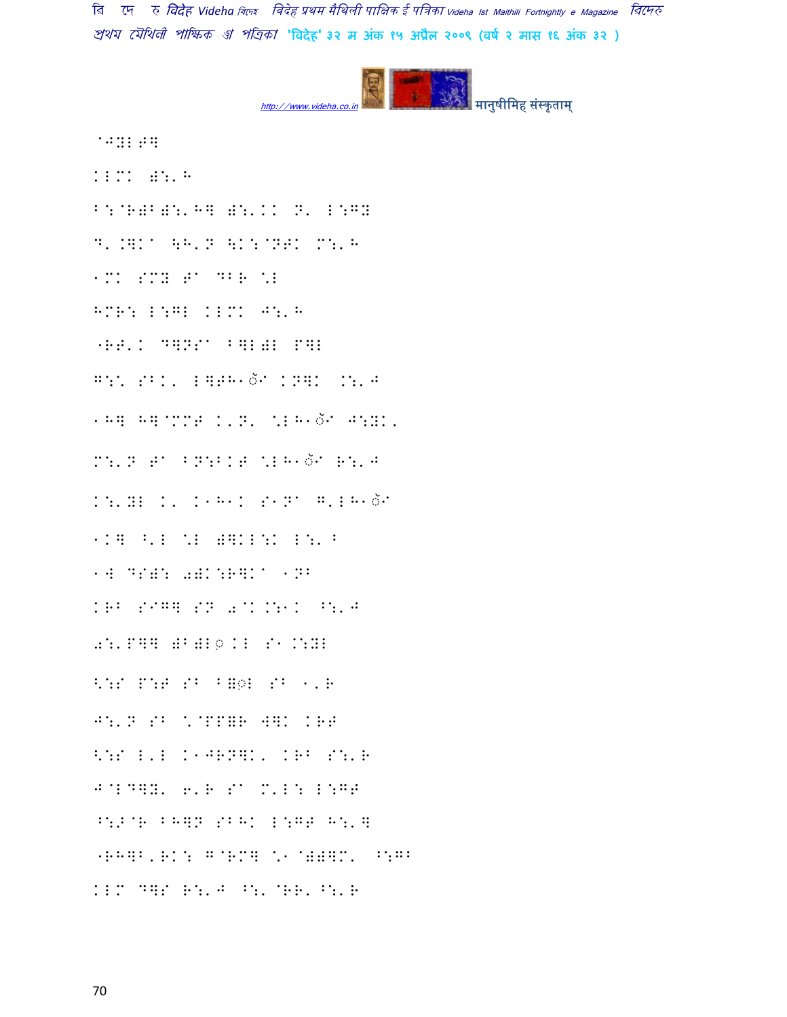

 $\begin{array}{l} \color{red}\textbf{1} & \textbf{2} & \textbf{3} & \textbf{5} & \textbf{1} \\ \textbf{1} & \textbf{1} & \textbf{2} & \textbf{3} & \textbf{1} \\ \textbf{2} & \textbf{3} & \textbf{1} & \textbf{2} & \textbf{3} \\ \textbf{3} & \textbf{1} & \textbf{2} & \textbf{3} & \textbf{1} \end{array}$ 

KLMK ):'H B:@R)B):'H] ):'KK N' L:GY D'. HIT AN FAIRING MILH 1MK SMY Ta DBR \*L HMR: L:GL KLMK J:'H "RT'K D'ANNES BERGER PAR B:: SBK: EBB-ÖM 1981 11.8 1H] H]@MMT K'N' \*LH1◌ॅI J:YK' M: BH: BH: BH: A BH: ČO R: K:HI KI KHHI FHINA G' 1K] ^'L \*L )]KL:K L:'^ 1W DS): 000 R DS (1999)  $K$  ,  $K$  ,  $K$  ,  $K$  ,  $K$  ,  $K$  ,  $K$  ,  $K$  ,  $K$  ,  $K$  ,  $K$  ,  $K$  ,  $K$  ,  $K$  ,  $K$  ,  $K$  ,  $K$  ,  $K$  ,  $K$  ,  $K$  ,  $K$  ,  $K$  ,  $K$  ,  $K$  ,  $K$  ,  $K$  ,  $K$  ,  $K$  ,  $K$  ,  $K$  ,  $K$  ,  $K$  ,  $K$  ,  $K$  ,  $K$  ,  $K$  ,  $K$  , an.FAA BHADO ID YE NAB SAB BAB BR FB0B BR H.B J:'N SB \*@PP=R W]K KRT  $\frac{1}{2}$  ,  $\frac{1}{2}$  ,  $\frac{1}{2}$  ,  $\frac{1}{2}$  ,  $\frac{1}{2}$  ,  $\frac{1}{2}$  ,  $\frac{1}{2}$  ,  $\frac{1}{2}$  ,  $\frac{1}{2}$  ,  $\frac{1}{2}$  ,  $\frac{1}{2}$  ,  $\frac{1}{2}$  ,  $\frac{1}{2}$  ,  $\frac{1}{2}$ J@LD]Y' 6'R Sa M'L: L:GT ^:>@R BH]N SBHK L:GT H:'] "RHURSEN FORCH NY MEETS" (1981)  $K$  , and  $K$  is represented by  $K$  . The probability  $K$  is represented by  $K$  . The probability  $K$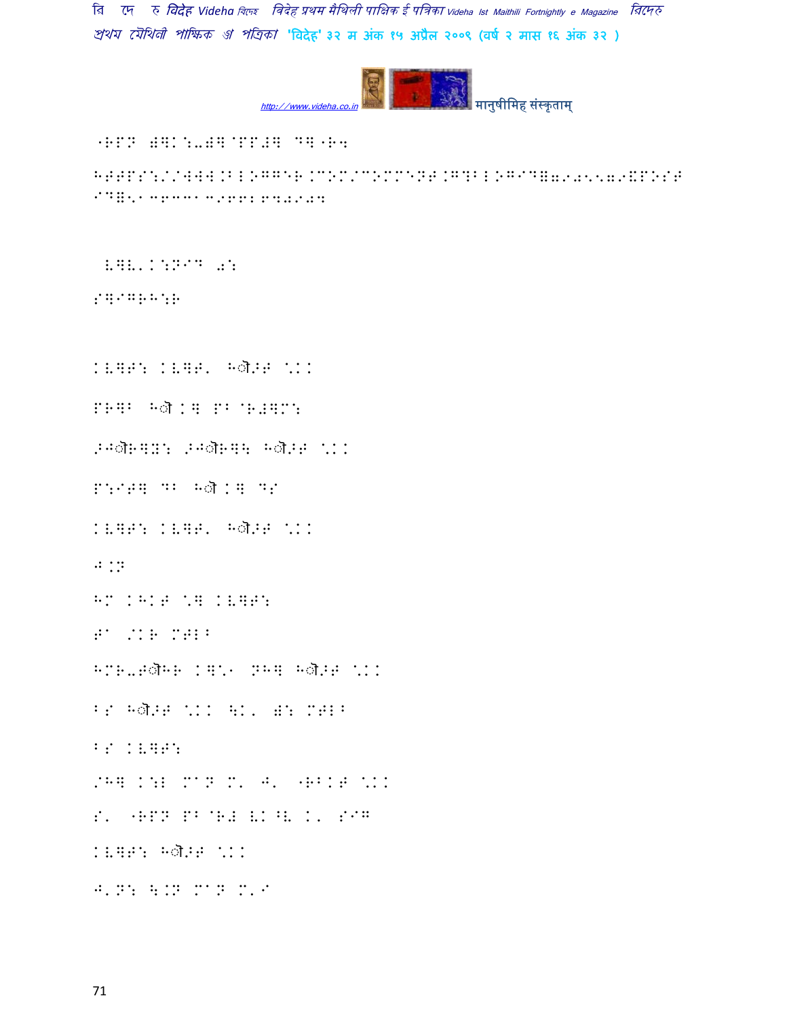

"RPN )]K:-)]@PP#] D]"R4

HTTPS://WWW.BLOGGER.COM/COMMENT.G?BLOGID=7905579&POST ID=513633139662640904

V]V'K:NID 0:

SHOW: FOR

KAVER KAVER HØDE MID PREP HOLDER PROPERTY >J◌ॊR]Y: >J◌ॊR]\ H◌ॊ>T \*KK PHONE HOMES TESS TESS, HOLE TIT  $\mathcal{L}$  is a set of  $\mathcal{L}$ HM KHKT \*I KU KITI Ta /KR MTLB HTRLP@HR CHIV THE H©DR KID BS HOLE AND HIS SERVICE BS KOLERAN /H] K:L MaN M' J' "RBKT \*KK S' "RPN PRODUCT STATE STATE TEART HOLF TII  $\mathcal{A}$  ,  $\mathcal{B}$  ,  $\mathcal{B}$  ,  $\mathcal{B}$  ,  $\mathcal{B}$  ,  $\mathcal{B}$  ,  $\mathcal{B}$  ,  $\mathcal{B}$  ,  $\mathcal{B}$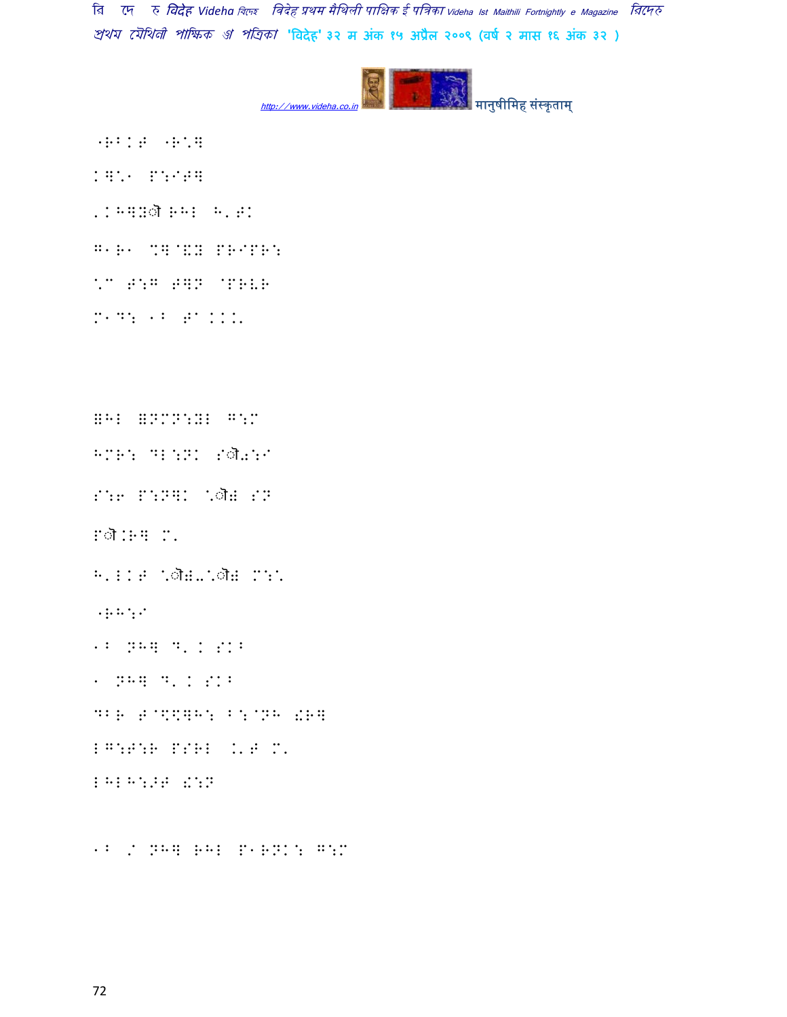

"RBKT "R\*DR

**THE PERIOD** 

'KH]Y◌ॊ RHL H'TK

GREEN WEIGHT PRIPRIES

\*C T:G T]N @PRVR

M1D: 1B Ta...'

=HL =NMN:YL G:M

HTP: BL:NK SOLE

ST:6 P:PHI 10dH FP

 $P$  of  $H$  and  $H$  and  $H$  . Then

 $H: H \to H \circ \mathbb{R}$  . A:  $H: H \circ \mathbb{R}$ 

 $\mathbb{R}$  is the inter-

1B NH] D'. SKB

1 NH] D'. SKB

DBR T@\$\$]H: B:@NH !R]

LG:T:R PSRL .'T M'

 $\mathcal{L}=\{1,2,3,4,5,6,7,8\}$ 

1B / NH] RHL P1RNK: G:M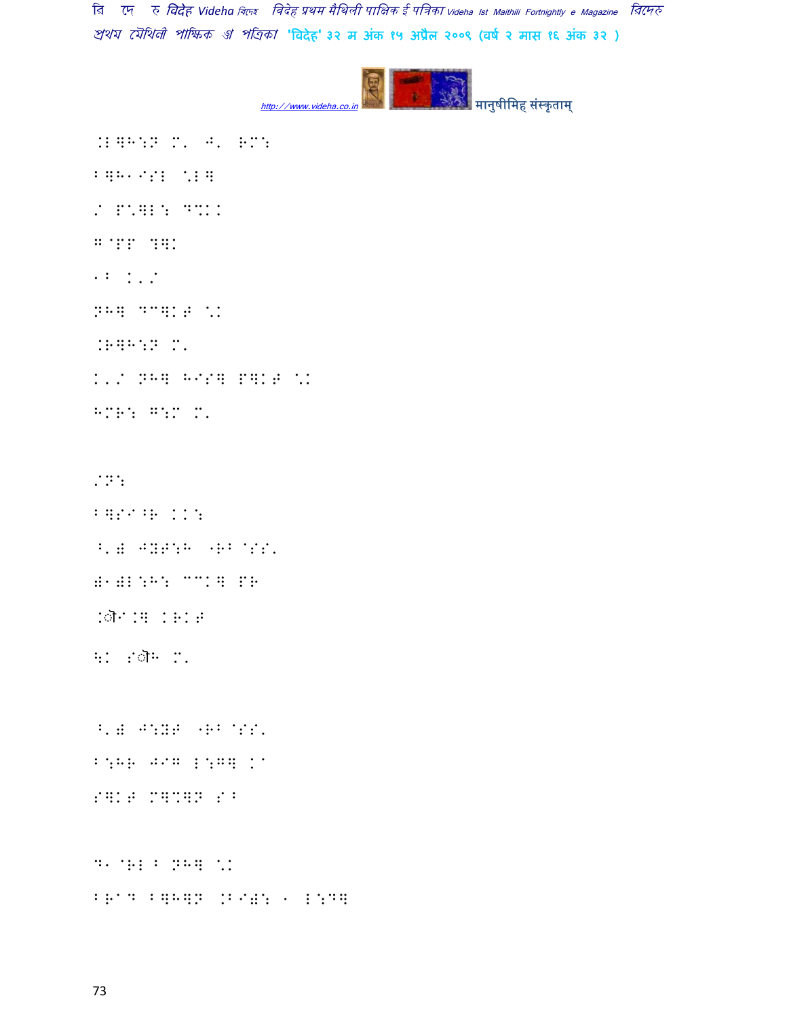

.L]H:N M' J' RM:

BERS FILL TO STATE

/ P\*]L: D%KK

B THE THE

 $1$  K'/ $\mathcal{L}$ 

**NH** TTEE N

.R]H:N M'

KY/ NHE HIST FEE WAY

HMR: G:M M'

/N:

Barch Kin

AND RESERVED TO THE SERVED OF THE SERVED OF THE SERVED OF THE SERVED OF THE SERVED OF THE SERVED OF THE SERVED OF THE SERVED OF THE SERVED OF THE SERVED OF THE SERVED OF THE SERVED OF THE SERVED OF THE SERVED OF THE SERVED

)1)L:H: CCK] PR

 $101.19 \pm 1.01.01$ 

 $\mathbb{R}^2$   $\mathbb{R}^3$  and  $\mathbb{R}^3$ .

 $T$ : H "RBB"  $\oplus$ "  $\oplus$ ". B:HR JIG L:GO SALE CANAR ST

DR NH NH NH BRAD BRAD BRAD BILL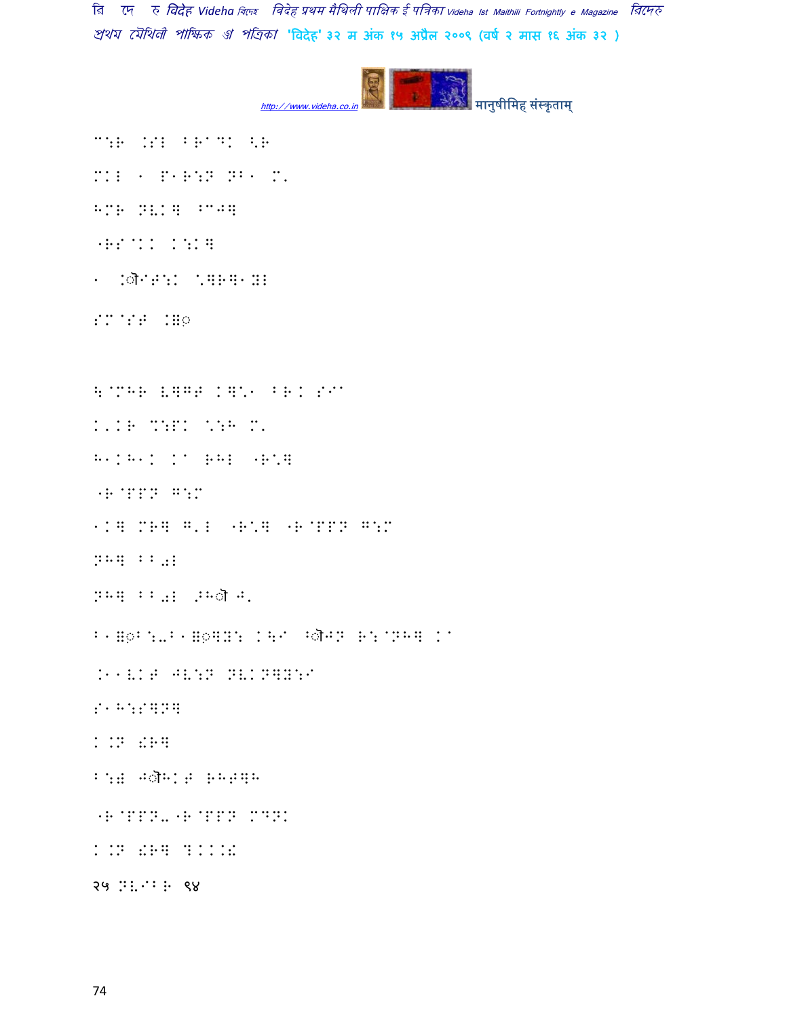

THE CHI BRADE AR

MKL 1 PHONE REAL

HMR NVK

"REMOVED AT A

1 .◌ॊIT:K \*]R]1YL

SMM .: SM

 $\oplus$  VPR (1888) (1818) (1811)  $\oplus$ 

K'KR %:PK \*:

 $\mathbb{H}^1(\mathbb{R}^n,\mathbb{R}^n)$  (i.e.  $\mathbb{H}^1(\mathbb{R}^n,\mathbb{R}^n)$ 

"R@PPN G:M

1K] MR] G'L "R\*] "R@PPN G:M

 $19H$   $19H$ 

 $P=0$   $\rightarrow$   $\cdots$   $\rightarrow$   $\cdots$   $\rightarrow$   $\cdots$ 

Bi-Bola. Righth Car Comp Richard ()

.1.11VKT JV:N NVKT JV:N NVKT JV:N NVKT JV:N NVKT JV:N NVKT JV:N NVKT JV:N NVKT JV:N NVKT JV:N NVKT JV:N NVKT J

S1H:S]N]

K.N !R]

 $B:U:U:U\to V$  and  $H:U:U\to V$ 

"R@PPN-"R@PPN-"R@PPN-"R@PPN-"R@PPN-"R@PPN-"R@PPN-"R@PPN-"R@PPN-"R@PPN-"R@PPN-"R@PPN-"R@PPN-"R@PPN-"R@PPN-"R@PPN-

K.N !R] ?...!

२५ : : : : ९४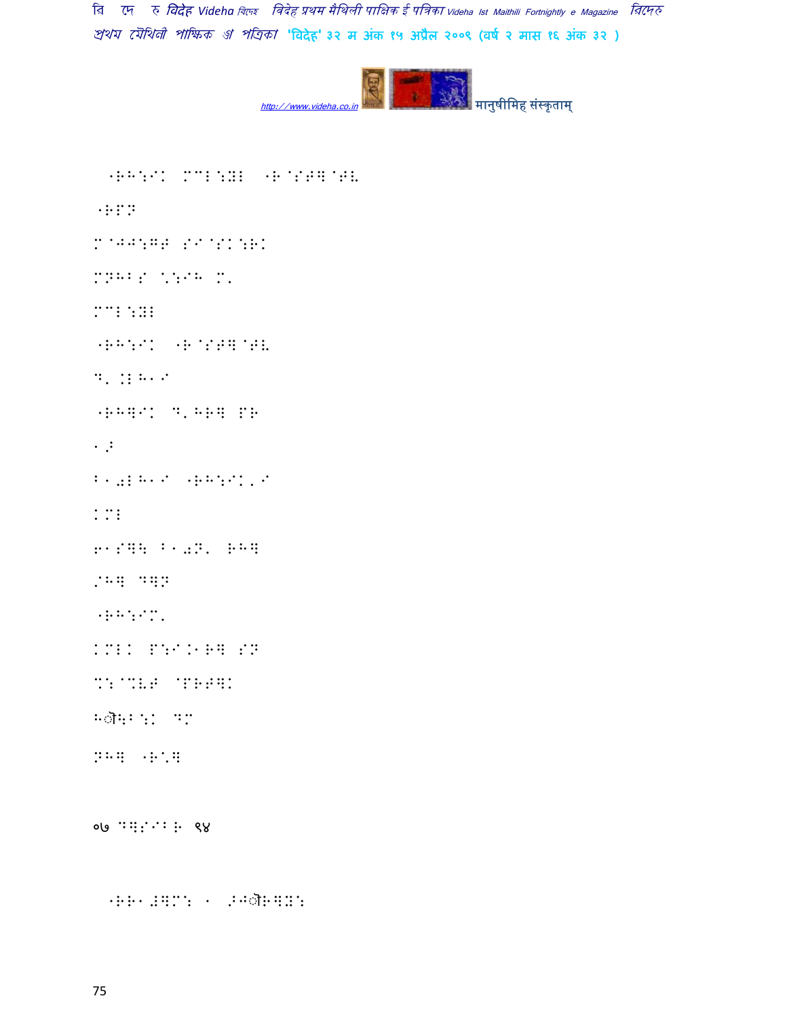

```
"RHYST TO SHE "RESTRICHE
\cdot PPN \cdotM@JJ:GT SI@SK:RK 
MNHBS *:IH M' 
MCL:YL 
"RH:IK "ROSTER"
D'.LH1I 
"RH]IK D'HR] PR 
1+2B10LH1I "RH:IK'IK'
\mathbb{R}^m61915 (1991) RHD
/H] D]N 
"RH:IM' 
KMLK P:I.1R] SN 
%:@%VT @PRT]K 
H\circ\overline{H}H\cong H\circ H\circ HNH] "R*] 
०७ ::\cdots::\mathbb{R} ९४
 "RRN1#IM: 1 PORTHER
```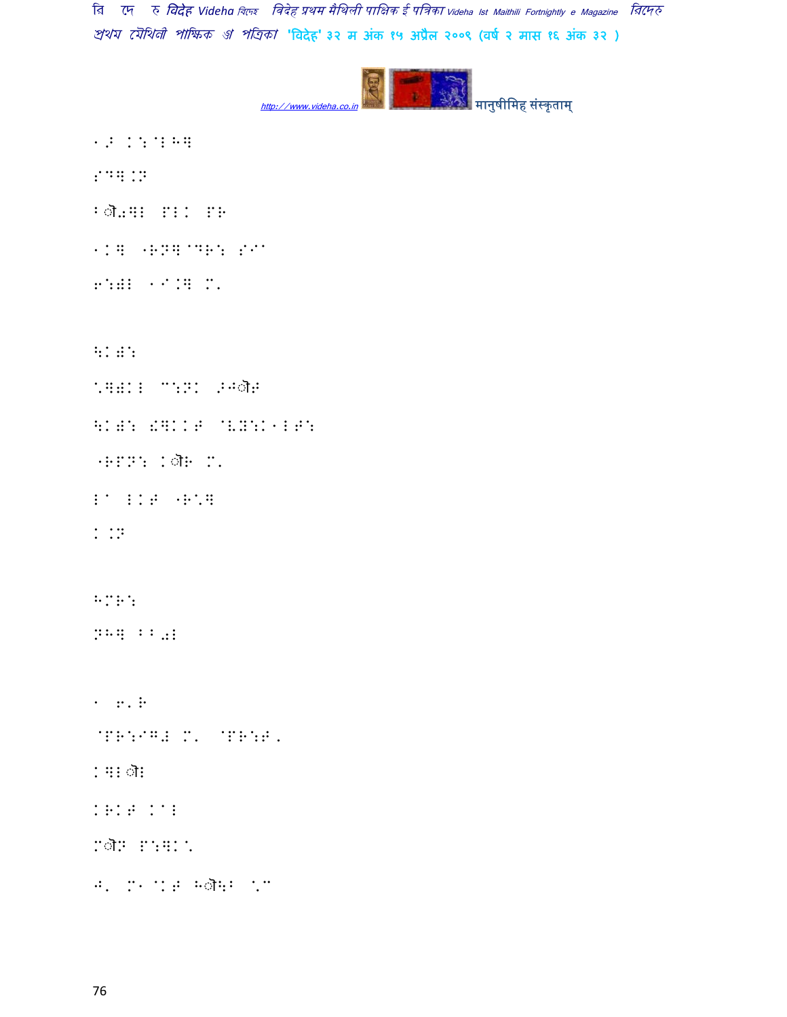

1> K:@LH]

SOF<sub>1</sub>

 $B$ 

1K] "BRITISH"

6:00 MM 11

## $\mathbb{R}$ :

 $N$ H H C:N C:N C:N C:N C:N C:N C:N

\K): !]KKT @VY:K1LT:

"RPN: KOR MY

La La Grande

K.N

HMR:

 $(9.44, 1.44)$ 

 $\leq$  -rule

WHENTH MY MESS

 $\mathbb{R}^n\to\mathbb{R}^n$  .

KRKT KaL

 $MSE$  Peaks  $MSE$ 

 $\mathcal{F}_1$  (T) MH Hole  $\mathcal{F}_2$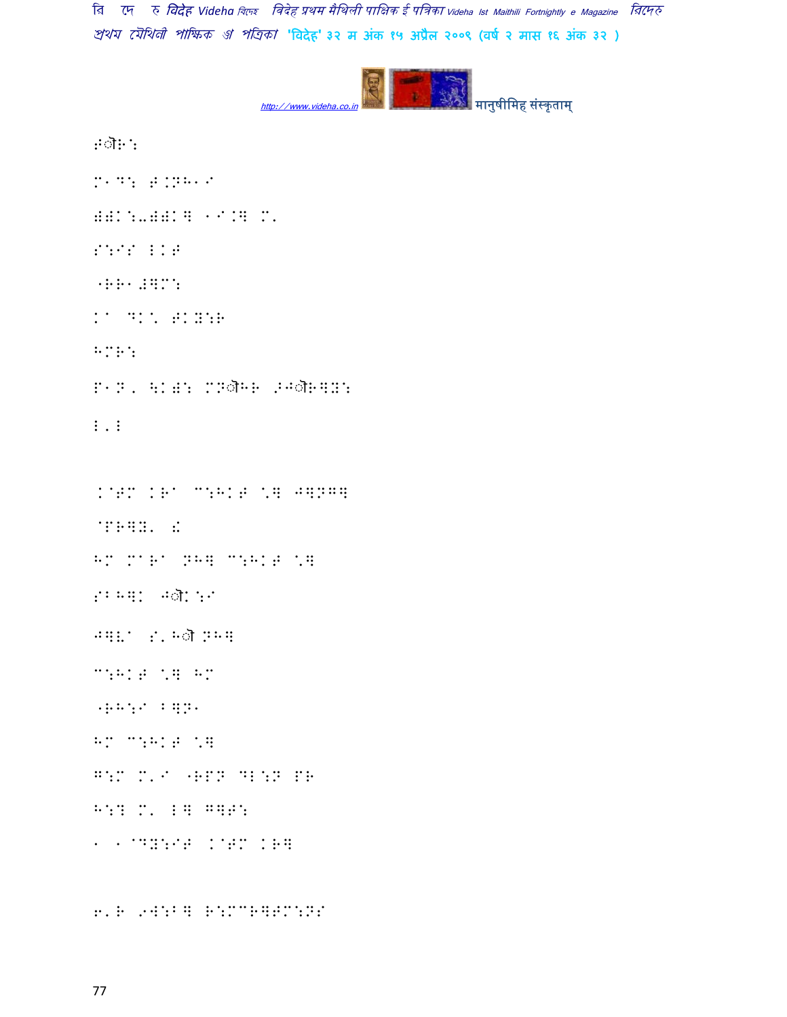

 $\frac{1}{2}$ ী $\frac{1}{2}$ 

M1D: T.NH1I

))K:-))K] 1I.] M'

SSECTION

"RR1#]M:

Ka DKY: ROWER

HMR:

PHP, WEBS TROWN PHONES

 $\vdots$ .

.@TM KRa C:HKT \*] J]NG]

' !! ! !!! !!

HM MARA NHI MARA NH

 $f:HH$   $\rightarrow$ d:

JAHLT ST. HØLGHAH

THE FILL HO

"RH: I BO

HM C:HKT \*

BY MY GREATING

H: T. HE WEEL

1 1@DY:IT .@TM KR]

6'R 9W:B] R:MCR]TM:NS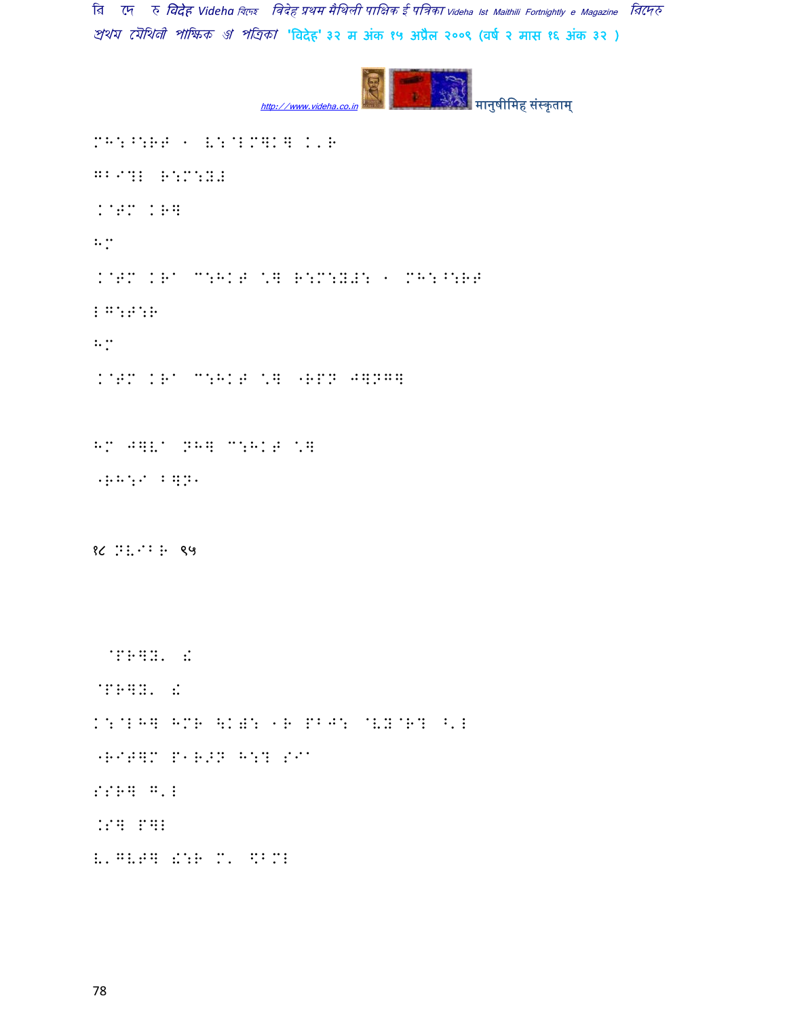

**MH:** W:RT 1 V: RT 1 V: RT 1 V:

BI?TH R:M:YH#

.@TM KR]

 $\mathbb{H}^m_{\mathbb{Z}}$  .

. THIS CONSTRUCT TO ME AND THE CONSTRUCT

LG:T:R

 $\mathbb{H}^m_{\mathbb{R}}$ 

.@TM KRa C:HKT \*] "RPN J]NG]

HT HHM THE THUR NH

GREEN PRINT

 $86$   $:1:1:1:89$ 

WIFER ST

WEBS : :

K: 19 MB + 18 MB + 18 PB + 18 MB + 18 MB

HEST PIRS HIS SIN

 $\ddot{v}$  , and the second control of the second control of the second control of the second control of the second control of the second control of the second control of the second control of the second control of the secon

SSRS W.E

.S] P]L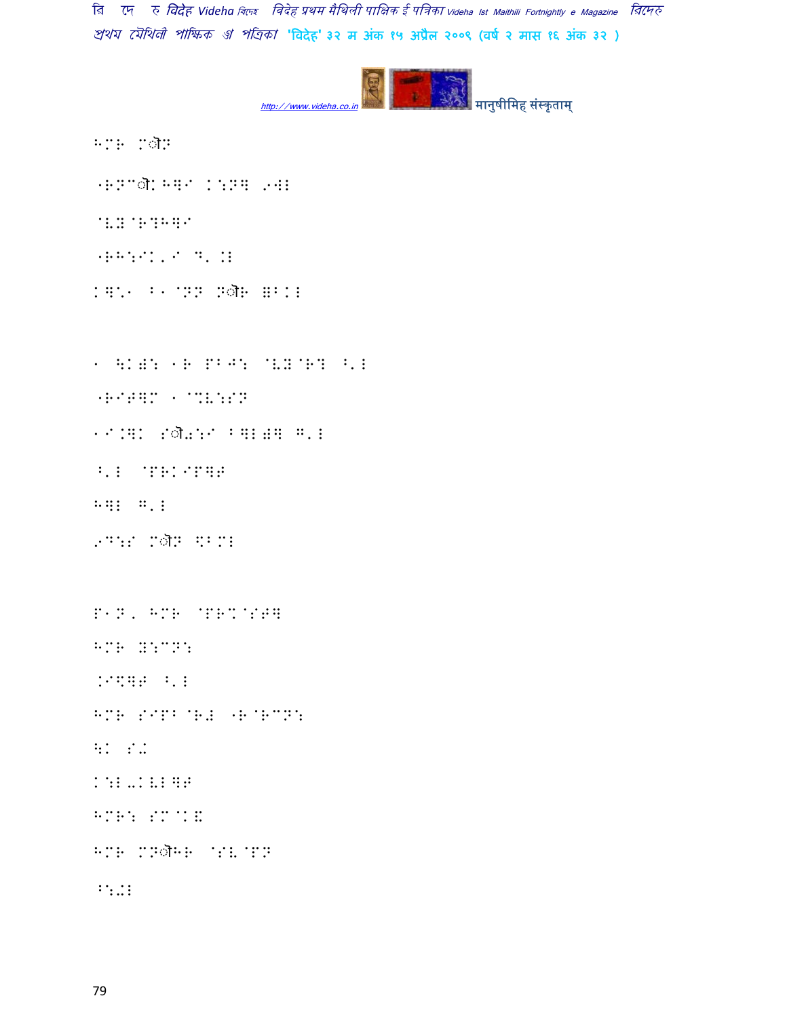

 $H(T)$   $H(T)$ 

 $R$  (RNC)  $R$  (RNC)  $R$  (RNC)  $R$  (RNC)  $R$  (RNC)  $R$  (RNC)  $R$  (RNC)  $R$  (RNC)  $R$  (RNC)  $R$  (RNC)  $R$  (RNC)  $R$  (RNC)  $R$  (RNC)  $R$  (RNC)  $R$  (RNC)  $R$  (RNC)  $R$  (RNC)  $R$  (RNC)  $R$  (RNC)  $R$  (RNC)  $R$  (RNC)  $R$  (RNC)  $R$ 

WHIS THE TEST

"RH:IK'I D'.L

KER, BILANS SERIE EN 1

 $1 \times 1$   $\lambda$  : 1R  $\mu$   $\lambda$   $\mu$   $\lambda$   $\mu$   $\lambda$   $\mu$   $\lambda$   $\mu$   $\lambda$   $\mu$   $\lambda$   $\mu$   $\lambda$   $\mu$   $\lambda$   $\mu$   $\lambda$   $\mu$   $\lambda$   $\mu$   $\lambda$   $\mu$   $\lambda$   $\mu$   $\lambda$   $\mu$   $\lambda$   $\mu$   $\lambda$   $\mu$   $\lambda$   $\mu$   $\lambda$   $\mu$   $\lambda$   $\mu$   $\lambda$   $\mu$   $\lambda$   $\mu$ 

"RITH" ("TEST

 $11.111.11$   $100.111.111.111.111.11$ 

 $E$   $\rightarrow$   $E$   $\rightarrow$   $E$   $\rightarrow$   $E$   $\rightarrow$   $E$   $\rightarrow$   $E$ 

HH GLI

9D:S M◌ॊN \$BML

PHR, HMR @PR%@ST HMR W:CN:  $1.13799 \pm 0.11$ HMR SIPB@R# "R@RCN:  $\mathrm{H} \to \mathrm{H} \mathrm{H}$ K:L:L: HMR: SM@K& HTR MRGHR MED STR

 $\{z_1, z_2\}$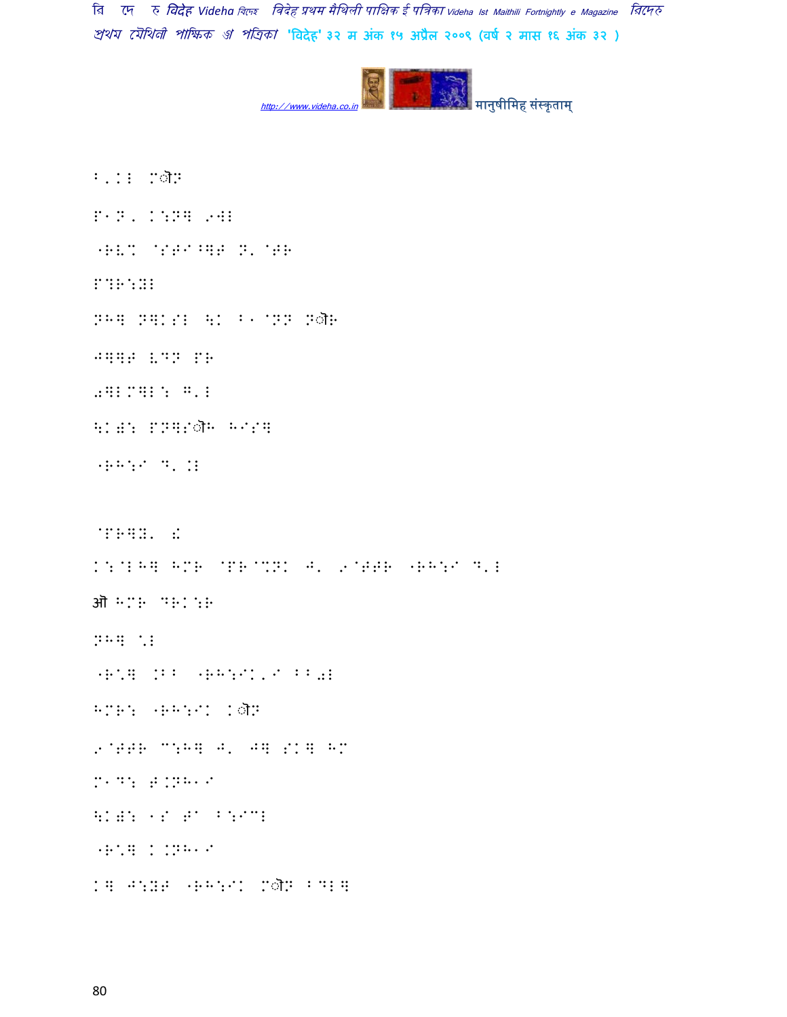

 $B: \Sigma \to \mathbb{R}^n$ P1N, K:N] 9WL "REN" MESSER WANTER PRESSENT NH] N]KSL \K B1@NN N◌ॊR JUBB LIP PR 0]LM]L: G'L  $\text{H}$ : PN $\text{H}$ SS $\text{H}$  H $\text{H}$  HIS $\text{H}$ "RH: P. D WHEEL E K: N: RH # PR @ PRO PRO PRO PRO PRO PRO PRO  $\mathfrak{M}$   $\mathfrak{h}$   $\mathfrak{h}$   $\mathfrak{h}$   $\mathfrak{h}$   $\mathfrak{h}$   $\mathfrak{h}$   $\mathfrak{h}$   $\mathfrak{h}$   $\mathfrak{h}$   $\mathfrak{h}$   $\mathfrak{h}$   $\mathfrak{h}$   $\mathfrak{h}$   $\mathfrak{h}$   $\mathfrak{h}$   $\mathfrak{h}$   $\mathfrak{h}$   $\mathfrak{h}$   $\mathfrak{h}$   $\mathfrak{h}$   $\mathfrak{h}$  NH] \*L "R\*] .BB "RH:IK'I BB0L HTP: "RHIC KOD 9@TTR C:H] J' J] SK] HM M1D: T.NH1I  $\text{R}:\mathbb{R} \rightarrow \mathbb{R} \rightarrow \mathbb{R} \rightarrow \mathbb{R} \rightarrow \mathbb{R}$ "R\*H1I" K.NH KE ANDER HERNES CODE FOLL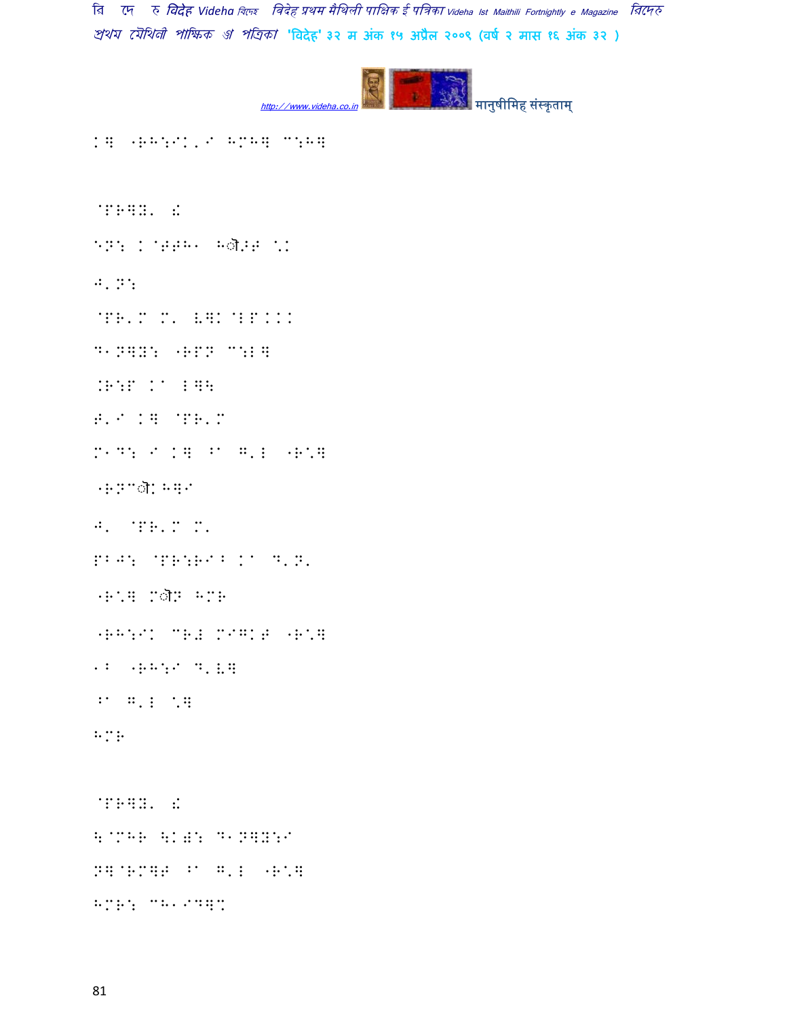

K] "RH:IK'I HMH] C:H]

 $T$  :  $T$   $\vdots$   $T$  :  $T$ 

ENTE I HOPE HOLE II

 $\mathcal{H}_1(\mathbb{R}^4)$ 

WHAT MY HEATHERS

BOOKS READS TO A READ

 $\begin{array}{lll} \text{HSE} & \text{HSE} & \text{HSE} \end{array}$ 

T'I K] @PR'M

T: T: F (18) P R.E (4818)

 $R\to\mathbb{R}^m$ ो $R\to\mathbb{R}^m$ 

J' @PR'M M'

PBJ: @PR:RI^ Ka D'N'

 $H: H: T$  on How

"RHSPI" MEA TRANSPORTA

1B "RH:I D'V]

 $\mathcal{P}^{\mathcal{C}}$  ,  $\mathcal{P}_{\mathcal{C}}$  : ( ),  $\mathcal{P}_{\mathcal{C}}$ 

 $H^{\text{max}}_{\text{max}}$ 

WEBS : :  $\frac{1}{2}$ ,  $\frac{1}{2}$ ,  $\frac{1}{2}$ ,  $\frac{1}{2}$ ,  $\frac{1}{2}$ ,  $\frac{1}{2}$ ,  $\frac{1}{2}$ ,  $\frac{1}{2}$ ,  $\frac{1}{2}$ ,  $\frac{1}{2}$ ,  $\frac{1}{2}$ ,  $\frac{1}{2}$ ,  $\frac{1}{2}$ ,  $\frac{1}{2}$ ,  $\frac{1}{2}$ ,  $\frac{1}{2}$ ,  $\frac{1}{2}$ ,  $\frac{1}{2}$ ,  $\frac{1}{2}$ ,  $\frac{1}{2}$ , NAME OF STREET HTP: CHIPPE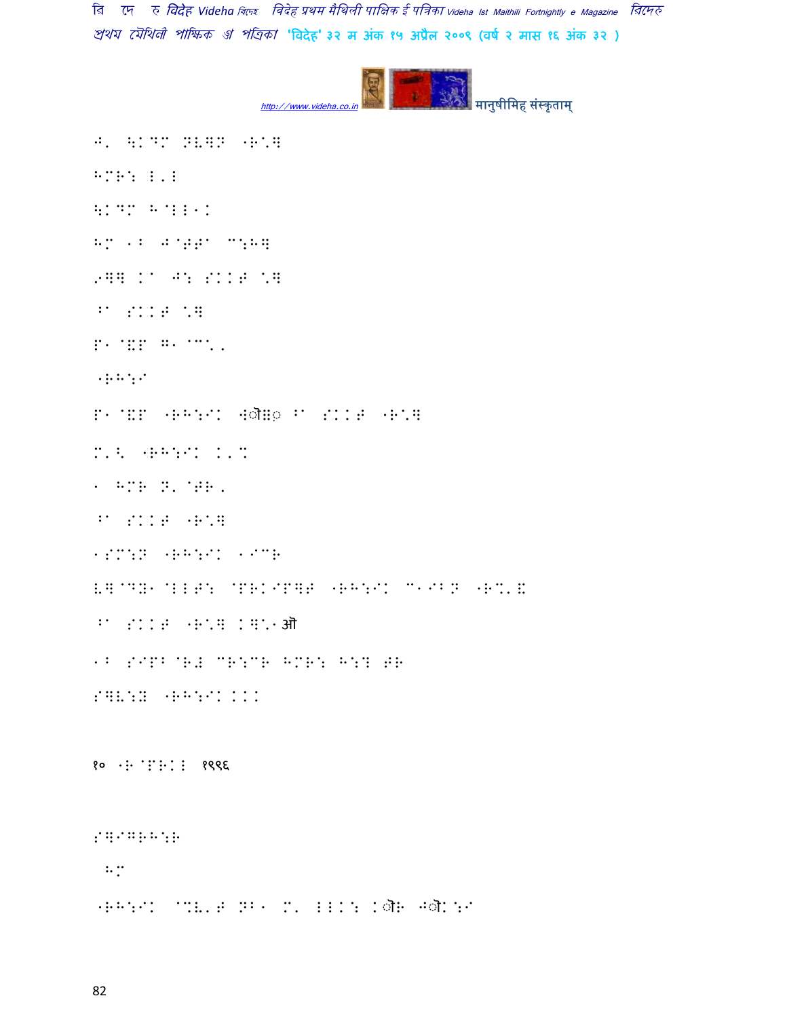

 $J$   $\vdots$   $J$   $\vdots$   $J$   $\vdots$   $J$   $\vdots$   $J$   $\vdots$   $J$   $\vdots$ 

HTP: LLL

 $\mathrm{H}(\mathcal{H}\mathcal{V})\cong\mathrm{H}(\mathcal{V})$ 

HM 1B J@TTa C:H]

999 (119) Ka J: SKK

 $\mathcal{F}^{\alpha}$  SKKT  $\mathcal{F}^{\alpha}$  (SKKT  $\mathcal{F}^{\alpha}$ 

PRODUCE GRADES

 $\{ \{ \{ \} \} \}$  .

PHONE "RHYST" HONE PO PILE "RYST"

 $\mathcal{R}$  , and  $\mathcal{R}$  is a set of the set of the set of the set of the set of the set of the set of the set of the set of the set of the set of the set of the set of the set of the set of the set of the set of the set o

1 HMR N'@TR,

 $P^*$  SKKT  $R^*$  (R\*)

1SM:N "RH:IK 1ICR

V]@DY1@LLT: @PRKIP]T "RH:IK C1IBN "R%'&

 $\begin{bmatrix} \begin{array}{ccc} \cdot & \cdot & \cdot & \cdot & \cdot \\ \cdot & \cdot & \cdot & \cdot & \cdot \end{array} & \begin{array}{ccc} \cdot & \cdot & \cdot & \cdot & \cdot \\ \cdot & \cdot & \cdot & \cdot & \cdot \end{array} & \begin{array}{ccc} \cdot & \cdot & \cdot & \cdot & \cdot \\ \cdot & \cdot & \cdot & \cdot & \cdot \end{array} \end{bmatrix}$ 

1B SIPB@R# CR:CR HMR: H:? TR

HEST MILE PROTO HITS OF HOUR

SIV: Y "RH: IK..." (1999)

 $80$   $\cdot: ':::':$   $8885$ 

SHOW:PRIN

 $\mathbb{H}$ 

82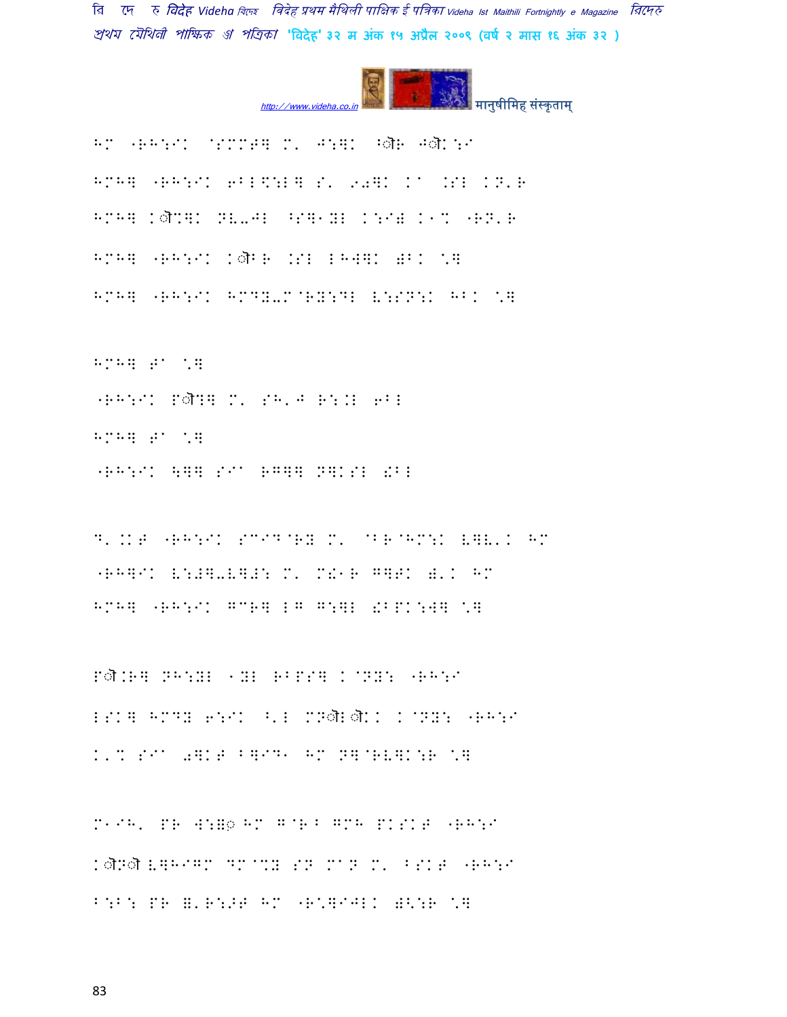

HM "RH:IK "SMMTRE M. PIE "POR POLIS HTHE "BHSPI BILTIE BOOK SAHI IN SI STELL HMH KÒMH, BELAN (HAVH) KAYE KYM APLIK HTHE "BHIRT LOTE" IN LABEL BK NB HTHE "BHSPI HTTELT BESTE ESSING HE THE

 $H_1^{\prime\prime}$  Henri Ta  $H_1^{\prime\prime}$  and  $H_2^{\prime\prime}$ "RHIKI PØTE J. 28.4 BIN R:0 HTHH HO TH "RH:IK RH: IK RH:I SIA RG

D'.KT "RH:IK SCIDER MY MORE OF BROWN MESS "RH]IK V:#]-V]#: M' M!1R G]TK )'K HM HTHE "RHIST" WIRE EN MIRE GOINGER OR

P@IRB RH:RI YRE RFPSP (1981 (RH:I) LESK HOVE 6:IK (R.E. OPOR ON: "RHIE" (BH:IK K' SIA 01 HAM SIA 1999 SIA 1999 SIA 1999 SIA 1999 SIA 1999 SIA 1999 SIA 1999 SIA 1999 SIA 1999 SIA

MNIH' PR WIEG HO GMH GMH PKSKIP (BHI) KONG BERSEN SN MAN WAS NOT MAN SHARES B: PR = R: PR = R: PR = R: PR = R: PR = R: PR = R: PR = R: PR = R: PR = R: PR = R: PR = R: PR = R: PR = R: PR = R: P

83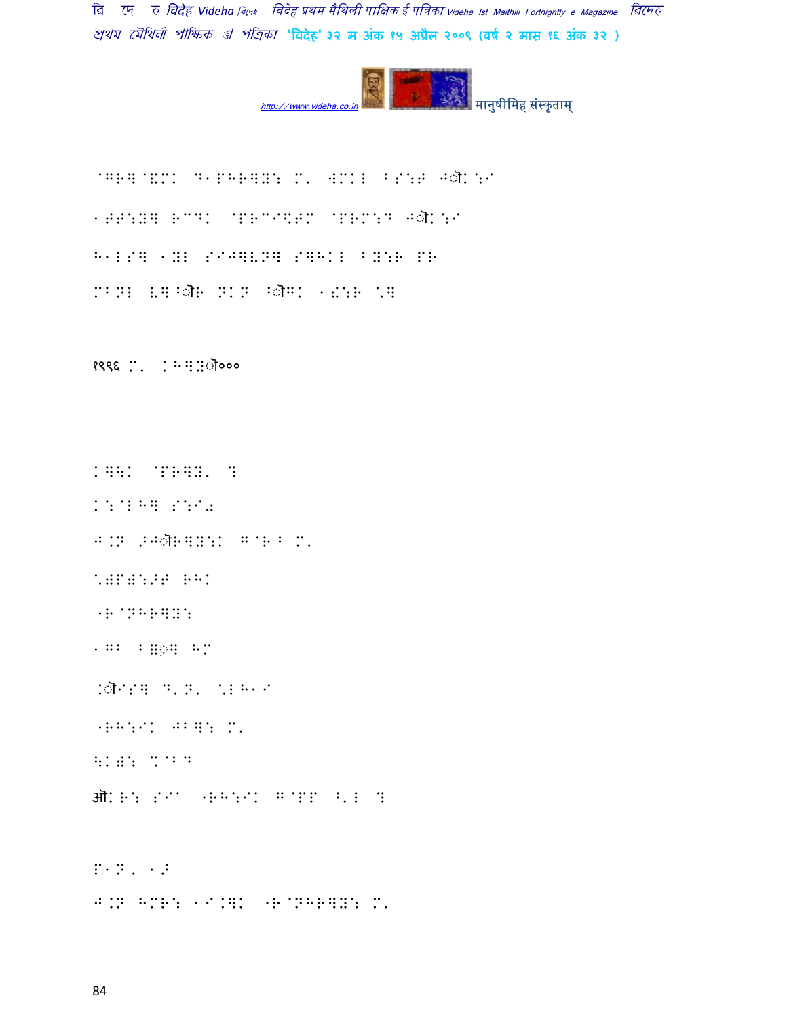

@GR]@&MK D1PHR]Y: M' WMKL BS:T J◌ॊK:I 1TH:TT: TECHIK: TECHIAT HAILSE AND SYMMETR SHALL FINE TH  $T^*$  PH  $\pm$  H  $\cdot$  OH  $\pm$  PH  $\pm$  PH  $\pm$  OH  $\pm$ 

१९९६  $\therefore$   $\therefore$   $\therefore$   $\therefore$   $\therefore$   $\therefore$   $\circ$   $\circ$   $\circ$ 

KARA TERRATIVA

K:@LH] S:I0

J.N PROPERTY WIRE T.

\*\*\*\*\*\*\*\*\*\*\*\*\*\*\*\*\*\*

"R@NHR]Y:

 $199B + 199B + 197$ 

 $101119$   $11111$   $111111$ 

"RH:IK JB]: M'

 $\text{RSE}(\mathbb{R}^n; \mathbb{R}^n; \mathbb{R}^n; \mathbb{R}^n)$ 

 $\mathfrak{M}$ :  $\mathfrak{p}$  :  $\mathfrak{p}$   $\mathfrak{p}$  :  $\mathfrak{p}$   $\mathfrak{p}$  :  $\mathfrak{p}$  :  $\mathfrak{p}$  :  $\mathfrak{p}$  :  $\mathfrak{p}$  :  $\mathfrak{p}$  :  $\mathfrak{p}$  :  $\mathfrak{p}$  :  $\mathfrak{p}$ 

P1N, 1>

J.N HMR: 1I.]K "R@NHR]Y: M'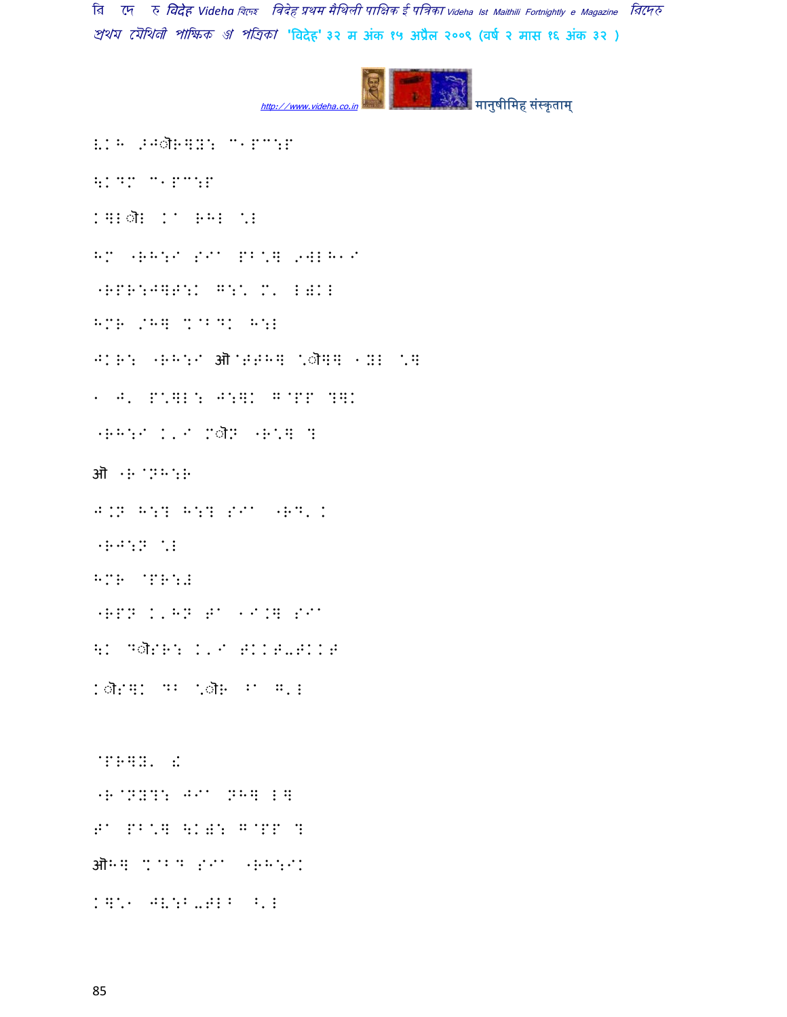

KIP PROBEES TETTE

 $\mathbb{R}$  Decreases are proposed in

 $\mathbb{R}^n$  Here  $\mathbb{R}^n$  and  $\mathbb{R}^n$  are  $\mathbb{R}^n$ 

HM "RH:I SIA PB" PB"

"RPR:J]T:K G:\* M' L)KL

 $H$  ,  $H$  ,  $H$  ,  $H$  ,  $H$  ,  $H$  ,  $H$  ,  $H$  ,  $H$  ,  $H$ 

HIEN: "RHN:" ओ GREAR (ONR FIR 19

 $1 - 4$ , PVHIS 45H, WITE TH,

"RHIN KI K'I MOT "RENE "T

 $\mathfrak{M}$   $\cdot$   $\vdots$   $\mathfrak{P}$   $\vdots$   $\vdots$ 

J.N H:? H:? SIa "RD'.

"RJ:N \*L

HMR @PR:#

WEBS. E

"RPN K'HN Ta 1I.] SIa

 $\mathcal{A}(\mathfrak{A};\mathfrak{A};\mathfrak{A};\mathfrak{A};\mathfrak{A};\mathfrak{A};\mathfrak{A};\mathfrak{A};\mathfrak{A};\mathfrak{A};\mathfrak{A};\mathfrak{A};\mathfrak{A};\mathfrak{A};\mathfrak{A};\mathfrak{A};\mathfrak{A};\mathfrak{A};\mathfrak{A};\mathfrak{A};\mathfrak{A};\mathfrak{A};\mathfrak{A};\mathfrak{A};\mathfrak{A};\mathfrak{A};\mathfrak{A};\mathfrak{A};\mathfrak{A};\mathfrak{A};\mathfrak$ 

 $R$  . The new particle is the set of the set of the set of the set of the set of the set of the set of the set

 $T = \frac{1}{2}$ 

**GD ST SIA (ST SIA : ST SIA ) (ST SIA ) (ST SIA ) (ST SIA ) (ST SIA ) (ST SIA ) (ST SIA )** 

**K**\*1 JV:B-TLB ^'L

 $\mathrm{H} \colon \mathbb{R}^n$  Doministic transformation  $\mathbb{R}^n$ 

85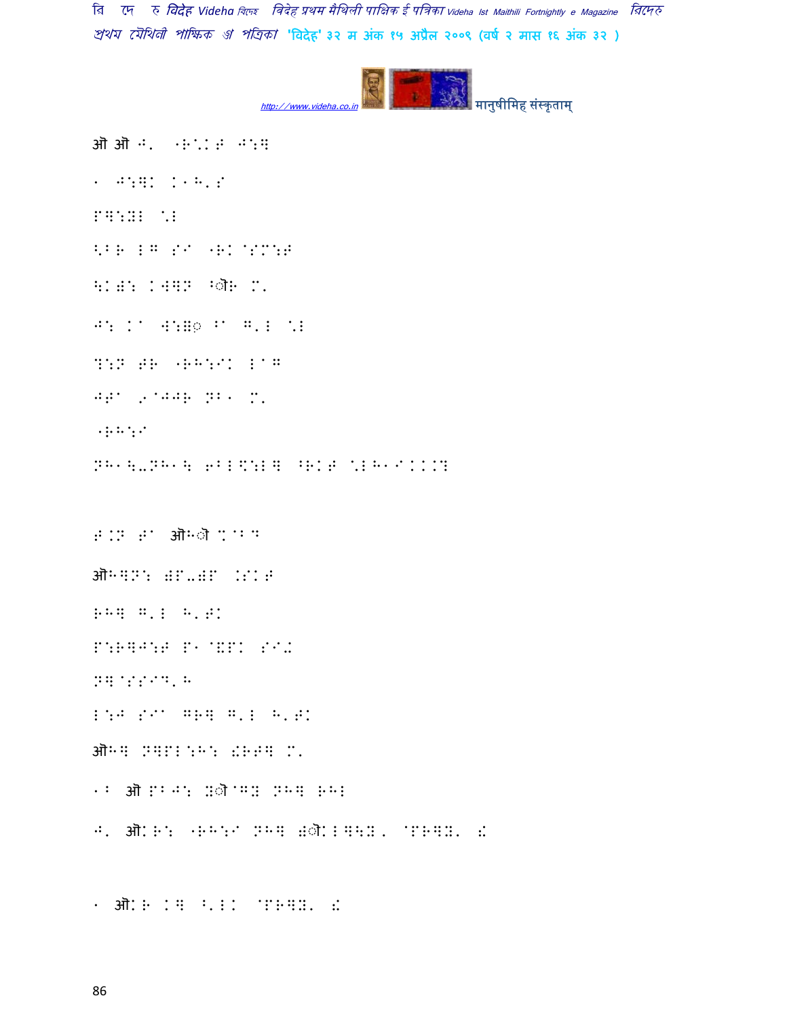

 $\mathfrak{M}$   $\mathfrak{M}$   $\mathfrak{N}$ :  $\mathfrak{N}$ :  $\mathfrak{N}$ :  $\mathfrak{N}$ :  $\mathfrak{N}$ :  $\mathfrak{N}$ :  $\mathfrak{N}$ :  $\mathfrak{N}$ :  $\mathfrak{N}$ :  $\mathfrak{N}$ :  $\mathfrak{N}$ :  $\mathfrak{N}$ :  $\mathfrak{N}$ :  $\mathfrak{N}$ :  $\mathfrak{N}$ :  $\mathfrak{N}$ :  $\mathfrak{N}$ :  $\mathfrak{N}$ :  $\math$ 

1 J:HI (1941)

PHYSH (NE)

REB ER SY SELTING

 $\text{R}:\mathbb{R}^n\to \mathbb{R}^n\to \mathbb{R}^n$  and  $\text{R}^n\to \mathbb{R}^n$ 

 $H: \mathbb{C}^n \to \mathbb{C}$  Hence  $W \to \mathbb{C}^n$  . Then

?: N TR "RH: IK LAG "RH: IK LAG "RH: IK LAG "RH: IK LAG "RH: IK LAG "RH: IK LAG "RH: IK LAG "RH: IK LAG "RH: I<br>IK LAG "RH: IK LAG "RH: IK LAG "RH: IK LAG "RH: IK LAG "RH: IK LAG "RH: IK LAG "RH: IK LAG "RH: IK LAG "RH: IK

JTa 9@JJR NB1 M'

 $\cdot$  is the function of  $\mathbb{R}$ 

NH1\-NH1\-NH1\-NH1\-NH1I...

 $H: H \to H$  and  $H \to H$ 

 $\mathfrak{M}^{\sharp,\sharp,\sharp,\sharp,\sharp,\sharp}$  .  $\mathfrak{so}(P,\mathbb{R}^n)$  .  $\mathfrak{so}(P,\mathbb{R}^n)$ 

**RHUTH** G'L H'TK

PHONO POSSESSION

N]@SSID'H

154 ERT HER H.I. H.H.

 $\mathfrak{M}^{\sharp\sharp,\sharp\sharp}$  . PHITE 1991 - EPPH . T.

 $15$   $\frac{1}{20}$   $\frac{1}{20}$   $\frac{1}{20}$   $\frac{1}{20}$   $\frac{1}{20}$   $\frac{1}{20}$   $\frac{1}{20}$   $\frac{1}{20}$   $\frac{1}{20}$   $\frac{1}{20}$ 

J', ' and the strip of the strip of the product of the product of the product of the product of the product of

 $\cdot$   $\frac{1}{2}$   $\frac{1}{2}$   $\frac{1}{2}$   $\frac{1}{2}$   $\frac{1}{2}$   $\frac{1}{2}$   $\frac{1}{2}$   $\frac{1}{2}$   $\frac{1}{2}$   $\frac{1}{2}$   $\frac{1}{2}$   $\frac{1}{2}$   $\frac{1}{2}$   $\frac{1}{2}$   $\frac{1}{2}$   $\frac{1}{2}$   $\frac{1}{2}$   $\frac{1}{2}$   $\frac{1}{2}$   $\frac{1}{2}$   $\frac{1}{2}$   $\frac{1}{$ 

86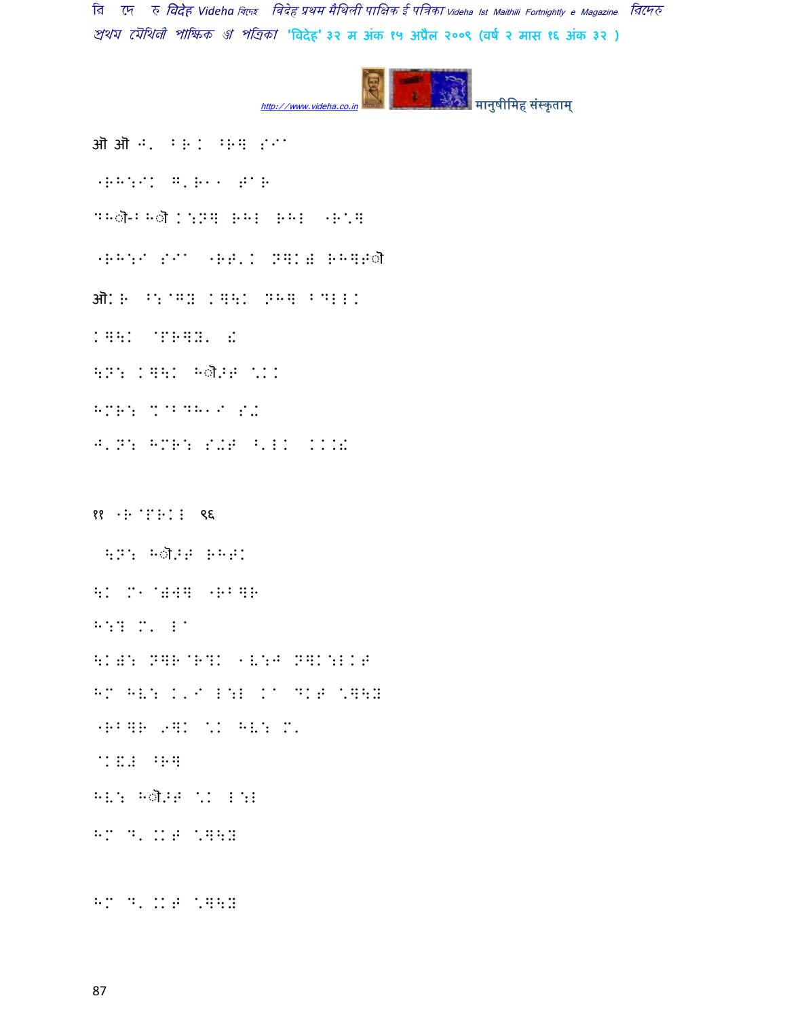

 $\mathfrak{M}$   $\mathfrak{M}$   $\mathfrak{N}$   $\ldots$   $\mathfrak{S}$  :  $\mathfrak{S}$   $\mathfrak{S}$  :  $\mathfrak{S}$  :  $\mathfrak{S}$  :  $\mathfrak{S}$  :  $\mathfrak{S}$  :  $\mathfrak{S}$ "RH: IK G'R11 TAR DHU RHC RHL RHL RHL RHL "RHIST SIA "RHIST" RHISTORY  $\mathfrak{M}(\mathbb{R}^n) \to \mathbb{R}^{n+1}$  and  $\mathbb{R}^n \to \mathbb{R}^{n+1}$  be proposed for  $\mathbb{R}^n$ K]\K @PR]Y' !  $\frac{1}{2}\frac{1}{2}\frac{1}{2}\frac{1}{2}\frac{1}{2}\frac{1}{2}\frac{1}{2}\frac{1}{2}\frac{1}{2}\frac{1}{2}\frac{1}{2}\frac{1}{2}\frac{1}{2}\frac{1}{2}\frac{1}{2}\frac{1}{2}\frac{1}{2}\frac{1}{2}\frac{1}{2}\frac{1}{2}\frac{1}{2}\frac{1}{2}\frac{1}{2}\frac{1}{2}\frac{1}{2}\frac{1}{2}\frac{1}{2}\frac{1}{2}\frac{1}{2}\frac{1}{2}\frac{1}{2}\frac{1}{2}\frac{1}{2}\frac{1}{2}\frac{1}{2}\frac{1}{2}\frac{1$ HMR: % WHAT SHI  $J'$  ,  $J'$  ,  $J'$  ,  $J'$  ,  $J'$  ,  $J'$  ,  $J'$  ,  $J'$  ,  $J'$  ,  $J'$  ,  $J'$  ,  $J'$  ,  $J'$  ,  $J'$  ,  $J'$  ,  $J'$  ,  $J'$  ,  $J'$  ,  $J'$  ,  $J'$  ,  $J'$  ,  $J'$  ,  $J'$  ,  $J'$  ,  $J'$  ,  $J'$  ,  $J'$  ,  $J'$  ,  $J'$  ,  $J'$  ,  $J'$  ,  $J'$ 

 $98$   $: P: P: P: S$  $\rightarrow$  H $\rightarrow$ T RHTK  $\mathbb{R} \setminus \mathbb{R}$  "Refine  $\mathbb{R} \setminus \mathbb{R}$ H:T M' H'  $K$ : N $R$  19  $R$  10  $R$  10  $R$  10  $R$  10  $R$  10  $R$  10  $R$  10  $R$ HM HIM I.K BAB IT TO THE NAME "RB]R 9]K \*K HV: M'  $MER = 199$  $H_1$ :  $H_2$   $H_3$   $H_4$   $H_5$   $H_6$   $H_7$   $H_8$   $H_9$   $H_1$ HM D'.KT \*]\Y

HM D'.KT \*]\Y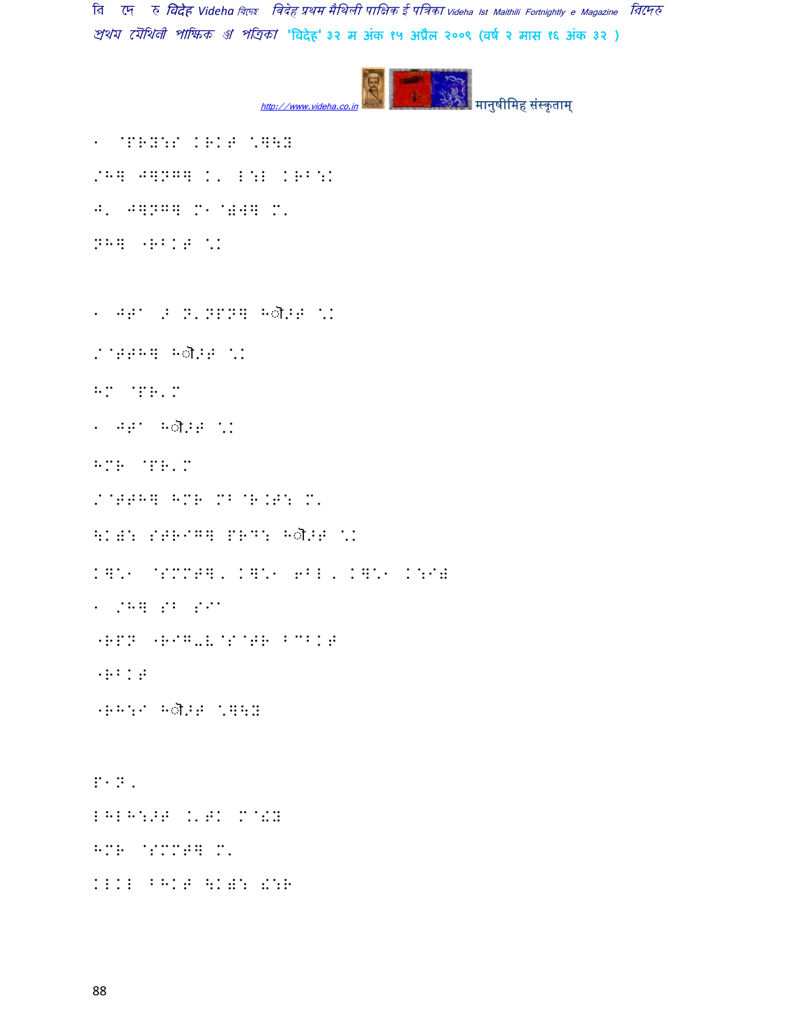

1 **MPRY:S KRYT \*** /H] J]NG] K' L:L KRB:K J. JERU MANGE M **NHE**  $H$  :  $H$  :  $H$  :  $H$ 

 $1 - \frac{1}{2}$   $1 - \frac{1}{2}$   $1 - \frac{1}{2}$   $1 - \frac{1}{2}$   $1 - \frac{1}{2}$   $1 - \frac{1}{2}$   $1 - \frac{1}{2}$   $1 - \frac{1}{2}$   $1 - \frac{1}{2}$   $1 - \frac{1}{2}$   $1 - \frac{1}{2}$   $1 - \frac{1}{2}$   $1 - \frac{1}{2}$   $1 - \frac{1}{2}$   $1 - \frac{1}{2}$   $1 - \frac{1}{2}$   $1 - \frac{1}{2}$   $1 - \frac{1}{2}$   $1 - \frac$ 

/@TTH] H◌ॊ>T \*K

HM THAT

1 HP HOLE T

HMR @PR'M

/@TTH] HMR MB@R.T: M'

\K): STRIG] PRD: H◌ॊ>T \*K

KAL MATH, KAR, HI, KAR, KAR

1 /H] SB SIa

"RPN" "RIGH-VOOR" BEER

"RBKT

 $R$  . However, and the set of  $R$  is the set of  $R$ 

P1N,

LHINGH CONT TAN HMR @SMMT] M'  $K = \{1, 2, \ldots, n\}$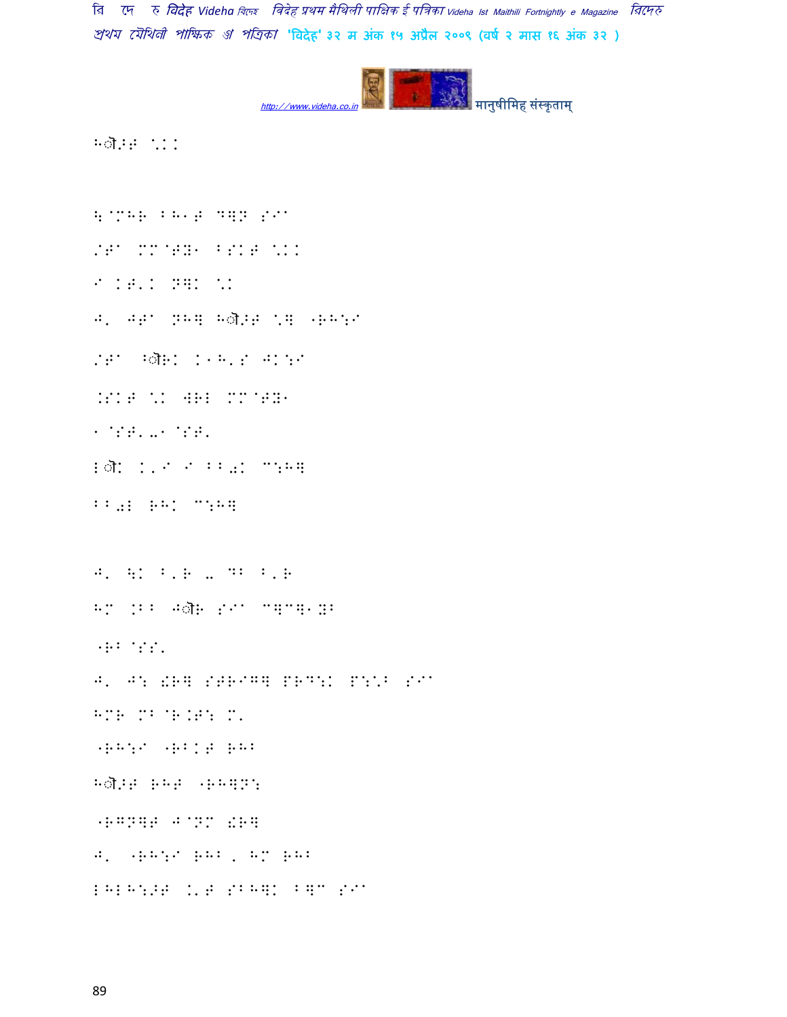

 $H \circ \overline{H}$   $H \circ \overline{H}$   $H \circ \overline{H}$   $H \circ \overline{H}$ 

\@MHR BH1T D]N SIa /Ta MM@TY1 BSKT #KKK #KKK #KKK #KKK FIRST THE AT J' J' J' J' HO HO AT HE RHOT /Ta ^◌ॊRK K1H'S JK:I .SKT \*K WRL MM@TY1 1@ST'-1@ST' E GILL AND ACT RESERVE CONTROL BB0L RHK CONFER J' \K B'R - DB B'R HM .BB JOR SIA CHICAGO "RB@SS' J. JS SEE PRESHE PROD PROF PST HMR MB@R.T: M' "RH:I "RBKT RHB  $H \circ \overline{H}$  . The  $H$  and  $H$  are  $H$  and  $H$ "RGND" RGND" RGND J', "HANY BAC, HM RHB LHINGE CONSTRUCTION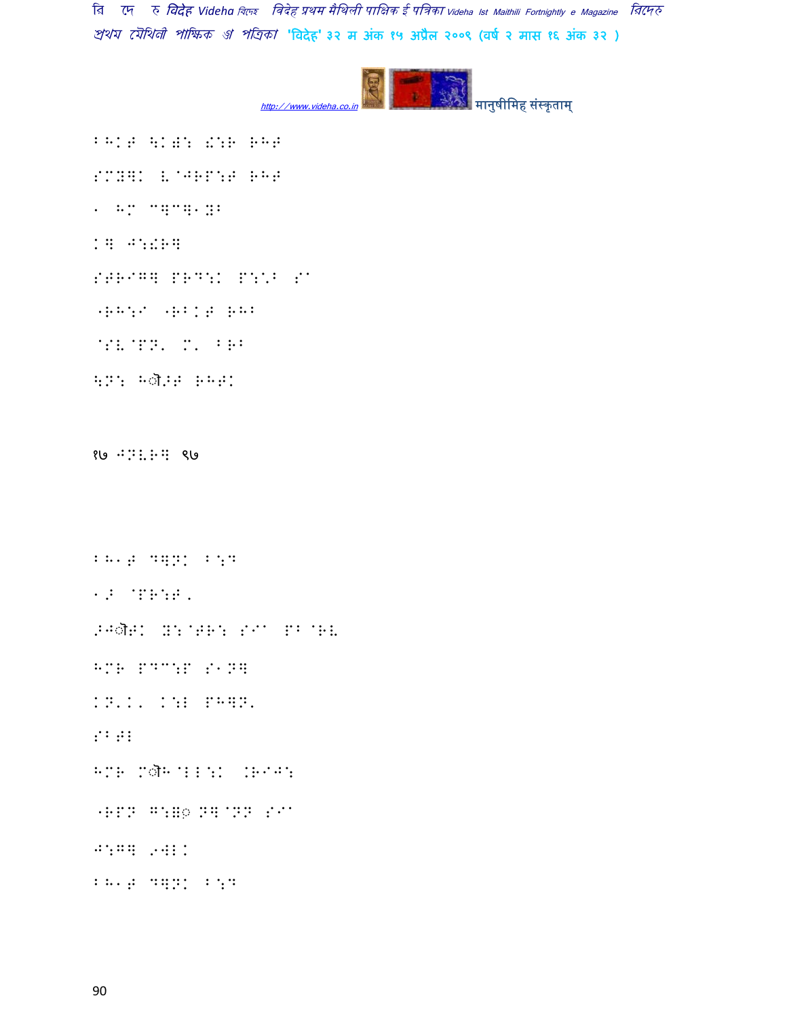

BHCHT RISE STEER

SMYSS ROOMS (SAMPLE REPORT)

1 HM CHURACH

 $19.414199$ 

STRIG] PRD:K P:\*B Sa

"RHYP" (RBC) RHB

@SV@PN' M' BRB

 $\exists \mathbb{R} \mathbb{R}^T \in \mathbb{R}$  and  $\exists \mathbb{R} \in \mathbb{R}^T$ 

 $99$   $99$   $99$   $99$ 

BH<sub>1</sub>P 9821 939 1> @PR:T, >J◌ॊTK Y:@TR: SIa PB@RV HTP PUTHE POPE

KN'K' K:L PH]N'

 $\mathbb{R}^3$  is  $\mathbb{R}^3$ 

HTR MÖHMER MOLDENHA

 $H$ HIFN  $H$  Hipp NH (NN  $H$ )

J:GB 9WL

**BH1T DECK** B:D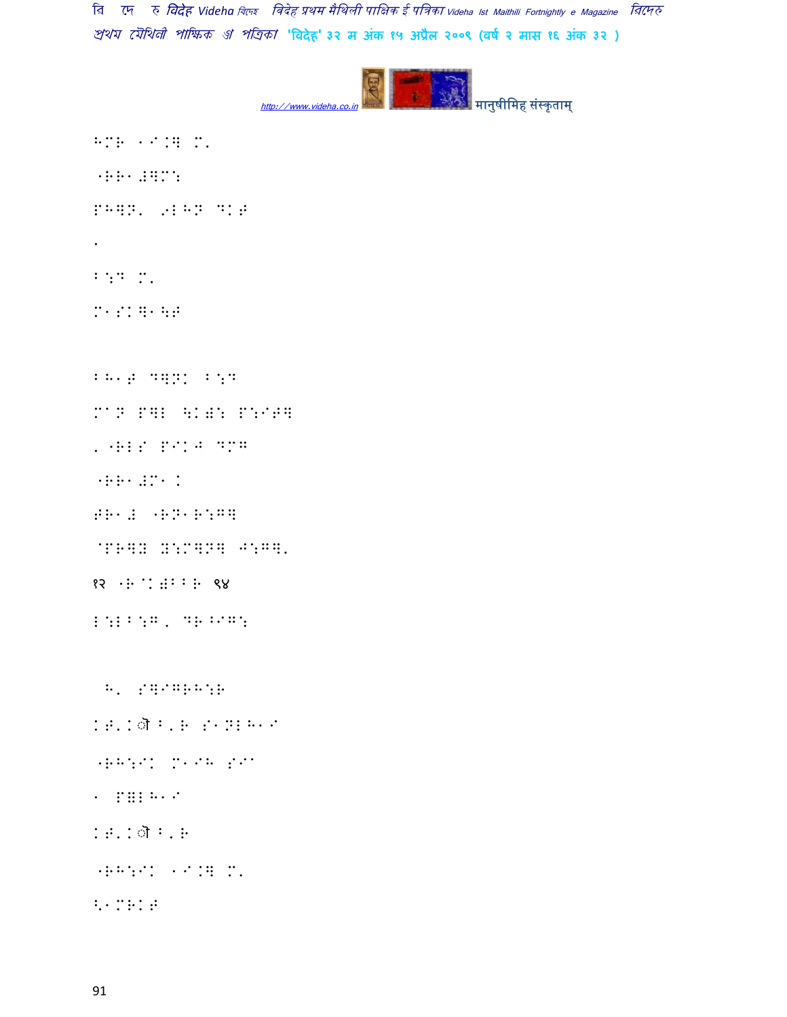

HTP (1) M' T.

"RR1#]M:

PHONE SIMPLIF

 $\ddot{\phantom{0}}$ 

 $\begin{array}{cc} \mathbb{P}^1_1 \oplus \mathbb{P}^1_2 \oplus \mathbb{P}^1_3 \end{array}$ 

M1SK]1\T

BH<sub>1</sub>T D<sub>1</sub>

MAN PH RISH: PROPE

'"RLS PIKJ DMG

"RR1#M1.

TR1# "RN1P"

@PR]Y Y:M]N] J:G]'

१२ सिटी से सम्मी सम्र

L:LB:G, DR^IG:

H. SHARBHGE

KET'S STATE BOOK

SHEET TOOK PUT

 $1$  PHILIP

 $E(E, \mathbb{R}) \cong \mathbb{R}^n$ 

"RH:IK 1I.] M'

<1MRKT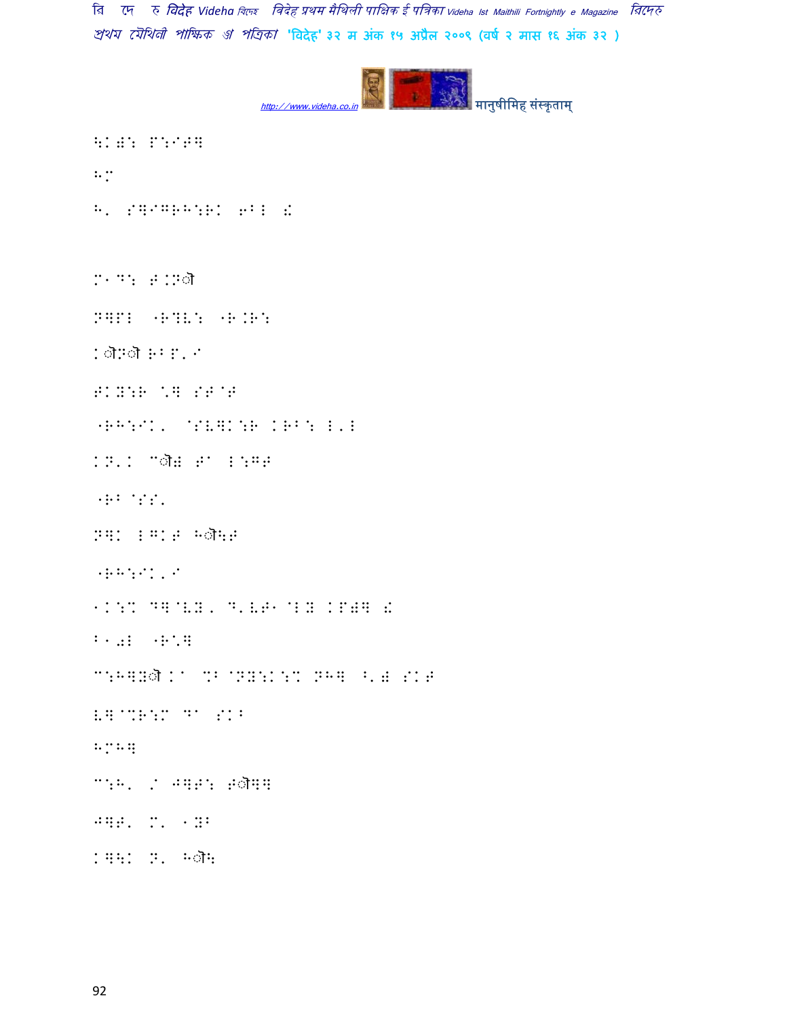

 $\ddot{x}:$   $\ddot{x}:$   $\ddot{x}:$   $\ddot{x}:$ 

 $\ddots$  :

H, SAPPARAHI 881 E

M1D: T.N◌ॊ

NH "R.R. "R.R. "R.R. "R.R. "R.R. "R.R. "R.R. "R.R. "R.R. "R.R. "R.R. "R.R. "R.R. "R.R. "R.R. "R.R. "R.R. "R.R.

 $\mathbb{R}^n$ े Responsi

FRIDGE STATE

"RH: IK' @SV]K:R KRB: L'ANNE (1999)

KNOK COMPANY COMPANY

"RB@SS'

 $H: H: H \to \mathbb{R}$ 

"RH:IK'I

1K:% D]@VY, D'VT1@LY KP)] !

B10L SECTION

CONFIDENTIAL CONFIDENTIAL CONFIDENTIAL CONFIDENTIAL CONFIDENTIAL CONFIDENTIAL CONFIDENTIAL CONFIDENTIAL CONFID

V]@%R:M Da SKB

 $H^{\prime\prime}$  HH  $H^{\prime}$ 

C:H' / HEF: FOHE

 $H\ddot H\dot H_2/\dot H_2\ddot H_1\rightarrow H\ddot H_2$ 

 $1$  HH $1$  H $\lambda$  H $\sim$  Holder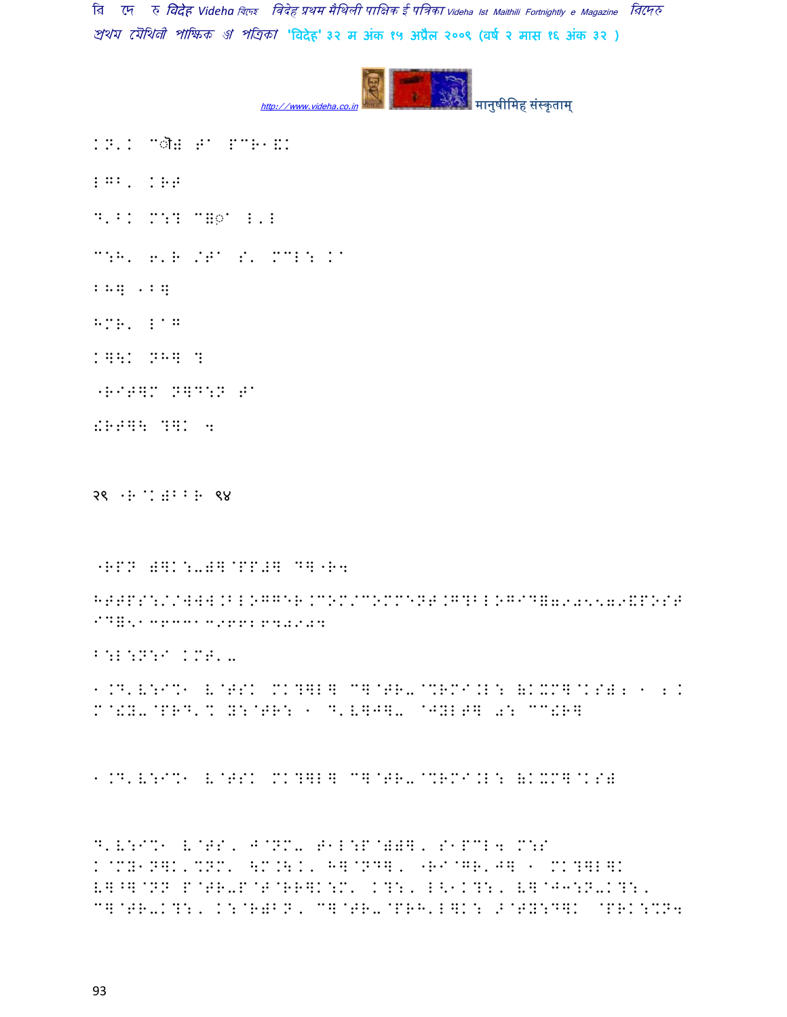

KNYK CONFIGHT

PRINT THE

BR M: CHI MEP HILE

TGH, 6'R /TA S' MONTES

**BH** 1 B

HMR, PORT

**THI PHE T** 

"RIT]M N]D:N Ta

!RT]\ ?]K 4

२९ सिंग सिंह से १४

 $R$  , and  $R$  , and  $R$  , and  $R$  , and  $R$  , and  $R$  , and  $R$  , and  $R$  , and  $R$  , and  $R$  , and  $R$  , and  $R$  , and  $R$  , and  $R$  , and  $R$  , and  $R$  , and  $R$  , and  $R$  , and  $R$  , and  $R$  , and  $R$  , and  $R$  , and  $R$ 

HTTPS://WWW.BLOGGER.COM/COMMENT.G?BLOGID=7905579&POST ID=513633139662640904

B:L:N:I KMT'-

1.D'V:I%1 V@TSK MK?]L] C]@TR-@%RMI.L: (KXM]@KS); 1 2. M@!Y-@PRD'% Y:@TR: 1 D'V]J]- @JYLT] 0: CC!R]

1.D'V:I%1 V@TSK MK?]L] C]@TR-@%RMI.L: (KXM]@KS)

D'V:I%1 V@TS, J@NM- T1L:P@))], S1PCL4 M:S  $K$  ,  $K$  ,  $K$  ,  $K$  ,  $K$  ,  $K$  ,  $K$  ,  $K$  ,  $K$  ,  $K$  ,  $K$  ,  $K$  ,  $K$  ,  $K$  ,  $K$  ,  $K$  ,  $K$  ,  $K$  ,  $K$  ,  $K$  ,  $K$  ,  $K$  ,  $K$  ,  $K$  ,  $K$  ,  $K$  ,  $K$  ,  $K$  ,  $K$  ,  $K$  ,  $K$  ,  $K$  ,  $K$  ,  $K$  ,  $K$  ,  $K$  ,  $K$  , V]^]@NN P@TR-P@T@RR]K:M' K?:, L<1K?:, V]@J3:N-K?:, CAR: CARS CONSTRAINS ON THE CARD CARD OF CARDIOGRAPHY CONTROL CONSTRAINT OF DISTURBING ONLY A LOCAL CONTROL CONTROL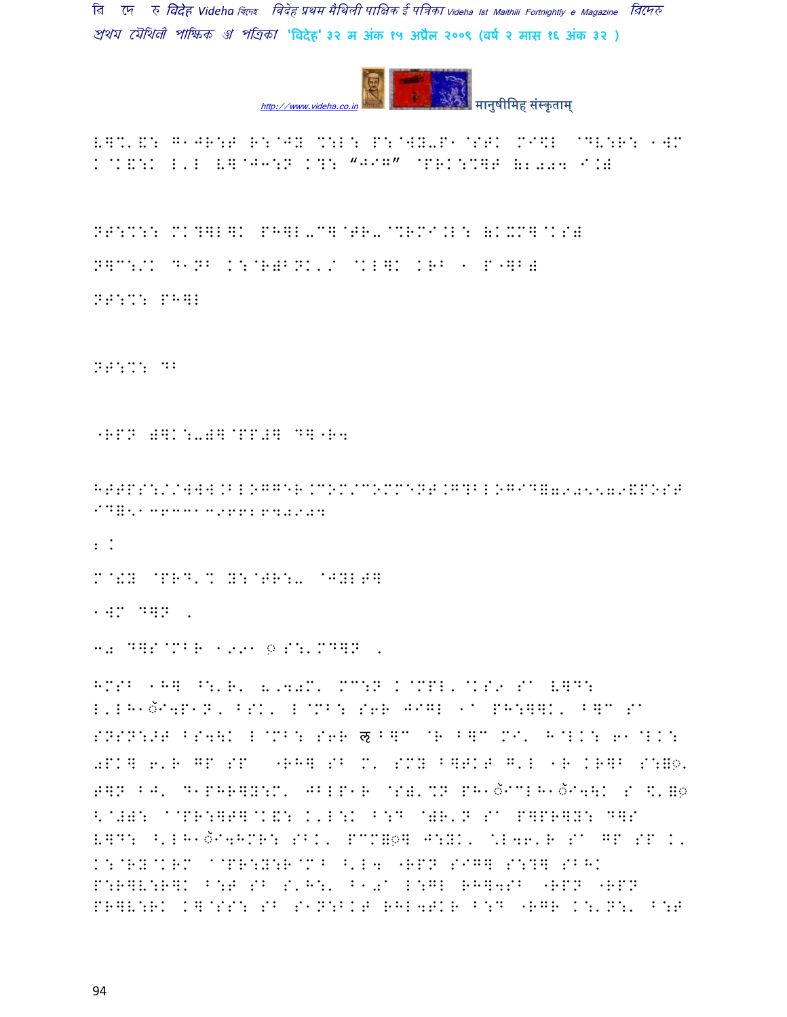

 $\langle E,\Psi\rangle$  , and the state of the control of the state of the state of the state of the state of the state of the state of the state of the state of the state of the state of the state of the state of the state of the state  $K^{\prime}$  . The contract  $K^{\prime}$  and  $K^{\prime}$  are  $K^{\prime}$  . The contract of  $\mathbb{R}$  is the contract of  $\mathbb{R}$  .

NT: MARCHINE, AND AN ANG MENGENDUAN PERSONAL PROPERTY AND A MARCHINE AND A SAN ART AN ANG MANAGEMENT AND A SAN<br>Line of the san are the san and the san are the san are the san are the san are the san are the san are the sa NAMES OF A PARTICLE CONTROL OF A PARTIES. NT:%: PH]L

NT:%: DB

"RPN )] RPN (PORT ) RPN (PORT ) RPN (PORT )<br>PRN (PORT ) RPN (PORT ) RPN (PORT ) RPN (PORT) (PORT)

HTTPS://WWW.BLOGGER.COM/COMMENT.G?BLOGID=7905579&POST ID=513633139662640904

 $2.2<sub>2</sub>$ 

M@!Y @PRD'% Y:@TR:- @JYLT]

1991 - 1992 - 1992

30 D]S@MBR 1991 ◌़ S:'MD]N ,

HMSB 1H] ^:'R' 8,40M' MC:N K@MPL'@KS9 Sa V]D: L'LH1◌ॅI4P1N, BSK' L@MB: S6R JIGL 1a PH:]]K' B]C Sa SNSN:P BS4H L@MB: S6P ळ BHC MP BHC MAL 61B11 ex HII H 0PK] 6'R GP SP "RH] SB M' SMY B]TKT G'L 1R KR]B S:=◌़' THIN BU DIRES ARIEN BOOK IN PH1ČITE ASAN TO CHID <@#): @@PR:]T]@K&: K'L:K B:D @)R'N Sa P]PR]Y: D]S BERG (P.B.H.) ÖZARDEG (SRI), SPODBOH (PGG), J.B.A.K.R SO (PP SP C), K: ROMA @ RY@KRM @PR: Y:ROMA & ROMA SIGNE SIGNES P:R:R:R:R:R:D:T SB:T SPN "ROLL" FOR SHIP "REPRISES "THE POSSESSED" REPORT PRBIGED OF SOS SPORTS AND PRESCRIPTION BY A SPORTS BEFORE A SUPPORT BY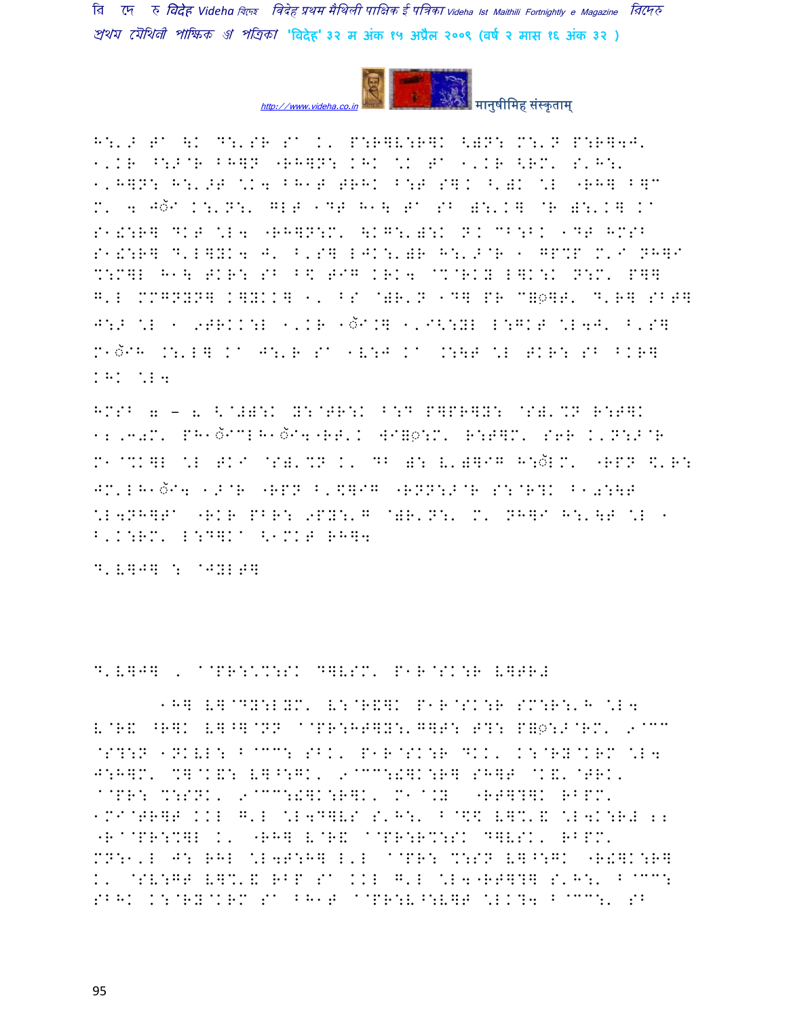

H:'> Ta \K D:'SR Sa K' P:R]V:R]K <)N: M:'N P:R]4J' 1'KR ^:>@R BH]N "RH]N: KHK \*K Ta 1'KR <RM' S'H:' 1.499: H:JH'C: K+1H PHH: FH FB: T. LE "C. "PHH FB" M. A: AÒS (19.99.) BIR K'BE A'R G' R' G' GG.IR (B' GG.IR 10 S1!:R] DKT \*L4 "RH]N:M' \KG:'):K N. CB:BK 1DT HMSB STRIGHE MODERN HI: ROCKER BY NORD HI: PASSAGE HI: PENNING PHEN %:M]L H1\ TKR: SB B\$ TIG KRK4 @%@RKY L]K:K N:M' P]] G'L MAGNET CHILL AN IS GELF AND HE CHANNEL COPE SAR FRANCH I: A 19TRACH: A 19TRA 10TR A 19TRACH: HITRA 10TR 10TR 10TR MHÒPA .:ELEBRIT AGLESIT SEGARIT .:ELEBRIE EN SA 1VEBR KHK \*L4

HMSB 7 – 8 <@#):K Y:@TR:K B:D P]PR]Y: @S)'%N R:T]K 12,30M' PH(ŏrmin(ŏra)Ball Armoni, Phamil Per Clanach MICH "MICH" (AL THE ): VI) N K' DIRECTOR (AL THE ): VIII AL THE DIRECTOR (ALSO NOT ): VIII AN INCOLOR (ALL THE JM'LH1◌ॅI4 1>@R "RPN B'\$]IG "RNN:>@R S:@R?K B10:\T \*L4NH]Ta "RKR PBR: 9PY:'G @)R'N:' M' NH]I H:'\T \*L 1 B'K:RM' L:DA (1985) REPORT

D'V]J] : @JYLT]

D'V]J] , @@PR:\*%:SK D]VSM' P1R@SK:R V]TR#

 1H] V]@DY:LYM' V:@R&]K P1R@SK:R SM:R:'H \*L4 EVAR CHAN EACHTRE VONFIGHANDEN AND PHONONCONTENT @S?:N 1NKVL: B@CC: SBK' P1R@SK:R DKK' K:@RY@KRM \*L4 J:H]M' %]@K&: V]^:GK' 9@CC:!]K:R] SH]T @K&'@TRK'  $\overline{\phantom{a}}$  (The control of the state  $\overline{\phantom{a}}$  ,  $\overline{\phantom{a}}$  ,  $\overline{\phantom{a}}$  ,  $\overline{\phantom{a}}$  ,  $\overline{\phantom{a}}$  ,  $\overline{\phantom{a}}$  ,  $\overline{\phantom{a}}$  ,  $\overline{\phantom{a}}$  ,  $\overline{\phantom{a}}$  ,  $\overline{\phantom{a}}$  ,  $\overline{\phantom{a}}$  ,  $\overline{\phantom{a}}$  ,  $\overline{\phantom{a}}$  ,  $\$ 1 MI MI MERE AN ING SI KELADERAN ANG PINASA SA TITIR SA ING SI SERA ANG PA  $R$  (Represented  $R$  ) and a set of the problem' country state. MN:1'A: RHL %EAR:HE E.E @ MB: WHATER HEAR: \REB:ARE K. MINIAPA KAT.E BIP SA KKL GIL A.E NEWSPARE S.AN. PATTN  $S$ BHK K:@RY@KRM Sa BHK BHK BHK SA BHE SA BHC SA BHC SA BHC SA BH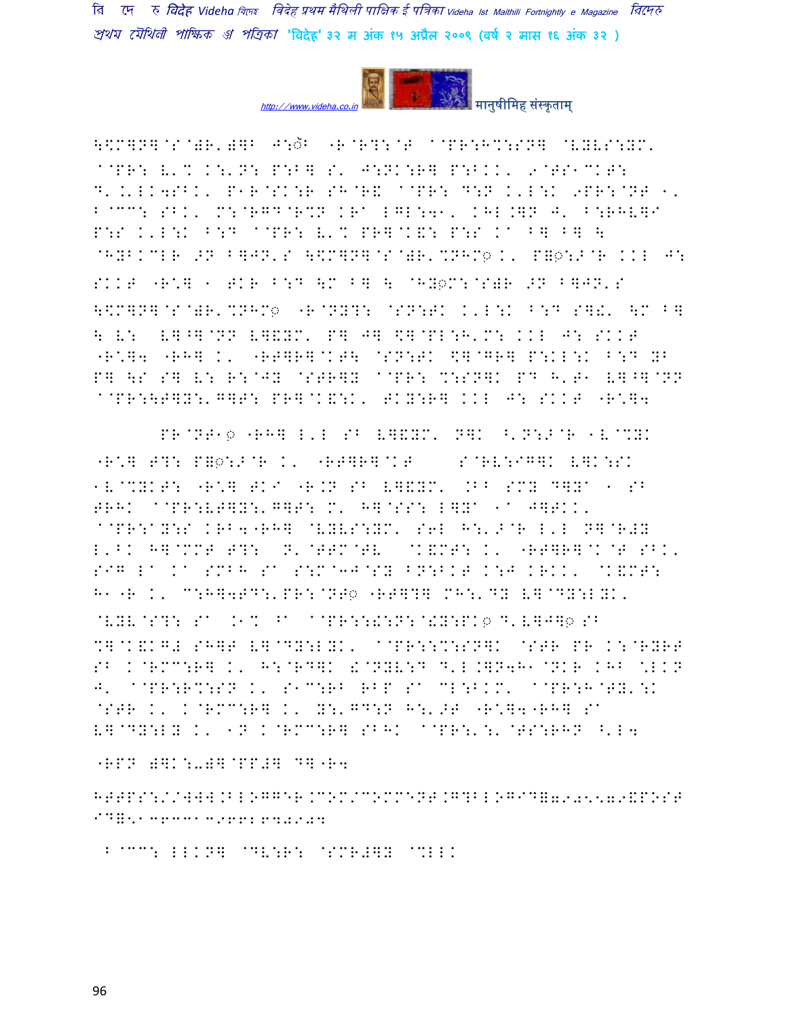

 $\,$  Spirabe in The . Here we had to the international model of  $\,$  . The same in  $\,$ @@PR: V'% K:'N: P:B] S' J:NK:R] P:BKK' 9@TS1CKT: D'.'LK4SBK' P1R@SK:R SH@R& @@PR: D:N K'L:K 9PR:@NT 1' B@CC: SBK: SBK' M: SBC: SBK' M: SBK: SBK: SBK: SBK: SBK: BEC P:S K'L:K B:D @@PR: V'% PR]@K&: P:S Ka B] B] \ OHIBCCLR ON BURGEN BIJNES ON BIJNES KONNOR KOMMUNISTER SKKT B:D TKR B:D PART BY THE STREET BY BEING BEFORE  $\,$  BCT APA THE COPETS  $\,$  (Fig. The SNITE  $\,$  CD)  $\,$  and  $\,$  and  $\,$  and  $\,$  and  $\,$  and  $\,$  and  $\,$  and  $\,$  and  $\,$  and  $\,$  and  $\,$  and  $\,$  and  $\,$  and  $\,$  and  $\,$  and  $\,$  and  $\,$  and  $\,$  and  $\,$  \ V: V]^]@NN V]&YM' P] J] \$]@PL:H'M: KKL J: SKKT "R\*]4 "RH] K' "RT]R]@KT\ @SN:TK \$]@GR] P:KL:K B:D YB PRO RECORD WAS SPACED CHARRED ON THRIGO TABINED ON TO HIS RECORD WITH THE THIN @@PR:\T]Y:'G]T: PR]@K&:K' TKY:R] KKL J: SKKT "R\*]4

 PR@NT1◌़ "RH] L'L SB V]&YM' N]K ^'N:>@R 1V@%YK  $R$  From People's ( ) are the control of the schedule of the  $R$ 1V@%YKT: "R\*] TKI "R.N SB V]&YM' .BB SMY D]Ya 1 SB FRHI @ PRESENSIAL PRES IN CHRISTS LARE COMPRODU @@PR:aY:S KRB4"RH] @VYVS:YM' S6L H:'>@R L'L N]@R#Y L'BK H]@MMT T?: N'@TTM@TV @K&MT: K' "RT]R]@K@T SBK' SIG La Ka SMBH Sa S:M@3J@SY BN:BKT K:J KRKK' @K&MT: H1"R K' C: "HH4FTLING" DY GHTH THING H AT LE WHEN YOU SAN . THE WAS THE SAME OF LEARS Y? %]@K&KG# SH]T V]@DY:LYK' @@PR::%:SN]K @STR PR K:@RYRT SB KORMC:RIGHT IN DIE STRAKE HEIDER DER STRAKE HEIDER EIN DIE DIE STRAKE HEIDER EIN DIE DIE STRAKE HEIDEN DIE J' @@PR:R%:SN K' S1C:RB RBP Sa CL:BKM' @@PR:H@TY':K @STR K' K@RMC:R] K' Y:'GD:N H:'>T "R\*]4"RH] Sa V]@DY:LY K' 1N K@RMC:R] SBHK @@PR:':'@TS:RHN ^'L4

"RPN )]K:-)]@PP#] D]"R4

HTTPS://WWW.BLOGGER.COM/COMMENT.G?BLOGID=7905579&POST ID=513633139662640904

B@CC: LLKN] @DV:R: LLKN] @DV:R: LLKN] @DV:R: LLKN] @DV:R: LLKN] @DV:R: LLKN] @DV:R: LLKN] @DV:R: LLKN] @DV:R: <br># DV:R: LLKN:R: LLKN:R: LLKN:R: LLKN:R: LLKN:R: LLKN:R: LLKN:R: LLKN:R: LLKN:R: LLKN:R: LLKN:R: LLKN:R: LLKN:R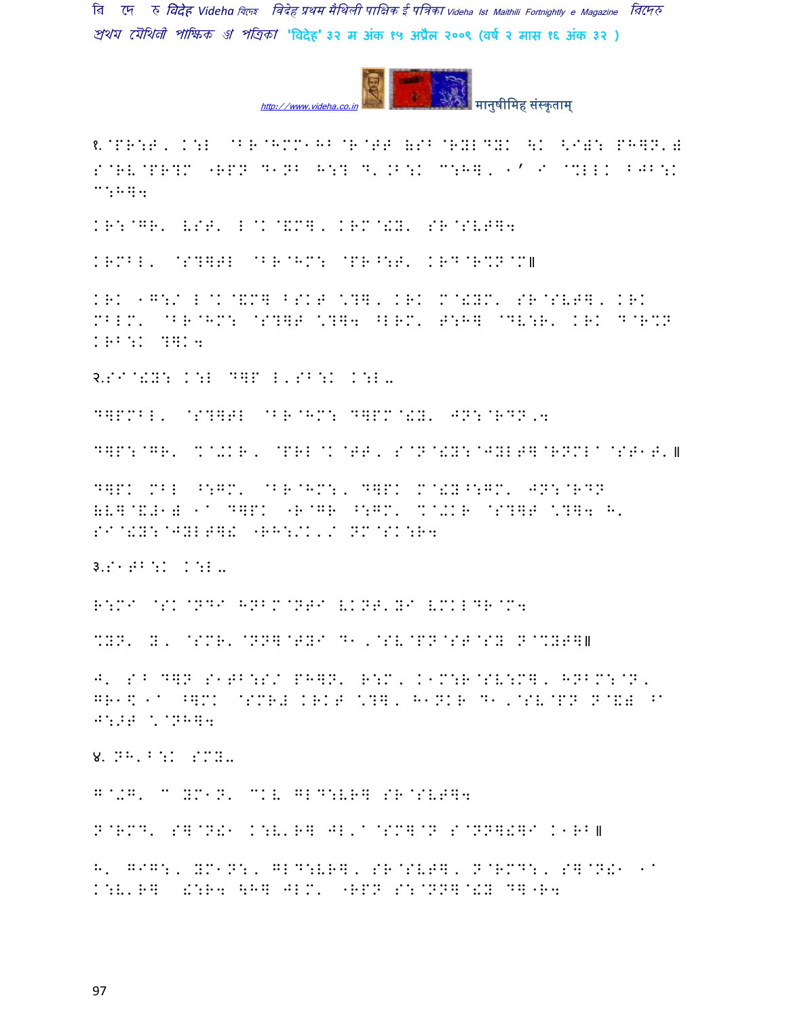

१.@PR:T, K:L @BR@HMM1HB@R@TT (SB@RYLDYK \K <I): PH]N') S@RV@PR?M "RPN D1NB H:? D'.B:K C:H], 1' I @%LLK BJB:K  $\cdots$ 

KR:@GR' VST' L@K@&MIL\_ARCHER

KRMBL' @S?PROPRESSED@R&HAM: @PROPRESSED@R%N@MERXAM

KRK 1G:/ L@K@&M] BSKT \*?], KRK M@!YM' SR@SVT], KRK MBLM' @BR@HM: @S?]T \*?]4 ^LRM' T:H] @DV:R' KRK D@R%N **KRB:K ?** 

२.F: MER DE PRE ELFRE DE L

D]PMBL' @S?]TL @BR@HM: D]PM@!Y' JN:@RDN,4

DRIP: PREVIOUS EN INTERNATIER WATERSTER PER PERTENTIEF (PERTENT

DER MBL ORDER METH, DER MANUSCHE METHOD (V]@&#1) 1a D]PK "R@GR ^:GM' %@+KR @S?]T \*?]4 H' SIMISTIC THE RHOMAN SIMISTIC TELLS

 $3.51 \div 51.51 \div 51.51.51$ 

R:MI MI MI MI HI DI HANDI HANDI HANDI VA

WY Y, WORLD AND YOU YOU TO PART YOU AT A STATEMENT OF THE SYSTEM OF THE SYSTEM OF THE SYSTEM OF THE SYSTEM OF T

J' S^ D]N S1TB:S/ PH]N' R:M, K1M:R@SV:M], HNBM:@N, GREEKS IN CHECK IN THE REPORT OF THE CHANNEL AND THE CHANNEL AND THE CHANNEL AND THE CHANNEL AND THE CHANNEL O J:>T \*@NH]4

४. NH'B:K SMY-

GO CONSTRUCT GENERAL CONSTRUCTION OF A SAMPLE OF A SAMPLE OF A SAMPLE OF A SAMPLE OF A SAMPLE OF A SAMPLE OF A

N@RMD' S]@N!1 K:V'R] JL'a@SM]@N S@NN]!]I K1RB॥

H' GIG:, YM1N:, GLD:VR], SR@SVT], N@RMD:, S]@N!1 1a K:V'R] !:R4 \H] JLM' "RPN S:@NN]@!Y D]"R4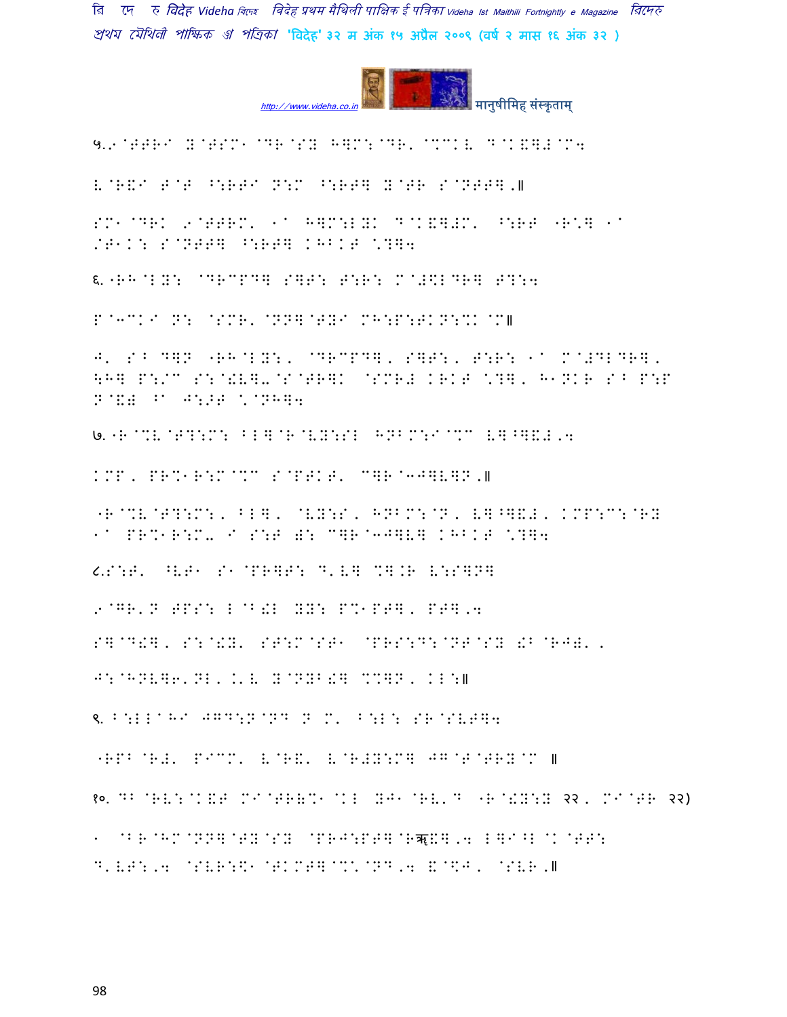

५.9@TTRI Y@TSM1@DR@SY H]M:@DR'@%CKV D@K&]#@M4

V@R&I T@T ^:RTI N:M ^:RT] Y@TR S@NTT],॥

SM100DRK 9. THRM' 10 HENTRA DRY DRESS AND DRY "REFERING TO THE TRANSPORTANCE AND "REFERING TO THE TRANSPORTANC /T1K: S@NTT] ^:RT] KHBKT \*?]4

६."RH@LY: @DRCPD] S]T: T:R: M@#\$LDR] T?:4

P@3CKI N: @SMR'@NN]@TYI MH:P:TKN:%K@M॥

JF, S. P. (1980), S. P. P. S. S. S. S. T. T. T. T. T. I. T. 1a M.C.P. 1a M.C.P. 1a M.C.P. 1a M.C. 1a M.D.D., S  $\#$ HI P:/C S:Mila. Y GHH. (2006) (F:/ VII, H(P:) S(F)P:P:  $T: \mathbb{R}^n \to \mathbb{R}^n \to \mathbb{R}^n \to \mathbb{R}^n \to \mathbb{R}^n \to \mathbb{R}^n$ 

७."R@%V@T?:M: BL]@R@VY:SL HNBM:I@%C V]^]&#,4

KMP, PRS(1R:MOS) CORPORATION

 $R$  . A set of the state of the state of the state of the state of the state of the state of the state of the state of the state of the state of the state of the state of the state of the state of the state of the state of 1a PR%1R:M- I S:T ): C]R@3J]V] KHBKT \*?]4

C.PGE. SHEET IN TERRET TO DROP STATE DOCKER

9@GR'N TPS: L@B!L YY: P%1PT], PT],4

 $\sim$  SI and the state of the state of the state of the state of the state of the state of the state of the state of

J:@HNV]6'NL'.'V Y@NYB!] %%]N, KL:॥

९. B:LLAHI HAND HER: NEW YORK SERIES SRAWING

 $R$  - PIC PICM' VALUE OF RECORDS AND RECORDS AND RECORDS AND RECORDS AND RECORDS AND RECORDS AND RECORDS AND RECORDS AND RECORDS AND RECORDS AND RECORDS AND RECORDS AND RECORDS AND RECORDS AND RECORDS AND RECORDS AND RECOR

१०. DB CHAT MICH MICHAEL OF THE MICHAEL OF THE RELEASE. THE 2000 IN THE 22)

1 @BR@HM@NN]@TY@SY @PRJ:PT]@Rॠ&],4 L]I^L@K@TT: D'VT:,4 @SVR:\$1@TKMT]@%\*@ND,4 &@\$J, @SVR,॥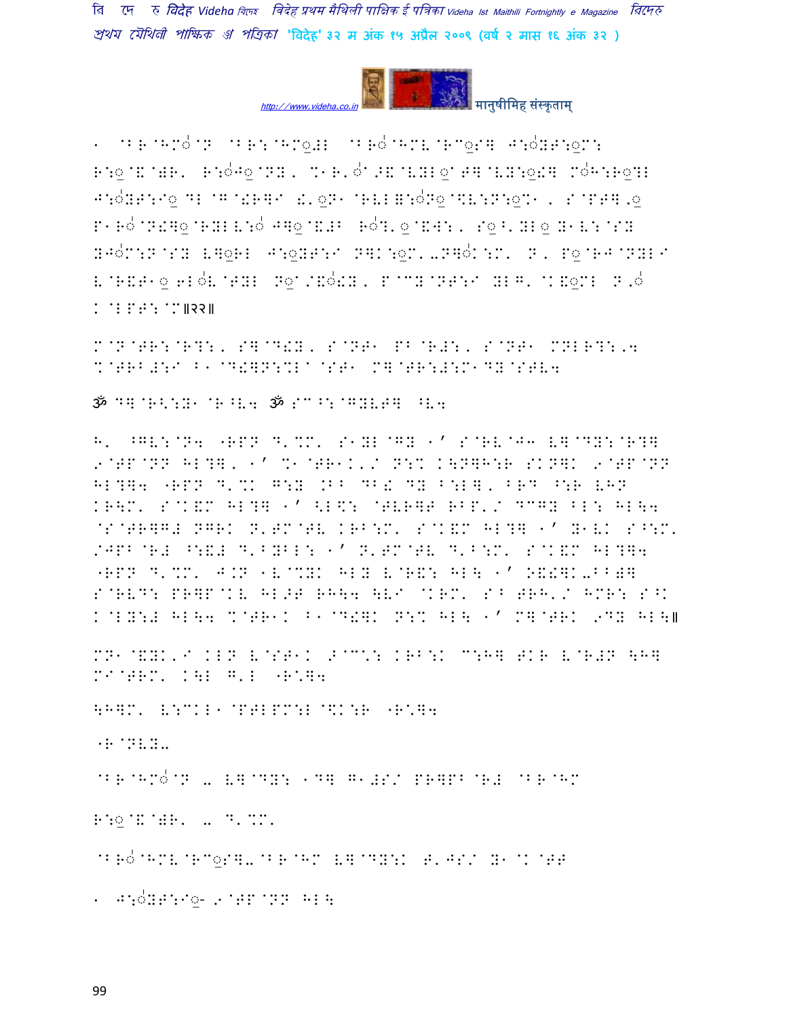

+ @MRC™PON @BR: NORO HROW PROPERTY PROBATORY H:SolimiaH: H:SoHoliva (Motel of Azmilater at tranonal Motelsoft) (  $\sim$  100 Henric Company of the Resource of the United States of the United States of the United States of the United States of the United States of the United States of the United States of the United States of the United F+ Boʻlik:Hoʻlik:Hoʻl+Hoʻli.Hoʻl:@NHH Yorici Hoʻlik: Oʻlik: NYINI) BHÓNGE GOB (BHQHI) HG2BHGH (PHIGQN, LPHÓIGN, (P), P⊙@PH (PBFK)) V@R&T1◌॒6L◌ ॑V@TYL N◌॒a/&◌ ॑!Y, P@CY@NT:I YLG'@K&◌॒ML N,◌  $k = 2$  ,  $k = 2$  ,  $k = 2$  ,  $k = 2$  ,  $k = 2$ 

M@N@TR:@R?:, S]@D!Y, S@NT1 PB@R#:, S@NT1 MNLR?:,4 %@TRB#:I B1@D!]N:%La@ST1 M]@TR:#:M1DY@STV4

 $\mathcal{P}$   $\mathcal{P}$   $\mathcal{P}$   $\mathcal{P}$   $\mathcal{P}$   $\mathcal{P}$   $\mathcal{P}$   $\mathcal{P}$   $\mathcal{P}$   $\mathcal{P}$   $\mathcal{P}$   $\mathcal{P}$   $\mathcal{P}$   $\mathcal{P}$   $\mathcal{P}$   $\mathcal{P}$   $\mathcal{P}$   $\mathcal{P}$   $\mathcal{P}$   $\mathcal{P}$   $\mathcal{P}$   $\mathcal{P}$   $\mathcal{P}$   $\mathcal{P}$   $\mathcal{P$ 

H' ^GV:@N4 "RPN D'%M' S1YL@GY 1' S@RV@J3 V]@DY:@R?] 9@TP@NN HL?], 1' %1@TR1K'/ N:% K\N]H:R SKN]K 9@TP@NN HERBY HER SUID SHE DIK SHE SHE DIRE BY AN BEE KR\M' S@K&M HL?] 1' CONTROL POST PROPERTY AND A CONTROL POST PROPERTY AND A CONTROL POST PROPERTY. MONDERN NED RIGHTNE IPPAL SOMEL HINE FOR MONDERN /JPB@R# ^:&# D'BYBL: 1' N'TM@TV D'B:M' S@K&M HL?]4 "HEN D'YSS HIN HEN HEN HUR HAV OBER JOHN SMRLPG: PRAPMI E RESPONDED ALS MISSING SOMEONE AND SOME K@LY:# HL\4 %@TRIK BIX MYSHI @TRY #:# V/ MH MHL\ 199 #:#:#

MN MEEL KOIFE EMPERISHING IPPE COMPENDENT EMPERIES MOGHET, CAL GALL SPARE

\H]M' V:CKL1@PTLPM:L@\$K:R "R\*]4

"RENT HOME

@BR@HM◌ ॑@N - V]@DY: 1D] G1#S/ PR]PB@R# @BR@HM

Rig'E'dB. L'AT. T.

MOBRO TEMPERIM PORCO DE MIGNO DE PEZO BE NOMBRO

+ H:0B#1+2@tv:HP@PDP@HL&\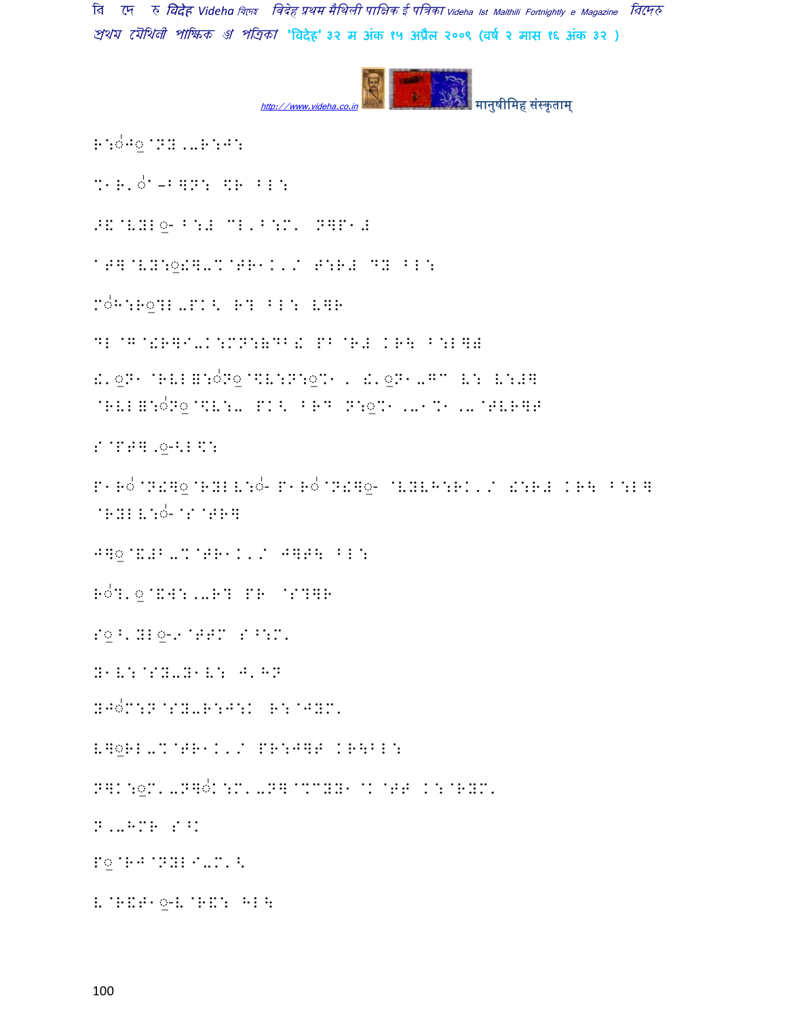

R:◌ ॑J◌॒@NY,-R:J: %1R'◌ ॑a–B]N: \$R BL: >&@VYL◌॒- B:# CL'B:M' N]P1# **THE MINORELIT WELL IN STARR TEST FRY** MÖHNE<u>Q</u>TE LEVAL BRITAN ER RART DE OP NORREN OONTGEBEER EEN GEBREEK BE  $\mathbb{R}, \mathbb{Q}$ P+ (Belf Bridge) V:N:N:Progress,  $\mathbb{R}, \mathbb{Q}$ P+ L'Announce (En al Ala \*GELEGOP@\$VEG: FIR BRD PG@TV.LYTV.LYGEBHBU SOPER-0-WIND PHPÓ NRCHO NESI ENG-PHPÓ NRCHO- NESIEPNEC LOVICHE I CIPE (FNICH). @RYLV:◌ ॑-@S@TR] J]◌॒@&#B-%@TR1K'/ J]T\ BL: B∅T.©'EAT.LPT FR @FTHR | SSO WHEN SOME STATES H: MINIME HOW BA¢MYRJCBLPYAY: BYJABM. LHORE WITHER I. A STRIPHE IS NOT PA: G@MV.APA01GMV.APA (MMBB) (1 CRRYM'S (RBMV) ( N,-HMR S^K Political Cartes **WARE VERSION**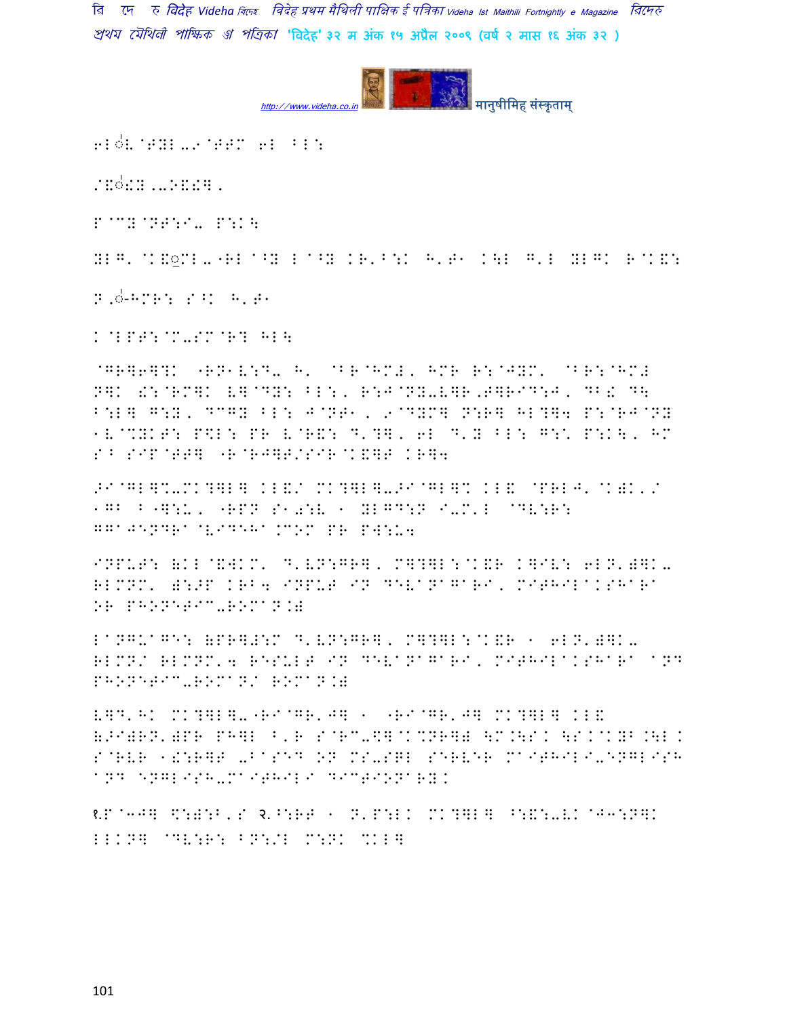

eløbjeg: 1980-1990 el Blit

.:B0dH...PHdH..

P@CY@NT:I- P:K\

WHAT INCONSIDER THE PROPERTY READS OF A REAL WEIGHT AND INCO

N,◌ ॑-HMR: S^K H'T1

 $\ddot{\phantom{A}}$  , and the matrix  $\ddot{\phantom{A}}$  , and  $\ddot{\phantom{A}}$  , and  $\ddot{\phantom{A}}$  , and  $\ddot{\phantom{A}}$  , and  $\ddot{\phantom{A}}$  , and  $\ddot{\phantom{A}}$  , and  $\ddot{\phantom{A}}$  , and  $\ddot{\phantom{A}}$  , and  $\ddot{\phantom{A}}$  , and  $\ddot{\phantom{A}}$  , and  $\ddot{\phantom{A}}$ 

@GR]6]?K "RN1V:D- H' @BR@HM#, HMR R:@JYM' @BR:@HM# NA) | K ': K PROTECT | BALI VALI I DO DE L'E SAN VIRGIDI DE L'E SAN VALI I DA DI DA DI DA DI DA DI D B:L] G:Y, DCGY BL: J@NT1, 9@DYM] N:R] HL?]4 P:@RJ@NY 1V@%YKT: P\$L: PR V@R&: D'?], 6L D'Y BL: G:\* P:K\, HM  $S^{\prime}$  Sipapath (SIP  $S^{\prime}$  )  $S^{\prime}$  (SIP  $T^{\prime}$  (SIP  $T^{\prime}$  (SIP  $T^{\prime}$  )  $S^{\prime}$  (SIP  $T^{\prime}$ 

>I@GL]%-MK?]L] KL&/ MK?]L]->I@GL]% KL& @PRLJ'@K)K'/ 1GB B"]:U, "RPN S10:V 1 YLGD:N I-M'L @DV:R: GGaJENDRa@VIDEHa.COM PR PW:U4

INPUT: (KL@&WKM' D'VN:GR], M]?]L:@K&R K]IV: 6LN')]K-RLMNM' ):>P KRB4 INPUT IN DEVaNaGaRI, MITHILaKSHaRa OR PHONETIC-ROMaN.)

LANGUAGE: (PR): (PR), MILIAGE: (PR), MILIAGE: (PR), MILIAGE: (PR), MILIAGE: (PR), MILIAGE: (PR), MILIAGE: (PR) RLOGN/ RLOGN/4 RESULT IN DEVANAGARI, DEVANAGARI, MITHILAKSHARA aND PHONETIC-ROMaN/ ROMaN.)

 $\mathbb{R}$  HE MAK MAKE HE MAK MAK, HHE SOUNDAY MAK, HHE WAS HE HOLDER. (>I)RN')PR PH]L B'R S@RC-\$]@K%NR]) \M.\S. \S.@KYB.\L. S@RVR 1!:R]T -BaSED ON MS-SQL SERVER MaITHILI-ENGLISH aND ENGLISH-MaITHILI DICTIONaRY.

१.B@3JHPPE | RZGGAR LGO | RLANGER | KO.OR: BABEL | CO.OR: PP:LA MKRAZILI | SPHARPED LLK + COMPANY + COMPANY + COMPANY + COMPANY + COMPANY + COMPANY + COMPANY + COMPANY + COMPANY + COMPANY + COMP<br>- COMPANY + COMPANY + COMPANY + COMPANY + COMPANY + COMPANY + COMPANY + COMPANY + COMPANY + COMPANY + COMPANY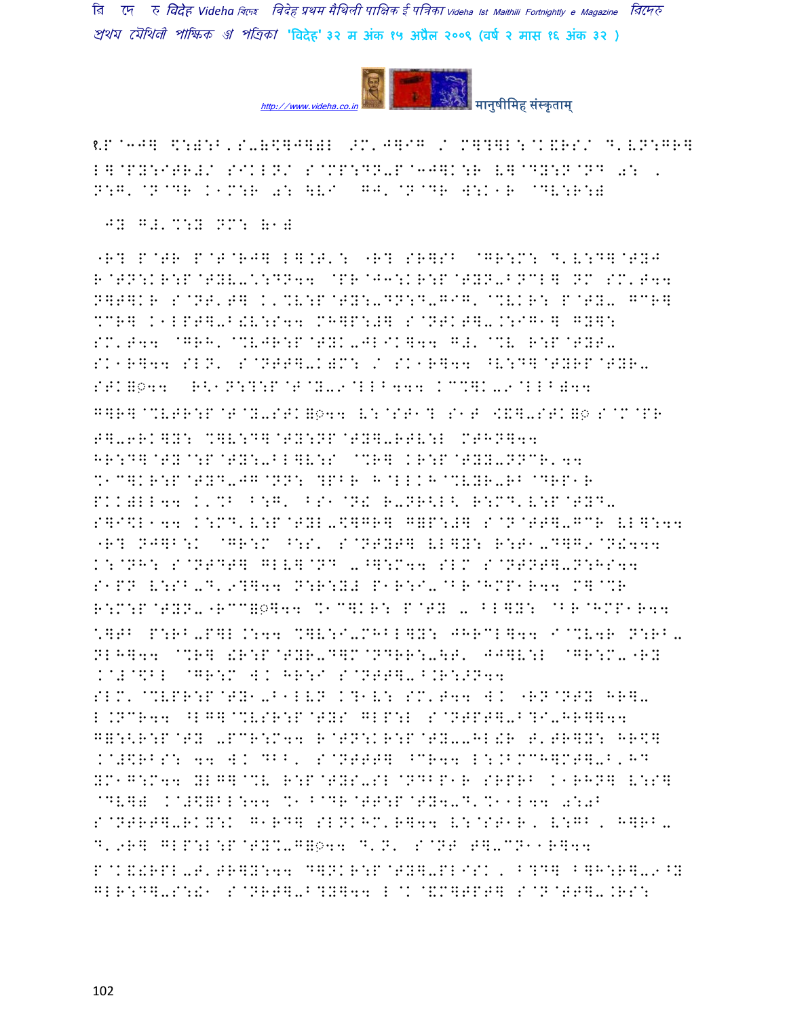

१.P@3J] \$:):B'S-(\$]J])L >M'J]IG / M]?]L:@K&RS/ D'VN:GR] L]@PY:ITR#/ SIKLN/ S@MP:DN-P@3J]K:R V]@DY:N@ND 0: , N:G'@N@DR K1M:R 0: \VI GJ'@N@DR W:K1R @DV:R:)

JY G#' H (1) ON H (1) ON H (1) ON H (1)

"RENOT POR PORTRE PORTRE DE L'ARNE RISBERT " "PRESIDE" PLACEPHORIE R@TN:KR:P@TYV-\*:DN44 @PR@J3:KR:P@TYN-BNCL] NM SM'T44 NATA SON'T KOMA SA SA SA TIGA SA TAO TAO TAO TAO TAO TANY AO AMIN' PAOSITRA AO FAMILY. AO FAMILY AO FAINT AO F  $N$  (see Fig. and  $N$  is the set of  $N$  -different integration of  $N$  and  $N$  and  $N$  and  $N$  and  $N$  and  $N$  and  $N$  and  $N$  and  $N$  and  $N$  and  $N$  and  $N$  and  $N$  and  $N$  and  $N$  and  $N$  and  $N$  and  $N$  and  $N$  and  $N$ SM'T44 @GRH'@%VJR:P@TYK-JLIK]44 G#'@%V R:P@TYT-SCHIPHER SMORT SOMETELD BOY ON SCHIPHER OF THOMPHONES. STAC BOAR REPORTS TO THE THE LARGE CONTROLLATED FRAME GREER STREPENE OF STRIEGE HOHH IN NOTE OF A VEH SITE LEADER HOW SOMETIME The compact of the compact of the compact of the compact of the compact of the compact of the compact of the c<br>The compact of the compact of the compact of the compact of the compact of the compact of the compact of the c HR:D]@TY@:P@TY:-BL]V:S @%R] KR:P@TYY-NNCR'44 %1C]KR:P@TYD-JG@NN: ?PBR H@LLKH@%VYR-RB@DRP1R PKK)LL44 K'%B B:G' BS1@N! R-NR<L< R:MD'V:P@TYD-S]I\$L144 K:MD'V:P@TYL-\$]GR] G=P:#] S@N@TT]-GCR VL]:44 "PRI BRAN NI" (PREND) (NYI) VLOBEDAN AL'HON (PNB) JIHAN (BENGGG K:@NH: S@NTDT] GLV]@ND -^]:M44 SLM S@NTNT]-N:HS44 S1PN V:SB-D'9?]44 N:R:Y# P1R:I-@BR@HMP1R44 M]@%R R:M:P@TYN-"RCC=◌़]44 %1C]KR: P@TY - BL]Y: @BR@HMP1R44  $\Lambda$  B P  $\Lambda$  , and  $\Lambda$  is the proposition of the proposition  $\Lambda$  is the proposition of  $\Lambda$  and  $\Lambda$ NLHA4 MAR RENTHANDRRINGE, HHENI MANDRR .@#@\$BL @GR:M W. HR:I S@NTT]-^.R:>N44 SECURTEER VARAGEER IT EN SCURE AIR DE VAR APRIJ L.NCR44 ^LG]@%VSR:P@TYS GLP:L S@NTPT]-B?I-HR]]44 FBS CPRIME IS THE SOME ROTERS FROM PRIME IN THE RESIDENCE THROWS .@#\$RBS: 44 W. DBB' S@NTTT] ^CR44 L:.BMCH]MT]-B'HD YOK RACHA YOH RRPOGE PARTIELED OPPERA STREPH (1894-1989) BASH @DV]) .@#\$=BL:44 %1^@DR@TT:P@TY4-D'%11L44 0:0B SOMPARAHILA (GRO) SHI BAHI SLIDKAMI, BHAA CELA MIRA BOOK: GIHAF, IO AHBA LI D'10PR: PE ESESENT FRONT PROVE D'AUTRE D'ARTIFLE TRANSPORT P@K&!RPL-T'TR]Y:44 D]NKR:P@TY]-PLISK, B?D] B]H:R]-9^Y GLR:D]-S:!1 S@NRT]-B?Y]44 L@K@&M]TPT] S@N@TT]-.RS: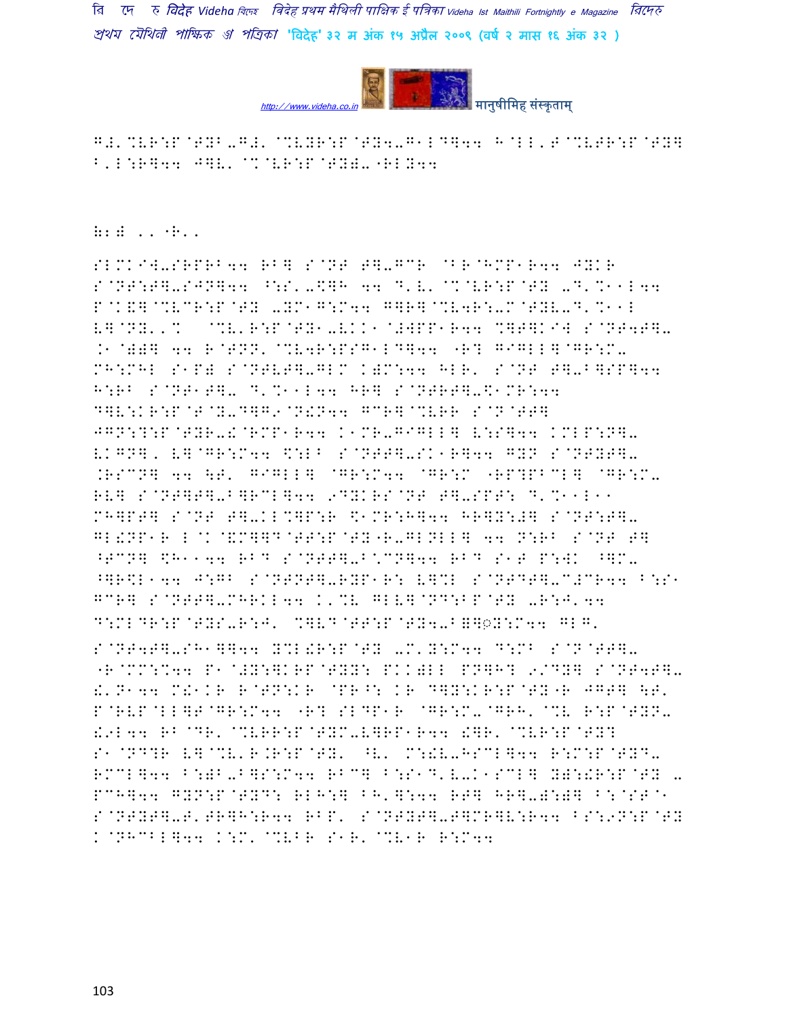

G#'%VR:P@TYB-G#'@%VYR:P@TY4-G1LD]44 H@LL'T@%VTR:P@TY] B'L:R|44 J|R|44 J|R|44 J|R|44 J|R|44 J|R|44 J|R|44 J|R|44 J|R|44 J|R|44 J|R|44 J|R|44 J|R|44 J|R|44 J|R|44 J|R<br>|- R|44 J|R|44 J|R|44 J|R|44 J|R|44 J|R|44 J|R|44 J|R|44 J|R|44 J|R|44 J|R|44 J|R|44 J|R|44 J|R|44 J|R|44 J|R|

## $\ln i$   $\ldots$   $\ln i$ .

 $\mathcal{S}$  such a set of the state of the state of the state of the state of the state of the state of the state of the state of the state of the state of the state of the state of the state of the state of the state of the SONT:THE SANTONIA CONTROLLED AND STANDARD AND THE STATE OF THE STATE AND THREE DISTURBANCE. P@K&]@%VCR:P@TY -YM1G:M44 G]R]@%V4R:-M@TYV-D'%11L  $\mathbb{R}$ A (P.B.), M.V. (V.T.), P.A.E. (1478-1201), P.A.A.E.E.P. PARTY ARABY SOME PARTY SOMETIME  $\mathbb{R}$ .1@))] 44 R@TNN'@%V4R:PSG1LD]44 "R? GIGLL]@GR:M-MH:MHL SHIB SOMALARIM CORMAN HIR, SOMA ARITRAN H:RB S@NT1T]- D'%11L44 HR] S@NTRT]-\$1MR:44 D]V:KR:P@T@Y-D]G9@N!N44 GCR]@%VRR S@N@TT] JGN:?:P@TYR-!@RMP1R44 K1MR-GIGLL] V:S]44 KMLP:N]- VKGN], V]@GR:M44 \$:LB S@NTT]-SK1R]44 GYN S@NTYT]- .RSCN] 44 \T' GIGLL] @GR:M44 @GR:M "RP?PBCL] @GR:M-ROLE SONTHERN HE SHIP SHOWS HE HOUSE IN THE SPIRE MHAPAA SONA AALIISHAPEN KYOKSHAA HRABSIN SONASAA. GLOST ROLL COMPANY RESERVED REPORTED HIS CONTROL RESERVED TO THE RESERVED ON THE RESERVED ON THE THIRD AND RES ^TCN] \$H1144 RBD S@NTT]-B\*CN]44 RBD S1T P:WK ^]M- ^]R\$L144 J:GB S@NTNT]-RYP1R: V]%L S@NTDT]-C#CR44 B:S1 GCR] S@NTT]-MHRKL44 K'%V GLV]@ND:BP@TY -R:J'44 D:MLDR:P@TYS-R:J' %]VD@TT:P@TY4-B=]◌़Y:M44 GLG' S@NT4T]-SH1]]44 Y%L!R:P@TY -M'Y:M44 D:MB S@N@TT]- "R@MM:%44 P1@#Y:]KRP@TYY: PKK)LL PN]H? 9/DY] S@NT4T]-

INLOA AN ING PORT ACTAINMENT OF THE POST OF THE ROOM AND THE HAIL AFFAIR ONE. P@RVP@LL]T@GR:M44 "R? SLDP1R @GR:M-@GRH'@%V R:P@TYN- !9L44 RB@DR'@%VRR:P@TYM-V]RP1R44 !]R'@%VR:P@TY? STA VORTER VIR R VOLGEN AV VIR VIR VIR VOLGEN AV MET TRE TREPLING RMCL]44 B:)B-B]S:M44 RBC] B:S1D'V-K1SCL] Y):!R:P@TY - PCHA44 GYN:POTYP: BEHRACH: PHONE BEHRACH: PHONE RTH: PHONE PHOTYPIC SMORE BE THE RAPS OF THE REAL PROPERTY SONT RELATIONS OF THE STANDARD OF THE REAL PROPERTY OF THE REAL PROPERTY KONHCREA KING CORRE STEAM STREET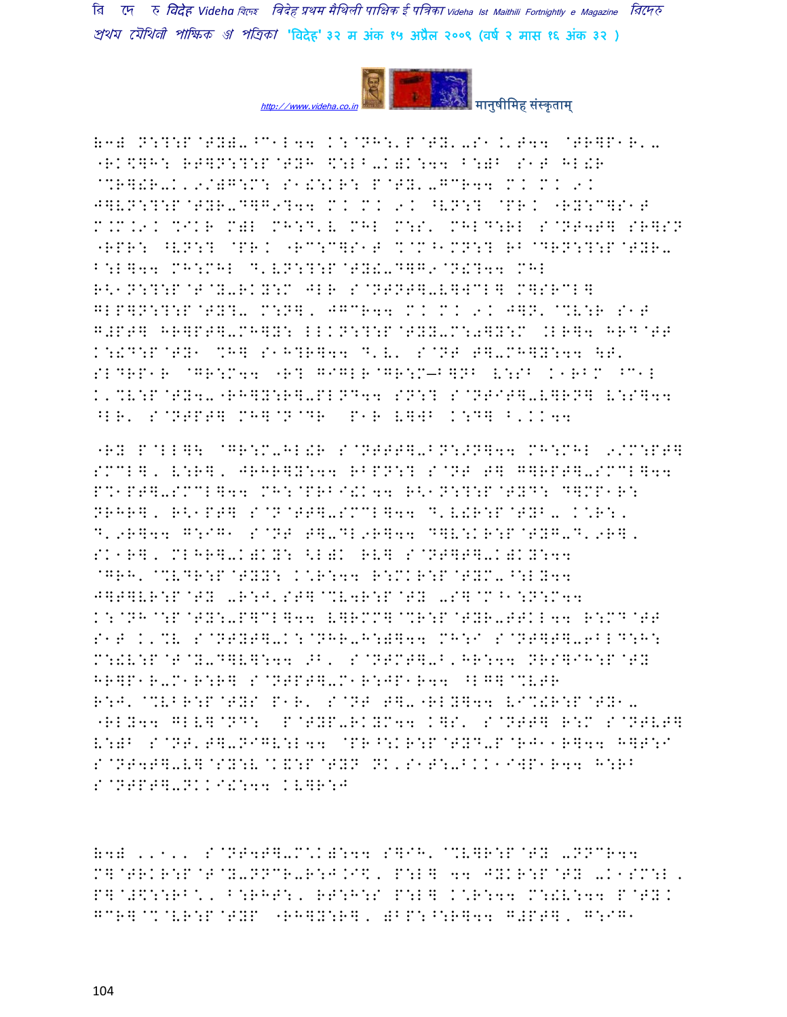

(3) Second Party - Party Party Control (3) The Type of the State Control and Party Press, and Party and Party A "RESIDENT" RABBETEN "ROBA" DIE FUIS AS TRAAC FINANCIE (PRESSENT MMERGELI LOZGRAMA SYSTEMA MYRKILLAMERK MIL MILOGI J]VN:?:P@TYR-D]G9?44 M. M. 9. ^VN:? @PR. "RY:C]S1T M.M.9. %IKR M)L MH:D'V MHL M:S' MHLD:RL S@NT4T] SR]SN "RPR: ^VN:? @PR. "RC:C]S1T %@M^1MN:? RB@DRN:?:P@TYR-B:L]44 MH:MHL D'VN:?:P@TY!-D]G9@N!?44 MHL REN SERIE REN SERIE SOM HEN SOM DE STRIKE SOM HEN NEDERLIGTER SOM DE STRIKE SOM DE STRIKE SOM DE STRIKE SOM DE H:PAPITIE MARK, JAPAN M. M. M. J. JAR. MAIR P. G#PT] HR]PT]-MH]Y: LLKN:?:P@TYY-M:0]Y:M .LR]4 HRD@TT K:!D:P@TY1 %H] S1H?R]44 D'V' S@NT T]-MH]Y:44 \T'  $S$  . The substitution of  $S$  and  $S$  are substitution of  $S$  and  $S$ K', 'PARTY' RHIT AN INDIANA SA PARTY AND AN INDIANA SA PARTY AND A SA PARTY AND A SA PARTY AND A SA PARTY AND ^LR' S@NTPT] MH]@N@DR P1R V]WB K:D] B'KK44

 $\mathcal{A}\to\mathcal{B}$  , and the contract  $\mathcal{A}\to\mathcal{B}$  and  $\mathcal{A}\to\mathcal{B}$  and  $\mathcal{A}\to\mathcal{B}$  and  $\mathcal{A}\to\mathcal{B}$  and  $\mathcal{A}\to\mathcal{B}$ SOME ROL, IRGER, JAPA PROGRAM (PROGRES SOME PROGRESSER DEN RAN P%1PT]-SMCL]44 MH:@PRBI!K44 R<1N:?:P@TYD: D]MP1R: NRHR], R<1PT] S@N@TT]-SMCL]44 D'V!R:P@TYB- K\*R:, D'9R]44 G:IG1 S@NT T]-DL9R]44 D]V:KR:P@TYG-D'9R],  $S$  ,  $S$  ,  $S$  ,  $S$  ,  $S$  ,  $S$  ,  $S$  ,  $S$  ,  $S$  ,  $S$  ,  $S$  ,  $S$  ,  $S$  ,  $S$  ,  $S$  ,  $S$  ,  $S$  ,  $S$  ,  $S$  ,  $S$  ,  $S$  ,  $S$  ,  $S$  ,  $S$  ,  $S$  ,  $S$  ,  $S$  ,  $S$  ,  $S$  ,  $S$  ,  $S$  ,  $S$  ,  $S$  ,  $S$  ,  $S$  ,  $S$  ,  $S$  , @GRH'@%VDR:P@TYY: K\*R:44 R:MKR:P@TYM-^:LY44 JARARES SE TAGO LESA, PARTITELA SENDITA DE L'ARITITA SIDEPENDA K: NO TO THE SAN ACTES TO THE RESIDENT OF THE THROUGH A RELEASE THAT THE RESIDENCE THAT ST KE SONTIEL STORFDERELD 'N OP HELFGEREER OP HIE SONTIERERELDE EINGEN M:!V:P@T@Y-D]V]:44 >B' S@NTMT]-B'HR:44 NRS]IH:P@TY HRAP: RUM-RARA SOMAPARUM RAPPI RAH OG PACTERR R:SH, MIRFRETHEN PHR, SMIRE PROVERED RESOURCE THIS W "REFORMA GRIEKE SPAN GLOVEDELDE SOM HAN KLAEK KONTREPART RINGER RADIOS SOM S V:)B S@NT'T]-NIGV:L44 @PR^:KR:P@TYD-P@RJ11R]44 H]T:I SO TRANSPOLICE TO DOLOTE DI TADRI DRI L'ATSANCIA L'ISSENIA EN 1944 IL ROBER SONTPT: NAKON PRODUCED IN THE SERVE

(4) 'Alia' Santa Maria Santa - Santa - Santa Santa - Santa - Santa - Santa - Santa - Santa - Santa - Santa - S M]@TRKR:P@T@Y-NNCR-R:J.I\$, P:L] 44 JYKR:P@TY -K1SM:L, PACERTING, PIPPE, RESPIR PHACIGRAM MEDIAN POPUL GCR)@ POSTAGE TRIP, (PHABISHB), (BFP), PSBBAY, PUPPE, (PSPP)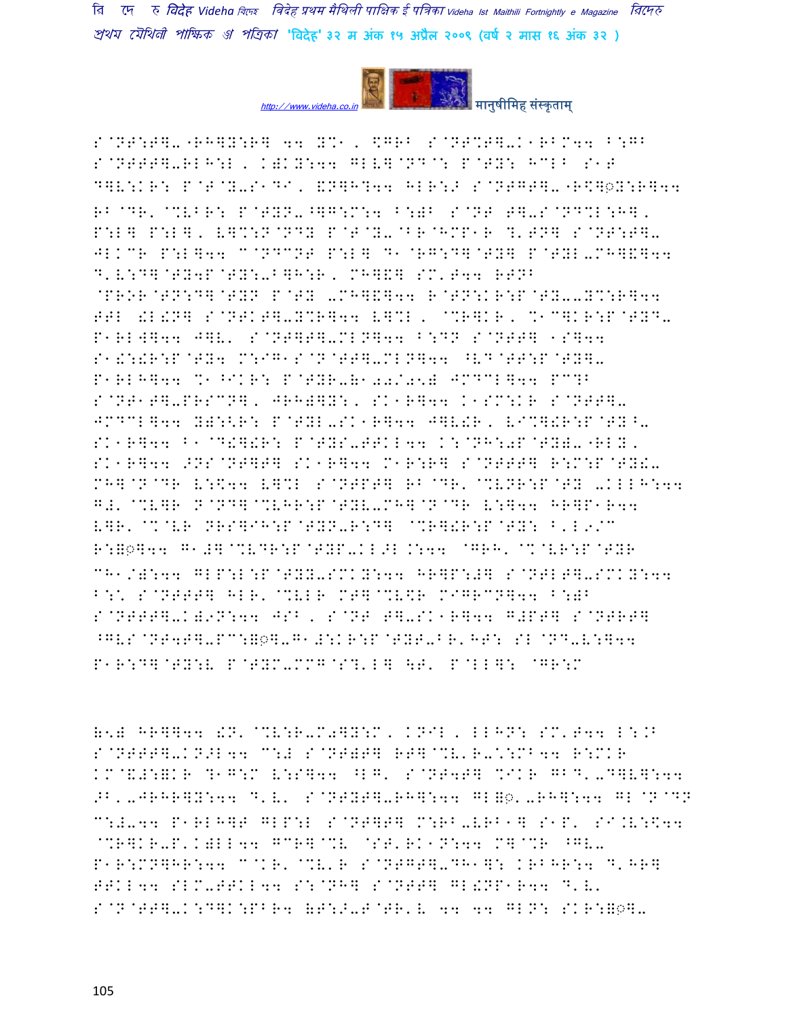

S@NT:TERNERGER\_44 HY:, CHBE\_S@NT#H.I-BET44 BSB SO TTH ARRESTS AND CONTINUES. THE LIBRARY ON SITUATION IS NOT TO STATE A STATE OF STATE  $\mathbb{R}^n$ D]V:KR: P@T@Y-S1DI, &N]H?44 HLR:> S@NTGT]-"R\$]◌़Y:R]44 RB@DR'@%VBR: P@TYN-^]G:M:4 B:)B S@NT T]-S@ND%L:H], P:L] P:L], V]%:N@NDY P@T@Y-@BR@HMP1R ?'TN] S@NT:T]- JLKCR P:L]44 C@NDCNT P:L] D1@RG:D]@TY] P@TYL-MH]&]44 D'V:D]@TY4P@TY:-B]H:R, MH]&] SM'T44 RTNB @PROR@TN:D]@TYN P@TY -MH]&]44 R@TN:KR:P@TY--Y%:R]44 THE COLORE OF THE PHONOGRAPH ORDER (CONTRESS) IN THE PARTHERS. P1REA HARL CONTRABALITED BARROON IN STEAM (PIPER  $S$ 5 : Chile To Fight Constituted Controlled Constitution Constitution Constitution Constitution Constitution Constitution Constitution Constitution Constitution Constitution Constitution Constitution Constitution Constitu P1RLH]44 %1^IKR: P@TYR-(100/05) JMDCL]44 PC?B SOMAR AND THE SANTONIA SERIES IN THE SANTONIA CONTRACT JMDCRIA PORTUGALA SKONDOLJA JE NA PORTUGALA JE NA PORTUGALA ZA VISTOJE S PODIJE ZA U SK1R]44 B1@D!]!R: P@TYS-TTKL44 K:@NH:0P@TY)-"RLY, SK1R]44 >NS@NT]T] SK1R]44 M1R:R] S@NTTT] R:M:P@TY!- DR RODR VER VIS AGENE VIS DR VOR PREDIKT I DE VON DRIE DRIE DRIE ALLIE EIN GEHEIM. G#'@%V]R N@ND]@%VHR:P@TYV-MH]@N@DR V:]44 HR]P1R44 V]R'@%@VR NRS]IH:P@TYN-R:D] @%R]!R:P@TY: B'L9/C R:=◌़]44 G1#]@%VDR:P@TYP-KL>L.:44 @GRH'@%@VR:P@TYR CH1/):44 GLP:L:P@TYY-SMKY:44 HR]P:#] S@NTLT]-SMKY:44 B:t Sant The Sant Market Manager (Start Microsoft Manager Manager Middle Manager Manager Manager Manager (Star S@NTTT]-K)9N:44 JSB, S@NT T]-SK1R]44 G#PT] S@NTRT] ^GVS@NT4T]-PC:=◌़]-G1#:KR:P@TYT-BR'HT: SL@ND-V:]44 P:P1PH:DEL\_P\_MAC.COM-MAGE\_B\_REL\_PARTY

(5) 50 HP REFERENT CONTROL CONTROL CONTROL CONTROL CONTROL CONTROL CONTROL CONTROL CONTROL CONTROL CONTROL CON

SOMERFUNDER CHI SOMERE RETORIENSING RIMI KO TEGAHI BOAYAN YENG SAYAHAN OA HA ALO YOGANAA DIGO BOAYA WA MU WAANAANNAN >B'-JRHR]Y:44 D'V' S@NTYT]-RH]:44 GL=◌़'-RH]:44 GL@N@DN C:#A+4 P1RLH#P #FPH SOPP#P# C:#FALRF1# S1P. SC:#SR+4 @%R]KR-P'K)LL44 GCR]@%V @ST'RK1N:44 M]@%R ^GV-P:P1TPH:HR: MND: MIR: KRYBHE:HR:41 DEFERIE A.HR TTKL44 SLM-TTKL44 S:@NH] S@NTT] GL!NP1R44 D'V' S@N@TTF\_COMPARES (THE CONSTRUCTION 44 44 FINE SCHILL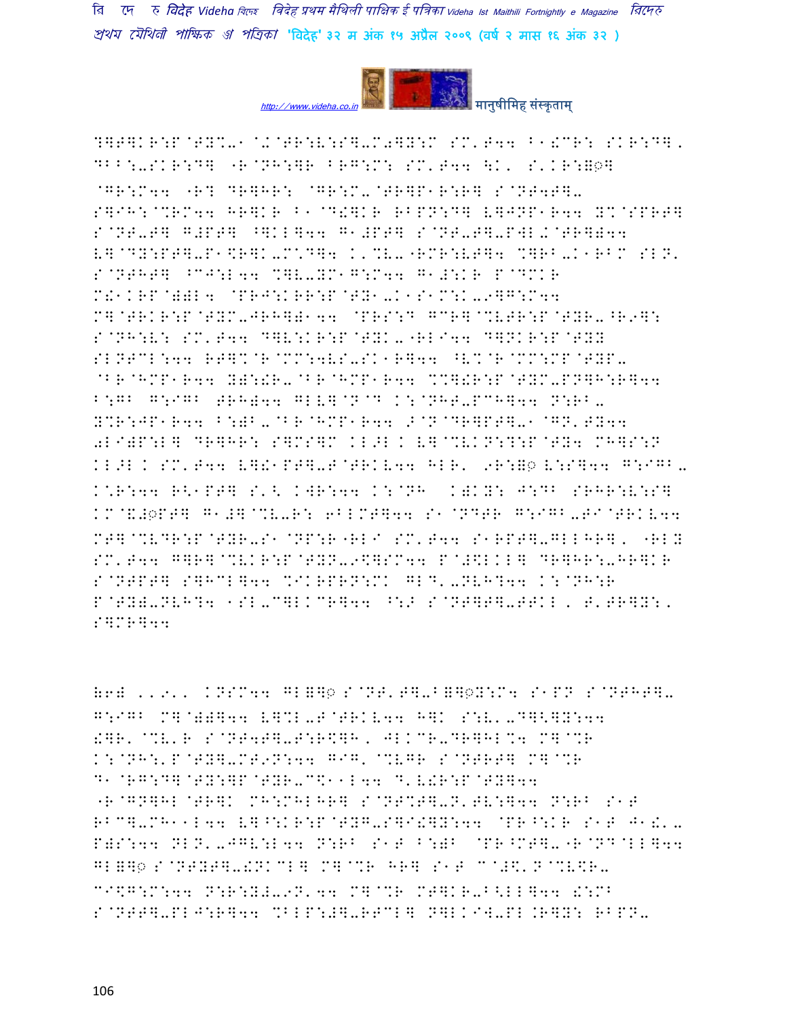

?]T]KR:P@TY%-1@+@TR:V:S]-M0]Y:M SM'T44 B1!CR: SKR:D], DBB:-SKR:D] "R@NH:]R BRG:M: SM'T44 \K' S'KR:=◌़] @GR:M44 "R? DR]HR: @GR:M-@TR]P1R:R] S@NT4T]- S]IH:@%RM44 HR]KR B1@D!]KR RBPN:D] V]JNP1R44 Y%@SPRT] S@NT-T] G#PT] ^]KL]44 G1#PT] S@NT-T]-PWL+@TR])44 V]@DY:PT]-P1\$R]K-M\*D]4 K'%V-"RMR:VT]4 %]RB-K1RBM SLN' S@NTHT\_CHARLES & COMPANY AND MANUFACTURE OF THE COMPANY AND MANUFACTURE OF THE COMPANY AND MANUFACTURE OF THE M!1KRP@))L4 @PRJ:KRR:P@TY1-K1S1M:K-9]G:M44 MA TRACA DE TROCLARA AR HA 19 TERCHIO (POR PODER ET PODER). PASS S@NH:V: SM'T44 D]V:KR:P@TYK-"RLI44 D]NKR:P@TYY SLOWTCH:44 REPORT CONTRACTIVE PRESS ACTIVE NONTRACTIVE @BR@HMP1R44 Y):!R-@BR@HMP1R44 %%]!R:P@TYM-PN]H:R]44 B:GB: B:CB: BB-G44 BEER:P:P:IG:PPELET-PCHA: P:B-Y%R:JP1R44 B:)B-@BR@HMP1R44 >@N@DR]PT]-1@GN'TY44 0LI)P:L] DR]HR: S]MS]M KL>L. V]@%VKN:?:P@TY4 MH]S:N KLAN SMYSTA VIEN PARLA GEVING AND VENEP LNYRGE ANGAR L K.N:44 R:44 R:44 R:30 S.A: D:48 New CONTROL C:00 D:41 ME ANTIFICE SERVICE A KOM SEGERA GI GA GALAR GI GA EMARAH SI MUSARA SASAR GERMANI GALAH MAR MOLTANI MADALIN SORIAL SA KORIN SA SA CINA ARADI SA PARTI SA PA SM'T44 GRUP DIR HER HOLD AND HER HOLD DIR HER HOLD DIR HER HOLD DIR HER HOLD DIR HER HOLD DIRECTOR SOME SHAM HAR MASHING: MEM. 2018-184 K: MANH: P@TY)-NVH?4 1SL-C]LKCR]44 ^:> S@NT]T]-TTKL, T'TR]Y:,  $\mathcal{L}$  Similar Section

(6) ''9'' KNSM44 GL=]◌़ S@NT'T]-B=]◌़Y:M4 S1PN S@NTHT]- G:IGB M]@))]44 V]%L-T@TRKV44 H]K S:V'-D]<]Y:44 R'HE, M'R, E SMYRHAND, PERNAN ME MEL'HENETA (MEMIL K: S. MORIN: E. MATHOLICA SAN SAN SAN GIGA SAN SI MAGA SAN SAN SAN SI MGA SAN SAN SAN SAN SA D1@RG:D]@TY:]P@TYR-C\$11L44 D'V!R:P@TY]44 "RECORDERE CARPEL" (CONSCORDER SECONDIARIUS), ABSINATING (PSB) "CONTA RBCT RELIGIONALE EN ALLE DES ENTERTAIRES DE SERVICIES EN SIT STATE DE LA TIEN SITULIT P)B:144 DED. L44 N:RB S4 DIGBRO IN B:RB SITE BIGGEN DER NORT I BES GREED SOPEREELING MERCHE ME THREE SHE WARREN SOME CI\$G:M:M:44 N:A:H:M:L.P. A4 COMING MEDIAL ALLEGA INSO SOMERED ANDERS MITTLEDENTER MALLOCADE IDAN BITML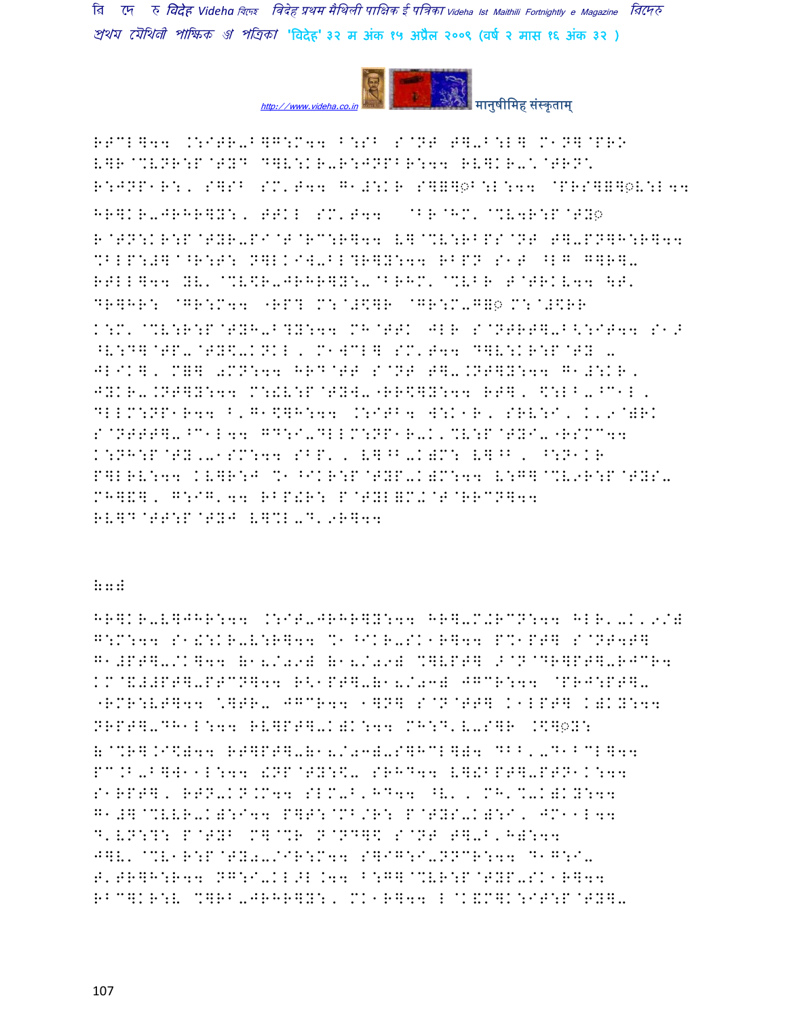

RATCHA .: ITR-BELFURTING FILM .: ITRA AULI ICH THRUSHE V]R@%VNR:P@TYD D]V:KR-R:JNPBR:44 RV]KR-\*@TRN\* R:JNP1R:, S]SB SM'T44 G1#:KR S]=]◌़B:L:44 @PRS]=]◌़V:L44 HRBIK.4B4BBHK, BBIK SM, BAR @BR@HMMY. MHABAFAFA R@TN:KR:P@TYR-PI@T@RC:R]44 V]@%V:RBPS@NT T]-PN]H:R]44 %BLP: NEST PERSON (PRESIDENT SERIES SIT OF PRINTING CONTINUES) RTLINA WE VERSAR-PRING VERT VER FOR DELAY AT DR]HR: @GR:M44 "RP? M:@#\$]R @GR:M-G=◌़ M:@#\$RR K:M'@%V:R:P@TYH-B?Y:44 MH@TTK JLR S@NTRT]-B<:IT44 S1> ^V:D]@TP-@TY\$-KNKL, M1WCL] SM'T44 D]V:KR:P@TY - JLIK], M=] 0MN:44 HRD@TT S@NT T]-.NT]Y:44 G1#:KR, JYKR-.NT]Y:44 M:!V:P@TYW-"RR\$]Y:44 RT], \$:LB-^C1L, DLLM:NP1R44 B'G1\$]H:44 .:ITB4 W:K1R, SRV:I, K'9@)RK S@NTTT]-^C1L44 GD:I-DLLM:NP1R-K'%V:P@TYI-"RSMC44 K:NH:P@TY,-1SM:44 SBP', V]^B-K)M: V]^B, ^:N1KR PALANIA KOLAHASA MATAMINING DALAM SINA KINA SINA MILANG MARINI. MH]&], G:IG'44 RBP!R: P@TYL=M+@T@RRCN]44 RV]D@TT:P@TYJ V]%L-D'9R]44

## $\liminf$

HRACHLEANHRIGH: IT-JR-VA-HRAFAIGH HRALITIETING HRIEL LIJ LATE G:M:M:A4 S1:KR-V:RIA-V:RIA4 P%1PT] S@NT4T\_ATAGE\_ATAGE\_ATAGE\_ATAGE\_ATAGE\_ATAGE\_ATAGE\_ATAGE\_ATAGE\_ATAGE\_ATAGE\_AT B) (IT PT), C THE GO IN LOCAL GO IN COLLECTED CONTROLLED TO BUILDING KM MBGBEFFRUEFMORHAAL BRIKERHOGEN GOGHAFIGHEN AF MEGAAL OF BHAGER ROO "RMR:VT]44 \*]TR- JGCR44 1]N] S@N@TT] K1LPT] K)KY:44 NRPT-PHIL:44 RETHEL:41 NH: CHIR: BLIFER (IRED) (@%R].I\$)44 RT]PT]-(18/03)-S]HCL])4 DBB'-D1BCL]44 PC.B-BH-BIG4: SRP GRIEL SPRTA4 ERSPIRATERS IG44 S1RPT], RTN-KN.M44 SLM-B'HD44 ^V', MH'%-K)KY:44 G1#]@%VVR-K):I44 P]T:@MB/R: P@TYS-K):I, JM11L44 D. BOY: POSSESS ON THE SOUTH ROOM OF THE SANDARY JAREL (1986) BAST 1988.LIZY BASTAR (STRYPANISSING) BARARA OPERAL TR)H:R44 NG: PAG-AIL (1998) - RAG: POR PORT (1998) - RAG: PORT (1998) RBCAR: VARIANANIS, MK1R44 LOKBOR SYRSPORAL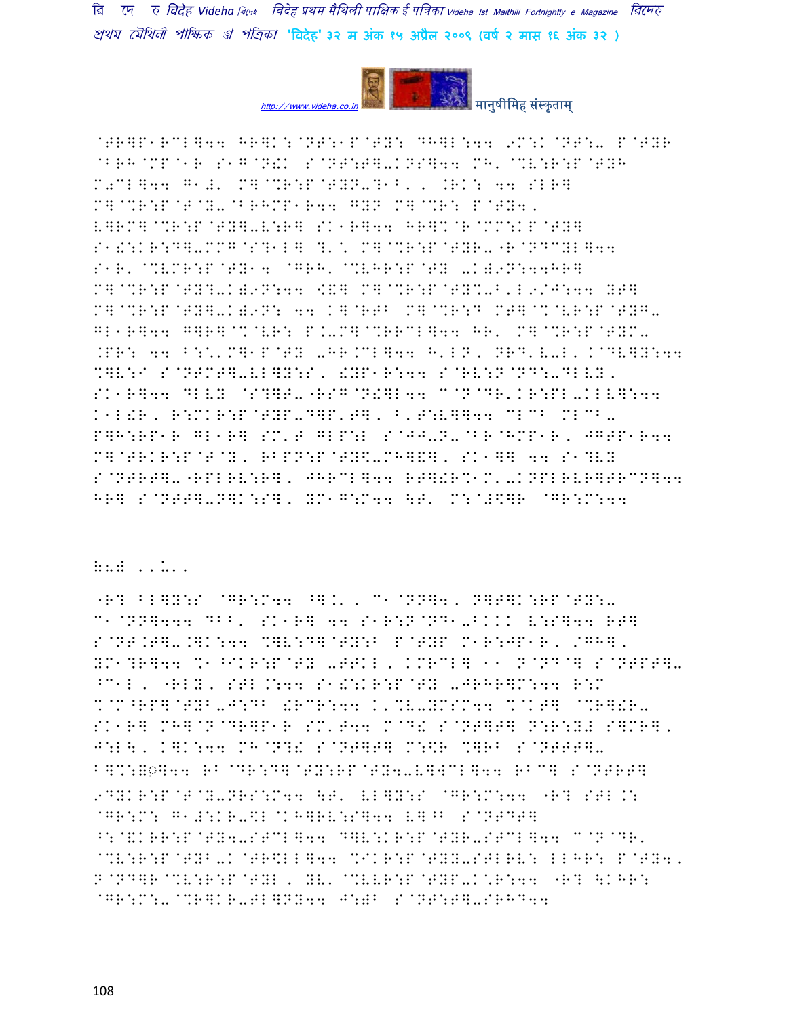

@TR]P1RCL]44 HR]K:@NT:1P@TY: DH]L:44 9M:K@NT:- P@TYR @BRH@MP@1R S1G@N!K S@NT:T]-KNS]44 MH'@%V:R:P@TYH M0CL]44 G1#' M]@%R:P@TYN-?1B', .RK: 44 SLR] M]@%R:P@T@Y-@BRHMP1R44 GYN M]@%R: P@TY4, V]RM]@%R:P@TY]-V:R] SK1R]44 HR]%@R@MM:KP@TY] S1!:KR:D]-MMG@S?1L] ?'\* M]@%R:P@TYR-"R@NDCYL]44 S1R'@%VMR:P@TY14 @GRH'@%VHR:P@TY -K)9N:44HR] M]@%R:P@TY?-K)9N:44 [&] M]@%R:P@TY%-B'L9/J:44 YT] M]@%R:P@TY]-K)9N: 44 K]@RTB M]@%R:D MT]@%@VR:P@TYG-GL1R]44 G]R]@%@VR: P.-M]@%RRCL]44 HR' M]@%R:P@TYM- .PR: 44 B:\*'M]1P@TY -HR.CL]44 H'LN, NRD'V-L'.@DV]Y:44 %]V:I S@NTMT]-VL]Y:S, !YP1R:44 S@RV:N@ND:-DLVY, SK1R-AFRAH DRVY BLVOG OG NEVERSKE FRAME DRVY DRVY DRVY DRVY DRVY ALLEYSKAN. K1LER, PSO PATTED, MEL PALL VI, BYLANDER, ME TY CLC P]H:RP1R GL1R] SM'T GLP:L S@JJ-N-@BR@HMP1R, JGTP1R44 MA MARI BAT MAYOR, CAPAT PA BIRGINI MARI BAT SANG SANG SANG BADA SO TRAPARL, HERD BENER I, JAPETORRHH, IRARIENT, M. LO DET BELRRAPT DRHHH HR] S@NTT]-N]K:S], YM1G:M44 \T' M:@#\$]R @GR:M:44

 $\frac{1}{2}$  :  $\frac{1}{2}$  :  $\frac{1}{2}$  :  $\frac{1}{2}$  :  $\frac{1}{2}$  :  $\frac{1}{2}$ 

"R? BL]Y:S @GR:M44 ^].', C1@NN]4, N]T]K:RP@TY:- TH CONNAHA DBB'S SKIRB 44 SHENDICH WISSI BYSHAA RAH S@NT.T]-.]K:44 %]V:D]@TY:B P@TYP M1R:JP1R, /GH], YM RIAG "N PO PO BOTY AT LARE I IN DIROG ROOM IN THE SONGREE. ^C1L, "RLY, STL.:44 S1!:KR:P@TY -JRHR]M:44 R:M %@M^RP]@TYB-J:DB !RCR:44 K'%V-YMSM44 %@KT] @%R]!R-SK1R] MH]@N@DR]P1R SM'T44 M@D! S@NT]T] N:R:Y# S]MR], J:L: And Came Campaign (Santa Campaign Santa Song Santa S B]%:=◌़]44 RB@DR:D]@TY:RP@TY4-V]WCL]44 RBC] S@NTRT] 9DYKR:P@T@Y-NRS:M44 \T' VL]Y:S @GR:M:44 "R? STL.: @GR:M: G1#:KR-\$L@KH]RV:S]44 V]^B S@NTDT] ^:@&KRR:P@TY4-STCL]44 D]V:KR:P@TYR-STCL]44 C@N@DR' @%V:R:P@TYB-K@TR\$LL]44 %IKR:P@TYY-STLRV: LLHR: P@TY4, NOVERER VOR GEGEN VROEID, YORDER GEGEN VROEID, VRGAAL I REGINE VROEID @GR:M:-@%R]KR-TL]NY44 J:)B S@NT:T]-SRHD44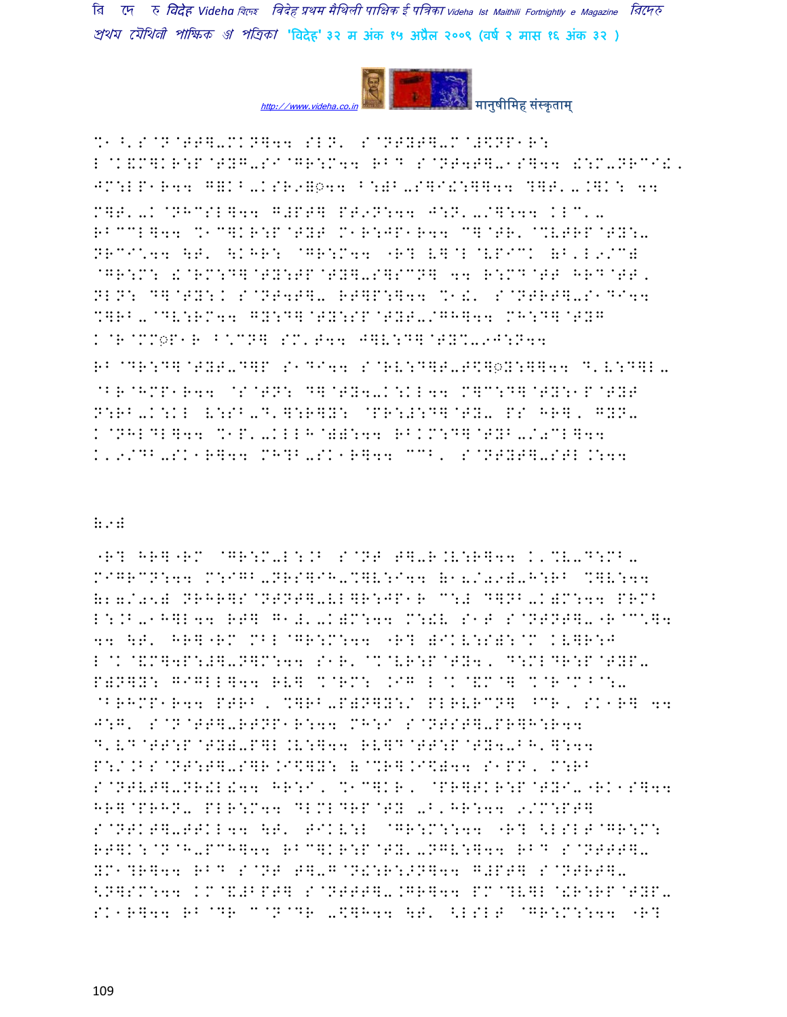

 $\frac{1}{2}$  , and the state of the state of the state of the state of the state of the state of the state of the L@K&M]KR:P@TYG-SI@GR:M44 RBD S@NT4T]-1S]44 !:M-NRCI!, JM:LP1R44 G=KB-KSR9=◌़44 B:)B-S]I!:]]44 ?]T'-.]K: 44 MATHE SERVICE REPORT OF THE STATE OF THE SERVICE OF THE SERVICE OF THE SERVICE OF THE SERVICE OF THE SERVICE O RBCCL]44 %1C]KR:P@TYT M1R:JP1R44 C]@TR'@%VTRP@TY:- NRCICHE ABL ACHRY CHRYCHE (BT EACH (BECOM BRIELLOC) @GR:M: !@RM:D]@TY:TP@TY]-S]SCN] 44 R:MD@TT HRD@TT, NLN: D]@TY:. S@NT4T]- RT]P:]44 %1!' S@NTRT]-S1DI44 %]RB-@DV:RM44 GY:D]@TY:SP@TYT-/GH]44 MH:D]@TYG  $K$  -  $\mathcal{P}_1$  ,  $\mathcal{P}_2$  ,  $\mathcal{P}_3$  ,  $\mathcal{P}_4$  ,  $\mathcal{P}_5$  ,  $\mathcal{P}_6$  ,  $\mathcal{P}_7$  ,  $\mathcal{P}_8$  ,  $\mathcal{P}_9$  ,  $\mathcal{P}_9$  ,  $\mathcal{P}_9$  ,  $\mathcal{P}_9$  ,  $\mathcal{P}_9$  ,  $\mathcal{P}_9$  ,  $\mathcal{P}_9$  ,  $\mathcal{P}_9$  ,  $\mathcal{P}_9$  ,  $\mathcal{P}_9$  , BR:DR:DR:DR:DR:DR:DPAS1 SURGERRENTRENT DISTRICT

@BR@HMP1R44 @S@TN: D]@TY4-K:KL44 M]C:D]@TY:1P@TYT N:RB-K:KL V:SB-D']:R]Y: @PR:#:D]@TY- PS HR], GYN-KONHLDLAG IN BLUISH MANHLADIS HINDLE MAN UNIVERSITY K'9/DB-SK1R]44 MH?B-SK1R]44 CCB' S@NTYT]-STL.:44

## $\mathbb{R}$  .  $\mathbb{R}$

"RRIT" RRA RRIT" ME ROMANI SOME DE TORI DE RIMA BLIGHERA AT LONG LIGHT POLITICAL A MIGRATION:44 MIGRARY USERIAINEN IN LIGA-A (18/09) LA AUGAZZA (18/09)-HISP (27/05) Santhrophe Company of the Daniel Party of Discounts and Discounts of Discounts of Discounts and Discou L:.B-1H]L44 RT] G1#'-K)M:44 M:!V S1T S@NTNT]-"R@C\*]4 44 \T' HR]"RM MBL@GR:M:44 "R? )IKV:S):@M KV]R:J L@K@&M]4P:#]-N]M:44 S1R'@%@VR:P@TY4, D:MLDR:P@TYP-P)ADRAGE GRARE BAH (B)NA GIGLIGA (IG LOCAL) (IG LOCAL) (IG LOCAL) (IG LOCAL) @BRHMP1R44 PTRB, %]RB-P)N]Y:/ PLRVRCN] ^CR, SK1R] 44 J:G' S@N@TT]-RTNP1R:44 MH:I S@NTST]-PR]H:R44 D. L.P. 1995 P. TROBLEA ROLL LEARNN - P. LAR DEATH TROBHL PAL ANN AN P:/.BS@NT:T]-S]R.I\$]Y: (@%R].I\$)44 S1PN, M:RB  $\mathcal{S}$  . The contribution of the contribution of the contribution of the contribution of the contribution of HRACTERS AND PLAY ON THE THOT SEEMS AND ALL REGINAL DIVIDENTS S@NTKT]-TTKL44 \T' TIKV:L @GR:M::44 "R? <LSLT@GR:M: RARD SOR OF JECTRA HAS RECORDED OAGO JOHN SAN HA HAD SO OPAARA. YM1?R]44 RBD S@NT T]-G@N!:R:>N]44 G#PT] S@NTRT]- <N]SM:44 KM@&#BPT] S@NTTT]-.GR]44 PM@?V]L@!R:RP@TYP-SCH RAGA RECTR COOR CARD - \$4. ALSEE CARDINAA (HT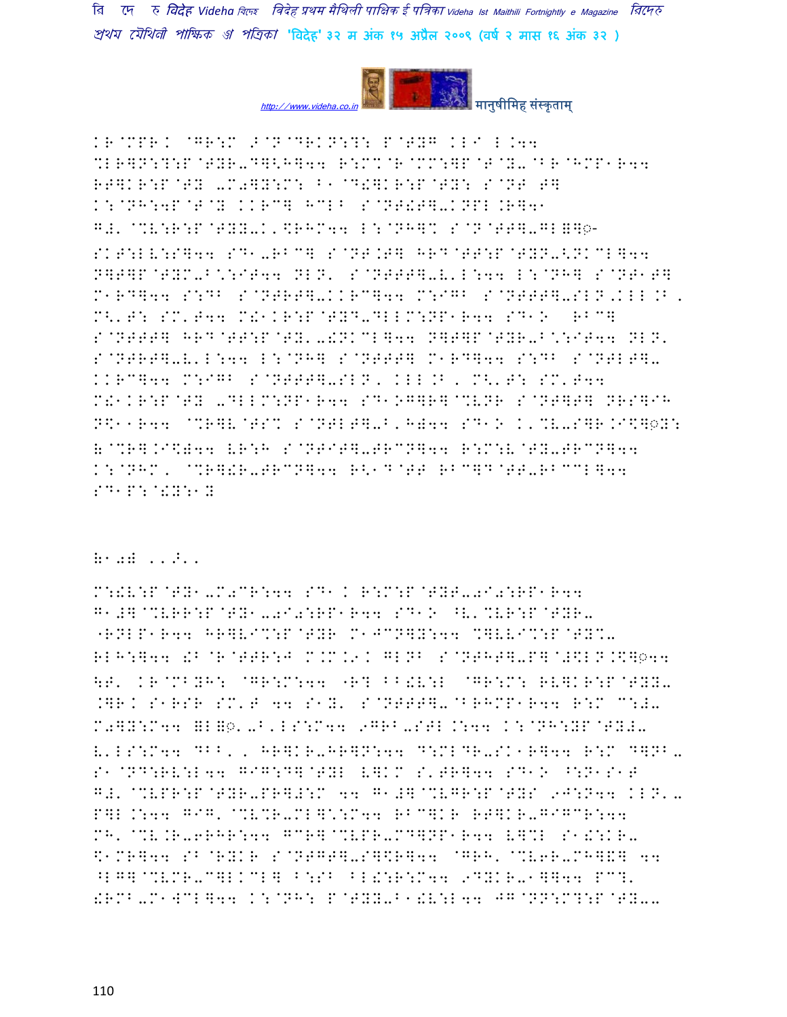

KR@MPR. DRAMPS. @GR:MPR. 2009. 2009. 2009. 2009. 2009. 2009. 2009. 2009. 2009. 2009. 2009. 2009. 2009. 2009. 20 %LR)N::P#COMMERSION:P#TYR-DAG\_MAGNON:P#COMMERSION:P#CPTYP### RT]KR:P@TY -M0]Y:M: B1@D!]KR:P@TY: S@NT T] K: MONH: THE KINCH SONT THE SANTO THE SANTO SANTO SANTO SANTO SANTO SANTO SANTO SANTO SANTO SANTO SA G#'@%V:R:P@TYY-K'\$RHM44 L:@NH]% S@N@TT]-GL=]◌़- SKT:LV:S]44 SD1-RBC] S@NT.T] HRD@TT:P@TYN-<NKCL]44 N]T]P@TYM-B\*:IT44 NLN' S@NTTT]-V'L:44 L:@NH] S@NT1T] M1RD AND STATE SYSTEMATICS SETTING SONTROLLY STANDARD IN LOCAL DUTCH. M: SM'T44 MINI-DIRING: SM'T41 SO TO P.P. P. THE POST PROPERTY IN THE RELEASE OF THE PARTICULAR OF THE UPSIDE IT AT  $\sim$  $\sim$  10.44  $\pm$  10.44  $\pm$  10.44  $\pm$  10.44  $\pm$  10.44  $\pm$  10.44  $\pm$  10.44  $\pm$  10.44  $\pm$  10.44  $\pm$  10.44  $\pm$ KKRCHE SOM SONDERLIK SLID SLUN, SLID STRING MINIKAR:PORTHON:PORTHON:PORTHON:PORTHON:PORTHON:PORTHON:PORTHON:PORTHON:PORTHON:PORTHON:PORTHON:PORTHON:PORTHON:PORTHON:PORTHON:PORTHON:PORTHON:PORTHON:PORTHON:PORTHON:PORTHON:PORTHON:PORTHON:PORTHON:PORTHON:PORTHON:PORTHO  $W$  . The solution of the source of the source of the source of  $\mathbb{R}^n$ (@%RI\$)4 TR\RGHH S@NTIFI-TRCNIFICATION PORTION - PROVINCING RESIDENT PREHE K:@NHM, @%R]:RECH\_24 RIPORAL PROMISE PROPERTY REPORT RAY SD1P:@!Y:1Y

 $\mathbf{h}$   $\mathbf{h}$   $\mathbf{h}$   $\mathbf{h}$   $\mathbf{h}$   $\mathbf{h}$   $\mathbf{h}$   $\mathbf{h}$   $\mathbf{h}$   $\mathbf{h}$ 

D: PORT THE LOWEST PARK OF THE PACTED OF HELL AND PERMIT G1#]@%VRR:P@TY1-0I0:RP1R44 SD1O ^V'%VR:P@TYR- "RNLP1R44 HR]VI%:P@TYR M1JCN]Y:44 %]VVI%:P@TY%- RLH:B#A &P@R@TRENH:COLLOURER:J MARABARA  $\overline{A}$  By Comparing the Comparison of the BB victor  $\overline{A}$  and  $\overline{A}$  are the Type  $\overline{A}$  and  $\overline{A}$ .]R. S1RSR SM'T 44 S1Y' S@NTTT]-@BRHMP1R44 R:M C:#-  $T$ :MH144 =L=BS:M44 (ASSES) = L=B'LS:M44 9GRB-STL.:44 K:@NH:YP@TY#-STL.:44 K:@NH: V'LS:M44 DBB', HR]KR-HR]N:44 D:MLDR-SK1R]44 R:M D]NB-S1@ND:RV:L44 GIG:D]@TYL V]KM S'TR]44 SD1O ^:N1S1T G#'@%VPR:P@TYR-PR]#:M 44 G1#]@%VGR:P@TYS 9J:N44 KLN'- P]L.:44 GIG'@%V%R-ML]\*:M44 RBC]KR RT]KR-GIGCR:44 MH'@%V.R-6RHR:44 GCR]@%VPR-MD]NP1R44 V]%L S1!:KR- \$1MR]44 SB@RYKR S@NTGT]-S]\$R]44 @GRH'@%V6R-MH]&] 44 ^LG]@%VMR-C]LKCL] B:SB BL!:R:M44 9DYKR-1]]44 PC?' !RMB-M1WCL]44 K:@NH: P@TYY-B1!V:L44 JG@NN:M?:P@TY--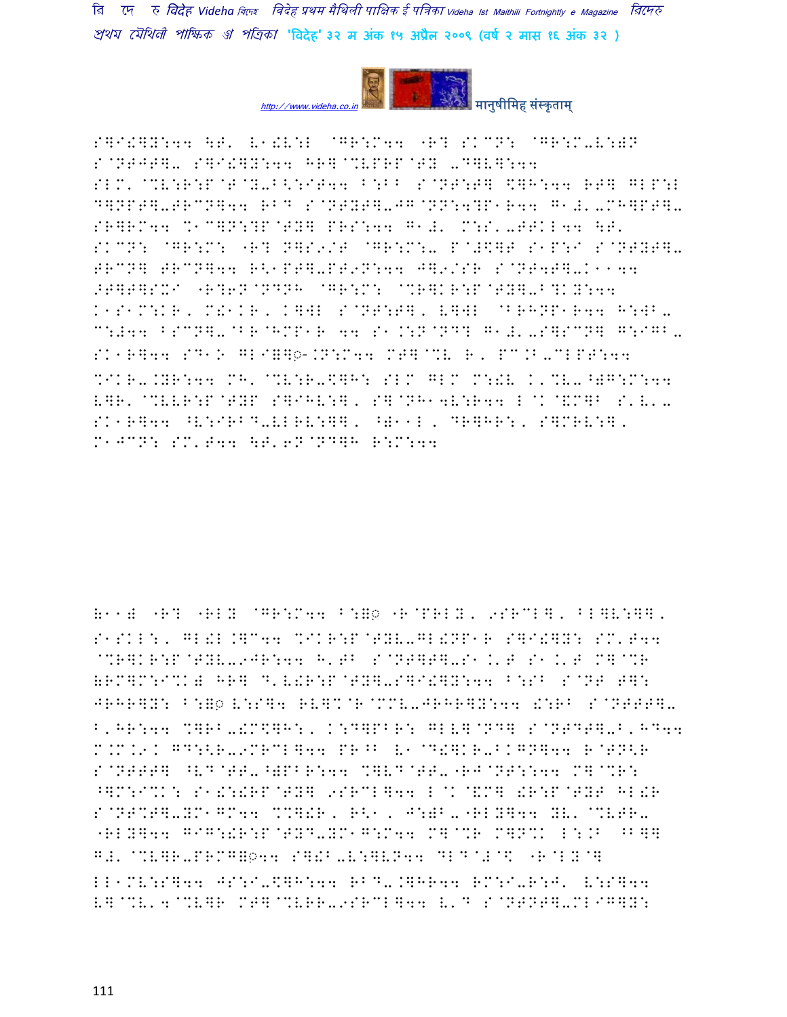

SUPERBISH AN INGLES THRIM: AN VII SCORE THRIMAN  $\sim$  specific the specific term in the specific term in the specific term in the specific term in the specific  $S$  . The set of the set of the set of the set of the set of the set of the set of the set of the set of the set of the set of the set of the set of the set of the set of the set of the set of the set of the set of the set D]NPT]-TRCN]44 RBD S@NTYT]-JG@NN:4?P1R44 G1#'-MH]PT]- SRABOR SRIPS: PASSES OF THE SALE OF THE SALE OF THE SALE OF THE SALE OF THE SALE OF THE SALE OF THE SALE OF TH SCCN: @GR:M: "RISP: "PENTYL POBUR STRY SONGHR. TRCN] TRCN]44 R<1PT]-PT9N:44 J]9/SR S@NT4T]-K1144 >T]T]SXI "R?6N@NDNH @GR:M: @%R]KR:P@TY]-B?KY:44 K1S1M:KR, MENIPI, KAWA SANTI SERIKA HERRA HISPI C: # 14 S1.: # 14 S1.: # 14 S1.: # 14 S1.: # 14 S1.: # 14 S1.: # 14 S1.: # 14 S1.: # 14 S1.: # 14 S1.: # 14 S1 SCHIPHEN SON DER KARD-CRIPHEN MARIONE POLITIC WORKERE %IKR-.YR:44 MH'@%V:R-\$]H: SLM GLM M:!V K'%V-^)G:M:44 V]R'@%VVR:P@TYP S]IHV:], S]@NH14V:R44 L@K@&M]B S'V'- SCO-PHAA (FLACHFRILLERLAHH), FEHRI, PEHRHEA , SHTPEANH), M1JCN: SM'T44 \TCN: SM'T44 \TCN: SM'T44 \TCN: SM'T44 \TCN: SM'T44 \TCN: SM'T44 \TCN: SM'T44 \TCN: SM'T44 \TCN:

 $1111$   $1131$   $1113$   $1111$   $1111$   $1111$   $1111$   $1111$   $1111$   $1111$   $1111$   $1111$   $1111$   $1111$   $1111$   $1111$ S1SKL:, GL!L.]C44 %IKR:P@TYV-GL!NP1R S]I!]Y: SM'T44 @%R]KR:P@TYV-9JR:44 H'TB S@NT]T]-S1.'T S1.'T M]@%R (RACHOST) B: PART P. RIARGO SAIRLERSGRIGHH (PGE) E TOP (PRS) JRHR]Y: B:=◌़ V:S]4 RV]%@R@MMV-JRHR]Y:44 !:RB S@NTTT]- B'HR:44 %]RB-!M\$]H:, K:D]PBR: GLV]@ND] S@NTDT]-B'HD44 M.M.9. GD:<R-9MRCL]44 PR^B V1@D!]KR-BKGN]44 R@TN<R SOMERE SEMIRE FRIEDRICH WIDDELF (PROVINCER MEDICIN ^]M:I%K: S1!:!RP@TY] 9SRCL]44 L@K@&M] !R:P@TYT HL!R SMORECHERG TO THE SAME RELATIONSHIP OF THE RELATIONSHIP OF THE RELATIONSHIP  $\omega$ "RLY]44 GIG:!R:P@TYD-YM1G:M44 M]@%R M]N%K L:.B ^B]] BG: 'WEBBETFMBD44 SBEVIEREBEN44 PROVINCO-BORGOOB LL\TL1MV44 MMIRS.CHR144 RPD.IHR644 RM183.P144 L14MH44 V]@%V'4@%V]R MT]@%VRR-9SRCL]44 V'D S@NTNT]-MLIG]Y: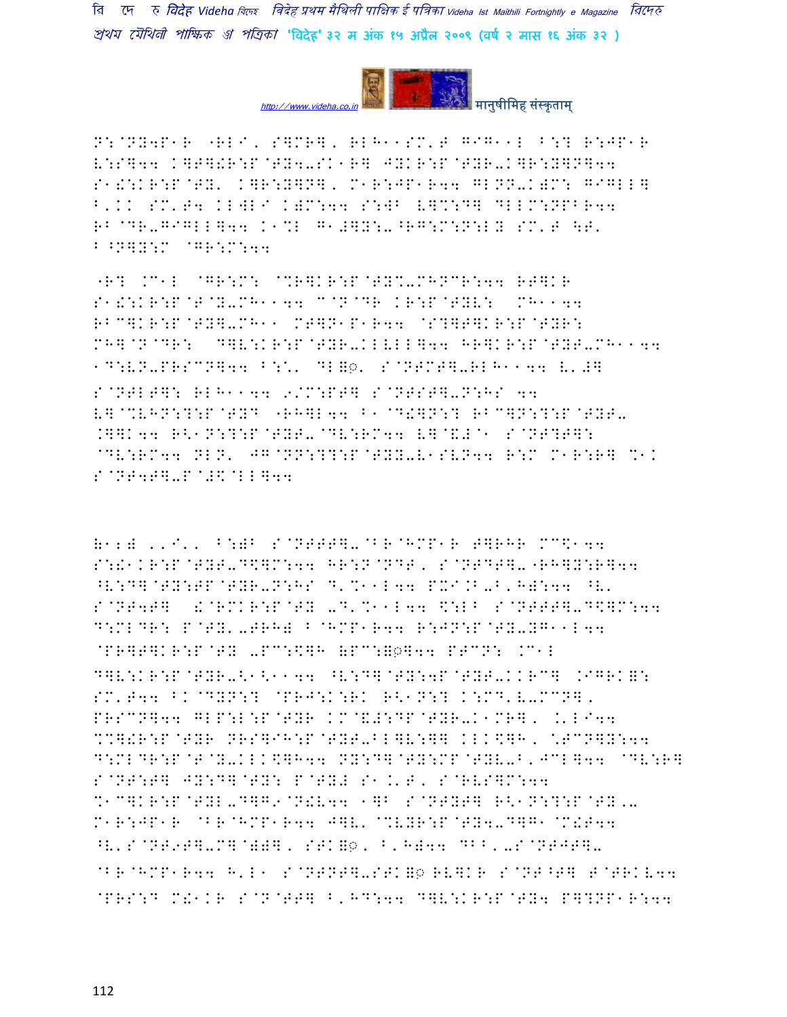

N: NYA-P1R "RLIC, SANGER", RLH11SM, BIGH11, PIRR B: V:S]44 K]T]!R:P@TY4-SK1R] JYKR:P@TYR-K]R:Y]N]44 S1!:KR:P@TY' K]R:Y]N], M1R:JP1R44 GLNN-K)M: GIGLL] B'KK SM'T4 KLWLI K)M:44 S:WB V]%:D] DLLM:NPBR44 RB MADLEY REER CONTROL RY GROOM ARROTOTER BY STOLEN ARD B^N]Y:M @GR:M:44

 $R$  . Characteristic and the main control of the control  $R$ S1!:KR:P@T@Y-MH1144 C@N@DR KR:P@TYV: MH1144 RBCTRICP@TYPORLICP+++@COPRRACH-P++++@STYRORPORTYP#DP% MH]@N@DR: D]V:KR:P@TYR-KLVLL]44 HR]KR:P@TYT-MH1144 1D:VN-PRSCN]44 B:\*' DL=◌़' S@NTMT]-RLH1144 V'#] S@NTLT]: RLH1144 9/M:PT] S@NTST]-N:HS 44 V]@%VHN:?:P@TYD "RH]L44 B1@D!]N:? RBC]N:?:P@TYT- .]]K44 R<1N:?:P@TYT-@DV:RM44 V]@&#@1 S@NT?T]: @DV:RM44 NLN' JG@NN:??:P@TYY-V1SVN44 R:M M1R:R] %1K  $\frac{1}{2}$  ,  $\frac{1}{2}$  ,  $\frac{1}{2}$  ,  $\frac{1}{2}$  ,  $\frac{1}{2}$  ,  $\frac{1}{2}$  ,  $\frac{1}{2}$  ,  $\frac{1}{2}$  ,  $\frac{1}{2}$  ,  $\frac{1}{2}$  ,  $\frac{1}{2}$  ,  $\frac{1}{2}$  ,  $\frac{1}{2}$  ,  $\frac{1}{2}$  ,  $\frac{1}{2}$  ,  $\frac{1}{2}$  ,  $\frac{1}{2}$  ,  $\frac{1}{2}$  ,  $\frac{1$ 

(12) ''I'' B:)B S@NTTT]-@BR@HMP1R T]RHR MC\$144 S:!1KR:P@TYT-D\$]M:44 HR:N@NDT, S@NTDT]-"RH]Y:R]44 ^V:D]@TY:TP@TYR-N:HS D'%11L44 PXI.B-B'H):44 ^V' SO TRANSPORT I SOME THAT THAT IN MILITARY IS A SECOND AT THE CONTRACTOR AND  $\mu$ D:MID: PORTY AREA BOOK PARTY BAHARY PORTY BOOK PARTY **CONFIDENTIAL APTICE APTIMORE: PATTICIAL** DARLINI PISE TYRGPUS, KALA AAS ORLINE TYRGIAE TYRGPUS I PISE TYPES BINS SO, BAAN FI: MADRAN: MERHAI: NRI, "BAKDAN I: NORT, ELOMORA", PRSCN]44 GLP:L:P@TYR KM@&#:DP@TYR-K1MR], .'LI44  $N$  which the three parameters in the transaction of the transaction  $\alpha$  is the transaction of the transaction of the transaction of the transaction of the transaction of the transaction of the transaction of the transac D:MLDR:P@T#JMLDE:R#R&&|D#IN#F#J#INICP@TYOUL\_47E##&|JP#N&R S@NT:T] JY:D]@TY: P@TY# S1.'T, S@RVS]M:44 MA MAI PAT MAGE LARARA MAGELEE 1989 (P. MAGELEE 1989) RANDA SON M1R:DP1P1R @BR@HMP1R1P1R44 JAP1EL JOLEBEGE GEBALTER LITERATION ^V'S@NT9T]-M]@))], STK=◌़, B'H)44 DBB'-S@NTJT]- @BR@HMP1R44 H'L1 S@NTNT]-STK=◌़ RV]KR S@NT^T] T@TRKV44 @PRS:D M!1KR S@N@TT] B'HD:44 D]V:KR:P@TY4 P]?NP1R:44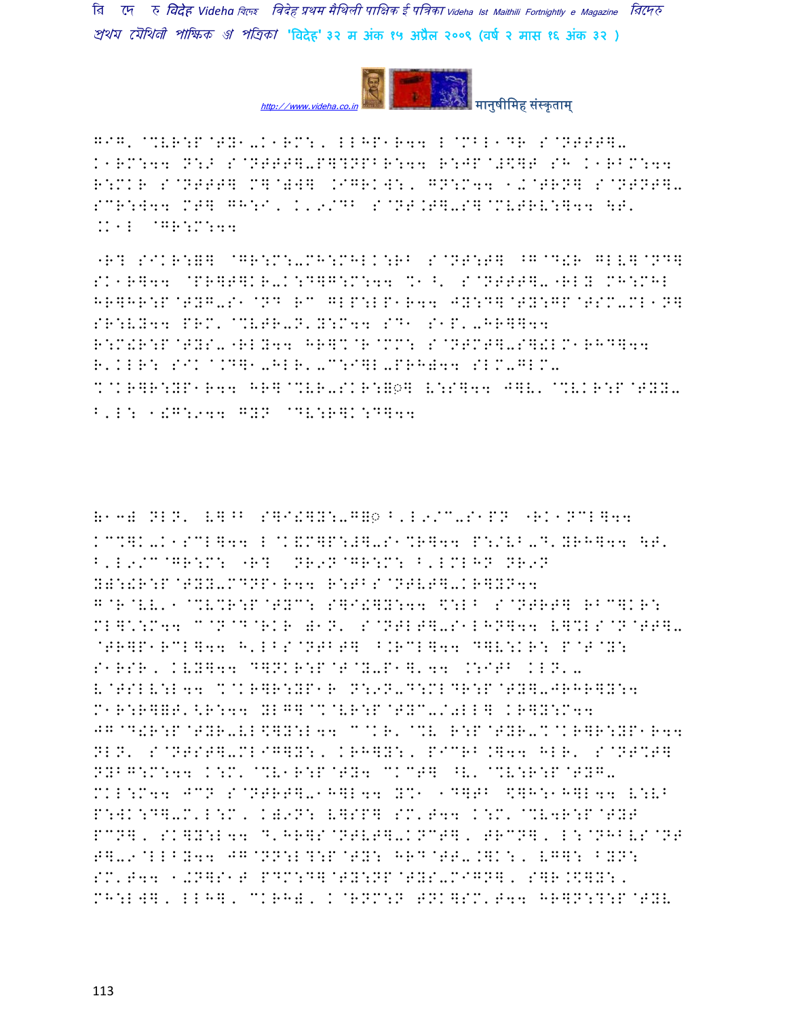

GOOD, WALEST GARELY FROM LITER PROVINCE TO A CONFIDER. K1RM:44 N:53 SMP:444 SMP SH KNTTT SHARIFINING IN SHIP SHIP SHE R:MKR S@NTTT] M]@)W] .IGRKW:, GN:M44 1+@TRN] S@NTNT]-  $\mathcal{S}^{\text{max}}$  , the main density of  $\mathcal{S}^{\text{max}}$  ,  $\mathcal{S}^{\text{max}}$  ,  $\mathcal{S}^{\text{max}}$  ,  $\mathcal{S}^{\text{max}}$  ,  $\mathcal{S}^{\text{max}}$  ,  $\mathcal{S}^{\text{max}}$  ,  $\mathcal{S}^{\text{max}}$  ,  $\mathcal{S}^{\text{max}}$  ,  $\mathcal{S}^{\text{max}}$  ,  $\mathcal{S}^{\text{max}}$  ,  $\mathcal{S}^{\text{max}}$ .K1L @GR:M:44

"RED" STAR:=BGREEN "PERSONSLORS SORE SIGNEY" STARFGREEN PRINSEN PERSON OP TH SCH ARAGE (PRARARCALCAPRATISCHE) DE PLOSTDAARDEL ARDE DE DESPAR HR:B:P:P@TYG-SB.P.LP1P:TOP:P#TY:D:P:P@TY:D:D:P#TY:D;D;P#TY:D;D;P#TY:D;D;P#TY:D;D;P#TY:D;D;P#TY:D;P#T SR:VY44 PRM'@%VTR-N'Y:M44 SD1 S1P'-HR]]44 R:M!R:P@TYS-"RLY44 HR]%@R@MM: S@NTMT]-S]!LM1RHD]44 R' C'HALL-C'HRI-C'HALL-C'HALL-C'HALL-C'HALL-C'HALL-C'HALL-C'HALL-C'HALL-C'HALL-C'HALL-C'HALL-C'HALL-C'HALL-C'H %%%@KRIR:YP1R44 HRP1701P1P1P1P1P94 ISAPI44 HRL.JOLDPAPJ9831 B'L: 1 General Gynes Company and Company

 $(13)$  NLP  $(21)$  and  $(3)$  and  $(4)$  similar  $\mathbb{R}^3$  by  $\mathbb{R}^3$  . The sum of  $\mathbb{R}^3$  is a sum of  $\mathbb{R}^3$  and  $\mathbb{R}^3$  and  $\mathbb{R}^3$  and  $\mathbb{R}^3$  are sum of  $\mathbb{R}^3$  and  $\mathbb{R}^3$  are sum of  $\mathbb{R}^3$ KCMING AN ANG ALAWA LAN KING PENGHULAN MAHALAN PINJARA DAN PERANGAN ALAW B'L9/C@GR:M: "R? NR9N@GR:M: B'LMLHN NR9N Y): R:P@TYY-MONTH POST PRODUCT PRODUCT PRODUCT PRODUCT PRODUCT PRODUCT PRODUCT PRODUCT PRODUCT PRODUCT PRODUCT<br>PRODUCT PRODUCT PRODUCT PRODUCT PRODUCT PRODUCT PRODUCT PRODUCT PRODUCT PRODUCT PRODUCT PRODUCT PRODUCT PRODUC GROVE COLL A STOLECHE SE CHRISTAL STRACHRISHEN (ROSER) ROST STOLECHE PRODUCERS. MLACADAH CONDOR DALAH SILI SUNGA PALISA PADAHA ILANG SUDI-SHARA. @TR]P1RCL]44 H'LBS@NTBT] ^.RCL]44 D]V:KR: P@T@Y: STRRE STOLENHAARTHEIN DIE TRUIPE NAAMDOOT IN DIE PLASS V@TSLV:L44 %@KR]R:YP1R N:9N-D:MLDR:P@TY]-JRHR]Y:4 M1R:R]=T'<R:44 YLG]@%@VR:P@TYC-/0LL] KR]Y:M44 JG@D!R:P@TYR-VL\$]Y:L44 C@KR'@%V R:P@TYR-%@KR]R:YP1R44 NLN' S@NTST]-MLIG]Y:, KRH]Y:, PICRB.]44 HLR' S@NT%T] NYBG:M:44 K:M'@%V1R:P@TY4 CKCT] ^V'@%V:R:P@TYG-MKL:M44 JCN S@NTRT]-1H]L44 Y%1 1D]TB \$]H:1H]L44 V:VB P:WK:D]-M'L:M, K)9N: V]SP] SM'T44 K:M'@%V4R:P@TYT PCN], SK]Y:L44 D'HR]S@NTVT]-KNCT], TRCN], L:@NHBVS@NT THAN THE FIGHT THROUGH THE THE SPECIFIES IN THE LOCATION OF THE STATE  $\mathcal{S}$ SM'T44 1+N]S1T PDM:D]@TY:NP@TYS-MIGN], S]R.\$]Y:, MH:LW], LLH], CKRH), K@RNM:N TNK]SM'T44 HR]N:?:P@TYV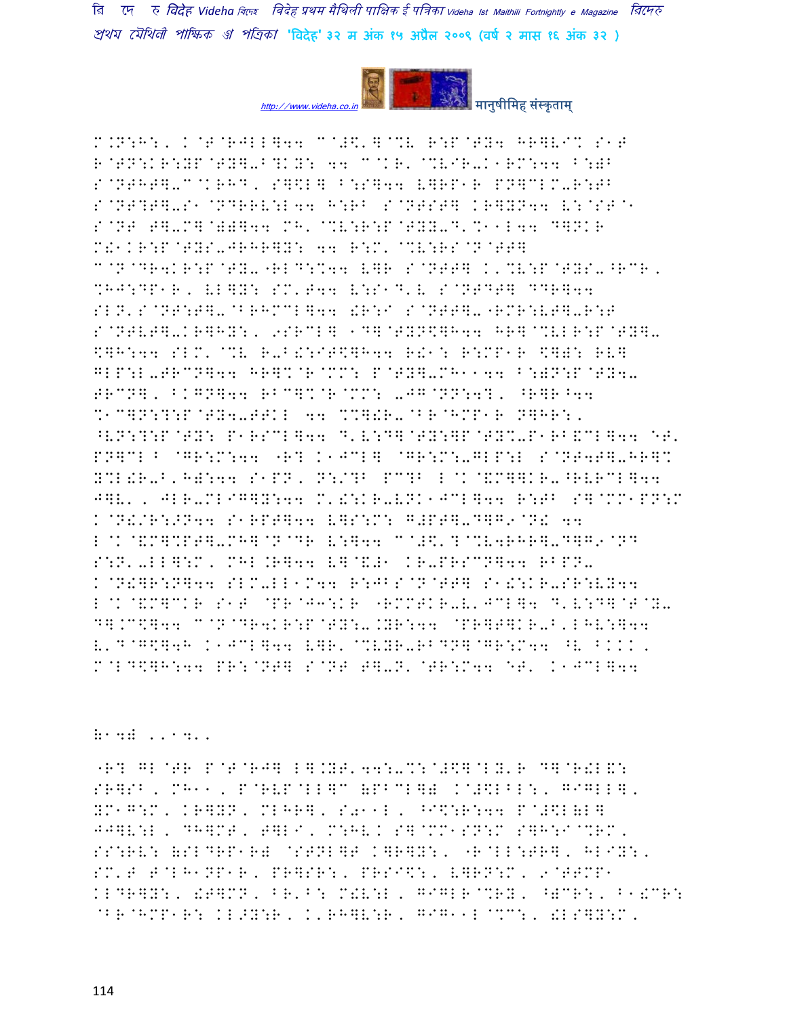http://www.videha.co.in/<br>कार्याली मानुषीमिह संस्कृताम्

M.N:H:, K@T@PHIPH+ C@#\$\#@TX:P@TY4#+@P#HR@TYF R@TN:KR:YP@TY]-B?KY: 44 C@KR'@%VIR-K1RM:44 B:)B SOMETHIC POSSESS CONTROL SECTION CONTROL DESCRIPTION SOMPATERLY: MATERLY: 44 HYDRI KOMPAYAR (1943)44 I:GONNAY SMORE GREATH-MEERHH TRICOLEEN DEREK DER ALTVORDE HHY TRICOL M!1KR:P@TYS-JRHR]Y: 44 R:M'@%V:RS@N@TT] CONDRAKAR: P. ARIO AREO PANGHALI KARELI KONGRERO (KONGRER ARCRESA) ARCREO %HJ:DP1R, VL]Y: SM'T44 V:S1D'V S@NTDT] DDR]44 SLN'S ROMAN DE REGISTER DE L'ARTIFICIA EL SOLO DE L'ARTIFICIA EL SOLO DE L'ARTIFICIA EL SOLO DE L'ARTIFICIA EL  $\sim$  100  $\sim$  100  $\sim$  100  $\sim$  100  $\sim$  100  $\sim$  100  $\sim$  100  $\sim$  100  $\sim$  100  $\sim$  100  $\sim$  100  $\sim$  100  $\sim$  100  $\sim$  100  $\sim$  100  $\sim$  100  $\sim$  100  $\sim$  100  $\sim$  100  $\sim$  100  $\sim$  100  $\sim$  100  $\sim$  100  $\sim$  100  $\sim$  1 \$]H:44 SLM'@%V R-B!:IT\$]H44 R!1: R:MP1R \$]): RV] GLP:L-TRCN]44 HR]%@R@MM: P@TY]-MH1144 B:)N:P@TY4- TRCN), BKGNI44 RETRON MONTH LAN CREA AN LOOP %1CH: THE PART OF THE LANGUARY REPORT OF THE REDUCTION OF THE PARTY RELEASE. ^VN:?:P@TY: P1RSCL]44 D'V:D]@TY:]P@TY%-P1RB&CL]44 ET' PORTER CREATABLE ART CARTER CREATAINEPEN BOOKBBRIJARRI Y%L!R-B'H):44 S1PN, N:/?B PC?B L@K@&M]]KR-^RVRCL]44 JAREL I. JAP BULITA KAREGINAN MILAJISI BULEJI KAMERENA HINARA MERIMPIN BIZINM K@NEWSPORT\_PRIPERHIS:MENTION PIPERSTRESSOR L@K@&M]%PT]-MH]@N@DR V:]44 C@#\$'?@%V4RHR]-D]G9@ND S:N'-LL]:M, MHL.R]44 V]@&#1 KR-PRSCN]44 RBPN-K@NESP#44 SICWIERC44 RS4FYCDCH## SPNSORWESH&#4 L@K@&M]CKR S1T @PR@J3:KR "RMMTKR-V'JCL]4 D'V:D]@T@Y-DRACONAR: OND OREAL BABNIAL CHEAR (COPARTHEL BLACK BALARY) V'D@G\$]4H K1JCL]44 V]R'@%VYR-RBDN]@GR:M44 ^V BKKK, M NE PROPAGA AT PEGINDAD AT NORTH ADDUCTION NO TRANSPORTANCE TO A AND DAY.

## (14) : 140 : 141 : 141 : 141 : 141 : 141 : 141 : 141 : 141 : 141 : 141 : 141 : 141 : 141 : 141 : 141 : 141 : 1

"RESURE THE CONTROL THAT IS A COUNTRIBUTE TO CONTROL BY THE THILE ON SPARE STORY STORE CHARGE AND BEFORE AN INCORPORATION . ARRAIGHT YM1G:M, KRIYA, MEHRE, S2111L, PARARAH, PALENTRI JJ]V:L, DH]MT, T]LI, M:HV. S]@MM1SN:M S]H:I@%RM, SS:RV: (SST) #FOR PORTS TO THE REPORT OF THE REPORT OF THE REPORT OF THE REPORT OF  $\Gamma$ SM'T T@LH1NP1R, PR]SR:, PRSI\$:, V]RN:M, 9@TTMP1 KLORACI:, EACHER, PROPINSIE, GOOD BOOKE, BINES, POENS @BR@HMP1R: KL>Y:R, K'RH]V:R, GIG11L@%C:, !LS]Y:M,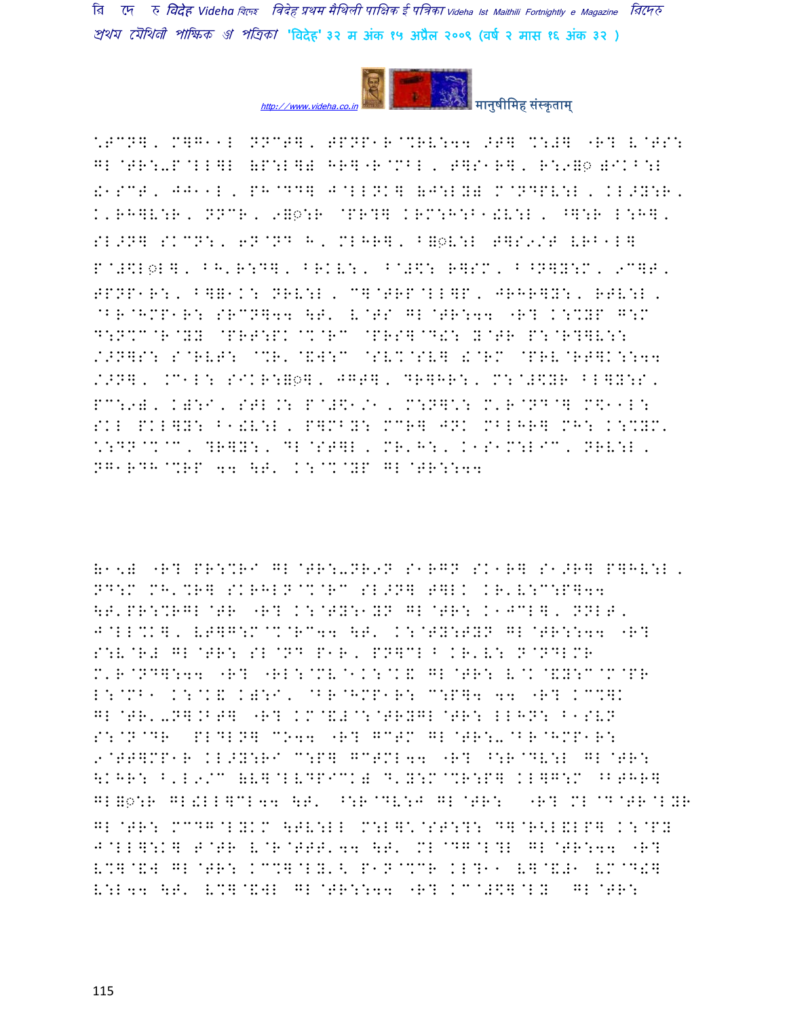

\*TCN], M]G11L NNCT], TPNP1R@%RV:44 >T] %:#] "R? V@TS: GLOGE CRIPS ON THE CONDUCT OF LARGE CONDUCTS IN THE CONDUCT OF LARGE CONDUCTS IN THE UNIVERSE IN THE UNIVERSE O !1SCT, JJ11L, PH@DD] J@LLNK] (J:LY) M@NDPV:L, KL>Y:R, K.BHALLE. PRYB. 95018 (PRACHINERS CONSTRUCT PRID 1945. SECRE SUMPAL SPORT H, MEHRI, FEORAL SHEVIS ERVIS POBRED PASSER , PRINT, PORTHERS PRINT, BOOKSER, STRE. TPNP1R:, B]=1K: NRV:L, C]@TRP@LL]P, JRHR]Y:, RTV:L, @BR@HMP1R: SRCN]44 \T' V@TS GL@TR:44 "R? K:%YP G:M D:N%C@R@YY @PRT:PK@%@RC @PRS]@D!: Y@TR P:@R?]V:: />N]S: S@RVT: @%R'@&W:C @SV%@SV] !@RM @PRV@RT]K::44 />N], .C1L: SIKR:=◌़], JGT], DR]HR:, M:@#\$YR BL]Y:S, PC:9), K):I, STL.: P@#\$1/1, M:N]\*: M'R@ND@] M\$11L: SKL PKL]Y: B1!V:L, P]MBY: MCR] JNK MBLHR] MH: K:%YM' \*:DN@%@C, ?R]Y:, DL@ST]L, MR'H:, K1S1M:LIC, NRV:L, NG1RDH@%RP 44 \T' K:@%@YP GL@TR::44

 $15\cdot$  R.B. P.F. PR: PR: P.F. P.F. P.F.-N. St.-REP. ST.-REP. St.-REP. PERSON  $\downarrow$ ND:M MH'%R] SKRHLN@%@RC SL>N] T]LK KR'V:C:P]44 \T'PR:%RGL@TR "R? K:@TY:1YN GL@TR: K1JCL], NNLT, J@LL%K], VT]G:M@%@RC44 \T' K:@TY:TYN GL@TR::44 "R? STEETHE GENERAL PLAND PURSE CONDENSE POPULS M'R@ND]:44 "R? "RL:@MV@1K:@K& GL@TR: V@K@&Y:C@M@PR L:@MB1 K:@K& K):I, @BR@HMP1R: C:P]4 44 "R? KC%]K GLOGE SANDARY SERVICE TRANSVILLEGE SERVICE SERVICE SERVICE BILD BE A LIGHT BOOK AND A LOCAL DISCOVERING ON A L S:@N@DR PLDLN] CO44 "R? GCTM GL@TR:-@BR@HMP1R: 9@TT]MP1R KL>Y:RI C:P] GCTML44 "R? ^:R@DV:L GL@TR: \KHR: B'L9/C (V]@LVDPICK) D'Y:M@%R:P] KL]G:M ^BTHR] H: B916 HE:CERTENN NG, 'PH: "REN HE' GEN | GROUP OF TRENISE GLOGE: MODGE RIN GELGE MINISTER ON DESERT KIND J@LL]:K] T@TR V@R@TTT'44 \T' ML@DG@L?L GL@TR:44 "R? BOST COMPARY OF THE REAL PROPERTY CONTROL CONTROL CONTROL V:L44 \T' V%]@&WL GL@TR::44 "R? KC@#\$]@LY GL@TR: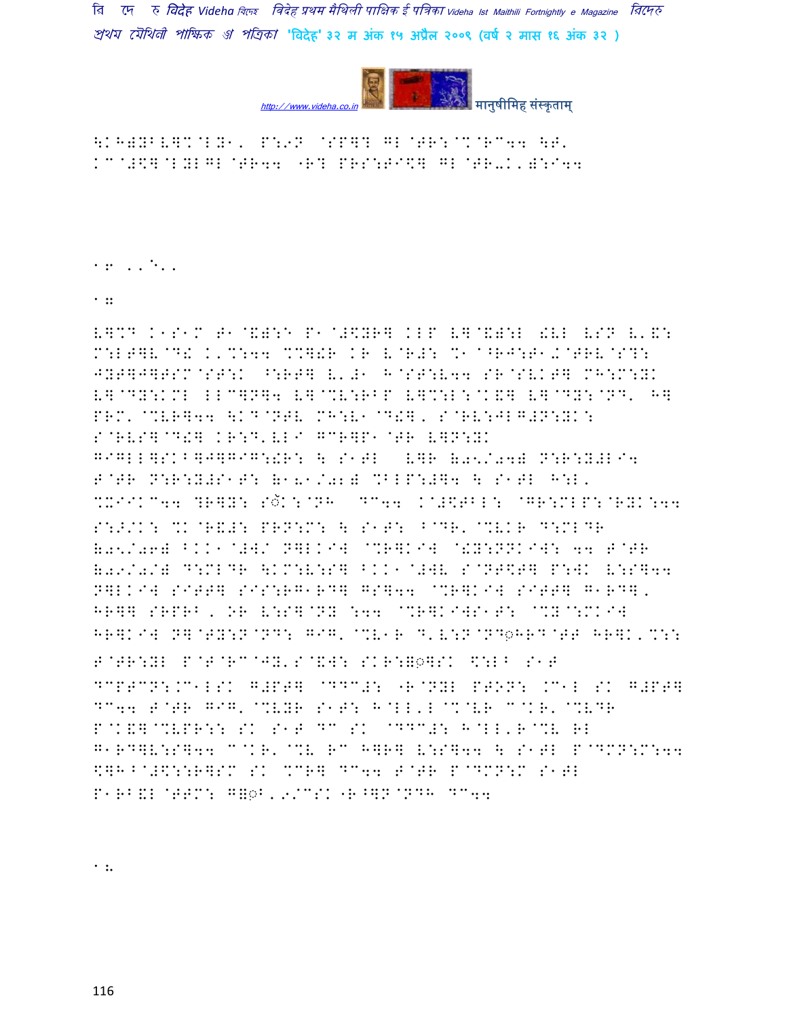

\KH)YBV]%@LY1' P:9N @SP]? GL@TR:@%@RC44 \T' KC@ TRAFFICATOR TRANSPORT TRANSPORT TRANSPORT IN THE TRANSPORT

 $\cdot$  :  $\cdot$  .  $\cdot$  . .

 $\cdot$  ::

V]%D K1S1M T1@&):E P1@#\$YR] KLP V]@&):L !VL VSN V'&: M:LT]V@D! K'%:44 %%]!R KR V@R#: %1@^RJ:T1+@TRV@S?: JYT]J]TSM@ST:K ^:RT] V'#1 H@ST:V44 SR@SVKT] MH:M:YK V]@DY:KML LLC]N]4 V]@%V:RBP V]%:L:@K&] V]@DY:@ND' H] PRM: MARRER BINY MH: MARY ME: SORIAL MENING S@RVS; Robert Communication (1999) (1999) (1999) (1999) (1999) (1999) (1999) (1999) (1999) (1999) (1999) (1999 GIGB:::: BIC: PERBECBALAG: A: YAGE / LEB: AGE/JGHB (PARABBICA) T@TR N:R:Y#S1T: (181/02) %BLP:#]4 \ S1TL H:L' %XIIKC44 ?R]Y: S◌ॅK:@NH DC44 .@#\$TBL: @GR:MLP:@RYK:44 STEARTH TO THE STRIP STATE OF THE TOLER TENT THE (05/06) BKK1@#W/ N]LKIW @%R]KIW @!Y:NNKIW: 44 T@TR (09/0/) D:MLDR \KM:V:S] BKK1@#WV S@NT\$T] P:WK V:S]44 N]LKIW SITT] SIS:RG1RD] GS]44 @%R]KIW SITT] G1RD], HRISR SRPPS, OR V:SIMSTIKI NA SANG MIRITIM ING KATA SA MARINI MAG HRAC KIAO DA TROPORTO TRIPO OPERA DI VIRA DO VISIGO TRIPORPITARE OPERA L'ISON  $T$  Pather to the state of the state state of the state  $T$ DCPTCN:.C1LSK G#PT] @DDC#: "R@NYL PTON: .C1L SK G#PT] DC44 T@TR GIG'@%VYR S1T: H@LL'L@%@VR C@KR'@%VDR P@K&]@%VPR:: SK S1T DC SK @DDC#: H@LL'R@%V RL G. BYHENRIHAN CONSTRUCTION BY AHBH ENRIHAN A ROBER POTTFITNIN \$]H^@#\$::R]SM SK %CR] DC44 T@TR P@DMN:M S1TL P: B: B: MARTY (GEORGIC DOCK) AD CHR MODEL (PTA4)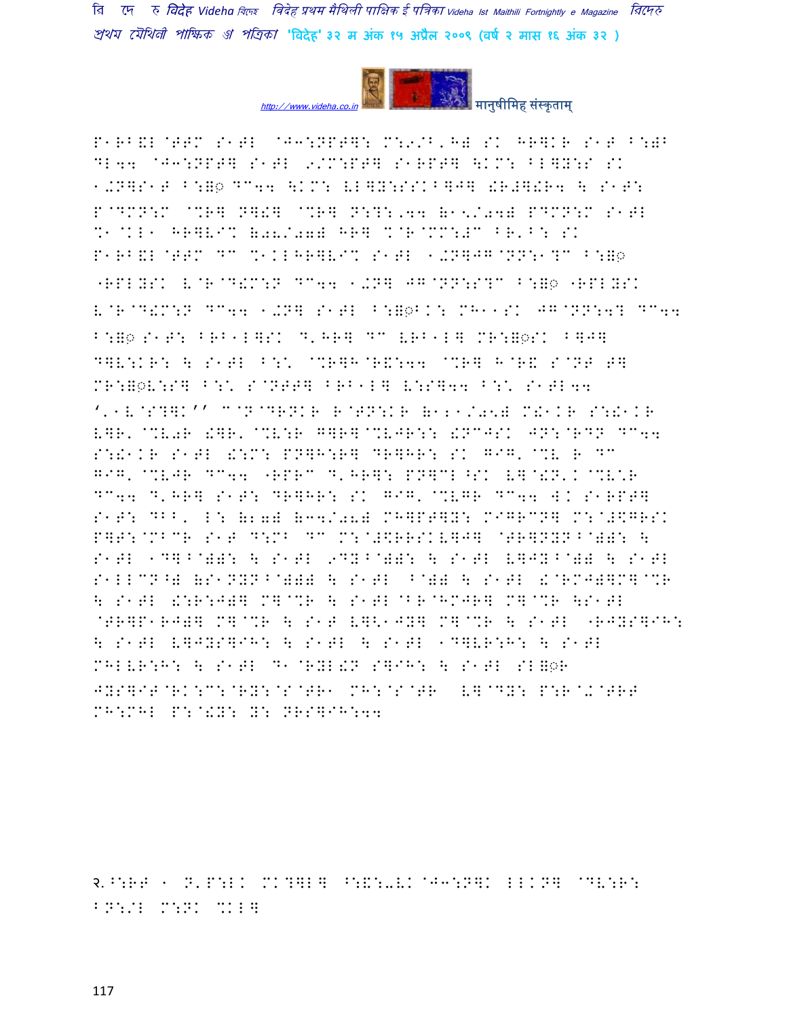

P-BFIR SHIT R-B: SAMINGER CILL MI RI B: ABHIB: P-B FIRE DL44 MASSERE SSRE DOMARE SSBEE AND STEEDER ST 1.1982: B:= OC48 OC44 \ S1T: SSKB31T B:= 0.000 OC44 DC44 UNIVERSITY P@DMN:M @%R] N]!] @%R] N:?:,44 (15/04) PDMN:M S1TL %1@KL1 HR]VI% (08/07) HR] %@R@MM:#C BR'B: SK P1RB SERIOR DO %1KLEREES %1KHL 1+1PHP SPRINT FIND  $R$ PRISK CONSTRUCTION OF A POSSIBLE PARTNERS IN A POSSIBLE POINT  $R$ B:PROPERTY POWER PORT PREPAIRING DEPAIRING POWER B: SHOT: ST: BRB1LE BE1L, OR, BRB1L, MRIE BRB1LB1, DR SHOT: CRB1B1L, CRB1B1 DER SITL B: S1TL B: S1TL B: S1TL B: S1TL B: S1TL B: S1TL B: S1TL B: S1TL B: S1TL B: S1TL B: S1TL B: S1TL B: S1 DR:BOLSER FSQ ESPERT FRF-18 LSERAH FSQ E-B144 Y. (1) MORTHER YOUR CONSTRUCT IN THE CANALOGY CONSTRUCT IN THE CONSTRUCTION OF THE CONSTRUCTION OF THE CONSTRUCTION OF THE CONSTRUCTION OF THE CONSTRUCTION OF THE CONSTRUCTION OF THE CONSTRUCTION OF THE CONSTRUCTION OF THE V]R'@%V0R !]R'@%V:R G]R]@%VJR:: !NCJSK JN:@RDN DC44 S:: 1KR S1TL : 1KR S1TL : 1KR S1TL : 1KR S1TL : 1KR S1TL : 1KR S1TL : 1KR S1TL : 1KR S1TL : 1KR S1TL : 1KR S1T GIG'@%VJR DC44 "RPRC D'HR]: PN]CL^SK V]@!N'K@%V\*R DC44 D'HR] S1T: DR]HR: SK GIG'@%VGR DC44 W. S1RPT] S1T: DBB' L: (27) (34) (34-08) MH DERICA DER HIGHE MENDER WAS CONTROLLED MANAGED P]T:@MBCR S1T D:MB DC M:@#\$RRSKV]J] @TR]NYN^@)): \ STREET THE STREET OF STREET HIS STREET SHEET THE STREET STORE STRIP (STRIP OF STRIP IS THE REST RANGED STRIP STRIP  $\,$  S  $\,$   $\,$   $\,$  SH  $\,$  M]  $\,$  M]  $\,$  MHz  $\,$  MHz  $\,$  MHz  $\,$  MHz  $\,$  MHz  $\,$  MHz  $\,$  MHz  $\,$  MHz  $\,$  MHz  $\,$  MHz  $\,$  MHz  $\,$  MHz  $\,$  MHz  $\,$  MHz  $\,$  MHz  $\,$  MHz  $\,$  MHz  $\,$  MHz  $\,$  MHz  $\,$  MHz @TR]P1RJ)] M]@%R \ S1T V]<1JY] M]@%R \ S1TL "RJYS]IH: \ S1TL V]JYS]IH: \ S1TL \ S1TL 1D]VR:H: \ S1TL THILPHIS R: S1TL DINER SHIP: R: S1TL SITL SI JYS]IT@RK:C:@RY:@S@TR1 MH:@S@TR V]@DY: P:R@+@TRT MH:MHL P:@!Y: Y: NRS]IH:44

२.^:R# \ 3.FH: 7:38:8 \ 1 NERLY ^:#:28: 1:198 ^9LH} BN://L M://L M://L M://L M://L M://L M://L M://L M://L M://L M://L M://L M://L M://L M://L M://L M://L M://L M<br>- Philippine Park (1999) - Philippine Park (1999) - Philippine Park (1999) - Philippine Park (1999) - Philippi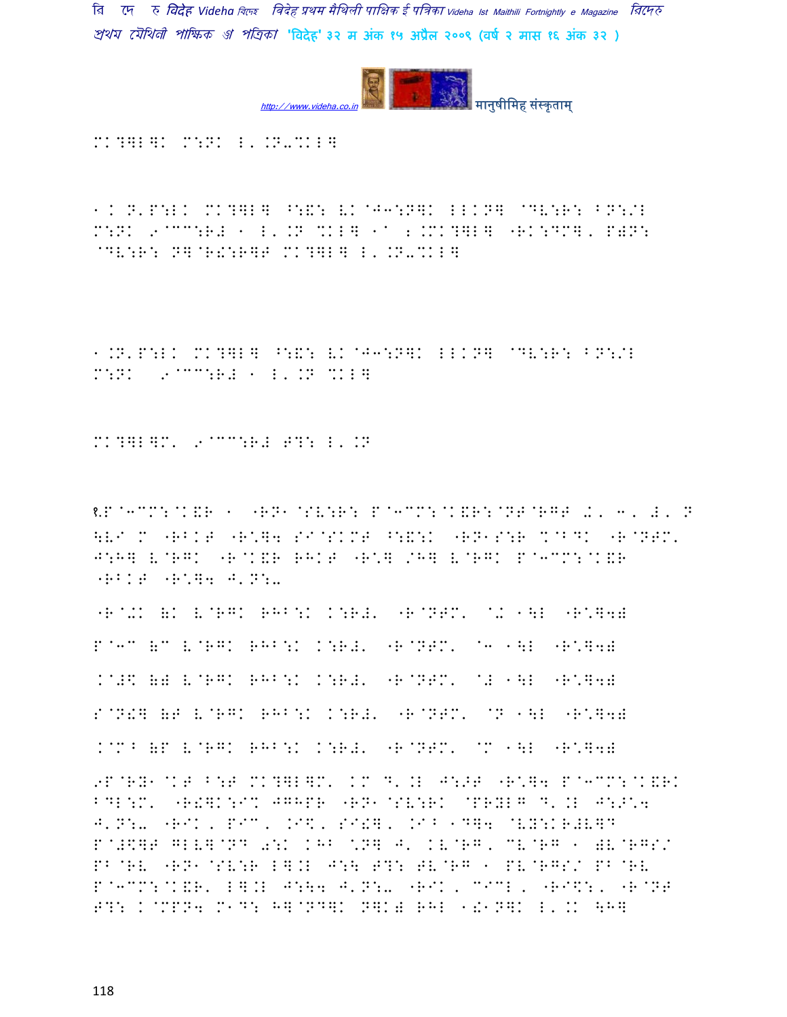

 $\mathcal{V}$  Music March (1993)

1. N'P:LK MK?]L] ^:&: VK@J3:N]K LLKN] @DV:R: BN:/L M:NK 9@CC:R# 1 L'.N %KL] 1a 2.MK?]L] "RK:DM], P)N: @DV:R: N]@R!:R]T MK?]L] L'.N-%KL]

1. N'AN MARINA ANN AN DEALAIS AN DEALAIS AN DEALAIS AN DEALAIS AN DEALAIS AN DEALAIS AN DEALAIS AN DEALAIS AN<br>Iomraidhean an Dealais an Dealais an Dealais an Dealais ann an Dealais an Dealais an Dealais an Dealais an Dea M:NK 9@CC:R# 1 LONGER

MK?]L]M' 9@CC:R# T?: L'.N

१.P@3CM:@K&R 1 "RN1@SV:R: P@3CM:@K&R:@NT@RGT +, 3, #, N  $\overline{u}$  and  $\overline{u}$  are string to  $\overline{u}$  . The string  $\overline{u}$  is the string  $\overline{u}$ J:H] V@RGK "R@K&R RHKT "R\*] /H] V@RGK P@3CM:@K&R "RBKT "R\*D#1 H. P

"R@+K (K V@RGK RHB:K K:R#' "R@NTM' @+ 1\L "R\*]4) POWER RECENT RHAND CHAING RHOMAN CHOOR (PROMINE .@#\$ () V@RGK RHB:K K:R#' "R@NTM' @# 1\L "R\*]4)  $\mathcal{S}$  (T  $\mathcal{S}$  ) (T  $\mathcal{S}$  ) (T  $\mathcal{S}$  ) (T  $\mathcal{S}$  ) (T  $\mathcal{S}$  ) (T  $\mathcal{S}$  ) (T  $\mathcal{S}$  ) (T  $\mathcal{S}$  ) (T  $\mathcal{S}$  ) (T  $\mathcal{S}$  ) (T  $\mathcal{S}$  ) (T  $\mathcal{S}$  ) (T  $\mathcal{S}$  ) (T  $\mathcal{S}$  ) (T  $\mathcal{S}$  ) (T  $\mathcal{L}(\mathcal{D})$  (P  $\mathcal{L}(\mathcal{D})$  and  $\mathcal{L}(\mathcal{D})$  is the  $\mathcal{L}(\mathcal{D})$  and  $\mathcal{L}(\mathcal{D})$  and  $\mathcal{L}(\mathcal{D})$ 

9P@RY1@KT B:T MK?]L]M' KM D'.L J:>T "R\*]4 P@3CM:@K&RK BOL:M' "REALGED" "PRINT "REALGED" DIRECT "PRINT" "PRINT" J'N:- "RIK, PIC, .I\$, SI!], .I^ 1D]4 @VY:KR#V]D POINT FILENT AN IT CHANNEL ALO LEGEN TEGEN A BLOWER PP: THE CORPORATION IN HIS LIFE OF THE PROPERTY IS TO THE THE THE TIME OF THE TIME IS TO TRIME. POSSIBILI LA LA JERO ALIPAL (ARIX), "RINA, CARRINA, CARIFE FOR KAMPANG MANGHING ANG HITA NA ANG KATILITAN ANG HITA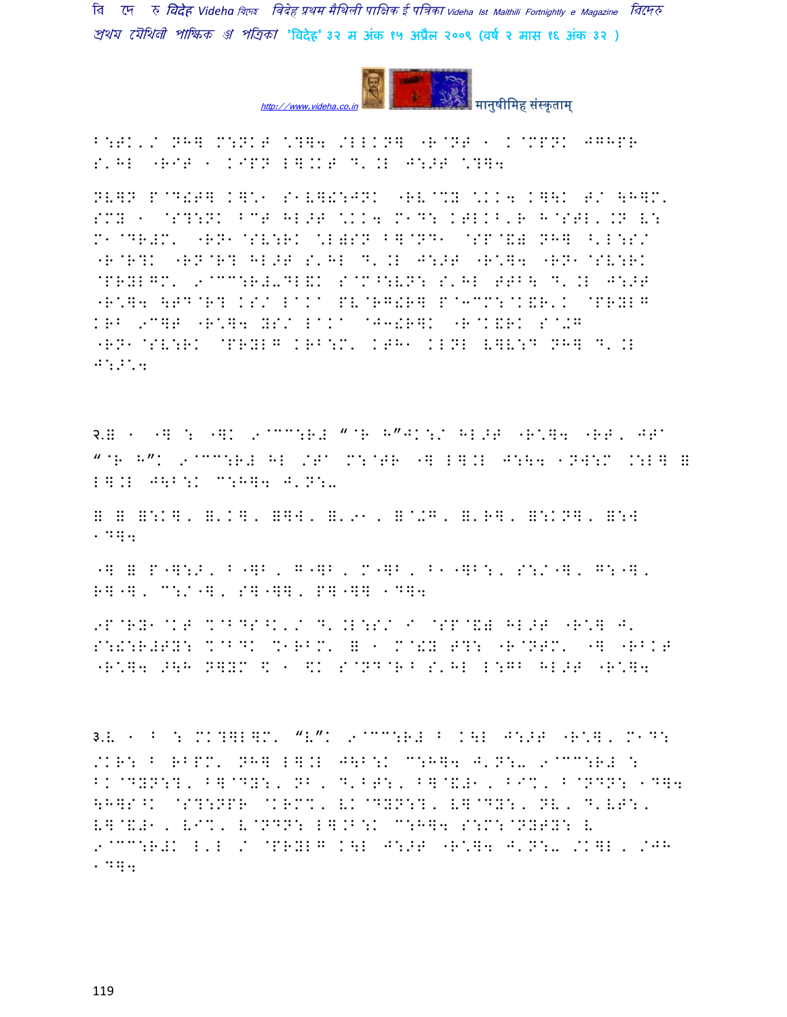

B:THI// NHE MYNIF (NHA 211139 (RANT) "RON 1 MMPN JGHPR S'HL "RIT 1 KIP" 1 HIL D'.L J: ALIE 1 HIL

NLAR BYRGAN (AV) (SLAGHAN (ALYON CO) (AN) AN BHR) SMY 1 MARSHI TEMPERENT I MARSHI HADY KELANG MARSHI DI KE MN TREBOL "PERSONABE" (1882) A BORN "SN DIR TEBORA" PERSONA "REPORT "RAP? HEP "REPORT" REPORT "REPORT "REPORT "REPORT "REPORT @PRYLGM' 9@CC:R#-DL&K S@M^:VN: S'HL TTB\ D'.L J:>T "R\*]4 \TD@R? KS/ LaKa PV@RG!R] P@3CM:@K&R'K @PRYLG KRB 9C "R#B 9C "R#DAJA" RAKA MARKA SA RAKA SA DA RAKA SA DA RAKA SA DA RAKA SA DA RAKA SA DA RAKA SA DA RAKA S "RN1@SV:RK @PRYLG KRB:M' KTH1 KLNL V]V:D NH] D'.L  $\{H_1, H_2, H_3\}$ 

२.8 - 1 - 9 - 1 - 90 - 2 - 1111984 (Mile "A"41 52 - 81 29 - 98189 - 984), 491 WIR HWI 2 MUNIFIE RE 24N DISPERS HE ENDER RINNER SPHIN DIEN B 1911 **AND AN AND AN ADDRESS** 

= = =:K], ='K], =]W, ='91, =@+G, ='R], =:KN], =:W  $1.994$ 

"] = P"]:>, B"]B, G"]B, M"]B, B1"]B:, S:/"], G:"], R]"], C:/"], S]"]], P]"]] 1D]4

9P@RY1@KT %@BDS^K'/ D'.L:S/ I @SP@&) HL>T "R\*] J' STACHBORG WORK WORK WAS STONED FOR THE SUPPORT OF THE SERVE  $\mathcal{A}\oplus\mathcal{A}\oplus\mathcal{A}$  ,  $\mathcal{A}\oplus\mathcal{A}$  , then the non-trivial energy  $\mathcal{A}\oplus\mathcal{A}$  and  $\mathcal{A}\oplus\mathcal{A}$ 

3.E | P | P | ME HE HIS | ME "LIG" "VHE B | P | CHE | HIS HE | HIS HIS | MH MID /KR: B RBPM' NH] L].L J\B:K C:H]4 J'N:- 9@CC:R# : BK@DYN:?, B]@DY:, NB, D'BT:, B]@&#1, BI%, B@NDN: 1D]4 \H]S^K @S?:NPR @KRM%, VK@DYN:?, V]@DY:, NV, D'VT:, V]@&#1, VI%, V@NDN: L].B:K C:H]4 S:M:@NYTY: V 9 CCC:R#GE: BULE / ZO CEPHEE ROUTER (1982-1982) - PROBAT AL DISLO / ZOEE / VINAP  $1.994$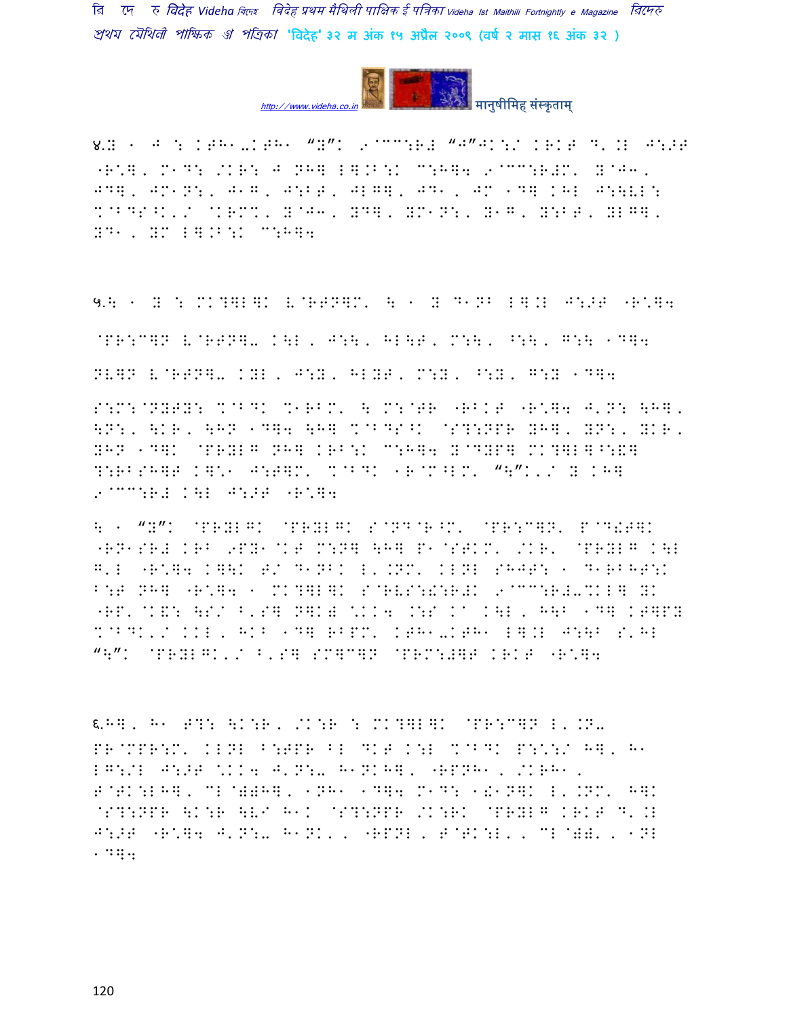

४.Y 1 J : KTH1-KTH1 "Y"K 9@CC:R# "J"JK:/ KRKT D'.L J:>T  $R$  (P. ), Mandale (P. ), M. (P. ), H. (P. ), M. (P. ), M. (P. ), H. (P. ), H. (P. ), H. (P. ), H. (P. ), H. (P. ), H. (P. ), H. (P. ), H. (P. ), H. (P. ), H. (P. ), H. (P. ), H. (P. ), H. (P. ), H. (P. ), H. (P. ), H. (P. JOURNEY, JOURNAL JOURNAL JOURNAL JOURNAL JOURNAL JOURNAL %@BDS^K'/ @KRM%, Y@J3, YD], YM1N:, Y1G, Y:BT, YLG], YD1, YM L].B:K C:H]4

 $9.5 \rightarrow 0.3$  :  $5.71344441$   $\pm 1.344447$ .  $5.7$   $\pm 1.3$   $\pm 1.4$   $\pm 1.4$   $\pm 1.4$   $\pm 1.4$   $\pm 1.4$ @PR:C]N V@RTN]- K\L, J:\, HL\T, M:\, ^:\, G:\ 1D]4 NARTH A MHARRA, ISBN 1988-1981, HEBRI, ISBN 1988-1988-1988-1 S:NOTE: MORE 2018 (NOTE: TRANSPART) IN THE MERIC "REPORT "REQUIRE "REQUIRE "REPORT" . \N:, \KR, \HN 1D]4 \H] %@BDS^K @S?:NPR YH], YN:, YKR,

YHY 1941 (PRYLG PRYLG NHI CONFIDER MARYLD AND ?:RBSH]T K]\*1 J:T]M' %@BDK 1R@M^LM' "\"K'/ Y KH] 9@CC:R# K\L J:R# K\L J:R#

\ 1 "Y"K @PRYLGK @PRYLGK S@ND@R^M' @PR:C]N' P@D!T]K "REPYTED (P) VIGHT ROTER RAB IN STRITE (NEW POSTER CAR A.B "PRIMA KAN AZ ARTI BIJIMI KLAD KAPA KUNGHAN B:T NH] "R\*]4 1 MK?]L]K S@RVS:!:R#K 9@CC:R#-%KL] YK "RP' "RP' B'S ("B'S ") \* RP' B'S ("B'S HOLD ") \* RP' B'S KA KONG ") \* RP' B'S (") \* RP' B'S (") # RP' B'S % MPK'/ WORLD IN THE THILL IN THE LIGHT OF THE HERBOT CONTINUES.  $N\bar{h}$   $K$   $\bar{r}$  . The defined by  $\bar{r}$  so that the proportional exponent is the contract to  $\bar{r}$ 

६.HE, H1 FER ANNE, /KNE N MKRHER, /KENTER E. NR. PR@MPR:M' KLNL B:TPR BL DKT K:L %@BDK P:\*:/ H], H1 LG:PACH (1995) AND LONGING TO A STRING AND THE STATE OF THE STATE  $\mathcal{L}^{\mathcal{L}}$ T@TK:LH], CL@))H], 1NH1 1D]4 M1D: 1!1N]K L'.NM' H]K @S?:NPR \K:R \VI H1K @S?:NPR /K:RK @PRYLG KRKT D'.L J:>T "R\*]4 J'N:- H1NK', "RPNL, T@TK:L', CL@))', 1NL  $\cdot$   $\cdot$   $\cdot$   $\cdot$   $\cdot$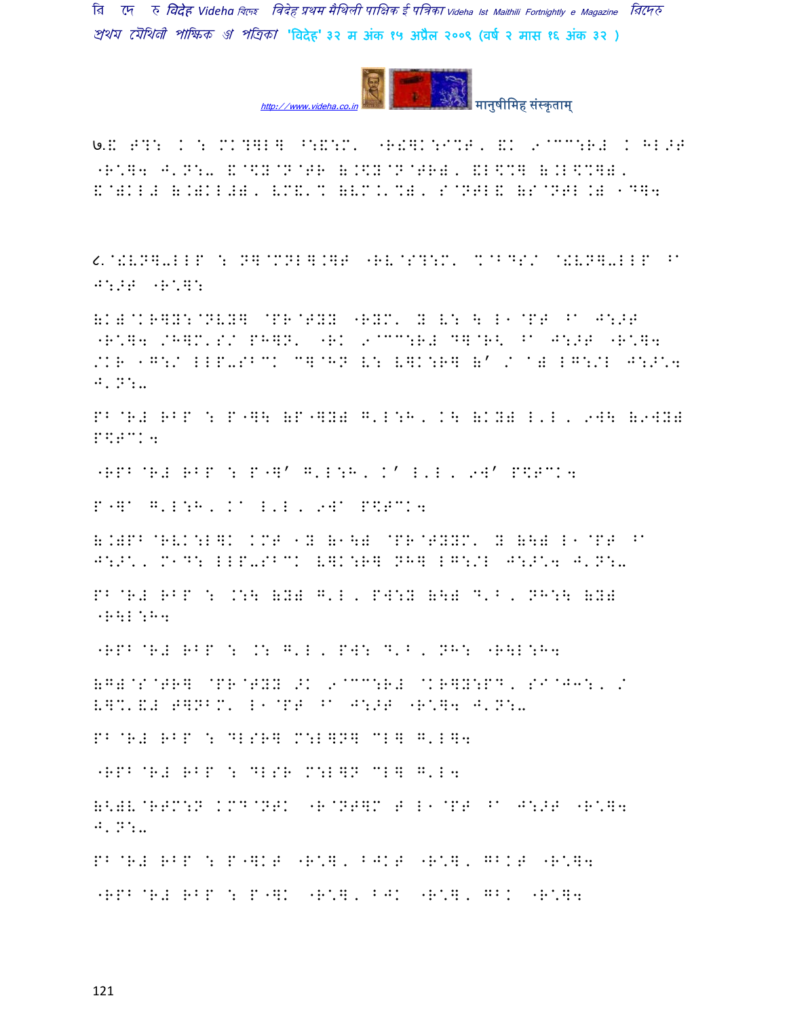

७.& T?: . : MK?]L] ^:&:M' "R!]K:I%T, &K 9@CC:R# . HL>T "ARNIA A. PAL" E "RETR'ANA A DRE D'ATA (... ER RITA), A DE RITA. &@)KL# (.)KL#), VM&'% (VM.'%), S@NTL& (S@NTL.) 1D]4

८.@!VN]-LLP : N]@MNL].]T "RV@S?:M' %@BDS/ @!VN]-LLP ^a  $J:Y \to Y \to Y \to Y \to Y$ 

 $\begin{array}{l} \begin{array}{c} \begin{array}{c} \begin{array}{c} \end{array} \end{array} \end{array}$ "R\*]4 /H]M'S/ PH]N' "RK 9@CC:R# D]@R< ^a J:>T "R\*]4 /KR 1G:/ LLP-SBCK C]@HN V: V]K:R] (' / a) LG:/L J:>\*4  $J:U:U$ 

PROTECT FOR THE PERSON CONTROL CONTROL POST CONTROL PROTECTIVE CONTROL IN A REPORT OF  $P$ PREMI 4

"RPB" THE RPB OF PERSON RESOLUTION OF PERSONAL EXPOSURE TO REPORT THE TOWN TO REPORT THE TOWN TO REPORT THE TO

P"]a G'L:H, Ka L'L, 9Wa P\$TCK4

(B) CHERRY (100 HERRY CONTROL CONTROLLEDGE ARRAIGNMENT CONTROLLEDGE ARRAIGNMENT POINT OF THE CONTROL OF THE CO J:>\*, M1D: LLP-SBCK V]K:R] NH] LG:/L J:>\*4 J'N:-

PR TRACHET : 5 . (YA) GOB, P. E., D'BAYO GHB (Y. F., D'ANA GOB.  $R\rightarrow\frac{1}{2}R\left(\frac{1}{2}+\frac{1}{2}+\frac{1}{2}+\frac{1}{2}\right)$ 

"RPB" TREE REPORTS TO REPORT TO A CONTROL PRESENT

(G)@S@TR] @PR@TYY >K 9@CC:R# @KR]Y:PD, SI@J3:, / 197. D.E. (POP) T. (1) THE PT (PAIR (PAIR (P. PT).

PROBE : PRODUCT : PRODUCT : PRODUCT : PRODUCT : PRODUCT : PRODUCT : PRODUCT : PRODUCT : PRODUCT : PRODUCT : PRO

"REPORT : DRAFT : DRAFT : DRAFT : DRAFT : DRAFT : DRAFT : DRAFT : DRAFT : DRAFT : DRAFT : DRAFT : DRAFT : DRAFT

(<)V@RTM:N KMD@NTK "R@NT]M T L1@PT ^a J:>T "R\*]4  $\mathcal{F}_1$ :  $\mathcal{F}_2$ :  $\mathcal{F}_3$ 

PB@R# RBP : P"]KT "R\*], BJKT "R\*], GBKT "R\*]4

"RPB" (P.E. P.F.P. (P.F.P.), GBK "R.C. (P.F.), GBK "R\*1, GBK "R\*]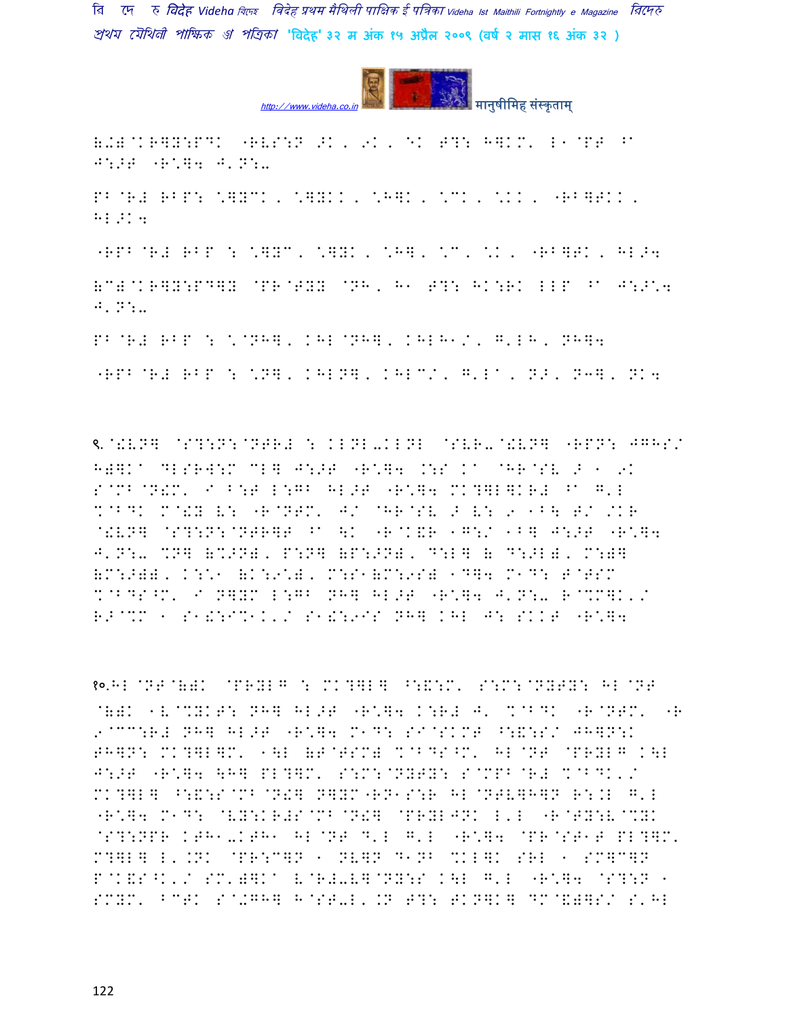

(+)@KR]Y:PDK "RVS:N >K, 9K, EK T?: H]KM' L1@PT ^a J:>T "R\*]4 J'N:-

PB@R# RBP: \*]YCK, \*]YKK, \*H]K, \*CK, \*KK, "RB]TKK,  $H$ :  $H$ 

"RPB@R# RBP : \*]YC, \*]YK, \*H], \*C, \*K, "RB]TK, HL>4

(C)@KR]Y:PD]Y @PR@TYY @NH, H1 T?: HK:RK LLP ^a J:>\*4  $J:U:U$ 

PB@R# RBP : \*@NH], KHL@NH], KHLH1/, G'LH, NH]4

"RPB@R# RBP : \*N], KHLN], KHLC/, G'La, N>, N3], NK4

९.@!VN] @S?:N:@NTR# : KLNL-KLNL @SVR-@!VN] "RPN: JGHS/ H) A BROTH DRAMA DRAMA DE REDISTRIKT DE REDISTRIKT DE REDISTRIKT DE REDISTRIKT DE REDISTRIKT DE REDISTRIKT DE SAMBON MONEY I BESTALLED AND THE SOLID CONTROL OF THE RESIDENCE OF THE TELL AND THE TRANSPORTED AND THE SUBJECT %@BDK M@!Y V: "R@NTM' J/ @HR@SV > V: 9 1B\ T/ /KR @!VN] @S?:N:@NTR]T ^a \K "R@K&R 1G:/ 1B] J:>T "R\*]4 J'N:- %N] (%>N), P:N] (P:>N), D:L] ( D:>L), M:)] (M:>)), K:\*1 (K:9\*), M:S1(M:9S) 1D]4 M1D: T@TSM % MPS POLITIC PORTER EN HIS PART (PER L'ABS) HAN HAT "POLITIC "ROLL" (PER L'ASSOCIATION)" R>@%M 1 S1!:I%1K'/ S1!:9IS NH] KHL J: SKKT "R\*]4

१०.HL@NT@()K @PRYLG : MK?]L] ^:&:M' S:M:@NYTY: HL@NT @()K 1V@%YKT: NH] HL>T "R\*]4 K:R# J' %@BDK "R@NTM' "R 9@CC:R# NH] HL>T "R\*]4 M1D: SI@SKMT ^:&:S/ JH]N:K THEN: MITHIT, AND BEGRIE COUNCIL WE CHOP ONE HERE CAR J:>T "R\*]4 \H] PL?]M' S:M:@NYTY: S@MPB@R# %@BDK'/ MK?] BEFORE THE STRIKE SERIES FOR THE STRIKE RESIDENCE. IN SIGN RESIDENCE "R\*]4 M1D: @VY:KR#S@MB@N!] @PRYLJNK L'L "R@TY:V@%YK @S?:NPR KTH1-KTH1 HL@NT D'L G'L "R\*]4 @PR@ST1T PL?]M' M?]L] L'.NK @PR:C]N 1 NV]N D1NB %KL]K SRL 1 SM]C]N POMORY POLICY (SMY) (ARE ON THE LEASE OF CHANGES AND HOLE ASSOCIATED AS A SYSTEM OF THE UNION OF THE UNION OF T SMYM' BCTK S@+GH] H@ST-L'.N T?: TKN]K] DM@&)]S/ S'HL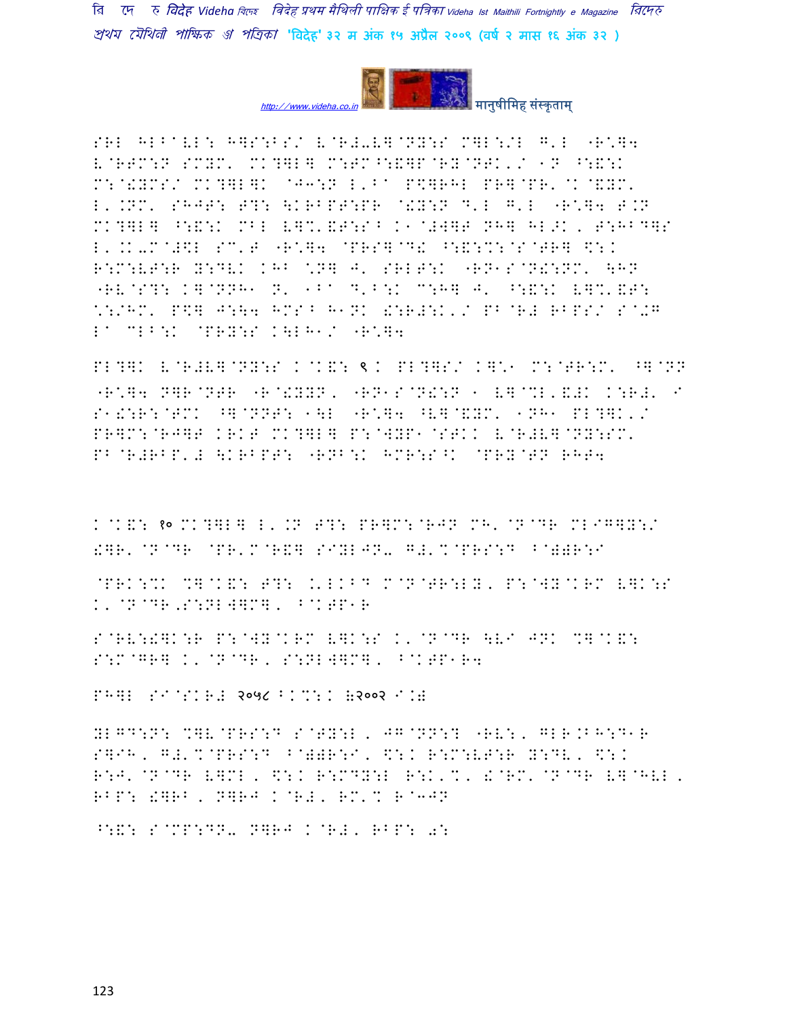

SRL HIVEIN HANDIS DENGALATING: TALNI H.L. GENA V@RTM:N SMYM' MK?]L] M:TM^:&]P@RY@NTK'/ 1N ^:&:K M:@!YMS/ MK?]L]K @J3:N L'Ba P\$]RHL PR]@PR'@K@&YM' L'.NM' SHAPY POR BIRTENE MURR AI AI SHVAR PI MK?] THE RESPONSE OF THE SECRET CONSTRUCTION OF THE POINT OF THE MESSENGED OF THE MILK. THE STEEL TO THE STEEL L'.K-M@#\$L SC'T "R\*]4 @PRS]@D! ^:&:%:@S@TR] \$:. R:M:VI:R Y:PH: VI:R Y:PH:A: V:BI:R Y: Y:DVK KHB \*N | BH: "RV@S?: K]@NNH1 N' 1Ba D'B:K C:H] J' ^:&:K V]%'&T: \*:/\*\*:/\*\*:///HTML //HTML //HTML //HTML //HTML //HTML //HTML //HTML //HTML //HTML //HTML //HTML //HTML //HTML / La Claude (1983) (1984) (1984) (1984) (1984) (1984) (1984) (1984) (1984) (1984) (1984) (1984) (1984) (1984) (1

PL?]K V@R#V]@NY:S K@K&: ९ K PL?]S/ K]\*1 M:@TR:M' ^]@NN "R\*]4 N]R@NTR "R@!YYN, "RN1S@N!:N 1 V]@%L'&#K K:R#' I S1!:R:@TMK ^]@NNT: 1\L "R\*]4 ^V]@&YM' 1NH1 PL?]K'/ PREDS GREEK DED AT THE RIG MEET GELD IN GELECTRISC. PROBABLE AND HIM SHIP' ROOM IN THE REAL PROPERTY AND A REAL PROPERTY AND ALL AND REAL PROPERTY AND REAL PROPERTY.

KAMERY 19 MARSHIR LAN TRANSPORTATION MANUSIAN MENGINAN MENGINANG  $R$ GRA) (DR 1986) (PRAMER'S SIYLD- GAL ON TEASING A THERA SIY

@PRK:%K %]@K&: T?: .'LKBD M@N@TR:LY, P:@WY@KRM V]K:S K'@N@DR,S:NLW]M], ^@KTP1R

SMRK: NARRO NARRO NI POSTAVA KORA NA MARO NA MARO NA MARO NA MARO NA MARO NA MARO NA MARO NA MARO NA MARO NA M S:MORRIS KONGRESS (STREET IN 1999)

 $P^1$ PH $P^2$ L Similar Band Band Rook and  $P^2$  and  $P^2$  and  $P^2$  are  $P^2$  and  $P^2$  . (1)  $P^2$ 

YLGD:N: %]V@PRS:D S@TY:L, JG@NN:? "RV:, GLR.BH:D1R SARTA , AG, CORESSA (POBBEST), RSI (PSCORERS), BSAR, VRSI R:J'@NOPR VERTE L'ASSOCRETE (PSOLOGIC & OPD. OPNOR ERN PEEL) RBP: 2008 RBP: 2008 RBP: 2008 RBP: 2008 RBP: 2008 RBP: 2008 RBP: 2008 RBP: 2008 RBP: 2008 RBP: 2008 RBP: 2008

^:&: S@MP:DN- N]RJ K@R#, RBP: 0: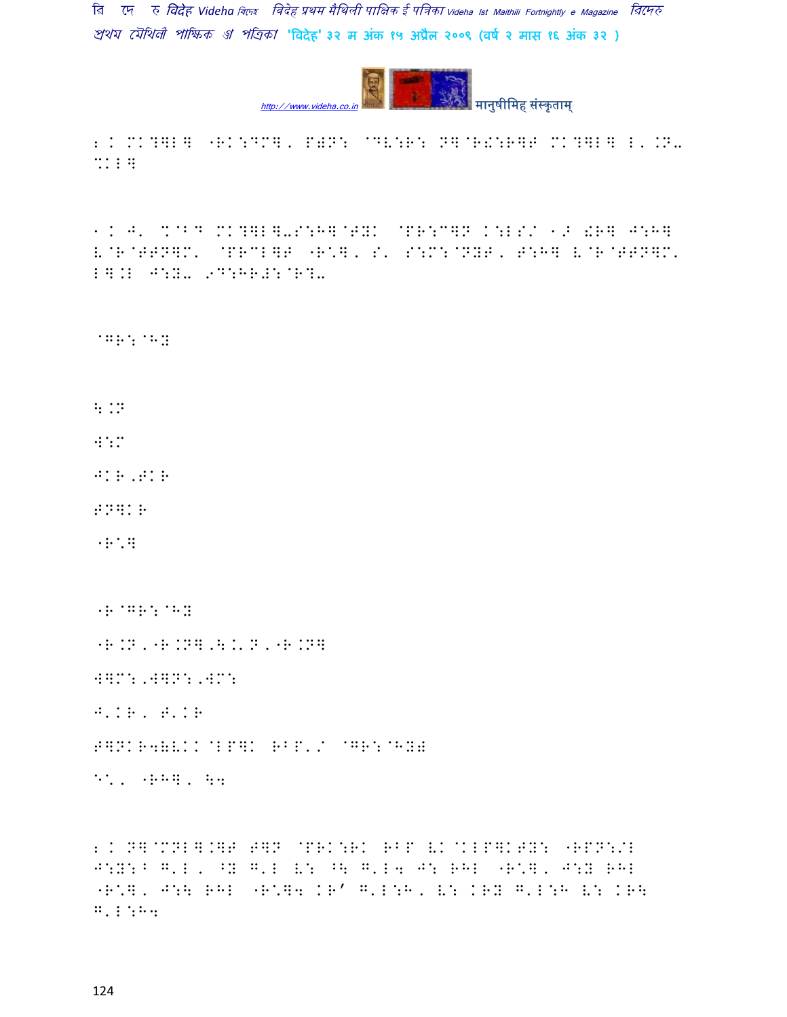

2. MK?]L] "RK:DM], P)N: @DV:R: N]@R!:R]T MK?]L] L'.N-  $\mathbb{R}$ :  $\mathbb{R}$ 

1. J' %@BD MK?]L]-S:H]@TYK @PR:C]N K:LS/ 1> !R] J:H] V@R@TTN]M' @PRCL]T "R\*], S' S:M:@NYT, T:H] V@R@TTN]M' LOCAL DECAY REPORT OF THE SERVICE OF THE SERVICE OF THE SERVICE OF THE SERVICE OF THE SERVICE OF THE SERVICE O

@GR:@HY

 $\ddot{\mathbf{h}}$  :  $\mathbf{N}$ 

W:M

JKR,TKR

**BOSH** 

 $\cdot$  R  $\cdot$  R  $\cdot$ 

 $R$  reads to the Hy

"R.N,"R.N],\.'N,"R.N]

W:,W;,W;,W;,W;,W;

J'KR, T'KR

T]NKR4(VKK@LP]K RBP'/ @GR:@HY)

 $E_{\rm{eff}}$   $\sim$   $\mu$   $\mu$ ,  $\mu$ 

2. N]@MNL].]T T]N @PRK:RK RBP VK@KLP]KTY: "RPN:/L J:Y:^ G'L, ^Y G'L V: ^\ G'L4 J: RHL "R\*], J:Y RHL "R\*], J:\ RHL "R\*]4 KR' G'L:H, V: KRY G'L:H V: KR\  $H_1$ : Hanger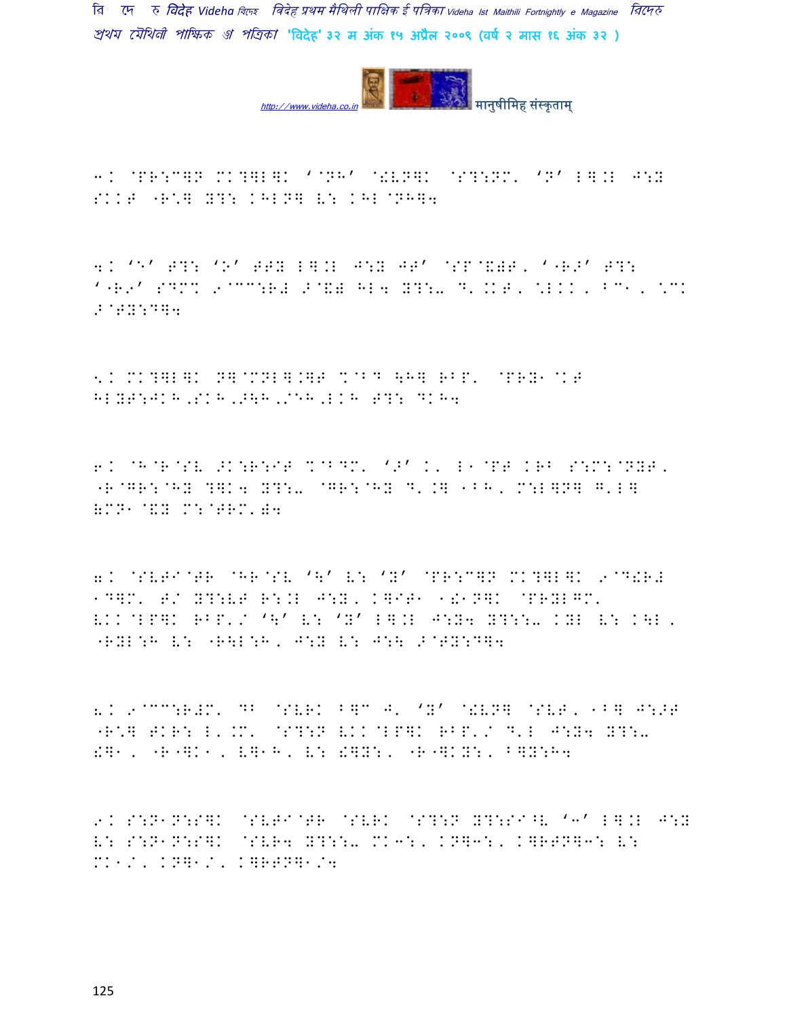

3. @PR:C]N MK?]L]K '@NH' @!VN]K @S?:NM' 'N' L].L J:Y SKKET "RAKT" Y: KHLANDER SKATTER VI

4. 'E' T?: 'O' TTY L].L J:Y JT' @SP@&)T, '"R>' T?: '"R9' SDM% 9@CC:R# >@&) HL4 Y?:- D'.KT, \*LKK, BC1, \*CK >@TY:D]4

5. MK?]L]K N]@MNL].]T %@BD \H] RBP' @PRY1@KT HISH:DKH, SHH, JOHN T?: DETENTING

6. @H@R@SV >K:R:IT %@BDM' '>' K' L1@PT KRB S:M:@NYT, "R@GR:@HY ?]K4 Y?:- @GR:@HY D'.] 1BH, M:L]N] G'L] (MN) MORE MANAGEMENT

7. @SVTI@TR @HR@SV '\' V: 'Y' @PR:C]N MK?]L]K 9@D!R# 10980, P. Grande Bald, Party Capel, P. J. (Party Capel) ROD METHOD PYELO (MH) RA (MA) ERGE (PADH) BYDAL COH (RA CHE).  $R$  . Recent recent recent recent recent recent recent recent recent recent recent recent recent recent recent

8. 8. 9@CC:R#M' DR @SVRC BIC:R#M' DR @SVRC DR @SVRC DR @SVRC #1999 "R\*28" R\*28: L'.M' @S?:N YES?:N L'.A' FRENCH REN D'AN SON D'EN D'ANNE !]1, "R"]K1, V]1H, V: !]Y:, "R"]KY:, B]Y:H4

9. S:N1N:S]K @SVTI@TR @SVRK @S?:N Y?:SI^V '3' L].L J:Y V: S:N1N:S]K @SVR4 Y?::- MK3:, KN]3:, K]RTN]3: V: MK1/, KN]1/, KN]1/, KN]1/, KN]1/, KN]1/, KN]1/, KN]1/, KN]1/, KN]1/, KN]1/, KN]1/, KN]1/, KN]1/, KN]1/, KN]1/,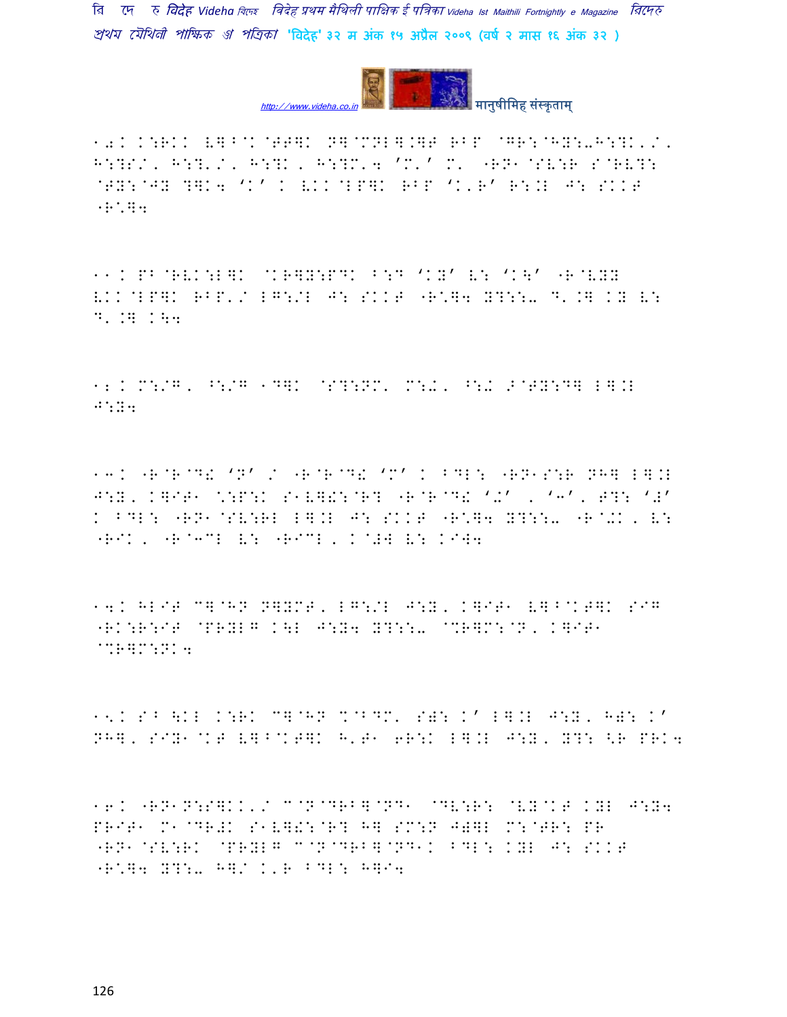

10. K:RKK V]^@K@TT]K N]@MNL].]T RBP @GR:@HY:-H:?K'/, H::S/, H:?S/, Michael (Medicine of Michael Of Medicine of the Soc @TY:@JY ?]K4 'K' K VKK@LP]K RBP 'K'R' R:.L J: SKKT  $\cdot \vdots \cdot \vdots \cdot \cdot \cdot$ 

11. PB@RVK:L]K @KR]Y:PDK B:D 'KY' V: 'K\' "R@VYY VKK@LP]K RBP'/ LG:/L J: SKKT "R\*]4 Y?::- D'.] KY V: D. DE 184

12. M:/G, ^:/G 1D]K @S?:NM' M:+, ^:+ >@TY:D] L].L  $\mathcal{F}:Y_1\times Y_2$ 

13. "R@R@D! 'N' / "R@R@D! 'M' K BDL: "RN1S:R NH] L].L J:Y, K]IT1 \*:P:K S1V]!:@R? "R@R@D! '+' , '3', T?: '#' K BDL: "RONNER" RESERVED TO THE ROOM OF THE SAME TO THE SAME RESERVED TO THE RESERVED TO THE RESERVED TO THE R "RIK, "RESAME RIK" RIKME, I SAME RIK SKAR

14. HLIT CAR CHAR SHARRI LG: PART CAABLE CHART LEED SIGN SIGN "RE: NENPRE COMPOSE ROOTEE (PROBLEM) BOARNEL COOPERD NOW LOOK HREE  $\mathcal{L}$ 

 $15.15 \times 10^{-10}$  RM  $\pm$  15. So  $\pm$  15. So  $\pm$  15. So  $\pm$  15. So  $\pm$  15. So  $\pm$  15. So  $\pm$  15. So  $\pm$ NH], SIY1@KT V]^@KT]K H'T1 6R:K L].L J:Y, Y?: <R PRK4

16. "RN1N:S]KK'/ C@N@DRB]@ND1 @DV:R: @VY@KT KYL J:Y4 PRITH MITHER SINGLE PRITISH SM:N JOHN DR PRINT "RN 1061B1" THERE TO THE ROTE I FAN IIN AN WICK "R\*"4 Y:- HI4" Y:- HI4" Y:- HI4" HI4"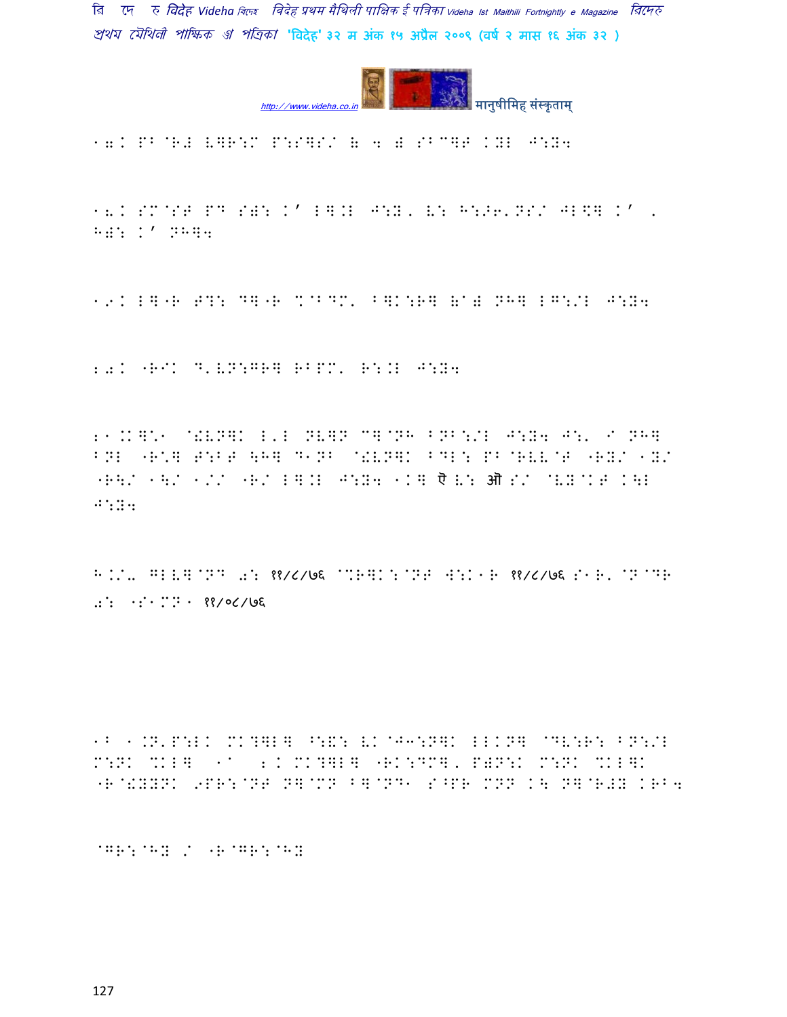

19. Paper Victory Post ( 4 ) Sandwick Concert Concert Concert Concert Concert Concert Concert Concert Concert

18. SM@ST PD S): K' L].L J:Y, V: H:>6'NS/ JL\$] K' , H<sub>il</sub>: *M* NH<sub>14</sub>

19. L]"R T?: D]"R %@BDM' B]K:R] (a) NH] LG:/L J:Y4

20. "RIK D'VN:GR] RBPM' R:.L J:Y4

21.K]\*1 #121.K]\*1 @NH BNB:/L NO.K L'L DEL BERLIN CHE ME TO PRODUCE A PART (PART ) BNL "RANG BALE RRG" TID "MANGEL" FT: BLINNE DE "BAL' KAL' "R\/ 1\/ 1// "R/ L].L J:Y4 1K] ऎ V: ऒ S/ @VY@KT K\L  $4.5H<sub>2</sub>$ 

H./- GLV]@ND 0: ११/८/७६ @%R]K:@NT W:K1R ११/८/७६ S1R'@N@DR  $\therefore$   $\therefore$   $\therefore$   $\therefore$   $\therefore$   $\frac{1}{2}$   $\therefore$   $\frac{1}{2}$   $\frac{1}{2}$   $\frac{1}{2}$   $\frac{1}{2}$   $\frac{1}{2}$   $\frac{1}{2}$   $\frac{1}{2}$   $\frac{1}{2}$   $\frac{1}{2}$   $\frac{1}{2}$   $\frac{1}{2}$   $\frac{1}{2}$   $\frac{1}{2}$   $\frac{1}{2}$   $\frac{1}{2}$   $\frac{1}{2}$   $\frac{1}{2}$   $\frac{1$ 

1B 1.N'P:LK MK?]L] ^:&: VK@J3:N]K LLKN] @DV:R: BN:/L MINI MILL 1a 2. MKCHING 1999 NATIONAL POPULATION AND MILL  $R$  Radian series the neutron between the three controls of  $R$ 

@GR:@HY / "R@GR:@HY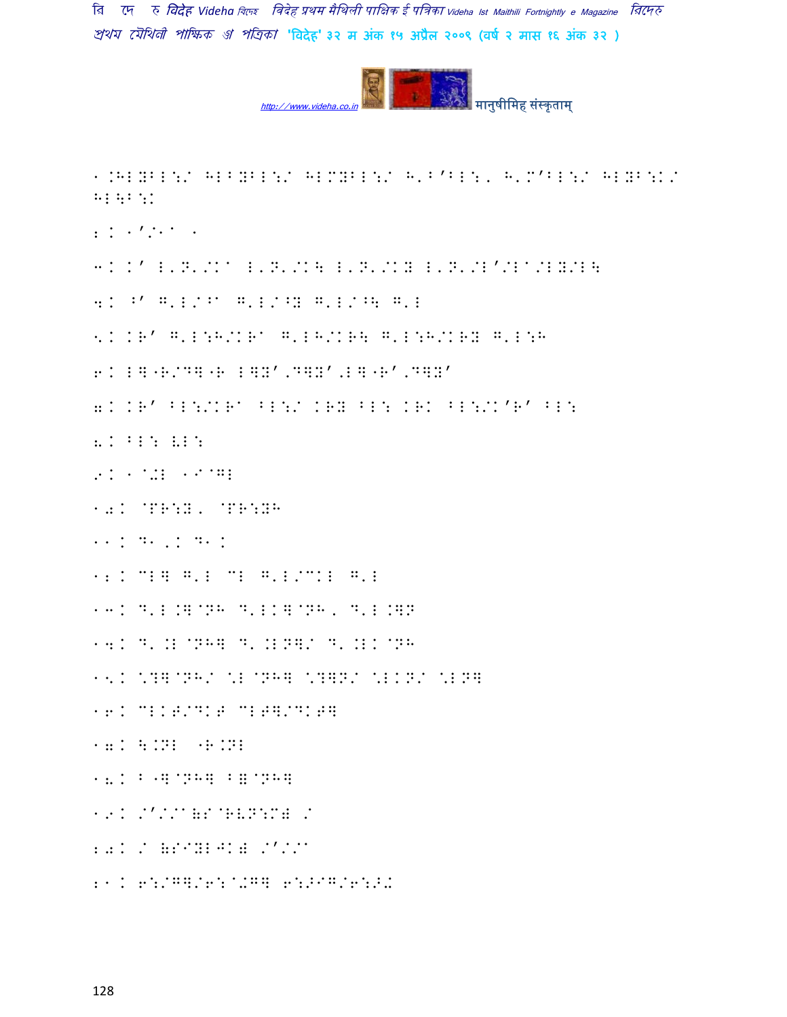

1.HLYBL:/ HLBYBL:/ HLMYBL:/ H'B'BL:, H'M'BL:/ HLYB:K/  $H$ :  $H$ :  $H$ :

2. 1'/1a 1

3. K' L'N'/Ka L'N'/K\ L'N'/KY L'N'/L'/La/LY/L\

 $4.1$  GY G, EVI G, EVI G, EVI G, EVI G, EVI

5. KR' G'L:H/KRa G'LH/KR\ G'L:H/KRY G'L:H

6. LO ROSE REPORT REPORT RELEASED A LIMITED AND RELEASED AT LINE REPORT RELEASED AT LINE REPORT RELEASED AT LI

7. KR' BL:/KRa BL:/ KRY BL: KRK BL:/K'R' BL:

8. BL: VL:

 $9.1 + 1.1 + 1.1 = 1.1 = 1.1$ 

10. @PR:Y, @PR:Y, @PR:Y, @PR:Y, @PR:Y, @PR:Y, @PR:Y, @PR:Y, @PR:Y, @PR:Y, @PR:Y, @PR:Y, @PR:Y, @PR:Y, @PR:Y, @PR:Y, @PR:Y, @PR:Y, @PR:Y, @PR:Y, @PR:Y, @PR:Y, @PR:Y, @PR:Y, @PR:Y, @PR:Y, @PR:Y, @PR:Y, @PR:Y, @PR:Y, @PR:Y, @

11. D1,. D1.

12. CL] G'L CL G'L/CKL G'L

13. D'L.]@NH D'LK]@NH, D'L.]N

14. D'.L@NH] D'.LN]/ D'.LK@NH

15. \*?]@NH/ \*L@NH] \*?]N/ \*LKN/ \*LN]

16. CLKT/DKT CLT]/DKT]

17. \.NL "R.NL

18. B"]@NH] B=@NH]

19. /'//a(S@RVN:M) /

20. / (SIYLJK) /'//a

21. 6:/G]/6:@+G] 6:>IG/6:>+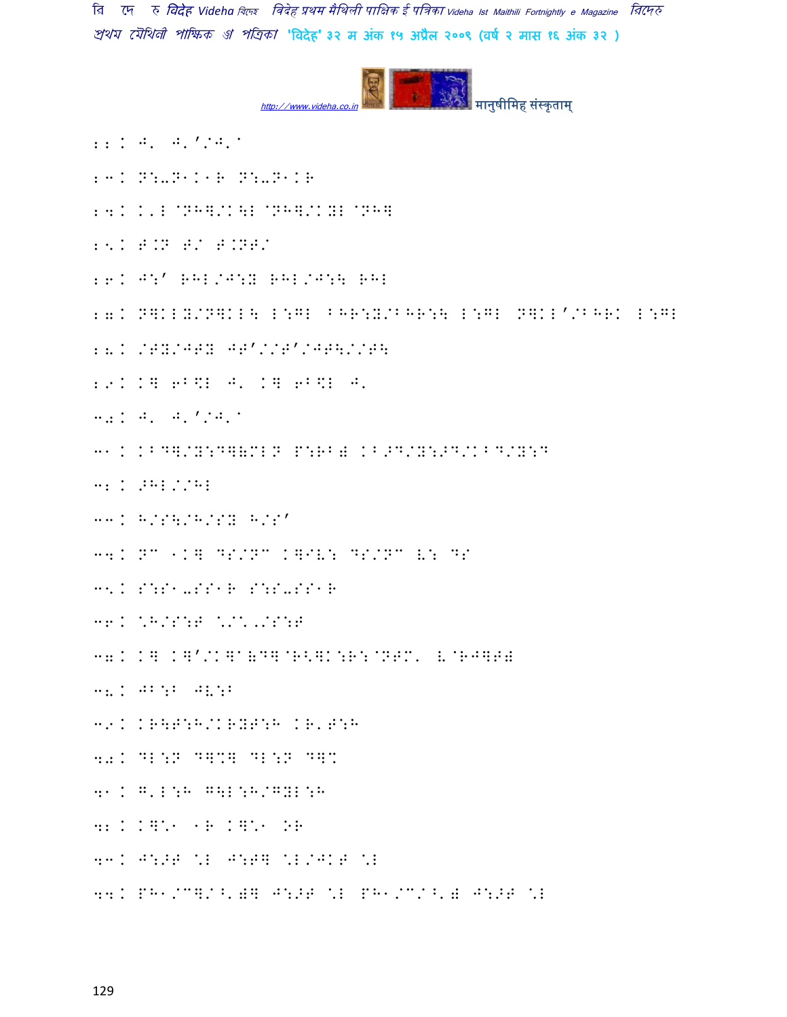

- 22. J' J', J', Z', J', J'
- 23. N:-N1K1R N:-N1KR
- 24. K'L@NH]/K'L@NH]/KYL@NH]/KYL@NH]/KYL@NH]/KYL@NH]/KYL@NH]/KYL@NH
- 25. T.N T/ T.NT/
- : 0 7 447 PHILFFIN PHILFFIN PHI
- 27. N]KLY/N]KL\ L:GL BHR:Y/BHR:\ L:GL N]KL'/BHRK L:GL
- 28. /TY/JTY JT'//T'/JT\//T\
- 20. KI CH (1998) HOMES AND HOMES ARE SERVED AND MELTIC AND ARRESTS AND ARRESTS AND ARRESTS AND ARRESTS AND ARR
- 30. J' J''/J'a
- 31. KBD]/Y:D](MLN P:RB)/Y:D](MLN P:RB)/Y:D](MLN P:RB)/Y:D](MLN P:RB)/Y:D](MLN P:RB)/Y:D](MLN P:RB)/Y:D](MLN P:<br>(2002) KBD]/Y:D](MLN P:RB)/Y:D](MLN P:RB)/Y:D](MLN P:RB)/Y:D](MLN P:RB)/Y:D](MLN P:RB)/Y:D](MLN P:RB)/Y:D](MLN
- 32. >HL//HL
- 33. H/ST H/SY H/SY
- 44. NC 16. NC 16. NC 16. NC 16. NC 16. NC 16. NC 16. NC 16. NC 16. NC 16. NC 16. NC 16. NC 16. NC 16. NC 16. N
- 35. S:S1-SS1-SS1R S:S1-SS1R S:S-SS1R S:S-SS1R S:S-SS1R S:S-SS1R S:S-SS1R S:S-S
- 36. \*H/S:T \*/\*,/S:T
- 37. K] K]'/K]a(D]@R<]K:R:@NTM' V@RJ]T)
- $38.1$   $\overline{38.1}$   $\overline{38.1}$   $\overline{38.1}$
- 
- 39. KR\T:H/KRYT:H KR'T:H
- 

41. COMPANY GALLERY COMPANY GALLERY

- 
- 
- 
- 
- 
- 
- 
- 
- 
- 
- 
- 
- 
- 
- 
- 
- 
- 
- 
- 
- 
- 
- 
- 
- 
- 
- 40. DL:N D]%] DL:N D]%
- 
- 

44. PH1/C]/^')] J:>T \*L PH1/C/^') J:>T \*L

42. K]\*1 1R K]\*1 OR

- 
- 
- 44. J:AND: J:T #N J:T #L
	-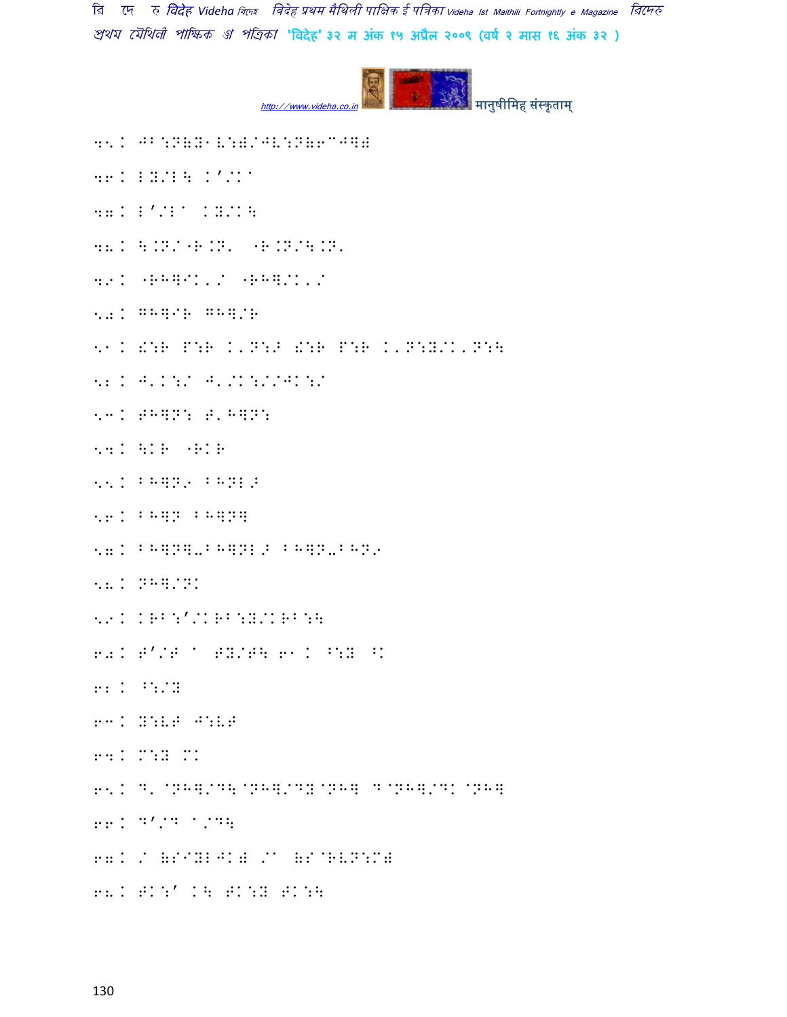

- 45. JB:N(Y1V:)/JV:N(6CJ])
- 46. LY/L\ K'/Ka
- 48. L'E/LE KY/KONST
- 48. \.N/"R.N' "R.N/\.N'
- 49. "RH]IK'/ "RH]/K'/
- $5.50$  GHIPS CHINES
- 51. !:R P:R K'N:> !:R P:R K'N:Y/K'N:\
- 52. J'K:/ J'/K://JK:/
- 53. THE TERM IS TO THE THE TERM IS TO
- 54. **54. SEP 84. SEP 84. SEP 84. SEP 84. SEP 84.**
- 55. BHNL-BHNL
- 56. BH]N BH]N]
- 57. BH]N]-BH]NL> BH]N-BHN9
- 58. NH]/NK
- 59. KRB:'/KRB:Y/KRB:\
- 60. T'/T a TY/T\ 61. ^:Y ^K
- 62. ^:/Y
- 63. Y:VT J:VT
- 64. M:Y MK
- 65. D'@NH]/D\@NH]/DY@NH] D@NH]/DK@NH]
- 66. D'/D a/D\
- 67. / (SIYLJK) /a (S@RVN:M)
- 68. TK:' K\ TK:Y TK:\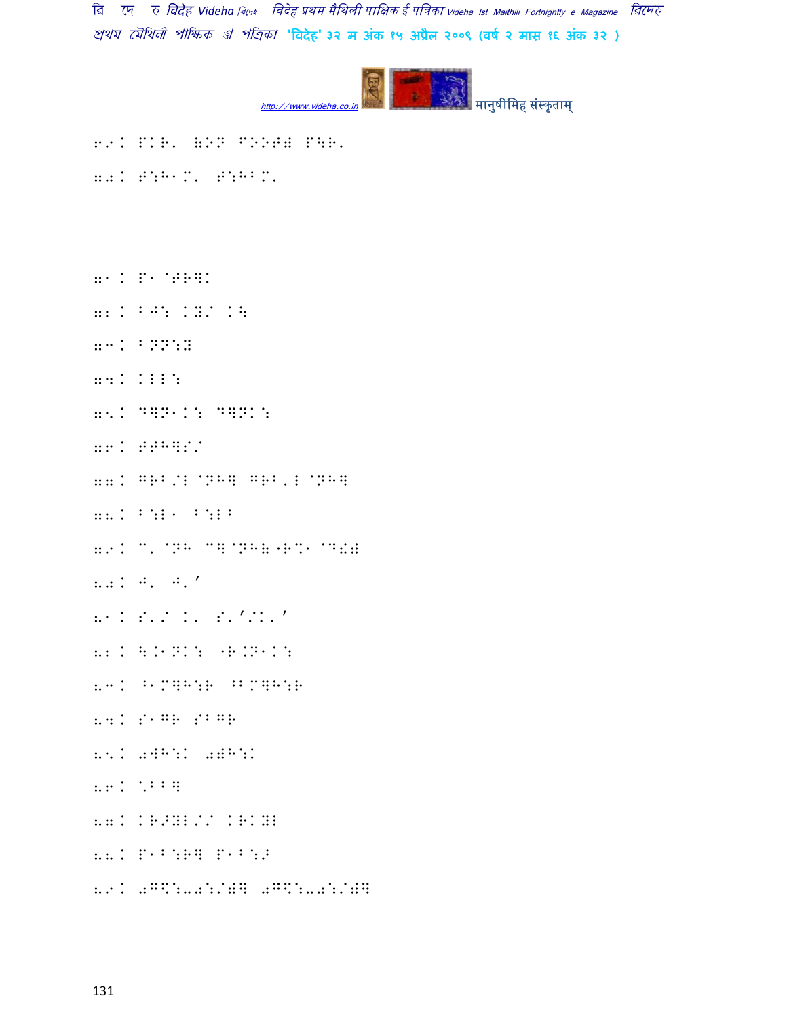

69. PKR' (ON FOOT) P\R' 70. T:H1M' T:HBM'

71. P1@TR]K

72. BJ: KY/ K\

73. BNN:Y

74. KLL:

75. D]N1K: D]NK:

76. TTH]S/

77. GRB/L@NH] GRB'L@NH]

78. B:L1 B:LB

79. C'@NH C]@NH("R%1@D!)

 $\mathbb{E}[\mathbb{E}[\mathbb{E}^{(1)}] \mathbb{E}^{(2)}] = \mathbb{E}[\mathbb{E}^{(1)}] \mathbb{E}^{(1)}$ 

881. S'/ K' S'/K'/K'/K'

82. \.1. \.1\.1\.1NK: \.1NK: \.1NK: \.1NK: \.1NK: \.1NK: \.1NK: \.1NK: \.1NK: \.1NK: \.1NK: \.1NK: \.1NK: \.1N

83. ^1M}H:R ^2M}H:R ^3M}H:R ^3M}H:R ^3M}H:R ^3M}H:R ^3M}H:R ^3M}H:R ^3M}H:R ^3M}H

84. S1GR SBGR

85. 0WH:K 0)H:K

86. \*BB]

888. KRASHAVL/ KRYST

88. PHONE PHONE PHONE PHONE PHONE PHONE PHONE PHONE PHONE PHONE PHONE PHONE PHONE PHONE PHONE PHONE PHONE PHONE PHONE PHONE PHONE PHONE PHONE PHONE PHONE PHONE PHONE PHONE PHONE PHONE PHONE PHONE PHONE PHONE PHONE PHONE PH

89. 0G\$:-0:/)] 0G\$:-0:/)]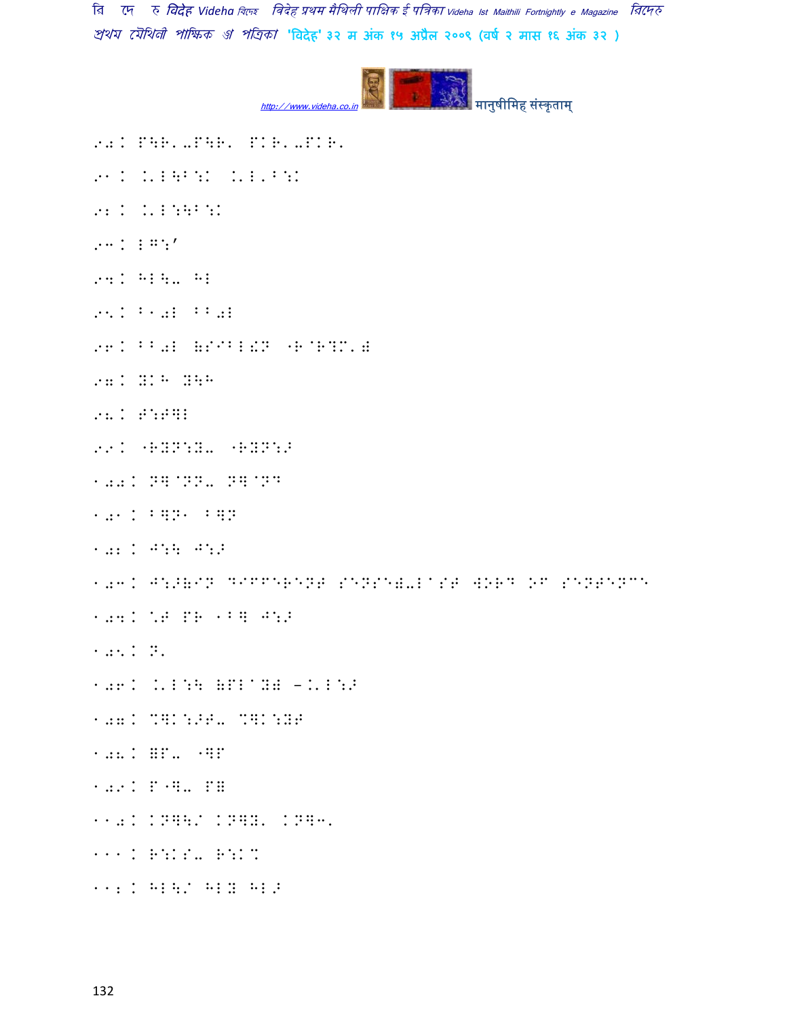

- 90. PRINT PRINT PRINT PRINT
- 91. .'L\B:K .'L'B:K
- 92. .'L:\B:K
- 93. LG:'
- 94. HL+1. HL
- 95. B10L BB0L
- 96. BB0L (SIBL!N "R@R?M')
- 97. YKH Y\H
- 98. T:T]L
- 99. "RYN:Y- "RYN:>
- 100. N]@NN- N]@ND
- 101. B]N1 B]N
- 102. J:\ J:>
- 103. J:>(IN DIFFERENT SENSE)-LaST WORD OF SENTENCE
- 104. \* T PR 194. \* T PR 194. \* T PR 194. \* T PR 194. \* T PR 194. \* T PR 194. \* T PR 194. \* T PR 194. \* T PR 19
- 105. New York
- 106. .'L:\ (PLaY) –.'L:>
- 107. %]K:>T- %]K:YT
- 108. =P- "]P
- 109. P"]- P=
- 110. KNJ KO KO KO KO KUTOKA NA MARAZI
- 111. R:KS- R:KS- R:KS- R:KS- R:KS- R:KS- R:KS- R:KS- R:KS- R:KS- R:KS- R:KS- R:KS- R:KS- R:KS- R:KS- R:KS- R:K
- 112. HLAV HLY HLY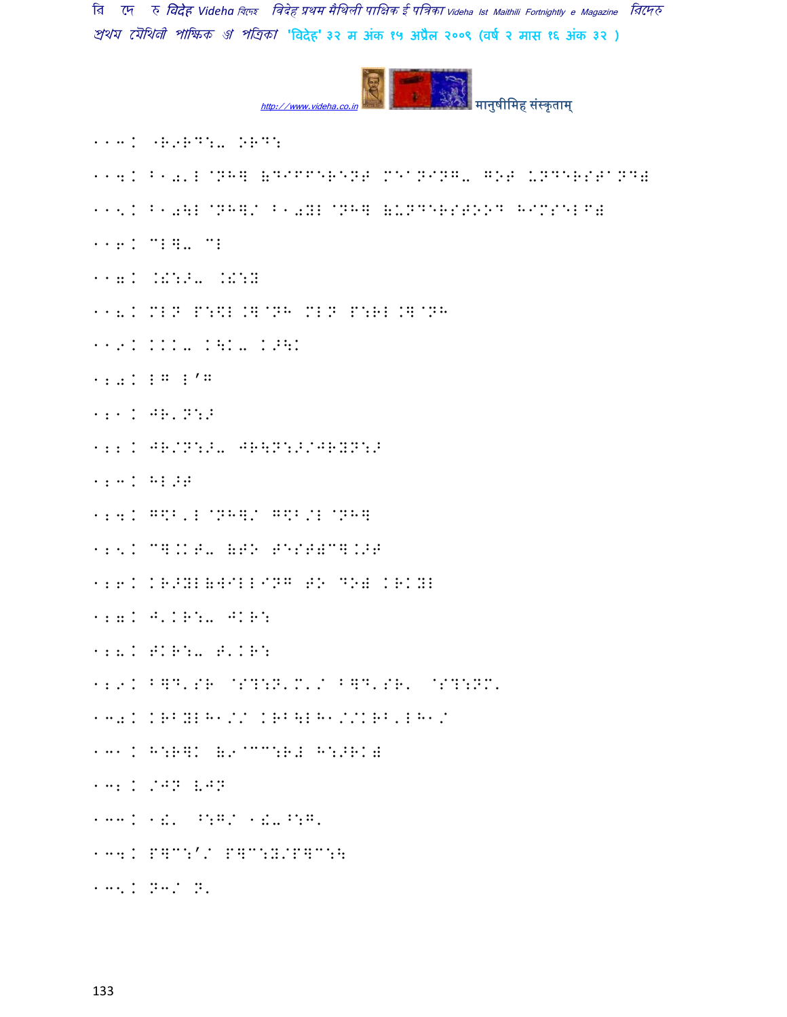

113. "PRODUCTS"

- 114. B10'L@NH] (DIFFERENT MEaNING- GOT UNDERSTaND)
- 115. B10\L@NH]/ B10YL@NH] (UNDERSTOOD HIMSELF)
- 116. CLI CLI
- 117. .!:>- .!:Y
- 118. MLN P:\$L.]@NH MLN P:RL.]@NH
- 119. KKK- KAKA- KARA KAT
- 120. LG L'G
- 121. JR'N: JP
- 122. JR/N:>- JR\N:>/JRYN:>
- $123.$  HL $23.$
- 124. G\$B'L@NH]/ G\$B/L@NH]
- 125. C].KT- (TO TEST)C].>T
- 126. KR>YL(WILLING TO DO) KRKYL
- 127. J'KR:- JKR:
- 128. TKR: TKR: TKR:
- 129. B]D'SR @S?:N'M'/ B]D'SR' @S?:NM'
- 130. KRBYLHIJA NA MARSKI HIMA DO DRUGI HIMA DO DRUGI HIMA DO DRUGI HIMA DO DRUGI HIMA DO
- 131. H:R]K (9@CC:R# H:>RK)
- 132. /JAN 3137
- 133. 133. 133. 133. 133. 133.
- 134. PHT:// PHT:B/PHT:H

135. N3/ N'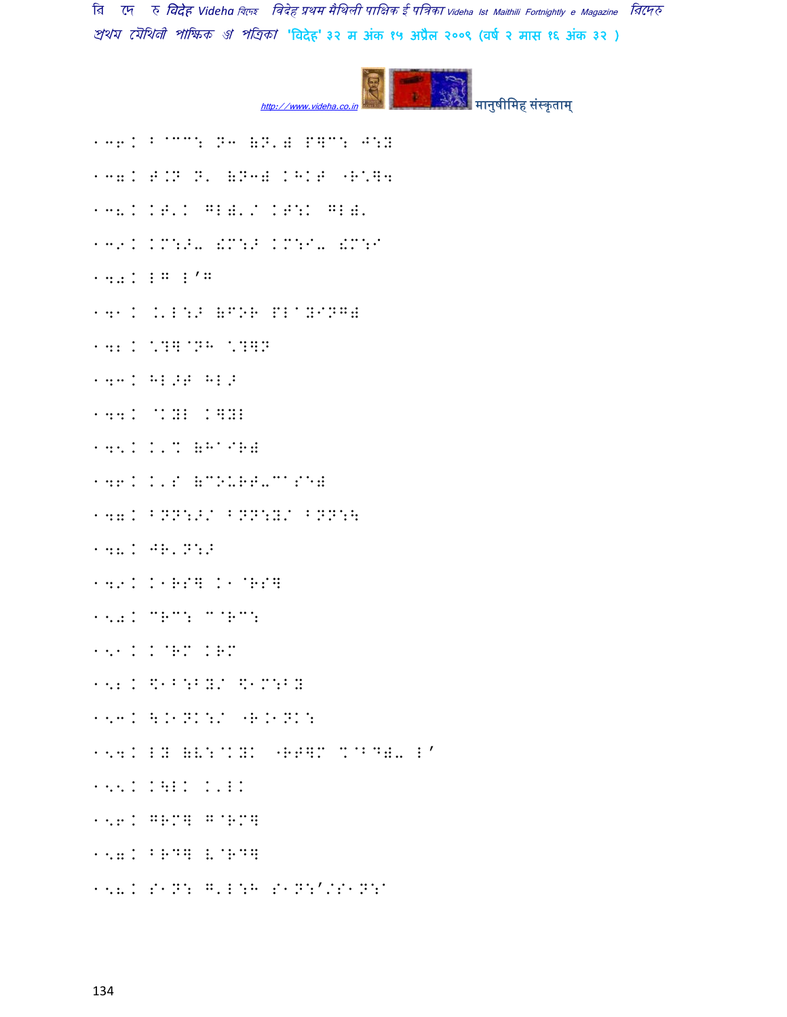

- 136. B<sup>a</sup>c: 136. Bac: 13 (13 (13 (13 (13 )
- 137. T.N N' (N3) KHKT "R\*]4
- 138. KT'K GL)' (KTER) GESK
- 139. KM:>- !M:> KM:I- !M:I
- 140. LG L'G
- 141. .'L:> (FOR PLaYING)
- 142. \*?]@NH \*?]N
- 143. HLP HLP
- 144. @KYL K]YL
- 145. K' (Hair) (Hair) (Hair) (Hair) (Hair) (Hair) (Hair) (Hair) (Hair) (Hair) (Hair) (Hair) (Hair) (Hair) (Hai
- 146. K'S (COURT-CASE)
- 147. BNN:>/ BNN:Y/ BNN:\
- 148. JR'N: 1992
- 149. K1RS] K1@RS]
- 150. CRC: C@RC:
- 151. K@RM KRM
- 152. \$1B:BY/ \$1M:BY
- 153. \.1NK:/ "R.1NK:
- 154. LY (V:@KYK "RT]M %@BD)- L'
- 155. K.A.K. K.A.K.
- 156. GRM] G@RM]
- 157. BRD] V@RD]
- 158. S1N: G'L:H S1N:'/S1N:a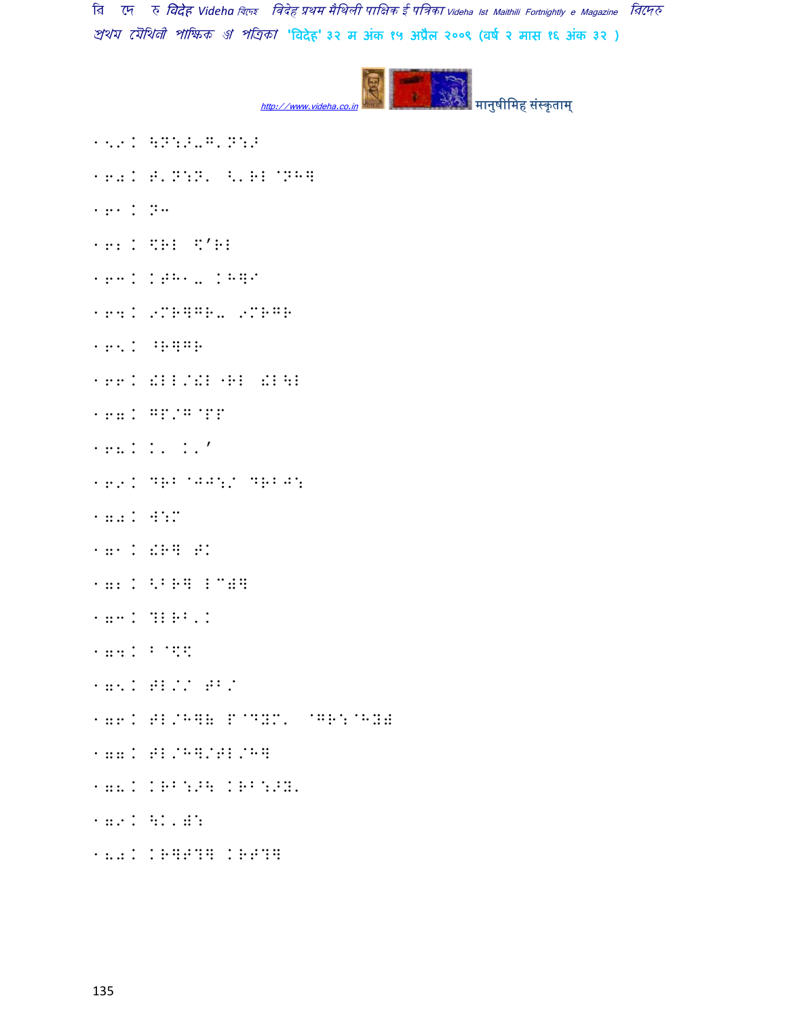

- 159. \N:>-G'N:>
- 160. T'N:N' C'ALDI
- 161. N3
- 1<sub>02</sub>. **192. \$PEE**
- 163. KTH1- KH]I
- 164. 9MR]GR- 9MRGR
- 165. ^R]GR
- 166. In Princeton, 196. In Princeton, 196. In Princeton, 196. In Princeton, 196. In Princeton, 196. In Princet
- 1<sub>67</sub>. GPP/W199
- $168.141 \cdot 1000$
- 169. DRB@JJ:/ DRBJ:
- 170. W:M:M:M
- 171. ISBN 91
- 172. <BR] LC)]
- 1<sub>33</sub>. ?LRB'K
- 174. B@\$\$
- 175. TL// TB/
- 176. TL/H]( P@DYM' @GR:@HY)
- 177. TL/H]/TL/H]
- 178. KRB: YOU ARE A REPORTED
- $179. \pm 17. \pm 17. \pm 17.$
- 180. KR]T?] KRT?]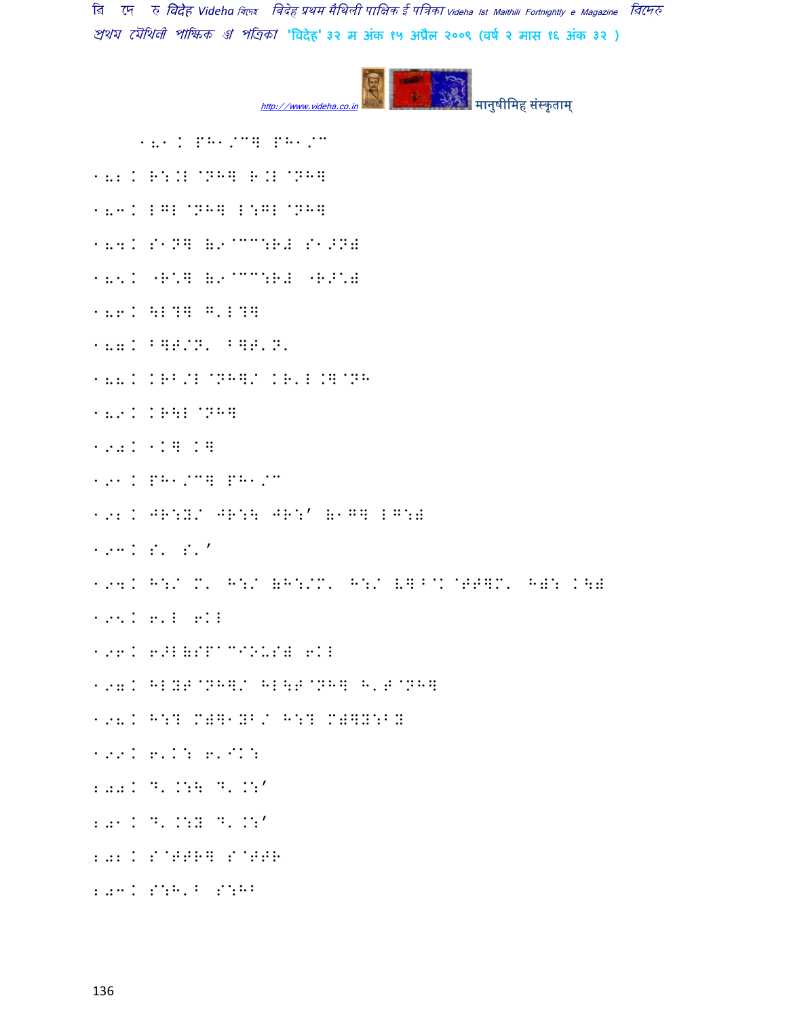

181. PH1/C] PH1/C

- 182. R:.L@NH] R.L@NH]
- 183. LGL@NH] L:GL@NH]
- 184. S1N] (9@CC:R# S1>N)
- 185. "R\*] (9@CC:R# "R>\*)
- 186.  $\ldots$  God and  $\ldots$  God and  $\ldots$
- 187. BILLIAN STREET
- 188. KRB/L@NH]/ KR'L.]@NH
- 189. KR\L@NH]
- 190. 1K] K]
- 191. PH1/C] PH1/C
- $192.1$  JR:YO (1G): (1G) JR:Y (1G): (1G):
- 1930. ST ST ST ST ST ST
- 194. H:/ M' H:/ (H:/M' H:/ V]^@K@TT]M' H): K\)
- 195. 6'E 6KL
- 196. 6>L(SPaCIOUS) 6KL
- 197. HLYT@NH]/ HL\T@NH] H'T@NH]
- 198. H:? M)]1YB/ H:? M)]Y:BY
- 199. 6'K: 6'IK:
- 200. D'.:\ D'.:'
- 201. D'.:Y D'.:'
- 202. S@TTR] S@TTR
- 203. S:H'B S:HB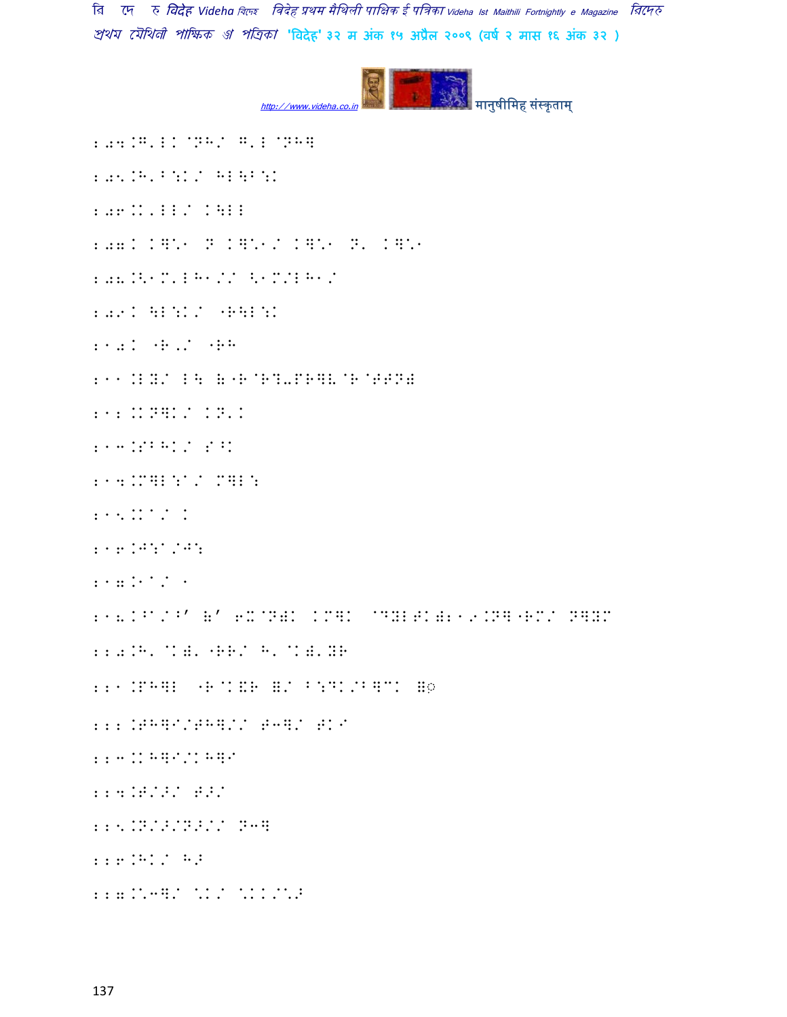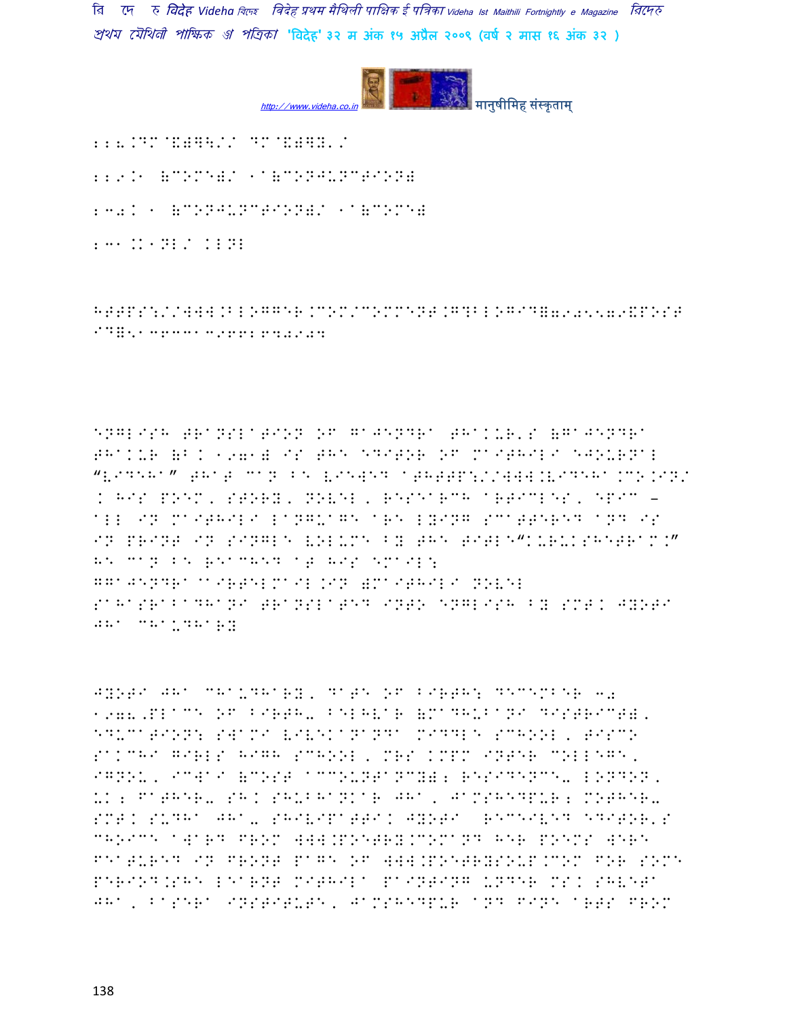JYOTI JHa CHaUDHaRY, DaTE OF BIRTH: DECEMBER 30 1978,PLaCE OF BIRTH- BELHVaR (MaDHUBaNI DISTRICT), EDUCaTION: SWaMI VIVEKaNaNDa MIDDLE SCHOOL, TISCO SAKCHI GIRLS HIGH SCHOOL, MRS KOMPO INTER COLLEGE, IGNOU, ICWaI (COST aCCOUNTaNCY); RESIDENCE- LONDON, UK; FaTHER- SH. SHUBHaNKaR JHa, JaMSHEDPUR; MOTHER-SMT. SUPHO AROU SHALAM BEOG AGGER (BOTOGLOB OPARELS CHOICE aWaRD FROM WWW.POETRY.COMaND HER POEMS WERE FEaTURED IN FRONT PaGE OF WWW.POETRYSOUP.COM FOR SOME PERIOD.SHE LEaRNT MITHILa PaINTING UNDER MS. SHVETa JHa, BaSERa INSTITUTE, JaMSHEDPUR aND FINE aRTS FROM

"VIDEHa" THaT CaN BE VIEWED aTHTTP://WWW.VIDEHa.CO.IN/ . HIS POEM, STORY, NOVEL, RESEaRCH aRTICLES, EPIC – all in the language are lying the lines of the lying scattering scattering scattering scattering scattering sc IN PRINT IN SINGLE VOLUME BY THE TITLE"KURUKSHETRaM." HE CAN BE REACHED AT HIS EMAIL: GGANGENDRAGEN IN DIE LANGSCHAAIRTEN IN 19 SAHASRABADHANI TRANSLATED INTO ENGLISH BY SMT. JYOTI TAGGAR JHa CHaUDHaRY

ENGLISH TRaNSLaTION OF GaJENDRa THaKUR'S (GaJENDRa THaKUR (B. 1971) IS THE EDITOR OF MaITHILI EJOURNaL

HTTPS://WWW.BLOGGER.COM/COMMENT.G?BLOGID=7905579&POST ID: THE STRIP STRIP STRIP STRIP STRIP STRIP STRIP STRIP STRIP STRIP STRIP STRIP STRIP STRIP STRIP STRIP STRIP

229.1 (COME)/ 1a(CONJUNCTION)

230. 1 (CONJUNCTION)/ 1a(COME)

228.DM@&)]\// DM@&)]Y'/

231.K1NL/ KLNL

http://www.videha.co.in **महिले जिल्लाम्** 

िव दिन दि<mark>विदेह Videha</mark> विक्त्र विदेह प्रथम मैथिली पाक्षिक ई पत्रिका Videha Ist Maithili Fortnightly e Magazine *विC*FE

õथम मैिथली पािक्षक ई पिñका **'**िवदेह**'** ३२ म अंक १५ अĤैल २००९ (वष र् २ मास १६ अंक ३२ )

138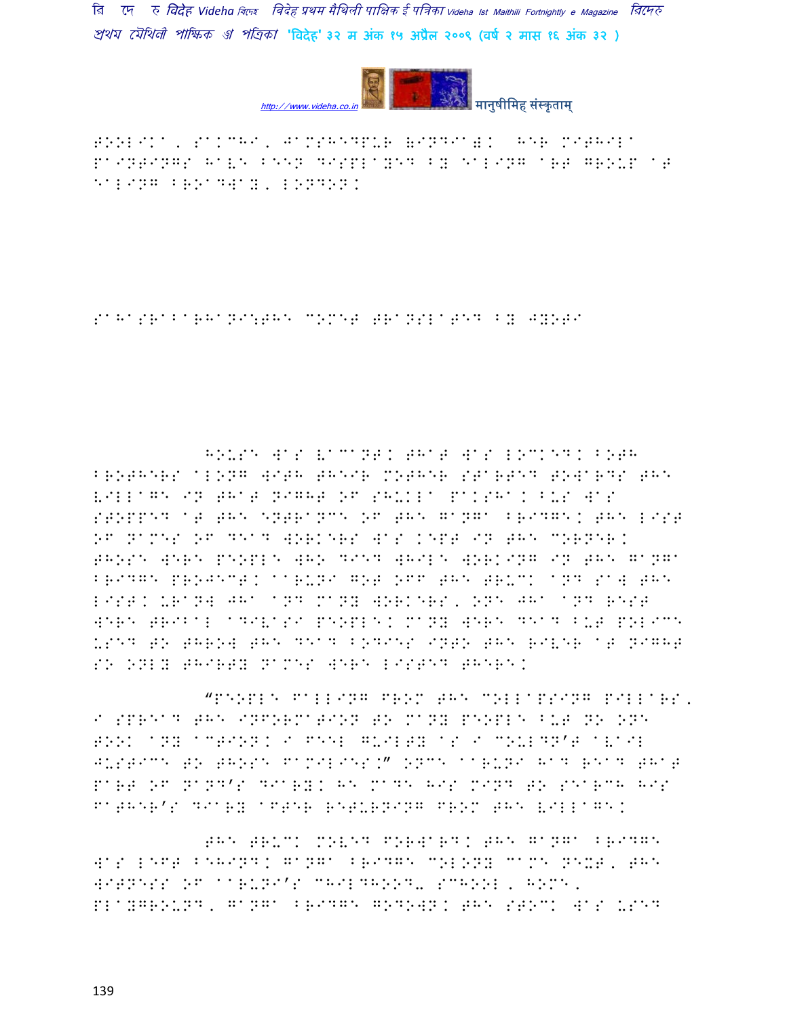THE TRUCK MOVED FORWaRD. THE GaNGa BRIDGE Was Left Behind. Ganga Behind. Ganga Bang Colony Came Next, The Second Came Next, The Second WITHESS OF A RUNISING CHILDHOOD, SCHOOL, HOME, PLAYGROUND, GANGA BRIDGE GODOWN. THE STOCK WAS USED STOCK WAS USED AS USED ON A USED ON A USED ON MALLER WAS U

 "PEOPLE FaLLING FROM THE COLLaPSING PILLaRS, I SPREaD THE INFORMaTION TO MaNY PEOPLE BUT NO ONE TOOK aNY aCTION. I FEEL GUILTY aS I COULDN'T aVaIL JUSTICE TO THOSE FaMILIES." ONCE aaRUNI HaD REaD THaT PaRT OF NaND'S DIaRY. HE MaDE HIS MIND TO SEaRCH HIS FaTHER'S DIaRY aFTER RETURNING FROM THE VILLaGE.

 HOUSE WaS VaCaNT. THaT WaS LOCKED. BOTH BROTHERS IN THE START WITH TOWARDS THE RAIN WITH THE WITH THE BRITAGE RIVE IN THAT SHUKLA PAKSHA. BUS WAS WAS STOPPED AT THE ENTRANCE OF THE GANGA BRIDGE. THE GANGA BRIDGE OF NaMES OF DEaD WORKERS WaS KEPT IN THE CORNER. THOSE WERE PEOPLE WHO DIED WHILE WORKING IN THE GaNGa BRIDGE PROJECT. AARUNI GE OFF BEGIN ARUNI AND SAW THE TRUCK LIST. URaNW JHa aND MaNY WORKERS, ONE JHa aND REST WERE TRIBaL aDIVaSI PEOPLE. MaNY WERE DEaD BUT POLICE USED TO THROW THE DEaD BODIES INTO THE RIVER aT NIGHT SO ONLY THIRTY NaMES WERE LISTED THERE.

िव दिन दि विदेह Videha <sub>विष्ट</sub> विदेह प्रथम मैथिली पाक्षिक ई पत्रिका <sub>Videha</sub> Ist Maithili Fortnightly e Magazine *विद*फ्ट õथम मैिथली पािक्षक ई पिñका **'**िवदेह**'** ३२ म अंक १५ अĤैल २००९ (वष र् २ मास १६ अंक ३२ )

TOOLIKa, SaKCHI, JaMSHEDPUR (INDIa). HER MITHILa

SaHaSRaBaRHaNI:THE COMET TRaNSLaTED BY JYOTI

EaLING BROaDWaY, LONDON.

PaINTINGS HaVE BEEN DISPLaYED BY EaLING aRT GROUP aT

http://www.videha.co.in **मान्यु जिल्लाम्**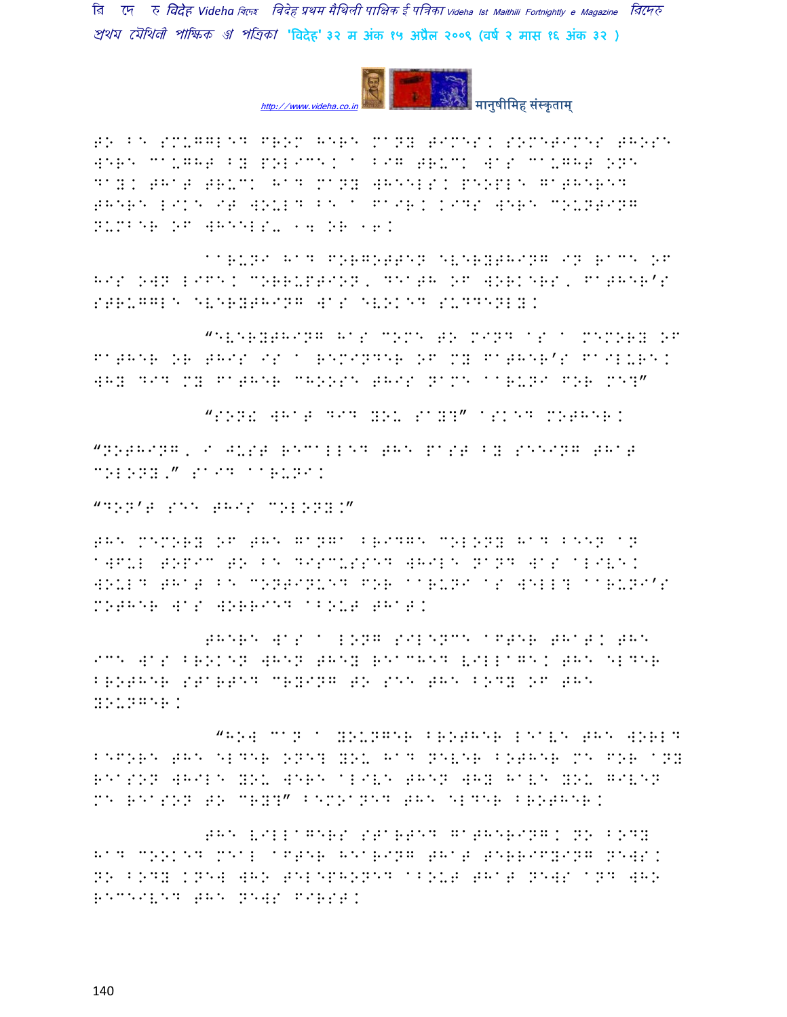ৱি দে হ *বিदेह Videha ৰিদ্*হ *विदेह प्रथम मैथिली पाक्षिक ई पत्रिका Videha Ist Maithili Fortnightly e Magazine বিদেহ* õथम मैिथली पािक्षक ई पिñका **'**िवदेह**'** ३२ म अंक १५ अĤैल २००९ (वष र् २ मास १६ अंक ३२ )



TO BE SMUGGLED FROM HERE MaNY TIMES. SOMETIMES THOSE WERE CAUGHT BY POLICE. A BIG TRUCK WAS CAUGHT ON THE SPECIE DaY. THaT TRUCK HaD MaNY WHEELS. PEOPLE GaTHERED THERE LIKE IT WOULD BE a FaIR. KIDS WERE COUNTING NUMBER OF WHEELS- 14 OR 16.

aaRuni Had Forgotten en aangebeurten en racht HIS OWN LIFE. CORRUPTION, DEaTH OF WORKERS, FaTHER'S STRUGGLE EVERYTHING WAS EVERYTHING WAS EVERYTHING WAS EVERYTHING WAS EVERY AND LOCAL TRANSPORTED TO A 1990 FOR

 "EVERYTHING HaS COME TO MIND aS a MEMORY OF FaTHER OR THIS IS a REMINDER OF MY FaTHER'S FaILURE. WHI DID MI FATHER CHOOSE FATH STILL NAME AAR UNIM

WHOSE ARTHOUGH SON FORM TELEVISHER.

"NOTHING, I JUST RECaLLED THE PaST BY SEEING THaT COLONY, SAID AARUNI

"BON'T SEE THIS COLONY

RECEIVED THE NEWS FIRST.

THE MEMORY OF THE GaNGa BRIDGE COLONY HaD BEEN aN aWFUL TOPIC TO BE DISCUSSED WHILE NaND WaS aLIVE. WOULD THAT BE CONTINUED FOR A RUNI AS WELL? A RUNI AS WELL? A WELL? A RUNI AS WELL? A RUNI AS WELL? A RUNI AS W

MOTHER WaS WORRIED aBOUT THaT.

BROTHER STaRTED CRYING TO SEE THE BODY OF THE

 THERE WaS a LONG SILENCE aFTER THaT. THE ICE WaS BROKEN WHEN THEY REaCHED VILLaGE. THE ELDER

**WOUNDERS** 

WHICH CAN A YOUNGER BROWLED BROWLED THE WORLD BEFORE THE ELDER ONE? YOU HaD NEVER BOTHER ME FOR aNY REASON WHILE YOU WERE ALLOWED WHY WHO WERE WERE WERE WERE ME REaSON TO CRY?" BEMOaNED THE ELDER BROTHER.

HaD COOKED MEaL aFTER HEaRING THaT TERRIFYING NEWS. NO BODY KNEW WHO TELEPHONED aBOUT THaT NEWS aND WHO

THE VILLaGERS STaRTED GaTHERING. NO BODY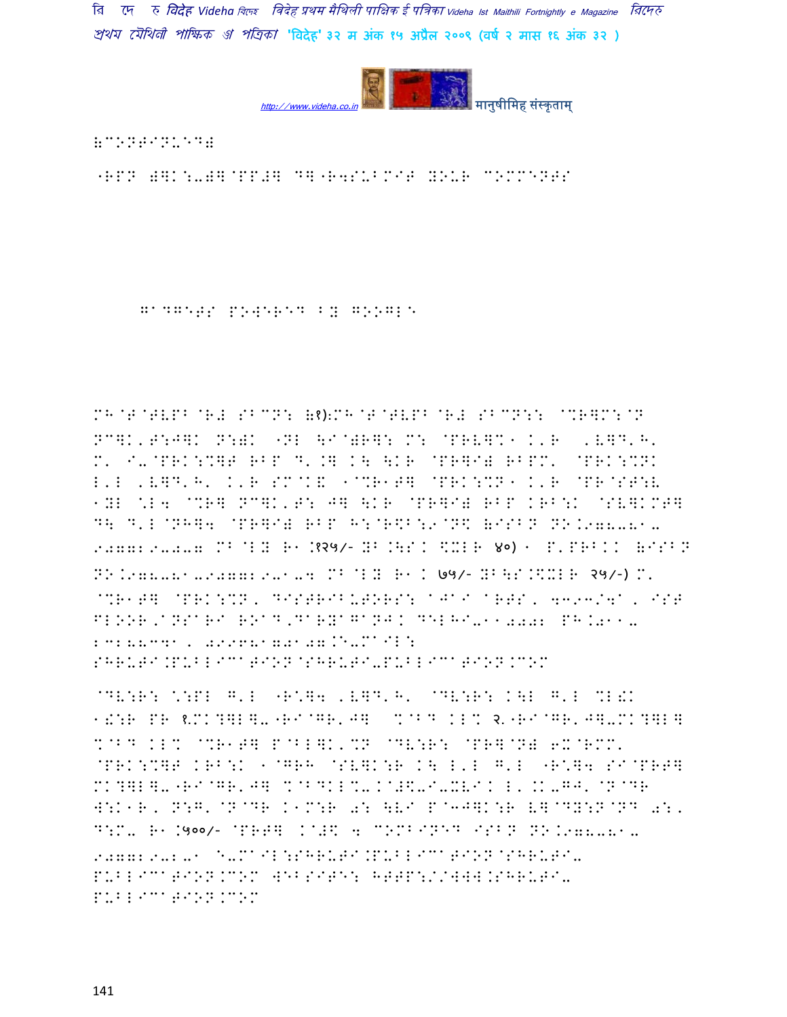@DV:R: \*:PL G'L "R\*]4 'V]D'H' @DV:R: K\L G'L %L!K 1!:R PR १.MK?]L]-"RI@GR'J] %@BD KL% २."RI@GR'J]-MK?]L] %@BD KL% @%R1T] P@BL]K'%N @DV:R: @PR]@N) 6X@RMM' @PRK:%]T KRB:K 1@GRH @SV]K:R K\ L'L G'L "R\*]4 SI@PRT] MK?]L]-"RI@GR'J] %@BDKL%-.@#\$-I-XVI. L'.K-GJ'@N@DR W:K1R, N:G'@N@DR K1M:R 0: \VI P@3J]K:R V]@DY:N@ND 0:, D:M. R1.900/- MPRT . ME A COMBINED ISBN NO.18222-8 907729-2-1 E-MaIL:SHRUTI.PUBLICaTION@SHRUTI-PUBLICaTION.COM WEBSITE: HTTP://WWW.SHRUTI-PUBLICATION COMPANY

90772077207729/2078-0-7 MBD 1077 MBD 2010 1 POST (ISBN 0-707-0-7 MBD 2010) 1 PTP 2  $P$ . No.98.81-81-907729-81-907720729-1-4 MB@LY R1. 057-907-07-907-07-07-07-07-07-07-07-07-07-07-07-0 @%R1T] @PRK:%N, DISTRIBUTORS: aJaI aRTS, 4393/4a, IST FLOOR,aNSaRI ROaD,DaRYaGaNJ. DELHI-110002 PH.011- 23288341, 099681, 099681, 099681, 099681, 099681, 099681, 099681, 099681, 099681, 099681, 099681, 099681, 0996 STRIED PO DIT. PUBLICATION IS TO BE LIFTED AT LOCATION OF THE LITTLE OF THE LITTLE OF THE LITTLE OF THE LITTLE

MHOTE SECOND SECOND AT THE SECOND MANUFACTURE SECOND MANUFACTURE SECOND MANUFACTURE SECOND MANUFACTURE SECOND M NCHE SERVER NORD AND HACHER ON STREET AND ROUNDED SERVER. M' I-@PRK:%]T RBP D'.] K\ \KR @PR]I) RBPM' @PRK:%NK L'E 'VIERL'AL 'CLE SM'HE 'VIESSE 'BRE'SHIR' CLE 'BR'SSE'E 1YL \*L4 @%R] NC]K'T: J] \KR @PR]I) RBP KRB:K @SV]KMT] DA D'LE CRARA D'EBRICE BI PORTENEN NO CRIO BI PER PORTUGELEO.

GaDGETS POWERFED BY GOOGLE

"RPN )]K:-)]@PP#] D]"R4SUBMIT YOUR COMMENTS

(CONTINUED)



िव दिन दि*विदेह Videha वि*क्ट *विदेह प्रथम मैथिली पाक्षिक ई पत्रिका videha Ist Maithili Fortnightly e Magazine विदमह* õथम मैिथली पािक्षक ई पिñका **'**िवदेह**'** ३२ म अंक १५ अĤैल २००९ (वष र् २ मास १६ अंक ३२ )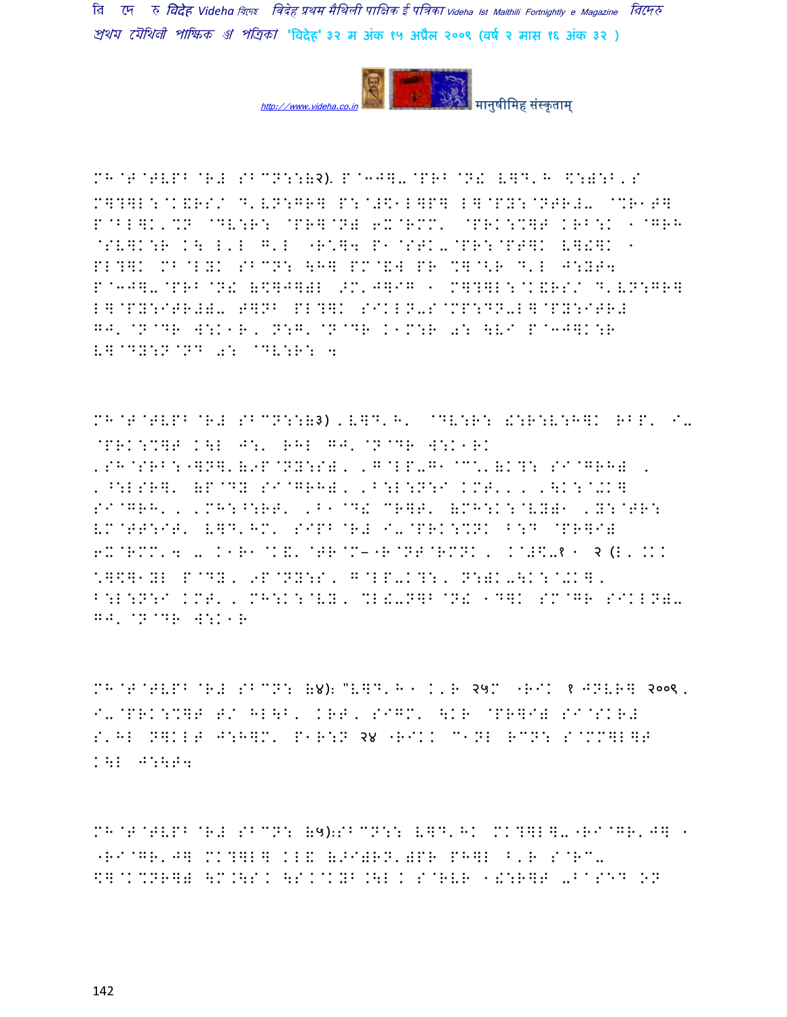

MH TA TABER STRIE SPONDERBRO, ECHAREL TERPOTRE (BRP), ROSTBER (SP MAGARI B: MICHER ZO POLICIA PER PER IN MARKET ARE PER IN A MEDIA LIGAR DO VOR HIRA P@BL]K'%N @DV:R: @PR]@N) 6X@RMM' @PRK:%]T KRB:K 1@GRH  $\mathcal{M}(\mathcal{E},\mathcal{E})$  is a control of  $\mathcal{E}$  . The proposition of  $\mathcal{E}$  is a proposition of  $\mathcal{E}$ PL?]K MB@LYK SBCN: \H] PM@&W PR %]@<R D'L J:YT4 P@3J]-@PRB@N! (\$]J])L >M'J]IG 1 M]?]L:@K&RS/ D'VN:GR] L]@PY:ITR#)- T]NB PL?]K SIKLN-S@MP:DN-L]@PY:ITR# GRAN OR TREASANT AGUS DR REACTED TO A DREASANT GROUP TO THARD NE V]@DY:N@ND 0: @DV:R: 4

MH TO TO E SPECIAL SPACES (1999) 'VIDEO'S INDICATE IN DISPOSITION OF EXAMPLE IN THE UNION OF THE UNION OF THE @PRK:%]T K\L J:' RHL GJ'@N@DR W:K1RK 'SH@SRB:"]N]'(9P@NY:S), 'G@LP-G1@C\*'(K?: SI@GRH) , '^:LSR]' (P@DY SI@GRH), 'B:L:N:I KMT'', '\K:@+K] SI@GRH', 'MH:^:RT' 'B1@D! CR]T' (MH:K:@VY)1 'Y:@TR: W. THE VARY WERE INDICATED AND DEVELOPED AND DEPENDENT INDICATED AND INTERFERING INTO  $\mathcal{D}$ 6X@RMM'4 - K1R1@K&'@TR@M–"R@NT@RMNK, .@#\$-१ 1 २ (L'.KK \*1YAR POST PORT AN INDIANAL PORT PUT THE STRAIN STATE ON THE ST B:N: NORNA (100 MB), MORNI NORD, MORNI 1D, BOLI SIKLA)- SAME SAME SAME DELI GJ'@N@DR W:K1R

MH TO TOBETH THAT STRITCH: (68): "BAT, PHY IN BYRRIN (49)" (49)", (8): POER PARK 2008, . I-@PRK:%]T T/ HL\B' KRT, SIGM' \KR @PR]I) SI@SKR# START DRIER ANARD, PHRON 38 HANIT MADE RODE SOUDHERE  $\mathcal{L}$  H:  $\mathcal{L}$  H: H: H: H: H:  $\mathcal{L}$ 

MH@T@T&TP\PB@R# TWPB@BAR# SBCN: (1991): SBCN: VIDEO HE ARE ARREST "RIGR'S MARKED OF THE RIGHT RIGHTS OF PHILE AND RESEARCH THROUGH THE RESEARCH OF THE RESEARCH DESIGN PHONE OF THE RESEARCH OF THE RESEARCH OF THE RESEARCH OF THE RESEARCH OF THE RESEARCH OF THE RESEARCH OF THE RESEARCH OF \$]@K%NR]) \M.\S. \S.@KYB.\L. S@RVR 1!:R]T -BaSED ON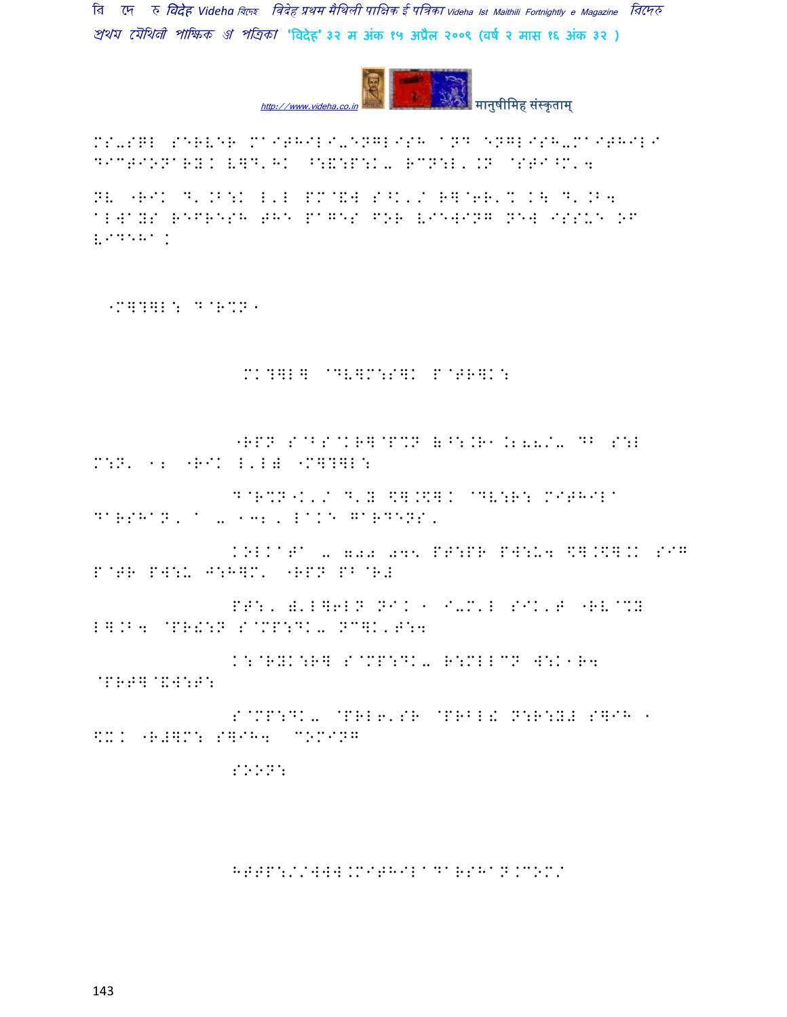

MS-SAL SERVER MAITHILI-ENGLISH AND ENGLISH-MAITHILI-ENGLISH DICTIONaRY. V]D'HK ^:&:P:K- RCN:L'.N @STI^M'4

NV "RIK D'.B:K L'L PM@&W S^K'/ R]@6R'% K\ D'.B4 aLWaYS REFRESH THE PaGES FOR VIEWING NEW ISSUE OF VIDEHa.

"WHIP" DOWN

MK?]L] @DV]M:S]K P@TR]K:

 $R$ PRN SOMETIME SOMETIME (PRINTLE STAR) M:N' 12 "RIK L'L) "M]?]L:

 D@R%N"K'/ D'Y \$].\$]. @DV:R: MITHILa DaRSHAN, a - 132, EARN HANDERS,

KOLKATA - 700 045 PT:PR PU:PR PW:U4 \$ PORT PRINCIPLE PRODUCED PRODUCED PRODUCED PRODUCED PRODUCED PRODUCED PRODUCED PRODUCED PRODUCED PRODUCED PRODUCED PRODUCED PRODUCED PRODUCED PRODUCED PRODUCED PRODUCED PRODUCED PRODUCED PRODUCED PRODUCED PRODUCED PRODUCED

PF:, B. PHER RYS & SAT. POST. PORTH L].B4 @PR!:N S@MP:DK- NC]K'T:4

 K:@RYK:R] S@MP:DK- R:MLLCN W:K1R4 @PRT]@&W:T:

SOMETHER SOMETHER SAN PRESENT SERVICE STREET \$X. "R#]M: S]IH4 COMING

SOON:

HTTP://WWW.MITHILADaRSHaN.COM/MITHILADARSHAN.COM/MITHILADARSHAN.COM/MITHILADARSHAN.COM/MITHILADARSHAN.COM/MITH<br>HTTP://WWW.MITHILADARSHAN.COM/MITHILADARSHAN.COM/MITHILADARSHAN.COM/MITHILADARSHAN.COM/MITHILADARSHAN.COM/MITH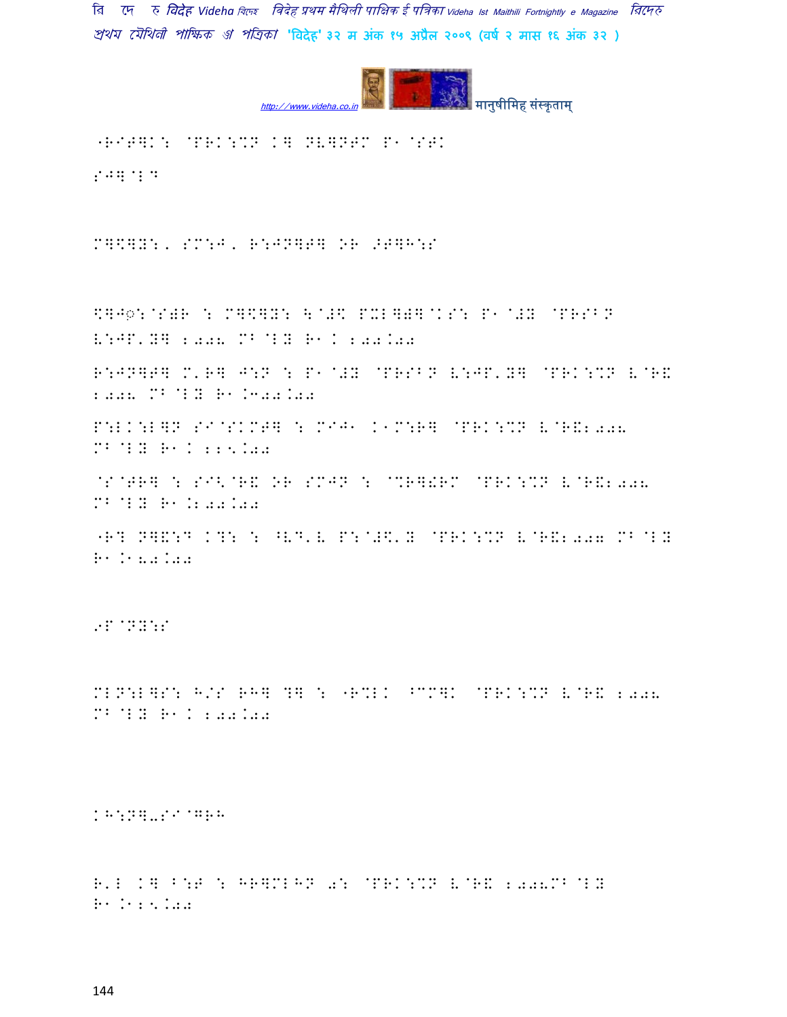

 $R$  . And the control of the problem  $R$  and  $R$  is the control of the state  $R$ 

Spirage of the Spirage

MARSHIN, SM:J, R:JNIHE OR JAHL:

\$]J◌़:@S)R : M]\$]Y: \@#\$ PXL])]@KS: P1@#Y @PRSBN B:JPD 2008 MB R1. 200.000

R:JANARA M.PH J:N : P1@#Y WHIP B:JAP.NA VPRSENY & PR 2008 MB@LY R1.300.00

PHILMER POSTIVER NOTER LIGHT TERNITE ESPERAN MB@LY R1. 225.000

@S@TR] : SI<@R& OR SMJN : @%R]!RM @PRK:%N V@R&2008 MB@LY R1.200.00

"R? N]&:D K?: : ^VD'V P:@#\$'Y @PRK:%N V@R&2007 MB@LY R1.180.00

9P@NY:S

MLN:L]S: H/S RH] ?] : "R%LK ^CM]K @PRK:%N V@R& 2008  $M$  rate of  $M$  rate  $M$  rate  $M$ 

KH:N]-SI@GRH

R'L CH'R HE'L HARD ON DIRECT IN BIR SAART 19 R1.125.00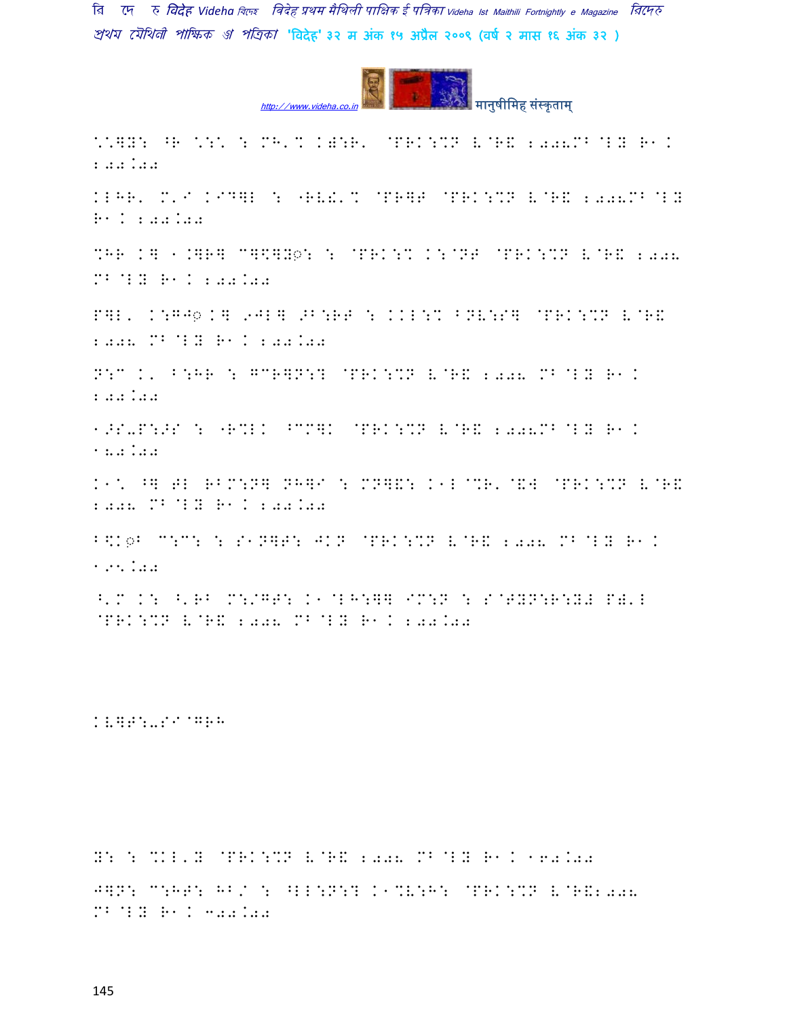

\*\*]Y: ^R \*:\* : MH'% K):R' @PRK:%N V@R& 2008MB@LY R1.  $\mathbf{1}$  .  $\mathbf{2}$  .  $\mathbf{3}$  .  $\mathbf{4}$  .  $\mathbf{5}$ 

KLHR' M'I KID]L : "RV!'% @PR]T @PRK:%N V@R& 2008MB@LY R1. 200.00

THR CONSTOLLED TO THOSE IN THE RIGHT CONTROL CONTROL CONTROL CONTROL **MB** R1. 200.000 PM

PALL (1980) ROVER IN 19D 10JL111 (PRAIR (PRINT) BOR 2008 MB R1. 200.000 MB

N:C K' B:HR : GCR]N:? @PRK:%N V@R& 2008 MB@LY R1. 200.000.000

1>S-P:>S : "R%LK ^CM]K @PRK:%N V@R& 2008MB@LY R1.  $\cdot$  1.  $\cdot$  1.  $\cdot$  1.  $\cdot$  1.  $\cdot$  1.  $\cdot$  1.  $\cdot$  1.  $\cdot$  1.  $\cdot$  1.  $\cdot$  1.  $\cdot$  1.  $\cdot$  1.  $\cdot$  1.  $\cdot$  1.  $\cdot$  1.  $\cdot$  1.  $\cdot$  1.  $\cdot$  1.  $\cdot$  1.  $\cdot$  1.  $\cdot$  1.  $\cdot$  1.  $\cdot$  1.  $\cdot$  1.  $\cdot$  1.  $\cdot$  1.  $\cdot$  1.  $\cdot$ 

K1\* \* K1 = TL RBM:NI : MN = TL RBM:NI : MN = TL RBM:NI : MN = TL RBM:NI = TL RBM:NI = TL RBM:NI = TL RBM:NI = 2008 MB@LY R1. 200.00

B\$KO; SPREDGED OF STRAIN AND STRAINS OF THE BOOK  $195.000$ 

^'M K: ^'RB M:/GT: K1@LH:]] IM:N : S@TYN:R:Y# P)'L @PRK:%N V@R& 2008 MB@LY R1. 200.00

 $T:U\to\mathbb{R}$ 

Y: : %KL'Y @PRK:%N V@R& 2008 MB@LY R1. 160.00 HER: C:HT: HE/ : HE:HR: W:H:H: C:HI:N: E BELAN. MB@LY R1. 300.00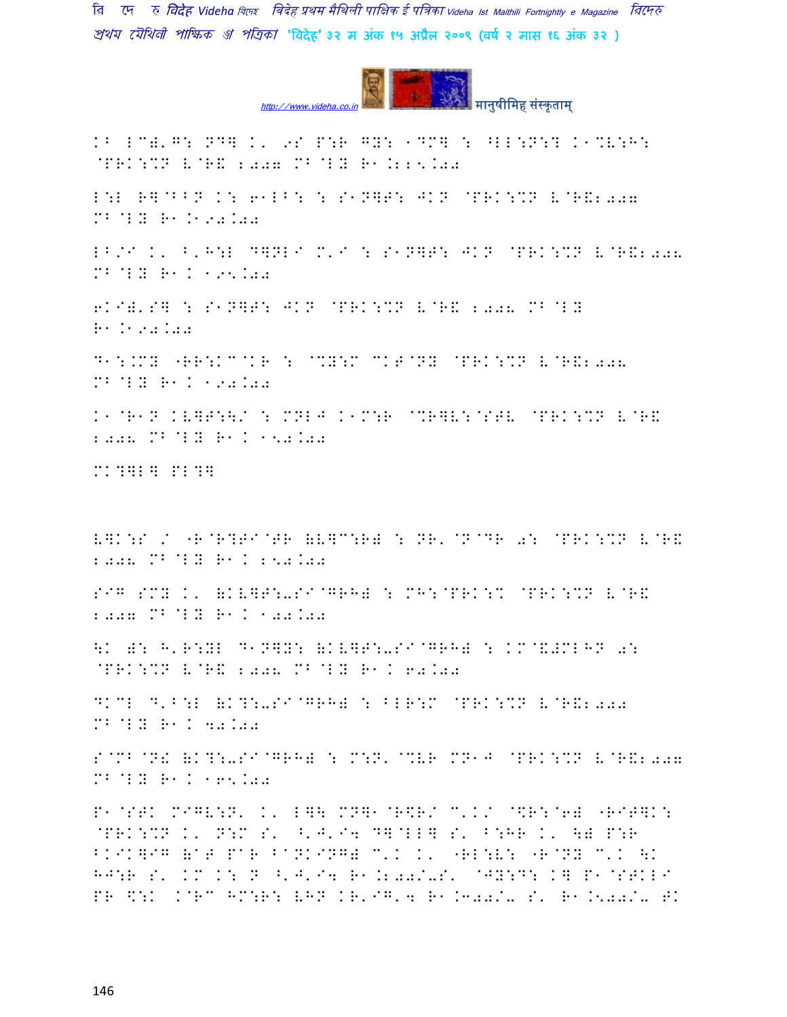

KB LC DIE KROON IS NOT DIE AARTE GEGEEN IS DIE GOEDSE GEGENEEME IS VERSIE GEGENEEME GEGENEEME GEGENEEME GEGENE WEDER BOOK: NAME OF THE BY REVOLUT

L:L RUSSEN C:L RISH (SINDUR MIN WORKSHILL: MB@LY R1.190.00

LB/I K' B'H:L D]NLI M'I : S1N]T: JKN @PRK:%N V@R&2008 MB@LY R1. 195.00

6KI)'S] : S1N]T: JKN @PRK:%N V@R& 2008 MB@LY R1.190.00

D1:.MY "RR:KC@KR : @%Y:M CKT@NY @PRK:%N V@R&2008  $M$  right resolutions of the control of the control of the control of the control of the control of the control of the control of the control of the control of the control of the control of the control of the control of th

K1 TEXP (1892)AV & VPR (1971) (TEBA V:@STV CPR(ATP) & PR 1008 MB R1. 150.0000

MARRIS PROTECT

V]K:S / "R@R?TI@TR (V]C:R) : NR'@N@DR 0: @PRK:%N V@R& 2008 MB@LY R1. 250.00

SIG STO SIGNED SIGNED : MH: TH: STO CORK: SID 2007 MB@LY R1. 100.00

 $K$  ): Henrich distribution in the main of the main of the main of the main of the main of the main of the main @PRK:%N V@R& 2008 MB@LY R1. 60.00

DECORE DE SAN DE SAN DE SAN DIE BLANKE IN DE SAN DIE DE SAN DIE SAN DIE SAN DIE GRAAIE IN DIE GRAAIE IN DIE BL **MB** R1. 40.000 PM R1. 40.000 PM R1. 40.000 PM R1. 40.000 PM R1. 40.000 PM R1. 40.000 PM R1. 40.000 PM R1. 40.000 PM R1. 40.000 PM R1. 40.000 PM R1. 40.000 PM R1. 40.000 PM R1. 40.000 PM R1. 40.000 PM R1. 40.000 PM R1. 40.

S@MB@N! (K?:-SI@GRH) : M:N'@%VR MN1J @PRK:%N V@R&2007 TROLL ROLL CONSTRUCT

P1@STK MIGV:N' K' L]\ MN]1@R\$R/ C'K/ @\$R:@6) "RIT]K: @PRK:%N K' N:M S' ^'J'I4 D]@LL] S' B:HR K' \) P:R BKIKING (aT Par Banking) C'H RL:V: "C'A C'H RL:V: "RL:V: "RL:V: "RL: HJ:R S' KM K: N ^'J'I4 R1.200/-S' @JY:D: K] P1@STKLI PR \$:K .@RC HM:R: VHN KR'IG'4 R1.300/- S' R1.500/- TK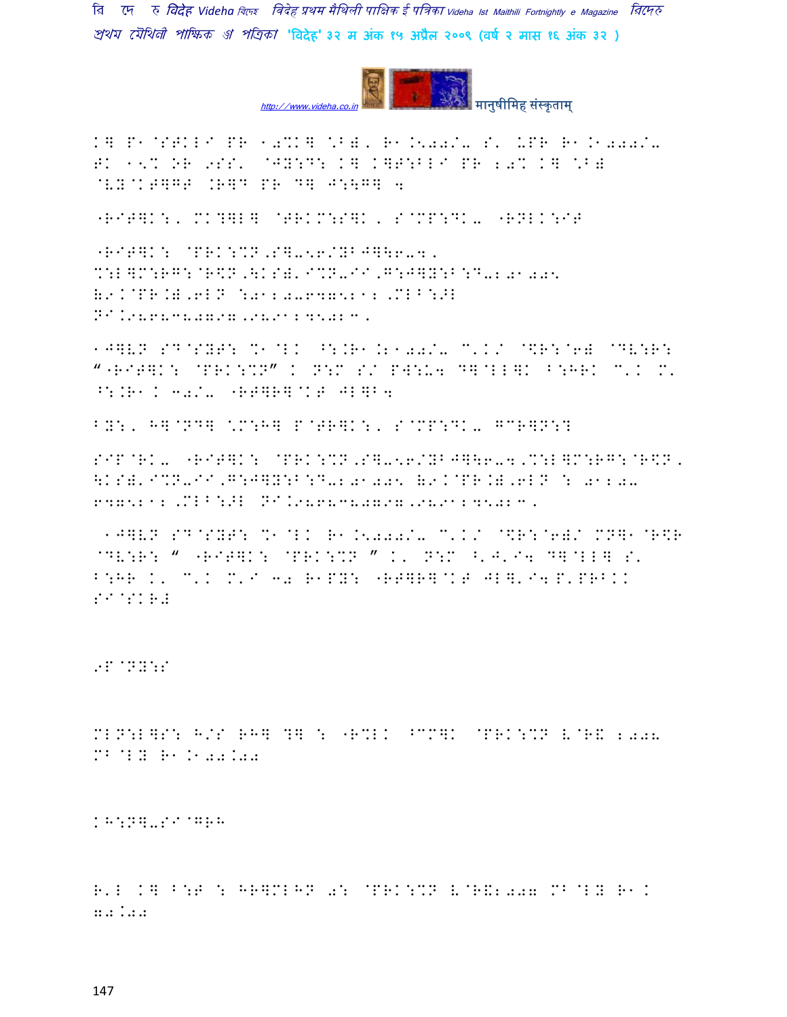

TH PROPERTY PROVINCE OF BILGHAD ANNOUNCEMENT CONSISTANCY TK 15% OR 9SS' @JY:D: K] K]T:BLI PR 20% K] \*B)  $'$  . The discrete  $\mathbb{R}$  is the proposition of  $\mathbb{R}$  . The discrete  $\mathbb{R}$ 

"RIT]K:, MK?]L] @TRKM:S]K, S@MP:DK- "RNLK:IT

"RIT]K: @PRK:%N,S]-56/YBJ]\6-4, %:L]M:RG:@R\$N,\KS)'I%N-II,G:J]Y:B:D-201005 (9. O.P. 19. O.P. 19. O.P. 19. O.P. 19. O.P. 19. O.P. 19. O.P. 19. O.P. 19. O.P. 19. O.P. 19. O.P. 1 NI.9868888888888888888888

1J]VN SD@SYT: %1@LK ^:.R1.2100/- C'K/ @\$R:@6) @DV:R: "HRITH THINKS A HIT KI PHILA PHOLL BILL BILL CI ^:.R1. 30/- "RT]R]@KT JL]B4

BY:, HENDER NORME PORMISS, SOMETIME GORDEN

 $S$  . The rite of the rite of the single problem in the rite of the rite of the rite of the rite of the rite of the rite of the rite of the rite of the rite of the rite of the rite of the rite of the rite of the rite of th \KS)'I%N-II,G:J]Y:B:D-201005 (9.@PR.),6LN : 0120- 6485212,MLB:1091, PV Nicholas and all not a divide with

 1J]VN SD@SYT: %1@LK R1.5000/- C'K/ @\$R:@6)/ MN]1@R\$R @DV:R: " "RIT]K: @PRK:%N " K' N:M ^'J'I4 D]@LL] S' B: NARE (100 M) 100 CM, 200 PH AT THE RIGHT OF REPORT OF THE RIGHT PLATFORM CONTINUES. SI@SKR#

9P@NY:S

MLPH:RS: H/S RHE ?B & FRID &PRED &PRINGS & PROVINCIAL  $M$  rate  $M$  and  $M$ 

 $t:0$ 

R'L K] B:T : HR]MLHN 0: @PRK:%N V@R&2007 MB@LY R1.  $\mathbf{r}$ .  $\mathbf{r}$ .  $\mathbf{r}$ .  $\mathbf{r}$ .  $\mathbf{r}$ .  $\mathbf{r}$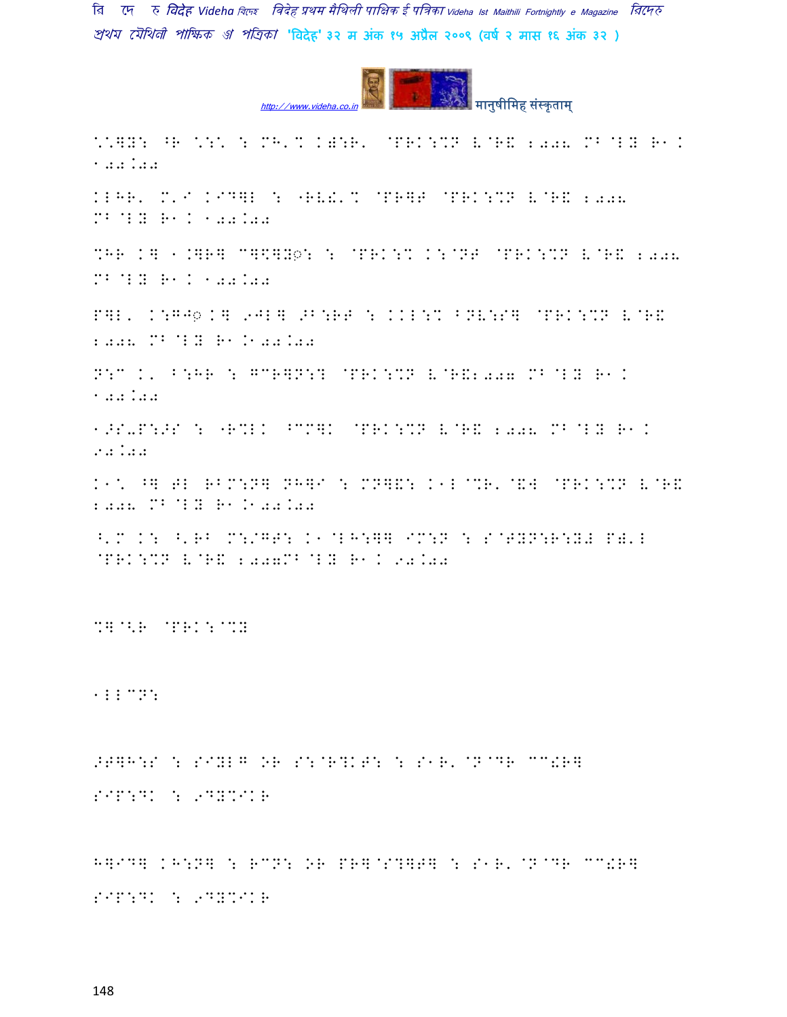

\*\*]Y: ^R \*:\* : MH'% K):R' @PRK:%N V@R& 2008 MB@LY R1. 100.00

KLHR' M'I KID]L : "RV!'% @PR]T @PRK:%N V@R& 2008  $M$  rates in the contract of the contract of the contract of the contract of the contract of the contract of the contract of the contract of the contract of the contract of the contract of the contract of the contract of t

THR CONSTOLLED TO THOSE IN THE RIGHT CONTROL CONTROL CONTROL CONTROL MB@LY R1. 100.00

PALL (1984) DA (2014 PARAGE : KI:GN : KRL924 (PRIGNY: L'BE 2008 MB@LY R1.100.00

N:C K' B:HR : GCR]N:? @PRK:%N V@R&2007 MB@LY R1. 100.00

1>S-P:>S : "R%LK ^CM]K @PRK:%N V@R& 2008 MB@LY R1. 90.00

K1\* \* K1 = TL RBM:NI : MN = TL RBM:NI : MN = TL RBM:NI : MN = TL RBM:NI = TL RBM:NI = TL RBM:NI = TL RBM:NI = 2008 MB@LY R1.100.00

^'M K: ^'RB M:/GT: K1@LH:]] IM:N : S@TYN:R:Y# P)'L @PRK:%N V@R& 2007MB@LY R1. 90.00

 $\mathcal{P}(\mathcal{P}(\mathcal{P}(\mathcal{P}(\mathcal{P}(\mathcal{P}(\mathcal{P}(\mathcal{P}(\mathcal{P}(\mathcal{P}(\mathcal{P}(\mathcal{P}(\mathcal{P}(\mathcal{P}(\mathcal{P}(\mathcal{P}(\mathcal{P}(\mathcal{P}(\mathcal{P}(\mathcal{P}(\mathcal{P}(\mathcal{P}(\mathcal{P}(\mathcal{P}(\mathcal{P}(\mathcal{P}(\mathcal{P}(\mathcal{P}(\mathcal{P}(\mathcal{P}(\mathcal{P}(\mathcal{P}(\mathcal{P}(\mathcal{P}(\mathcal{P}(\mathcal{P}(\mathcal{$ 

 $111111$ 

>T]H:S : SIYLG OR S:@R?KT: : S1R'@N@DR CC!R] SIP:DK : 9DY%IKR

HEATE : ROBE : SIRCH: DR CHREICHER, SIRCH, DR CER COCHE SIP:DK : 9DY : 9DY : 9DY : 9DY : 9DY : 9DY : 9DY : 9DY : 9DY : 9DY : 9DY : 9DY : 9DY : 9DY : 9DY : 9DY : 9DY :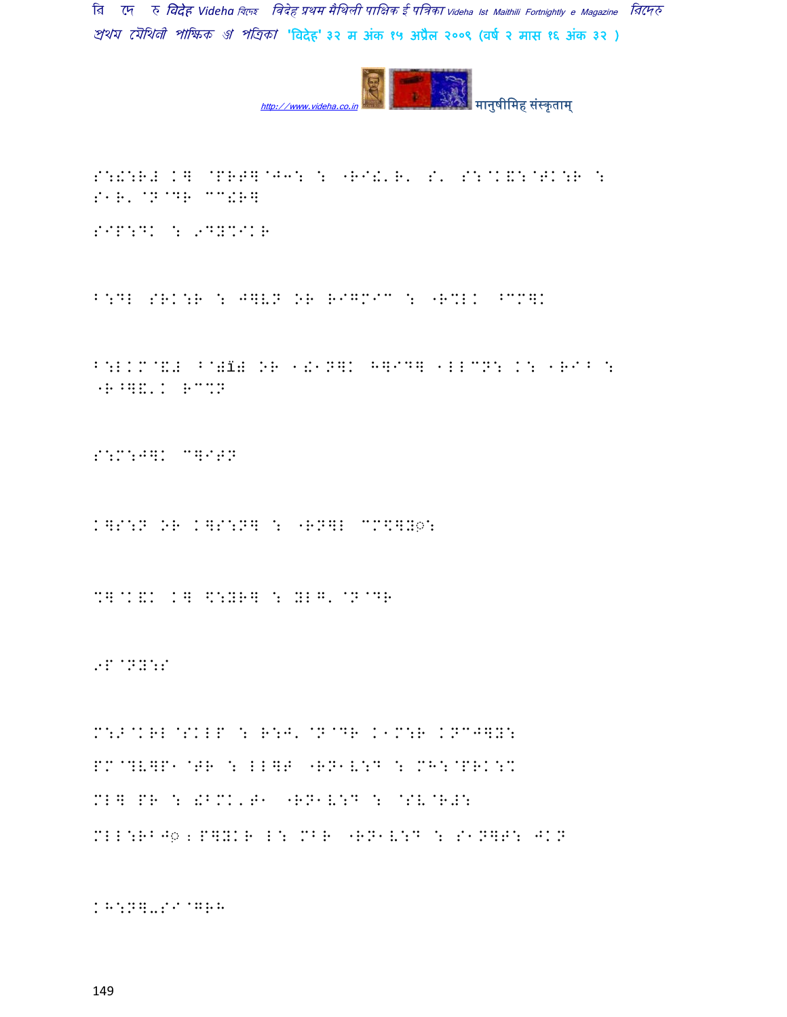

STEERS OF THEFT WAY TO HEAR BY SINCE THIS HIGH TO S1R' CHARGE COMPANY

SIP:DK : 9DY%IKR

B:DR SRK:R : JR SR RIGHT : "RXBIK OR DR SRK

B:LICAMENT OR 10 OR 10 11 OR 11 OR 11 OR 10 11 OR 10 OR 10 11 OR 18 10 11 OR 10 11 OR 18 10 11 OR 18 10 11 OR "R^]&'K RC%N

S:M:J]K C]ITN

KHIS: NE KHISH : "RNH! "TRHES!

9P@NY:S

%]@K&K K] \$:YR] : YLG'@N@DR

KH:N]-SI@GRH

149

PM TRANSPORTED TO THE SERVICE OF STREET TO STATE THE SERVICE OF THE SERVICE OF THE SERVICE OF THE SERVICE OF THE SERVICE OF THE SERVICE OF THE SERVICE OF THE SERVICE OF THE SERVICE OF THE SERVICE OF THE SERVICE OF THE SERV ML] PR : !BMK'T1 "RN1V:D : @SV@R#: MLL:RBJO: PHRIB IN MPR "RN-LNT" N P-PHRN ST

M:>@KRL@SKLP : R:J'@N@DR K1M:R KNCJ]Y: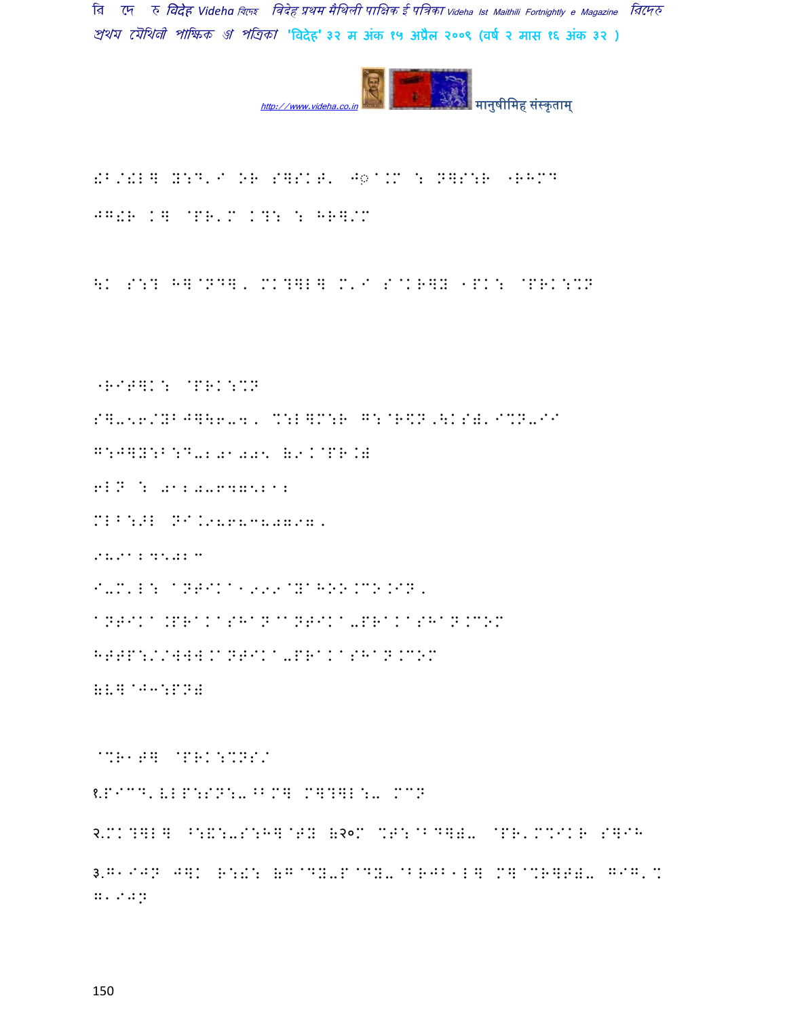

!B/!L] Y:D'I OR S]SKT' J◌़@.M : N]S:R "RHMD JG!R K] @PR'M K?: : HR]/M

\K S:? H]@ND], MK?]L] M'I S@KR]Y 1PK: @PRK:%N

"RIT]K: @PRK:%N SA-58 YBJ-56-YI WIRD AND BERRIE STRING W:B:D:D:B:D-20105 (9.D-2010) 6LN : 0120-64752121212 MLB: LA NI.98683807, 2002. 2003. 2003. 2003. 2003. 2004. 2005. 2007. 2007. 2007. 2007. 2007. 2007. 2007. 2007. 9891245023 I-M'L: aNTIKa1999@YaHOO.CO.IN, antika pada tahun 1992 yang bermula pada 2002. Pada tahun 1993 yang bermula pada tahun 1993 yang bermula pada HTTP://WWW.aNTIKa-PRaKaSHaN.COM  $H$  : How where  $H$ 

@%R1T] @PRK:%NS/ **8.PHONOLES PERSONS IN THE SECTION OF A MILE AND ADDRESSED AT A MILE AND ADDRESSED AT A MILE AND ADDRESSED AT A** २.MM RRP (2008) AND CONTROL (2008) AND CONTROL (2008) AND CONTROL (2008) ३.स. २०३१ - ०५१ - १९३३ - ६०१ १९३८ - १९३८ - १९०० - १९०१ - १९०१ - १९०१ - १९०१ - १९०१ - १९०१ - १९०१ - १९ Haratti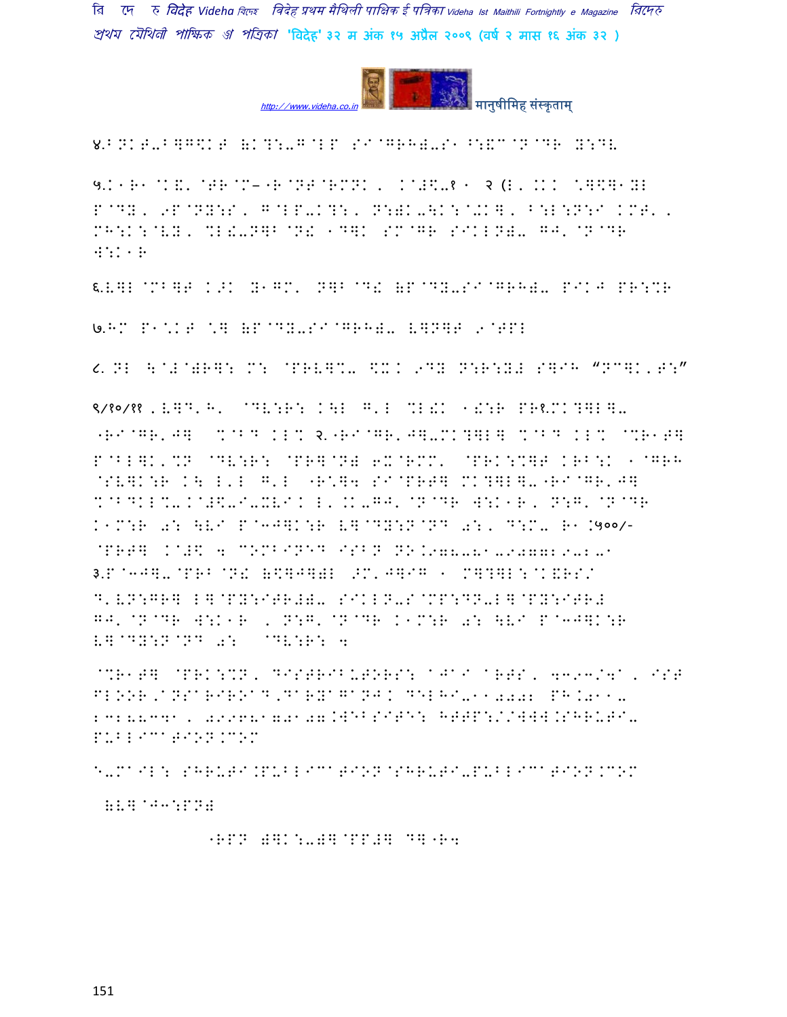

४.BNKT-B]G\$KT (K?:-G@LP SI@GRH)-S1^:&C@N@DR Y:DV

 $9.1 + i \cdot 10.01$  . The MV-  $(i \cdot 1.01)$  is the  $(i \cdot 1.01)$  of  $(i \cdot 1.01)$  . The  $(i \cdot 1.01)$ P@DY, 9P@NY:S, G@LP-K?:, N:)K-\K:@+K], B:L:N:I KMT', MH:K:@VY, %L!-N]B@N! 1D]K SM@GR SIKLN)- GJ'@N@DR W:K1R1

६.V]L@MB]T K>K Y1GM' N]B@D! (P@DY-SI@GRH)- PIKJ PR:%R

७.HM PHONE CHARLEY WARREN ARTHUR STATE

८. NL \@#@)R]: M: @PRV]%- \$X. 9DY N:R:Y# S]IH "NC]K'T:"

९/१०/११ . EEP. 5. (19ENEY 19E (#.) #.) (HECV: KIYE FR8.MI HEEE. "RIGR'T #BD KLM" (PORT ALL) \$PD KLA ART ART PRODUCT A BOARD AND KLOSEN ARE ARRESTED FOR DISCUSSION OF THE REPOR P@BL]K'%N @DV:R: @PR]@N) 6X@RMM' @PRK:%]T KRB:K 1@GRH @SV]K:R K\ L'L G'L "R\*]4 SI@PRT] MK?]L]-"RI@GR'J] % MPKL E NIL CONSTITUCION AT LOCAL CONTRACTOR OF A HOME WITH A LOCAL DRIVER. THE MANUFACTURE K1M:R 0: \VI P@3J]K:R V]@DY:N@ND 0:, D:M- R1.५००/- @PRT] .@#\$ 4 COMBINED ISBN NO.978-81-907729-2-1 3.P.1999L.1PRB.1PRD@RN999HE\_22L99HPRO (209999E1 MILREL D'VN:GR] L]@PY:ITR#)- SIKLN-S@MP:DN-L]@PY:ITR# GG, YR YR GREGORIA , DR NR KNOSING KING KANG KANG KATIKA SA MASA A SA MARA KANG KANG KANG KANG KANG KANG KANG V]@DY:N@ND 0: @DV:R: 4

@%R1T] @PRK:%N, DISTRIBUTORS: aJaI aRTS, 4393/4a, IST FLOOR, AND PORT OF THE RICHARD, DARYAGANIN PH.011-1100 23388341, 09968181, 09968170107. HTTP://WWW.SHRUTI-PUBLICaTION.COM

E-MaIL: SHRUTI.PUBLICaTION@SHRUTI-PUBLICaTION.COM

 $H$   $H$   $H$   $H$   $H$   $H$   $H$   $H$   $H$   $H$ 

"RPN )]K:-)]@PP#] D]"R4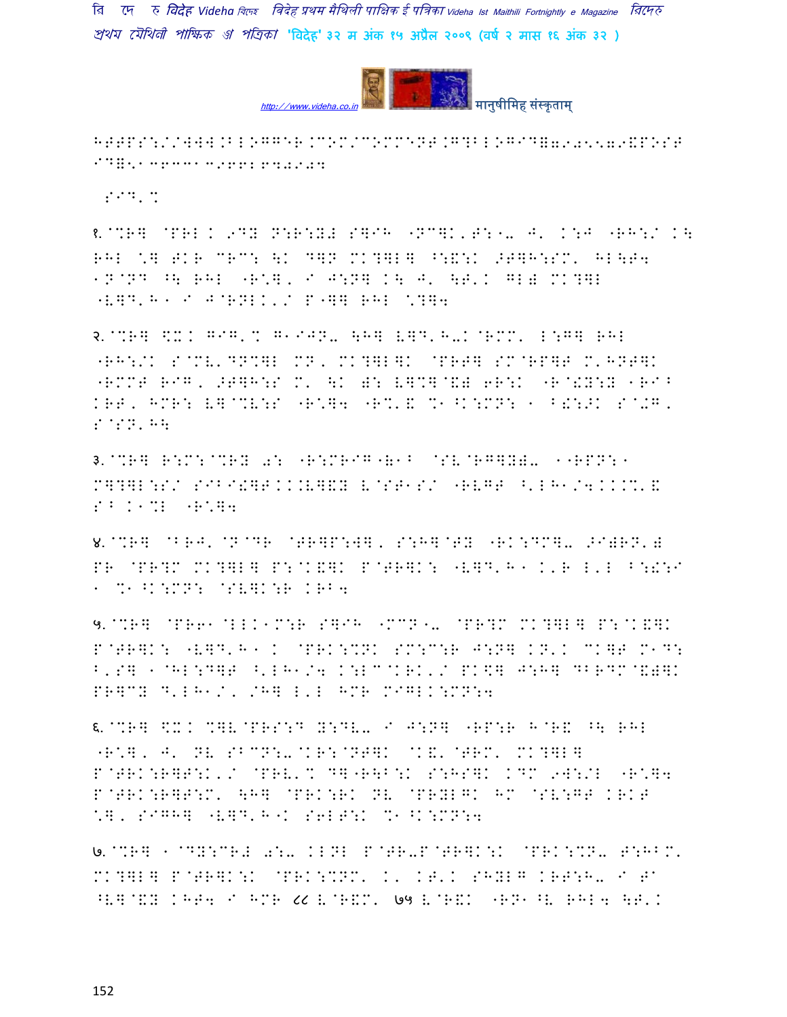

HTTPS://WWW.BLOGGER.COM/COMMENT.G?BLOGID=7905579&POST ID=513631396631396631396631396631396631396631396631396631396631396631396631396631396

 $\mathbb{R}$ sid $\mathbb{R}$  side  $\mathbb{R}$ 

१.@%R] @PRL. 9DY N:R:Y# S]IH "NC]K'T:"- J' K:J "RH:/ K\ RHL (19) P.D. ORON AL (793) DIGHEY (1908) JPPANIC, ABABA 1919 C RHL "ROOM", I AND ROOM, I RELIUS MEE CINN  $'$  . I d'hyperiodic interests and the second interests and  $'$   $\overline{\phantom{a}}$ 

२. 7164 XXX ( #2#. T #2243. GHB E4I, 6.1 GET. ( : G## BHE "RH:/K S@MV'DN%]L MN, MK?]L]K @PRT] SM@RP]T M'HNT]K  $R$  . The right right ratio for the state of  $R$  is the state of  $R$  is  $R$  . The state of  $R$ KRAT, HORS ERTOLSE, PROBAT PROVISION POSTOS PTRISED (ENCOM SMSS SHOW

३. MIRH (RGIN) MIRG (2G) (RGINEYR)-B-FF (ME) MERHIGE (1998) PRIDG" MARIAT SI SIBI YA KARA 111 MATA 121 MATA 121 MARA 14.1.1.2. S\* K1%L "R\* K1%L"

४.@%R] @BRJ'@N@DR @TR]P:W], S:H]@TY "RK:DM]- >I)RN') PR @PR?M MK?]L] P:@K&]K P@TR]K: "V]D'H" K'R L'L B:!:I 1 %1^K:MN: @SV]K:R KRB4

५.@%R] @PR61@LLK1M:R S]IH "MCN"- @PR?M MK?]L] P:@K&]K P@TR]K: "V]D'H" K @PRK:%NK SM:C:R J:N] KN'K CK]T M1D: B'S] 1@HL:D]T ^'LH1/4 K:LC@KRK'/ PK\$] J:H] DBRDM@&)]K PR]CY D'LH1/, /H] L'L HMR MIGLK:MN:4

६.@%R] \$X. %]V@PRS:D Y:DV- I J:N] "RP:R H@R& ^\ RHL "RELEVAN DE RETOREN MARS MEN MARTIN MINHER P@TRK:R]T:K'/ @PRV'% D]"R\B:K S:HS]K KDM 9W:/L "R\*]4 P@TRK:RFK:RFK:RK NV @RX:RK NV #PRYLGK HM @SV:GT KRKT \*], SIGH] "V]D'H"K S6LT:K %1^K:MN:4

७.@%R] 1@DY:CR# 0:- KLNL P@TR-P@TR]K:K @PRK:%N- T:HBM' MAKRET PORTHOL AND STRING KONSTANTIONS OF TAXABLE CONTINUES.  $V^*$  (Fig. )  $V^*$  is the conduct of  $V^*$  in  $V^*$  or  $V^*$  in  $V^*$  . The conduct  $V^*$  or  $V^*$  is the conduct of  $V^*$  or  $V^*$  . The conduct of  $V^*$  or  $V^*$  or  $V^*$  or  $V^*$  . The conduct of  $V^*$  or  $V^*$  or  $V^$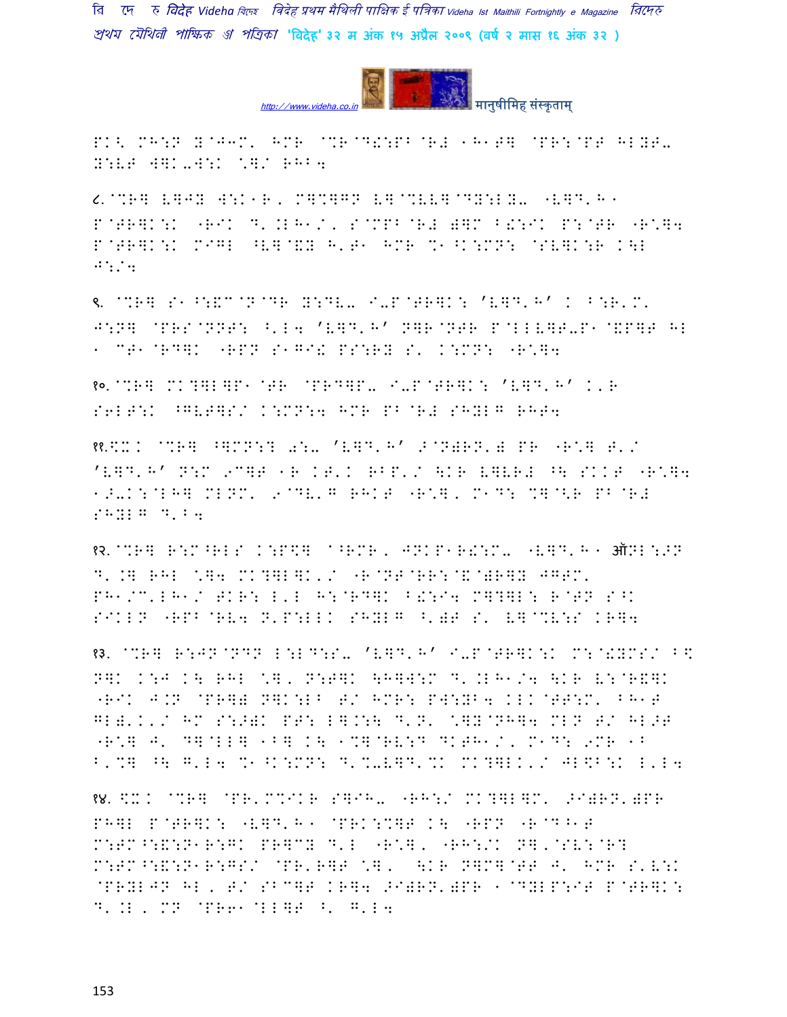

PK< MH:N Y@J3M' HMR @%R@D!:PB@R# 1H1T] @PR:@PT HLYT-Y:VT W]K-W:K \*]/ RHB4

८.@%R] V]JY W:K1R, M]%]GN V]@%VV]@DY:LY- "V]D'H" P@TR]K:K "RIK D'.LH1/, S@MPB@R# )]M B!:IK P:@TR "R\*]4 P. MARAD AD (ONCAR) AND A HOR & HOR & MORE (ASV) MARK & SVIEWING & SVIEWING & SVIEWING & SVIEWING AREA OF A BI  $\mathcal{H}:\mathcal{F}\rightarrow\mathcal{F}$ 

९. [1784] SIX PEEM YR 1785 (EGMELL) YLE YERAD GOYEARY, RYOCO FGBL ML J:N] @PRS@NNT: ^'L4 'V]D'H' N]R@NTR P@LLV]T-P1@&P]T HL 1 CT1@RD]K "RPN S1GI! PS:RY S' K:MN: "R\*]4

१०.@%R] MK?]L]P1@TR @PRD]P- I-P@TR]K: 'V]D'H' K'R S6LT:K PROGRESS SHYLG RHT4 HMR PB@R# SHYLG RHT4

११.5X. D. D. 1736 B. (FBITATE GALLY CAPT), PR "RTYGERIE, G. (P.H.) (EN)R. (P. 20)  $V$ EAT. A $V$  (First variety are only state  $\mathbb{R}$  and  $\mathbb{R}$  and  $\mathbb{R}$  are  $\mathbb{R}$  in  $\mathbb{R}$  . The state  $\mathbb{R}$ 1>-K:@LH] MLNM' 9@DV'G RHKT "R\*], M1D: %]@<R PB@R# SHILLE D. P.

१२. MWERT R:MORLS K:P\$PERT TO REMELT MANIFER RESIDENT (ALROY) MINE NACH D'.] RHL \*]4 MK?]L]K'/ "R@NT@RR:@&@)R]Y JGTM' PH1/C'LEATING BIBS EVEN AS TRABILITES AN ORBHER BIGGA RIT SIKLA PO "PERS" TELLA "PELA ALI SI STADE PO SU GERMANI "SU KRAJTILINA" (1989)

१३. @ MARIE: B-GHP (1979) E-GHP (1971), ME RIP, A K: RILD: GBARE: GD: COG (100001) E-S. DAIK: J GA: J K: BAEK: J R, DGAAIK, NHARAGD, M, JE AK JA, KI B, E G, DAIRER, "RIK J.N @PR]) N]K:LB T/ HMR: PW:YB4 KLK@TT:M' BH1T 'HEAL)'S' ("HO") S'YAAD ("D'A'Y) E'H DYN "MLON", "NON TO'HHA "O'EOR" A'S "HEOAR  $R$  -polynomial decomposition of the problems of the problems of  $R$ B'%] ^\ G'L4 %1^K:MN: D'%-V]D'%K MK?]LK'/ JL\$B:K L'L4

१४. \$X. @%R] @PR'M%IKR S]IH- "RH:/ MK?]L]M' >I)RN')PR PHIL PORRIN "VIRT, PACTRICITE ON CHPP" APOTHAI M:THO: THE THIS PROPERTY OF THE THIS CONTINUES. THE REPORT OF THE THIRD OF THE THING. M:THO: THE THOS (FIRM) THAN SHE AND THE STUDENT THAT HOW IT HOS STUDENTS. @PRYLJN HL, T/ SBC]T KR]4 >I)RN')PR 1@DYLP:IT P@TR]K: D'.L, MN @PR61@LL]T ^' G'L4